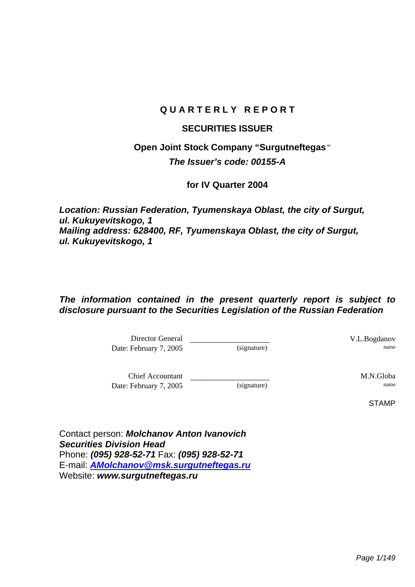# **Q U A R T E R L Y R E P O R T**

## **SECURITIES ISSUER**

# **Open Joint Stock Company "Surgutneftegas***" The Issuer's code: 00155-A*

## **for IV Quarter 2004**

*Location: Russian Federation, Tyumenskaya Oblast, the city of Surgut, ul. Kukuyevitskogo, 1 Mailing address: 628400, RF, Tyumenskaya Oblast, the city of Surgut, ul. Kukuyevitskogo, 1* 

# *The information contained in the present quarterly report is subject to disclosure pursuant to the Securities Legislation of the Russian Federation*

Director General \_\_\_\_\_\_\_\_\_\_\_\_\_\_\_\_\_\_\_ V.L.Bogdanov Date: February 7, 2005 (signature)

Chief Accountant \_\_\_\_\_\_\_\_\_\_\_\_\_\_\_\_\_\_\_ M.N.Globa Date: February 7, 2005 (signature)

STAMP

Contact person: *Molchanov Anton Ivanovich Securities Division Head*  Phone: *(095) 928-52-71* Fax: *(095) 928-52-71*  E-mail: *AMolchanov@msk.surgutneftegas.ru* Website: *www.surgutneftegas.ru*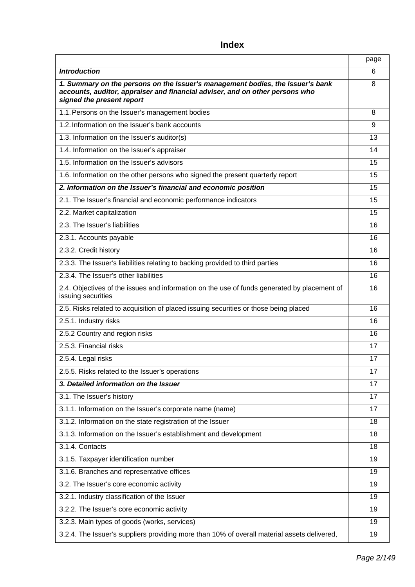# page *Introduction* 6 *1. Summary on the persons on the Issuer's management bodies, the Issuer's bank accounts, auditor, appraiser and financial adviser, and on other persons who signed the present report*  8 1.1. Persons on the Issuer's management bodies 8 1.2. Information on the Issuer's bank accounts example and the state of the state of the state of the state of the state of the state of the state of the state of the state of the state of the state of the state of the sta 1.3. Information on the Issuer's auditor(s) 13 and 13 and 13 and 13 and 13 and 13 and 13 and 13 and 13 and 13 and 13 and 13 and 13 and 13 and 13 and 13 and 13 and 13 and 13 and 13 and 13 and 13 and 13 and 13 and 13 and 13 1.4. Information on the Issuer's appraiser 14 and 14 and 14 and 14 and 14 and 14 and 14 and 14 and 14 and 14 and 14 and 14 and 14 and 14 and 14 and 14 and 14 and 14 and 14 and 14 and 14 and 14 and 14 and 14 and 14 and 14 a 1.5. Information on the Issuer's advisors 15 1.6. Information on the other persons who signed the present quarterly report 15 *2. Information on the Issuer's financial and economic position* 15 2.1. The Issuer's financial and economic performance indicators 15 2.2. Market capitalization 15 2.3. The Issuer's liabilities 16 and 16 and 16 and 16 and 16 and 16 and 16 and 16 and 16 and 16 and 16 and 16 and 16 and 16 and 16 and 16 and 16 and 16 and 16 and 16 and 16 and 16 and 16 and 16 and 16 and 16 and 16 and 16 2.3.1. Accounts payable 16 and 16 and 16 and 16 and 16 and 16 and 16 and 16 and 16 and 16 and 16 and 16 and 16 and 16 and 16 and 16 and 16 and 16 and 16 and 16 and 16 and 16 and 16 and 16 and 16 and 16 and 16 and 16 and 16 2.3.2. Credit history 16 2.3.3. The Issuer's liabilities relating to backing provided to third parties 16 2.3.4. The Issuer's other liabilities 16 and 16 and 16 and 16 and 16 and 16 and 16 and 16 and 16 and 16 and 16 2.4. Objectives of the issues and information on the use of funds generated by placement of issuing securities 16 2.5. Risks related to acquisition of placed issuing securities or those being placed 16 2.5.1. Industry risks 16 and 16 and 16 and 16 and 16 and 16 and 16 and 16 and 16 and 16 and 16 and 16 and 16 and 16 and 16 and 16 and 16 and 16 and 16 and 16 and 16 and 16 and 16 and 16 and 16 and 16 and 16 and 16 and 16 a 2.5.2 Country and region risks 16 2.5.3. Financial risks 17 2.5.4. Legal risks 17 2.5.5. Risks related to the Issuer's operations 17 and 17 and 17 and 17 and 17 and 17 and 17 and 17 and 17 and 17 and 17 and 17 and 17 and 17 and 17 and 17 and 17 and 17 and 17 and 17 and 17 and 17 and 17 and 17 and 17 and *3. Detailed information on the Issuer* 17 3.1. The Issuer's history 17 and 17 and 17 and 17 and 17 and 17 and 17 and 17 and 17 and 17 and 17 and 17 and 17 3.1.1. Information on the Issuer's corporate name (name) 17 3.1.2. Information on the state registration of the Issuer 18 3.1.3. Information on the Issuer's establishment and development 18 3.1.4. Contacts 18 3.1.5. Taxpayer identification number 19 3.1.6. Branches and representative offices 19 November 2012 19 November 2013 3.2. The Issuer's core economic activity 19 3.2.1. Industry classification of the Issuer 19 and 19 and 19 and 19 and 19 and 19 and 19 and 19 and 19 and 19 3.2.2. The Issuer's core economic activity 19 3.2.3. Main types of goods (works, services) 19 3.2.4. The Issuer's suppliers providing more than 10% of overall material assets delivered, 19

### **Index**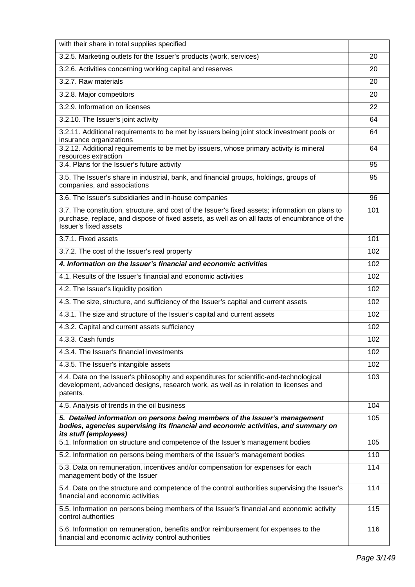| with their share in total supplies specified                                                                                                                                                                                      |     |  |  |  |  |  |
|-----------------------------------------------------------------------------------------------------------------------------------------------------------------------------------------------------------------------------------|-----|--|--|--|--|--|
| 3.2.5. Marketing outlets for the Issuer's products (work, services)                                                                                                                                                               | 20  |  |  |  |  |  |
| 3.2.6. Activities concerning working capital and reserves                                                                                                                                                                         | 20  |  |  |  |  |  |
| 3.2.7. Raw materials                                                                                                                                                                                                              | 20  |  |  |  |  |  |
| 3.2.8. Major competitors                                                                                                                                                                                                          | 20  |  |  |  |  |  |
| 3.2.9. Information on licenses                                                                                                                                                                                                    | 22  |  |  |  |  |  |
| 3.2.10. The Issuer's joint activity                                                                                                                                                                                               | 64  |  |  |  |  |  |
| 3.2.11. Additional requirements to be met by issuers being joint stock investment pools or<br>insurance organizations                                                                                                             | 64  |  |  |  |  |  |
| 3.2.12. Additional requirements to be met by issuers, whose primary activity is mineral<br>resources extraction                                                                                                                   | 64  |  |  |  |  |  |
| 3.4. Plans for the Issuer's future activity                                                                                                                                                                                       | 95  |  |  |  |  |  |
| 3.5. The Issuer's share in industrial, bank, and financial groups, holdings, groups of<br>companies, and associations                                                                                                             | 95  |  |  |  |  |  |
| 3.6. The Issuer's subsidiaries and in-house companies                                                                                                                                                                             | 96  |  |  |  |  |  |
| 3.7. The constitution, structure, and cost of the Issuer's fixed assets; information on plans to<br>purchase, replace, and dispose of fixed assets, as well as on all facts of encumbrance of the<br><b>Issuer's fixed assets</b> | 101 |  |  |  |  |  |
| 3.7.1. Fixed assets                                                                                                                                                                                                               | 101 |  |  |  |  |  |
| 3.7.2. The cost of the Issuer's real property                                                                                                                                                                                     | 102 |  |  |  |  |  |
| 4. Information on the Issuer's financial and economic activities                                                                                                                                                                  | 102 |  |  |  |  |  |
| 4.1. Results of the Issuer's financial and economic activities                                                                                                                                                                    | 102 |  |  |  |  |  |
| 4.2. The Issuer's liquidity position                                                                                                                                                                                              | 102 |  |  |  |  |  |
| 4.3. The size, structure, and sufficiency of the Issuer's capital and current assets                                                                                                                                              | 102 |  |  |  |  |  |
| 4.3.1. The size and structure of the Issuer's capital and current assets                                                                                                                                                          |     |  |  |  |  |  |
| 4.3.2. Capital and current assets sufficiency                                                                                                                                                                                     |     |  |  |  |  |  |
| 4.3.3. Cash funds                                                                                                                                                                                                                 | 102 |  |  |  |  |  |
| 4.3.4. The Issuer's financial investments                                                                                                                                                                                         | 102 |  |  |  |  |  |
| 4.3.5. The Issuer's intangible assets                                                                                                                                                                                             | 102 |  |  |  |  |  |
| 4.4. Data on the Issuer's philosophy and expenditures for scientific-and-technological<br>development, advanced designs, research work, as well as in relation to licenses and<br>patents.                                        | 103 |  |  |  |  |  |
| 4.5. Analysis of trends in the oil business                                                                                                                                                                                       | 104 |  |  |  |  |  |
| 5. Detailed information on persons being members of the Issuer's management<br>bodies, agencies supervising its financial and economic activities, and summary on<br>its stuff (employees)                                        | 105 |  |  |  |  |  |
| 5.1. Information on structure and competence of the Issuer's management bodies                                                                                                                                                    | 105 |  |  |  |  |  |
| 5.2. Information on persons being members of the Issuer's management bodies                                                                                                                                                       | 110 |  |  |  |  |  |
| 5.3. Data on remuneration, incentives and/or compensation for expenses for each<br>management body of the Issuer                                                                                                                  | 114 |  |  |  |  |  |
| 5.4. Data on the structure and competence of the control authorities supervising the Issuer's<br>financial and economic activities                                                                                                | 114 |  |  |  |  |  |
| 5.5. Information on persons being members of the Issuer's financial and economic activity<br>control authorities                                                                                                                  | 115 |  |  |  |  |  |
| 5.6. Information on remuneration, benefits and/or reimbursement for expenses to the<br>financial and economic activity control authorities                                                                                        | 116 |  |  |  |  |  |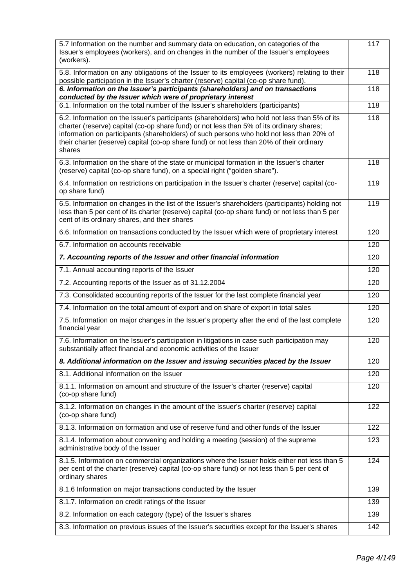| 5.7 Information on the number and summary data on education, on categories of the<br>Issuer's employees (workers), and on changes in the number of the Issuer's employees<br>(workers).                                                                                                                                                                                                      | 117 |  |  |  |  |  |  |
|----------------------------------------------------------------------------------------------------------------------------------------------------------------------------------------------------------------------------------------------------------------------------------------------------------------------------------------------------------------------------------------------|-----|--|--|--|--|--|--|
| 5.8. Information on any obligations of the Issuer to its employees (workers) relating to their<br>possible participation in the Issuer's charter (reserve) capital (co-op share fund).                                                                                                                                                                                                       | 118 |  |  |  |  |  |  |
| 6. Information on the Issuer's participants (shareholders) and on transactions<br>conducted by the Issuer which were of proprietary interest                                                                                                                                                                                                                                                 | 118 |  |  |  |  |  |  |
| 6.1. Information on the total number of the Issuer's shareholders (participants)                                                                                                                                                                                                                                                                                                             | 118 |  |  |  |  |  |  |
| 6.2. Information on the Issuer's participants (shareholders) who hold not less than 5% of its<br>charter (reserve) capital (co-op share fund) or not less than 5% of its ordinary shares;<br>information on participants (shareholders) of such persons who hold not less than 20% of<br>their charter (reserve) capital (co-op share fund) or not less than 20% of their ordinary<br>shares | 118 |  |  |  |  |  |  |
| 6.3. Information on the share of the state or municipal formation in the Issuer's charter<br>(reserve) capital (co-op share fund), on a special right ("golden share").                                                                                                                                                                                                                      | 118 |  |  |  |  |  |  |
| 6.4. Information on restrictions on participation in the Issuer's charter (reserve) capital (co-<br>op share fund)                                                                                                                                                                                                                                                                           | 119 |  |  |  |  |  |  |
| 6.5. Information on changes in the list of the Issuer's shareholders (participants) holding not<br>less than 5 per cent of its charter (reserve) capital (co-op share fund) or not less than 5 per<br>cent of its ordinary shares, and their shares                                                                                                                                          | 119 |  |  |  |  |  |  |
| 6.6. Information on transactions conducted by the Issuer which were of proprietary interest                                                                                                                                                                                                                                                                                                  | 120 |  |  |  |  |  |  |
| 6.7. Information on accounts receivable                                                                                                                                                                                                                                                                                                                                                      | 120 |  |  |  |  |  |  |
| 7. Accounting reports of the Issuer and other financial information                                                                                                                                                                                                                                                                                                                          | 120 |  |  |  |  |  |  |
| 7.1. Annual accounting reports of the Issuer                                                                                                                                                                                                                                                                                                                                                 |     |  |  |  |  |  |  |
| 7.2. Accounting reports of the Issuer as of 31.12.2004                                                                                                                                                                                                                                                                                                                                       | 120 |  |  |  |  |  |  |
| 7.3. Consolidated accounting reports of the Issuer for the last complete financial year                                                                                                                                                                                                                                                                                                      | 120 |  |  |  |  |  |  |
| 7.4. Information on the total amount of export and on share of export in total sales                                                                                                                                                                                                                                                                                                         |     |  |  |  |  |  |  |
| 7.5. Information on major changes in the Issuer's property after the end of the last complete<br>financial year                                                                                                                                                                                                                                                                              | 120 |  |  |  |  |  |  |
| 7.6. Information on the Issuer's participation in litigations in case such participation may<br>substantially affect financial and economic activities of the Issuer                                                                                                                                                                                                                         | 120 |  |  |  |  |  |  |
| 8. Additional information on the Issuer and issuing securities placed by the Issuer                                                                                                                                                                                                                                                                                                          | 120 |  |  |  |  |  |  |
| 8.1. Additional information on the Issuer                                                                                                                                                                                                                                                                                                                                                    | 120 |  |  |  |  |  |  |
| 8.1.1. Information on amount and structure of the Issuer's charter (reserve) capital<br>(co-op share fund)                                                                                                                                                                                                                                                                                   | 120 |  |  |  |  |  |  |
| 8.1.2. Information on changes in the amount of the Issuer's charter (reserve) capital<br>(co-op share fund)                                                                                                                                                                                                                                                                                  | 122 |  |  |  |  |  |  |
| 8.1.3. Information on formation and use of reserve fund and other funds of the Issuer                                                                                                                                                                                                                                                                                                        | 122 |  |  |  |  |  |  |
| 8.1.4. Information about convening and holding a meeting (session) of the supreme<br>administrative body of the Issuer                                                                                                                                                                                                                                                                       | 123 |  |  |  |  |  |  |
| 8.1.5. Information on commercial organizations where the Issuer holds either not less than 5<br>per cent of the charter (reserve) capital (co-op share fund) or not less than 5 per cent of<br>ordinary shares                                                                                                                                                                               | 124 |  |  |  |  |  |  |
| 8.1.6 Information on major transactions conducted by the Issuer                                                                                                                                                                                                                                                                                                                              | 139 |  |  |  |  |  |  |
| 8.1.7. Information on credit ratings of the Issuer                                                                                                                                                                                                                                                                                                                                           | 139 |  |  |  |  |  |  |
| 8.2. Information on each category (type) of the Issuer's shares                                                                                                                                                                                                                                                                                                                              | 139 |  |  |  |  |  |  |
| 8.3. Information on previous issues of the Issuer's securities except for the Issuer's shares                                                                                                                                                                                                                                                                                                | 142 |  |  |  |  |  |  |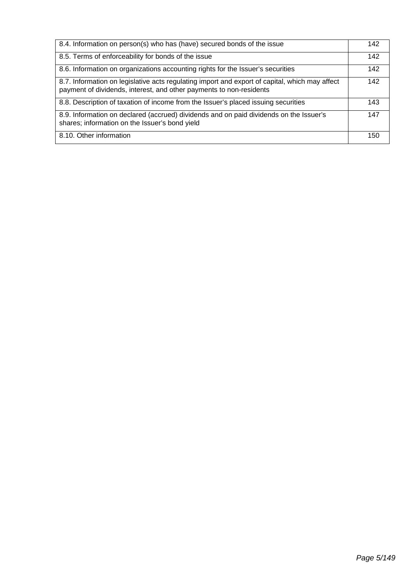| 8.4. Information on person(s) who has (have) secured bonds of the issue                                                                                               | 142 |
|-----------------------------------------------------------------------------------------------------------------------------------------------------------------------|-----|
| 8.5. Terms of enforceability for bonds of the issue                                                                                                                   | 142 |
| 8.6. Information on organizations accounting rights for the Issuer's securities                                                                                       | 142 |
| 8.7. Information on legislative acts regulating import and export of capital, which may affect<br>payment of dividends, interest, and other payments to non-residents | 142 |
| 8.8. Description of taxation of income from the Issuer's placed issuing securities                                                                                    | 143 |
| 8.9. Information on declared (accrued) dividends and on paid dividends on the Issuer's<br>shares; information on the Issuer's bond yield                              | 147 |
| 8.10. Other information                                                                                                                                               | 150 |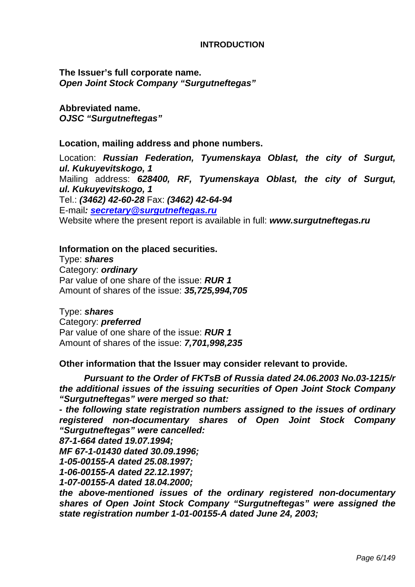#### **INTRODUCTION**

**The Issuer's full corporate name.**  *Open Joint Stock Company "Surgutneftegas"* 

**Abbreviated name.**  *OJSC "Surgutneftegas"* 

**Location, mailing address and phone numbers.** 

Location: *Russian Federation, Tyumenskaya Oblast, the city of Surgut, ul. Kukuyevitskogo, 1*  Mailing address: *628400, RF, Tyumenskaya Oblast, the city of Surgut, ul. Kukuyevitskogo, 1* Tel.: *(3462) 42-60-28* Fax: *(3462) 42-64-94*  E-mail*: secretary@surgutneftegas.ru* Website where the present report is available in full: *www.surgutneftegas.ru* 

### **Information on the placed securities.**

Type: *shares* Category: *ordinary*  Par value of one share of the issue: *RUR 1*  Amount of shares of the issue: *35,725,994,705* 

Type: *shares* Category: *preferred*  Par value of one share of the issue: *RUR 1*  Amount of shares of the issue: *7,701,998,235* 

## **Other information that the Issuer may consider relevant to provide.**

*Pursuant to the Order of FKTsB of Russia dated 24.06.2003 No.03-1215/r the additional issues of the issuing securities of Open Joint Stock Company "Surgutneftegas" were merged so that:* 

*- the following state registration numbers assigned to the issues of ordinary registered non-documentary shares of Open Joint Stock Company "Surgutneftegas" were cancelled:* 

*87-1-664 dated 19.07.1994;* 

*MF 67-1-01430 dated 30.09.1996;* 

*1-05-00155-A dated 25.08.1997;* 

*1-06-00155-A dated 22.12.1997;* 

*1-07-00155-A dated 18.04.2000;* 

*the above-mentioned issues of the ordinary registered non-documentary shares of Open Joint Stock Company "Surgutneftegas" were assigned the state registration number 1-01-00155-A dated June 24, 2003;*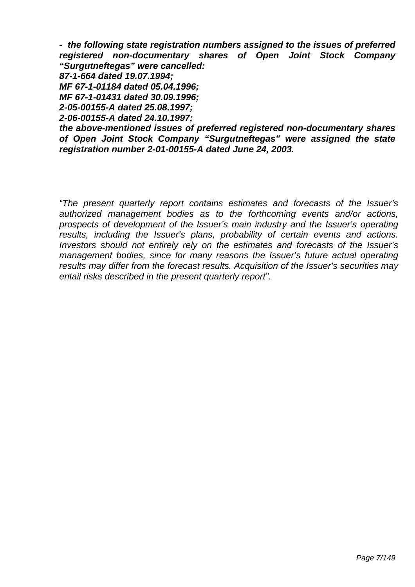*- the following state registration numbers assigned to the issues of preferred registered non-documentary shares of Open Joint Stock Company "Surgutneftegas" were cancelled:* 

*87-1-664 dated 19.07.1994;* 

*MF 67-1-01184 dated 05.04.1996;* 

*MF 67-1-01431 dated 30.09.1996;* 

*2-05-00155-A dated 25.08.1997;* 

*2-06-00155-A dated 24.10.1997;* 

*the above-mentioned issues of preferred registered non-documentary shares of Open Joint Stock Company "Surgutneftegas" were assigned the state registration number 2-01-00155-A dated June 24, 2003.* 

*"The present quarterly report contains estimates and forecasts of the Issuer's authorized management bodies as to the forthcoming events and/or actions, prospects of development of the Issuer's main industry and the Issuer's operating results, including the Issuer's plans, probability of certain events and actions. Investors should not entirely rely on the estimates and forecasts of the Issuer's management bodies, since for many reasons the Issuer's future actual operating results may differ from the forecast results. Acquisition of the Issuer's securities may entail risks described in the present quarterly report".*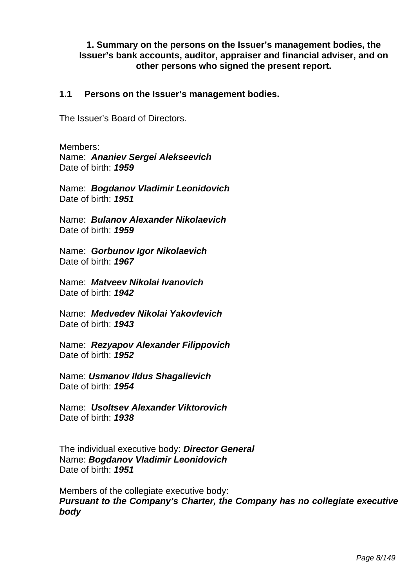**1. Summary on the persons on the Issuer's management bodies, the Issuer's bank accounts, auditor, appraiser and financial adviser, and on other persons who signed the present report.** 

## **1.1 Persons on the Issuer's management bodies.**

The Issuer's Board of Directors.

Members: Name: *Ananiev Sergei Alekseevich* Date of birth: *1959* 

Name: *Bogdanov Vladimir Leonidovich* Date of birth: *1951* 

Name: *Bulanov Alexander Nikolaevich* Date of birth: *1959* 

Name: *Gorbunov Igor Nikolaevich*  Date of birth: *1967* 

Name: *Matveev Nikolai Ivanovich* Date of birth: *1942* 

Name: *Medvedev Nikolai Yakovlevich* Date of birth: *1943* 

Name: *Rezyapov Alexander Filippovich* Date of birth: *1952* 

Name: *Usmanov Ildus Shagalievich* Date of birth: *1954* 

Name: *Usoltsev Alexander Viktorovich* Date of birth: *1938*

The individual executive body: *Director General*  Name: *Bogdanov Vladimir Leonidovich* Date of birth: *1951*

Members of the collegiate executive body: *Pursuant to the Company's Charter, the Company has no collegiate executive body*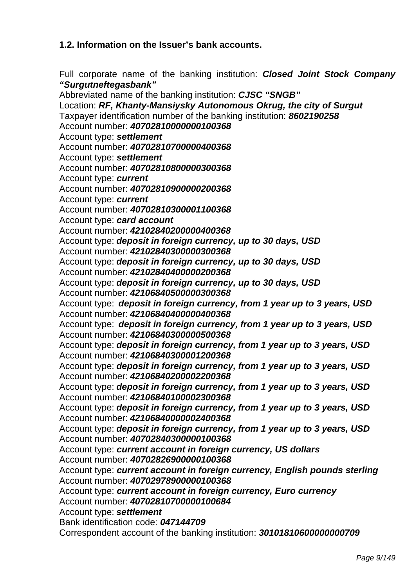# **1.2. Information on the Issuer's bank accounts.**

Full corporate name of the banking institution: *Closed Joint Stock Company "Surgutneftegasbank"* 

Abbreviated name of the banking institution: *CJSC "SNGB"*  Location: *RF, Khanty-Mansiysky Autonomous Okrug, the city of Surgut*  Taxpayer identification number of the banking institution: *8602190258*  Account number: *40702810000000100368*  Account type: *settlement*  Account number: *40702810700000400368*  Account type: *settlement*  Account number: *40702810800000300368*  Account type: *current*  Account number: *40702810900000200368*  Account type: *current*  Account number: *40702810300001100368*  Account type: *card account*  Account number: *42102840200000400368* Account type: *deposit in foreign currency, up to 30 days, USD*  Account number: *42102840300000300368* Account type: *deposit in foreign currency, up to 30 days, USD*  Account number: *42102840400000200368* Account type: *deposit in foreign currency, up to 30 days, USD*  Account number: *42106840500000300368* Account type:*deposit in foreign currency, from 1 year up to 3 years, USD*  Account number: *42106840400000400368* Account type:*deposit in foreign currency, from 1 year up to 3 years, USD*  Account number: *42106840300000500368* Account type: *deposit in foreign currency, from 1 year up to 3 years, USD*  Account number: *42106840300001200368*  Account type: *deposit in foreign currency, from 1 year up to 3 years, USD*  Account number: *42106840200002200368*  Account type: *deposit in foreign currency, from 1 year up to 3 years, USD*  Account number: *42106840100002300368* Account type: *deposit in foreign currency, from 1 year up to 3 years, USD*  Account number: *42106840000002400368*  Account type: *deposit in foreign currency, from 1 year up to 3 years, USD*  Account number: *40702840300000100368*  Account type: *current account in foreign currency, US dollars*  Account number: *40702826900000100368*  Account type: *current account in foreign currency, English pounds sterling*  Account number: *40702978900000100368*  Account type: *current account in foreign currency, Euro currency*  Account number: *40702810700000100684* Account type: *settlement*  Bank identification code: *047144709*  Correspondent account of the banking institution: *30101810600000000709*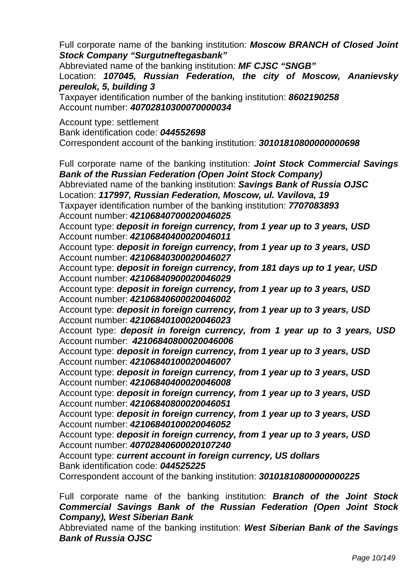Full corporate name of the banking institution: *Moscow BRANCH of Closed Joint Stock Company "Surgutneftegasbank"* 

Abbreviated name of the banking institution: *MF CJSC "SNGB"* 

Location: *107045, Russian Federation, the city of Moscow, Ananievsky pereulok, 5, building 3* 

Taxpayer identification number of the banking institution: *8602190258* Account number: *40702810300070000034*

Account type: settlement Bank identification code: *044552698*  Correspondent account of the banking institution: *30101810800000000698*

Full corporate name of the banking institution: *Joint Stock Commercial Savings Bank of the Russian Federation (Open Joint Stock Company)*  Abbreviated name of the banking institution: *Savings Bank of Russia OJSC* Location: *117997, Russian Federation, Moscow, ul. Vavilova, 19*  Taxpayer identification number of the banking institution: *7707083893* Account number: *42106840700020046025* Account type: *deposit in foreign currency, from 1 year up to 3 years, USD* Account number: *42106840400020046011* Account type: *deposit in foreign currency, from 1 year up to 3 years, USD* Account number: *42106840300020046027*  Account type: *deposit in foreign currency, from 181 days up to 1 year, USD* Account number: *42106840900020046029* Account type: *deposit in foreign currency, from 1 year up to 3 years, USD* Account number: *42106840600020046002* Account type: *deposit in foreign currency, from 1 year up to 3 years, USD* Account number: *42106840100020046023* Account type: *deposit in foreign currency, from 1 year up to 3 years, USD* Account number: *42106840800020046006*  Account type: *deposit in foreign currency, from 1 year up to 3 years, USD*  Account number: *42106840100020046007*  Account type: *deposit in foreign currency, from 1 year up to 3 years, USD*  Account number: *42106840400020046008*  Account type: *deposit in foreign currency, from 1 year up to 3 years, USD* Account number: *42106840800020046051*  Account type: *deposit in foreign currency, from 1 year up to 3 years, USD*  Account number: *42106840100020046052*  Account type: *deposit in foreign currency, from 1 year up to 3 years, USD* Account number: *40702840600020107240*  Account type: *current account in foreign currency, US dollars* Bank identification code: *044525225* Correspondent account of the banking institution: *30101810800000000225*

Full corporate name of the banking institution: *Branch of the Joint Stock Commercial Savings Bank of the Russian Federation (Open Joint Stock Company), West Siberian Bank* 

Abbreviated name of the banking institution: *West Siberian Bank of the Savings Bank of Russia OJSC*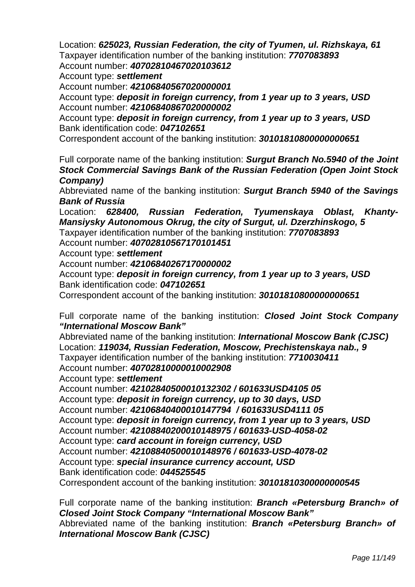Location: *625023, Russian Federation, the city of Tyumen, ul. Rizhskaya, 61*  Taxpayer identification number of the banking institution: *7707083893* Account number: *40702810467020103612*

Account type: *settlement* 

Account number: *42106840567020000001* 

Account type: *deposit in foreign currency, from 1 year up to 3 years, USD*  Account number: *42106840867020000002* 

Account type: *deposit in foreign currency, from 1 year up to 3 years, USD*  Bank identification code: *047102651* 

Correspondent account of the banking institution: *30101810800000000651*

Full corporate name of the banking institution: *Surgut Branch No.5940 of the Joint Stock Commercial Savings Bank of the Russian Federation (Open Joint Stock Company)*

Abbreviated name of the banking institution: *Surgut Branch 5940 of the Savings Bank of Russia* 

Location: *628400, Russian Federation, Tyumenskaya Oblast, Khanty-Mansiysky Autonomous Okrug, the city of Surgut, ul. Dzerzhinskogo, 5* 

Taxpayer identification number of the banking institution: *7707083893* 

Account number: *40702810567170101451*

Account type: *settlement* 

Account number: *42106840267170000002* 

Account type: *deposit in foreign currency, from 1 year up to 3 years, USD*  Bank identification code: *047102651*

Correspondent account of the banking institution: *30101810800000000651* 

Full corporate name of the banking institution: *Closed Joint Stock Company "International Moscow Bank"* 

Abbreviated name of the banking institution: *International Moscow Bank (CJSC)*  Location: *119034, Russian Federation, Moscow, Prechistenskaya nab., 9*  Taxpayer identification number of the banking institution: *7710030411*  Account number: *40702810000010002908* 

Account type: *settlement* 

Account number: *42102840500010132302 / 601633USD4105 05* Account type: *deposit in foreign currency, up to 30 days, USD* Account number: *42106840400010147794 / 601633USD4111 05* Account type: *deposit in foreign currency, from 1 year up to 3 years, USD* Account number: *42108840200010148975 / 601633-USD-4058-02* Account type: *card account in foreign currency, USD* Account number: *42108840500010148976 / 601633-USD-4078-02* Account type: *special insurance currency account, USD* Bank identification code: *044525545* 

Correspondent account of the banking institution: *30101810300000000545*

Full corporate name of the banking institution: *Branch «Petersburg Branch» of Closed Joint Stock Company "International Moscow Bank"* Abbreviated name of the banking institution: *Branch «Petersburg Branch» of International Moscow Bank (CJSC)*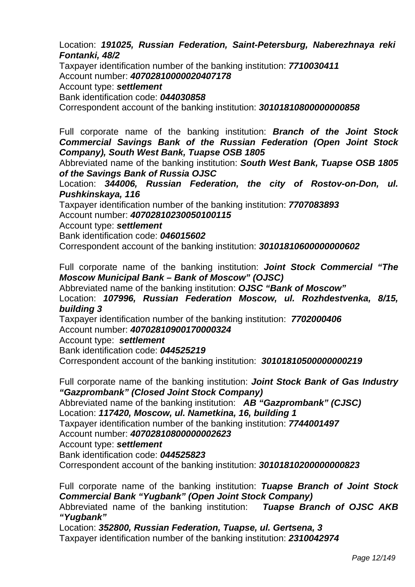Location: *191025, Russian Federation, Saint-Petersburg, Naberezhnaya reki Fontanki, 48/2*

Taxpayer identification number of the banking institution: *7710030411* Account number: *40702810000020407178*

Account type: *settlement*

Bank identification code: *044030858*

Correspondent account of the banking institution: *30101810800000000858*

Full corporate name of the banking institution: *Branch of the Joint Stock Commercial Savings Bank of the Russian Federation (Open Joint Stock Company), South West Bank, Tuapse OSB 1805*

Abbreviated name of the banking institution: *South West Bank, Tuapse OSB 1805 of the Savings Bank of Russia OJSC* 

Location: 344006, Russian Federation, the city of Rostov-on-Don, ul. *Pushkinskaya, 116* 

Taxpayer identification number of the banking institution: *7707083893*  Account number: *40702810230050100115*

Account type: *settlement* 

Bank identification code: *046015602*

Correspondent account of the banking institution: *30101810600000000602*

Full corporate name of the banking institution: *Joint Stock Commercial "The Moscow Municipal Bank – Bank of Moscow" (OJSC)* 

Abbreviated name of the banking institution: *OJSC "Bank of Moscow"* 

Location: *107996, Russian Federation Moscow, ul. Rozhdestvenka, 8/15, building 3* 

Taxpayer identification number of the banking institution: *7702000406*  Account number: *40702810900170000324*

Account type: *settlement* 

Bank identification code: *044525219*

Correspondent account of the banking institution: *30101810500000000219*

Full corporate name of the banking institution: *Joint Stock Bank of Gas Industry "Gazprombank" (Closed Joint Stock Company)* 

Abbreviated name of the banking institution: *AB "Gazprombank" (CJSC)* 

Location: *117420, Moscow, ul. Nametkina, 16, building 1* 

Taxpayer identification number of the banking institution: *7744001497*

Account number: *40702810800000002623*

Account type: *settlement* 

Bank identification code: *044525823* 

Correspondent account of the banking institution: *30101810200000000823*

Full corporate name of the banking institution: *Tuapse Branch of Joint Stock Commercial Bank "Yugbank" (Open Joint Stock Company)* 

Abbreviated name of the banking institution: *Tuapse Branch of OJSC AKB "Yugbank"* 

Location: *352800, Russian Federation, Tuapse, ul. Gertsena, 3*  Taxpayer identification number of the banking institution: *2310042974*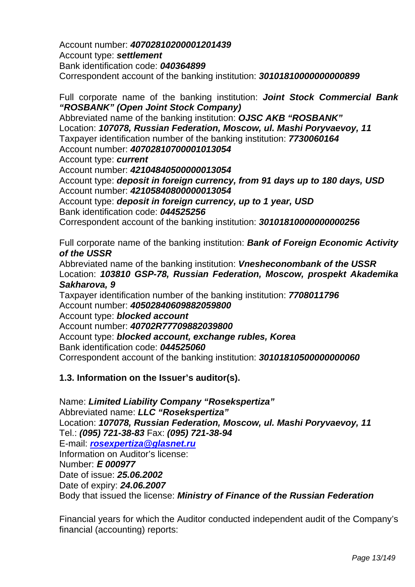Account number: *40702810200001201439* Account type: *settlement*  Bank identification code: *040364899*  Correspondent account of the banking institution: *30101810000000000899*

Full corporate name of the banking institution: *Joint Stock Commercial Bank "ROSBANK" (Open Joint Stock Company)* 

Abbreviated name of the banking institution: *OJSC AKB "ROSBANK"*  Location: *107078, Russian Federation, Moscow, ul. Mashi Poryvaevoy, 11* Taxpayer identification number of the banking institution: *7730060164*  Account number: *40702810700001013054* Account type: *current*  Account number: *42104840500000013054*  Account type: *deposit in foreign currency, from 91 days up to 180 days, USD*  Account number: *42105840800000013054*  Account type: *deposit in foreign currency, up to 1 year, USD*  Bank identification code: *044525256* Correspondent account of the banking institution: *30101810000000000256*

Full corporate name of the banking institution: *Bank of Foreign Economic Activity of the USSR* 

Abbreviated name of the banking institution: *Vnesheconombank of the USSR*  Location: *103810 GSP-78, Russian Federation, Moscow, prospekt Akademika Sakharova, 9* 

Taxpayer identification number of the banking institution: *7708011796*  Account number: *40502840609882059800*  Account type: *blocked account* 

Account number: *40702R77709882039800* Account type: *blocked account, exchange rubles, Korea* 

Bank identification code: *044525060* 

Correspondent account of the banking institution: *30101810500000000060* 

# **1.3. Information on the Issuer's auditor(s).**

Name: *Limited Liability Company "Rosekspertiza"*  Abbreviated name: *LLC "Rosekspertiza"* Location: *107078, Russian Federation, Moscow, ul. Mashi Poryvaevoy, 11* Tel.: *(095) 721-38-83* Fax: *(095) 721-38-94*  E-mail: *rosexpertiza@glasnet.ru* Information on Auditor's license: Number: Е *000977*  Date of issue: *25.06.2002*  Date of expiry: *24.06.2007*  Body that issued the license: *Ministry of Finance of the Russian Federation* 

Financial years for which the Auditor conducted independent audit of the Company's financial (accounting) reports: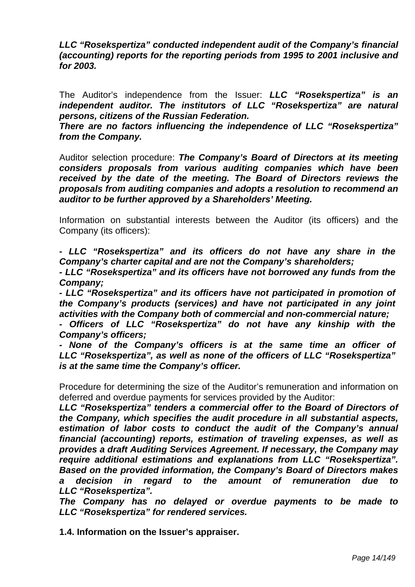*LLC "Rosekspertiza" conducted independent audit of the Company's financial (accounting) reports for the reporting periods from 1995 to 2001 inclusive and for 2003.* 

The Auditor's independence from the Issuer: *LLC "Rosekspertiza" is an independent auditor. The institutors of LLC "Rosekspertiza" are natural persons, citizens of the Russian Federation.* 

*There are no factors influencing the independence of LLC "Rosekspertiza" from the Company.* 

Auditor selection procedure: *The Company's Board of Directors at its meeting considers proposals from various auditing companies which have been*  received by the date of the meeting. The Board of Directors reviews the *proposals from auditing companies and adopts a resolution to recommend an auditor to be further approved by a Shareholders' Meeting.* 

Information on substantial interests between the Auditor (its officers) and the Company (its officers):

*- LLC "Rosekspertiza" and its officers do not have any share in the Company's charter capital and are not the Company's shareholders;* 

*- LLC "Rosekspertiza" and its officers have not borrowed any funds from the Company;* 

*- LLC "Rosekspertiza" and its officers have not participated in promotion of the Company's products (services) and have not participated in any joint activities with the Company both of commercial and non-commercial nature;* 

*- Officers of LLC "Rosekspertiza" do not have any kinship with the Company's officers;* 

*- None of the Company's officers is at the same time an officer of LLC "Rosekspertiza", as well as none of the officers of LLC "Rosekspertiza" is at the same time the Company's officer.* 

Procedure for determining the size of the Auditor's remuneration and information on deferred and overdue payments for services provided by the Auditor:

*LLC "Rosekspertiza" tenders a commercial offer to the Board of Directors of the Company, which specifies the audit procedure in all substantial aspects, estimation of labor costs to conduct the audit of the Company's annual financial (accounting) reports, estimation of traveling expenses, as well as provides a draft Auditing Services Agreement. If necessary, the Company may require additional estimations and explanations from LLC "Rosekspertiza". Based on the provided information, the Company's Board of Directors makes a decision in regard to the amount of remuneration due to LLC "Rosekspertiza".* 

*The Company has no delayed or overdue payments to be made to LLC "Rosekspertiza" for rendered services.* 

**1.4. Information on the Issuer's appraiser.**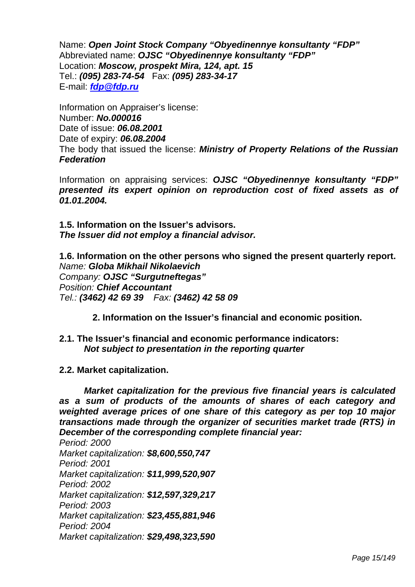Name: *Open Joint Stock Company "Obyedinennye konsultanty "FDP"*  Abbreviated name: *OJSC "Obyedinennye konsultanty "FDP"* Location: *Moscow, prospekt Mira, 124, apt. 15* Tel.: *(095) 283-74-54* Fax: *(095) 283-34-17*  E-mail: *fdp@fdp.ru* 

Information on Appraiser's license: Number: *No.000016*  Date of issue: *06.08.2001*  Date of expiry: *06.08.2004*  The body that issued the license: *Ministry of Property Relations of the Russian Federation* 

Information on appraising services: *OJSC "Obyedinennye konsultanty "FDP" presented its expert opinion on reproduction cost of fixed assets as of 01.01.2004.*

**1.5. Information on the Issuer's advisors.**  *The Issuer did not employ a financial advisor.* 

**1.6. Information on the other persons who signed the present quarterly report.**  *Name: Globa Mikhail Nikolaevich Company: OJSC "Surgutneftegas" Position: Chief Accountant Tel.: (3462) 42 69 39 Fax: (3462) 42 58 09* 

**2. Information on the Issuer's financial and economic position.** 

- **2.1. The Issuer's financial and economic performance indicators:**  *Not subject to presentation in the reporting quarter*
- **2.2. Market capitalization.**

*Market capitalization for the previous five financial years is calculated as a sum of products of the amounts of shares of each category and weighted average prices of one share of this category as per top 10 major transactions made through the organizer of securities market trade (RTS) in December of the corresponding complete financial year:* 

*Period: 2000 Market capitalization: \$8,600,550,747 Period: 2001 Market capitalization: \$11,999,520,907 Period: 2002 Market capitalization: \$12,597,329,217 Period: 2003 Market capitalization: \$23,455,881,946 Period: 2004 Market capitalization: \$29,498,323,590*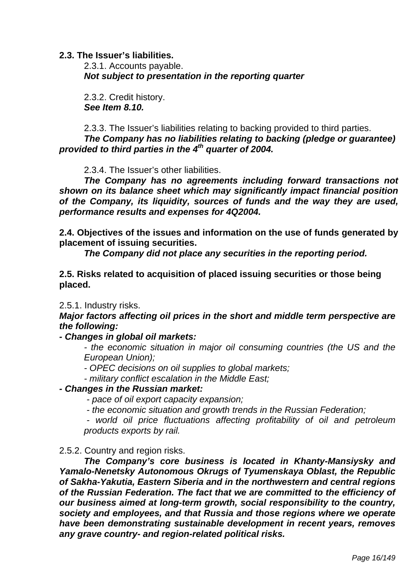### **2.3. The Issuer's liabilities.**

2.3.1. Accounts payable. *Not subject to presentation in the reporting quarter* 

2.3.2. Credit history.  *See Item 8.10.* 

2.3.3. The Issuer's liabilities relating to backing provided to third parties. *The Company has no liabilities relating to backing (pledge or guarantee) provided to third parties in the 4th quarter of 2004.* 

2.3.4. The Issuer's other liabilities.

*The Company has no agreements including forward transactions not shown on its balance sheet which may significantly impact financial position of the Company, its liquidity, sources of funds and the way they are used, performance results and expenses for 4Q2004.* 

**2.4. Objectives of the issues and information on the use of funds generated by placement of issuing securities.** 

*The Company did not place any securities in the reporting period.* 

**2.5. Risks related to acquisition of placed issuing securities or those being placed.** 

2.5.1. Industry risks.

*Major factors affecting oil prices in the short and middle term perspective are the following:* 

*- Changes in global oil markets:* 

*- the economic situation in major oil consuming countries (the US and the European Union);* 

*- OPEC decisions on oil supplies to global markets;* 

*- military conflict escalation in the Middle East;* 

### *- Changes in the Russian market:*

*- pace of oil export capacity expansion;* 

*- the economic situation and growth trends in the Russian Federation;* 

*- world oil price fluctuations affecting profitability of oil and petroleum products exports by rail.* 

#### 2.5.2. Country and region risks.

 *The Company's core business is located in Khanty-Mansiysky and Yamalo-Nenetsky Autonomous Okrugs of Tyumenskaya Oblast, the Republic of Sakha-Yakutia, Eastern Siberia and in the northwestern and central regions of the Russian Federation. The fact that we are committed to the efficiency of our business aimed at long-term growth, social responsibility to the country, society and employees, and that Russia and those regions where we operate have been demonstrating sustainable development in recent years, removes any grave country- and region-related political risks.*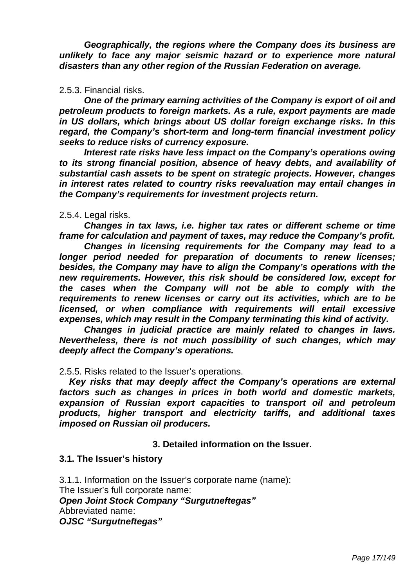*Geographically, the regions where the Company does its business are unlikely to face any major seismic hazard or to experience more natural disasters than any other region of the Russian Federation on average.* 

### 2.5.3. Financial risks.

*One of the primary earning activities of the Company is export of oil and petroleum products to foreign markets. As a rule, export payments are made in US dollars, which brings about US dollar foreign exchange risks. In this regard, the Company's short-term and long-term financial investment policy seeks to reduce risks of currency exposure.* 

*Interest rate risks have less impact on the Company's operations owing to its strong financial position, absence of heavy debts, and availability of substantial cash assets to be spent on strategic projects. However, changes in interest rates related to country risks reevaluation may entail changes in the Company's requirements for investment projects return.* 

### 2.5.4. Legal risks.

*Changes in tax laws, i.e. higher tax rates or different scheme or time frame for calculation and payment of taxes, may reduce the Company's profit.* 

*Changes in licensing requirements for the Company may lead to a longer period needed for preparation of documents to renew licenses; besides, the Company may have to align the Company's operations with the new requirements. However, this risk should be considered low, except for the cases when the Company will not be able to comply with the requirements to renew licenses or carry out its activities, which are to be licensed, or when compliance with requirements will entail excessive expenses, which may result in the Company terminating this kind of activity.* 

*Changes in judicial practice are mainly related to changes in laws. Nevertheless, there is not much possibility of such changes, which may deeply affect the Company's operations.* 

### 2.5.5. Risks related to the Issuer's operations.

*Key risks that may deeply affect the Company's operations are external factors such as changes in prices in both world and domestic markets, expansion of Russian export capacities to transport oil and petroleum products, higher transport and electricity tariffs, and additional taxes imposed on Russian oil producers.* 

## **3. Detailed information on the Issuer.**

#### **3.1. The Issuer's history**

3.1.1. Information on the Issuer's corporate name (name): The Issuer's full corporate name: *Open Joint Stock Company "Surgutneftegas"*  Abbreviated name: *OJSC "Surgutneftegas"*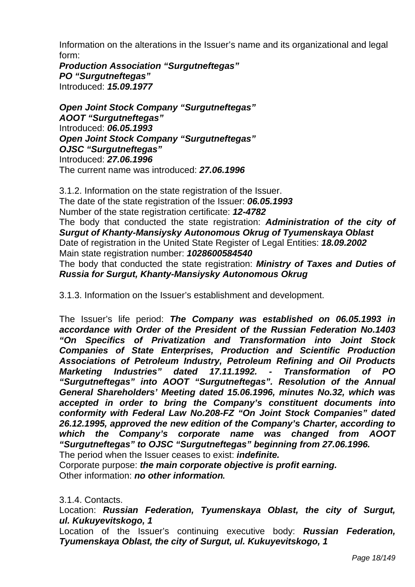Information on the alterations in the Issuer's name and its organizational and legal form:

*Production Association "Surgutneftegas" PO "Surgutneftegas"*  Introduced: *15.09.1977* 

*Open Joint Stock Company "Surgutneftegas" AOOT "Surgutneftegas"*  Introduced: *06.05.1993 Open Joint Stock Company "Surgutneftegas" OJSC "Surgutneftegas"*  Introduced: *27.06.1996*  The current name was introduced: *27.06.1996* 

3.1.2. Information on the state registration of the Issuer. The date of the state registration of the Issuer: *06.05.1993*  Number of the state registration certificate: *12-4782*  The body that conducted the state registration: *Administration of the city of Surgut of Khanty-Mansiysky Autonomous Okrug of Tyumenskaya Oblast*  Date of registration in the United State Register of Legal Entities: *18.09.2002*  Main state registration number: *1028600584540* The body that conducted the state registration: *Ministry of Taxes and Duties of Russia for Surgut, Khanty-Mansiysky Autonomous Okrug* 

3.1.3. Information on the Issuer's establishment and development.

The Issuer's life period: *The Company was established on 06.05.1993 in accordance with Order of the President of the Russian Federation No.1403 "On Specifics of Privatization and Transformation into Joint Stock Companies of State Enterprises, Production and Scientific Production Associations of Petroleum Industry, Petroleum Refining and Oil Products Marketing Industries" dated 17.11.1992. - Transformation of PO "Surgutneftegas" into AOOT "Surgutneftegas". Resolution of the Annual General Shareholders' Meeting dated 15.06.1996, minutes No.32, which was accepted in order to bring the Company's constituent documents into conformity with Federal Law No.208-FZ "On Joint Stock Companies" dated 26.12.1995, approved the new edition of the Company's Charter, according to which the Company's corporate name was changed from AOOT "Surgutneftegas" to OJSC "Surgutneftegas" beginning from 27.06.1996.*  The period when the Issuer ceases to exist: *indefinite.* 

Corporate purpose: *the main corporate objective is profit earning.*  Other information: *no other information.* 

3.1.4. Contacts.

Location: *Russian Federation, Tyumenskaya Oblast, the city of Surgut, ul. Kukuyevitskogo, 1* 

Location of the Issuer's continuing executive body: *Russian Federation, Tyumenskaya Oblast, the city of Surgut, ul. Kukuyevitskogo, 1*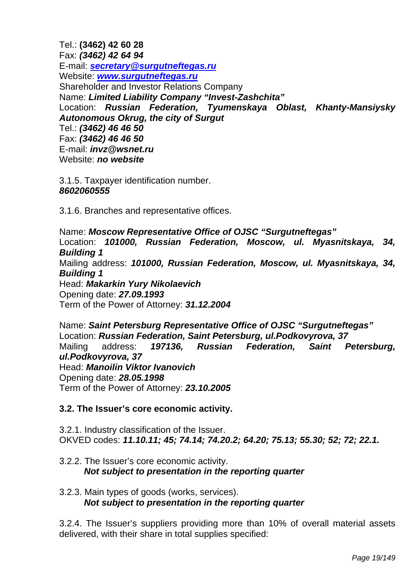Tel.: **(3462) 42 60 28**  Fax: *(3462) 42 64 94*  E-mail: *secretary@surgutneftegas.ru* Website: *www.surgutneftegas.ru* Shareholder and Investor Relations Company Name: *Limited Liability Company "Invest-Zashchita"*  Location: *Russian Federation, Tyumenskaya Oblast, Khanty-Mansiysky Autonomous Okrug, the city of Surgut*  Tel.: *(3462) 46 46 50*  Fax: *(3462) 46 46 50* E-mail: *invz@wsnet.ru*  Website: *no website* 

3.1.5. Taxpayer identification number. *8602060555* 

3.1.6. Branches and representative offices.

Name: *Moscow Representative Office of OJSC "Surgutneftegas"*  Location: *101000, Russian Federation, Moscow, ul. Myasnitskaya, 34, Building 1*  Mailing address: *101000, Russian Federation, Moscow, ul. Myasnitskaya, 34, Building 1*  Head: *Makarkin Yury Nikolaevich*  Opening date: *27.09.1993*  Term of the Power of Attorney: *31.12.2004* 

Name: *Saint Petersburg Representative Office of OJSC "Surgutneftegas"*  Location: *Russian Federation, Saint Petersburg, ul.Podkovyrova, 37*  Mailing address: *197136, Russian Federation, Saint Petersburg, ul.Podkovyrova, 37*  Head: *Manoilin Viktor Ivanovich*  Opening date: *28.05.1998*  Term of the Power of Attorney: *23.10.2005* 

# **3.2. The Issuer's core economic activity.**

3.2.1. Industry classification of the Issuer. OKVED codes: *11.10.11; 45; 74.14; 74.20.2; 64.20; 75.13; 55.30; 52; 72; 22.1.* 

3.2.2. The Issuer's core economic activity.  *Not subject to presentation in the reporting quarter* 

# 3.2.3. Main types of goods (works, services).  *Not subject to presentation in the reporting quarter*

3.2.4. The Issuer's suppliers providing more than 10% of overall material assets delivered, with their share in total supplies specified: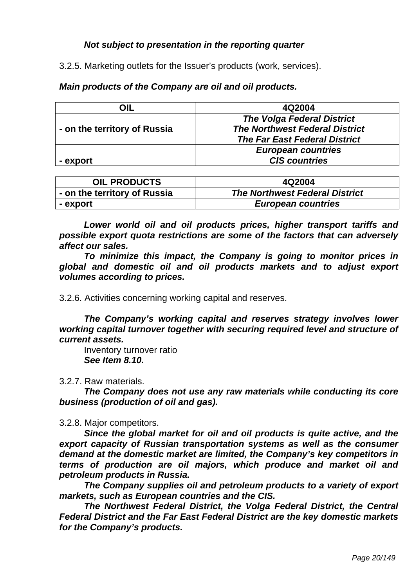# *Not subject to presentation in the reporting quarter*

3.2.5. Marketing outlets for the Issuer's products (work, services).

# *Main products of the Company are oil and oil products.*

| OIL                          | 4Q2004                                |
|------------------------------|---------------------------------------|
|                              | <b>The Volga Federal District</b>     |
| - on the territory of Russia | <b>The Northwest Federal District</b> |
|                              | <b>The Far East Federal District</b>  |
|                              | <b>European countries</b>             |
| - export                     | <b>CIS countries</b>                  |

| <b>OIL PRODUCTS</b>          | 4Q2004                                |
|------------------------------|---------------------------------------|
| - on the territory of Russia | <b>The Northwest Federal District</b> |
| - export                     | <b>European countries</b>             |

*Lower world oil and oil products prices, higher transport tariffs and possible export quota restrictions are some of the factors that can adversely affect our sales.* 

*To minimize this impact, the Company is going to monitor prices in global and domestic oil and oil products markets and to adjust export volumes according to prices.* 

3.2.6. Activities concerning working capital and reserves.

 *The Company's working capital and reserves strategy involves lower working capital turnover together with securing required level and structure of current assets.* 

 Inventory turnover ratio  *See Item 8.10.* 

3.2.7. Raw materials.

*The Company does not use any raw materials while conducting its core business (production of oil and gas).* 

3.2.8. Major competitors.

*Since the global market for oil and oil products is quite active, and the export capacity of Russian transportation systems as well as the consumer demand at the domestic market are limited, the Company's key competitors in terms of production are oil majors, which produce and market oil and petroleum products in Russia.* 

*The Company supplies oil and petroleum products to a variety of export markets, such as European countries and the CIS.* 

*The Northwest Federal District, the Volga Federal District, the Central Federal District and the Far East Federal District are the key domestic markets for the Company's products.*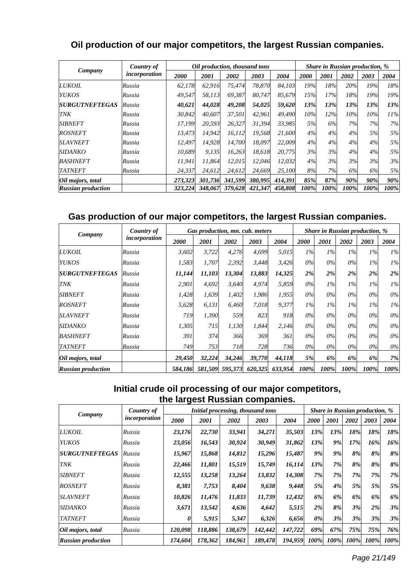# **Oil production of our major competitors, the largest Russian companies.**

| Company                   | Country of    |         | Oil production, thousand tons |         |         | <b>Share in Russian production, %</b> |      |      |      |      |      |
|---------------------------|---------------|---------|-------------------------------|---------|---------|---------------------------------------|------|------|------|------|------|
|                           | incorporation | 2000    | 2001                          | 2002    | 2003    | 2004                                  | 2000 | 2001 | 2002 | 2003 | 2004 |
| <b>LUKOIL</b>             | Russia        | 62,178  | 62,916                        | 75,474  | 78,870  | 84,103                                | 19%  | 18%  | 20%  | 19%  | 18%  |
| <b>YUKOS</b>              | Russia        | 49,547  | 58.113                        | 69,387  | 80.747  | 85.679                                | 15%  | 17%  | 18%  | 19%  | 19%  |
| <b>SURGUTNEFTEGAS</b>     | Russia        | 40,621  | 44,028                        | 49,208  | 54,025  | 59,620                                | 13%  | 13%  | 13%  | 13%  | 13%  |
| TNK                       | Russia        | 30,842  | 40.607                        | 37,501  | 42,961  | 49.490                                | 10%  | 12%  | 10%  | 10%  | 11%  |
| <b>SIBNEFT</b>            | Russia        | 17.199  | 20,593                        | 26,327  | 31,394  | 33.985                                | 5%   | 6%   | 7%   | 7%   | 7%   |
| <b>ROSNEFT</b>            | Russia        | 13,473  | 14,942                        | 16,112  | 19,568  | 21,600                                | 4%   | 4%   | 4%   | 5%   | 5%   |
| <b>SLAVNEFT</b>           | Russia        | 12,497  | 14.928                        | 14,700  | 18,097  | 22.009                                | 4%   | 4%   | 4%   | 4%   | 5%   |
| <b>SIDANKO</b>            | Russia        | 10.689  | 9.135                         | 16,263  | 18.618  | 20.775                                | 3%   | 3%   | 4%   | 4%   | 5%   |
| <b>BASHNEFT</b>           | Russia        | 11.941  | 11.864                        | 12.015  | 12.046  | 12.032                                | 4%   | 3%   | 3%   | 3%   | 3%   |
| <b>TATNEFT</b>            | Russia        | 24,337  | 24,612                        | 24,612  | 24,669  | 25,100                                | 8%   | 7%   | 6%   | 6%   | 5%   |
| Oil majors, total         |               | 273,323 | 301,736                       | 341,599 | 380,995 | 414,391                               | 85%  | 87%  | 90%  | 90%  | 90%  |
| <b>Russian production</b> |               | 323.224 | 348,067                       | 379,628 | 421,347 | 458,808                               | 100% | 100% | 100% | 100% | 100% |

# **Gas production of our major competitors, the largest Russian companies.**

| Company                   | Country of    | Gas production, mn. cub. meters |         |         |         |         |       | <b>Share in Russian production, %</b> |       |       |       |  |  |
|---------------------------|---------------|---------------------------------|---------|---------|---------|---------|-------|---------------------------------------|-------|-------|-------|--|--|
|                           | incorporation | <i>2000</i>                     | 2001    | 2002    | 2003    | 2004    | 2000  | 2001                                  | 2002  | 2003  | 2004  |  |  |
| <i>LUKOIL</i>             | Russia        | 3,602                           | 3,722   | 4,276   | 4,699   | 5,015   | $1\%$ | $1\%$                                 | $1\%$ | $1\%$ | 1%    |  |  |
| <b>YUKOS</b>              | Russia        | 1,583                           | 1,707   | 2,392   | 3,448   | 3,426   | 0%    | $0\%$                                 | $0\%$ | $1\%$ | $1\%$ |  |  |
| <b>SURGUTNEFTEGAS</b>     | Russia        | 11,144                          | 11,103  | 13,304  | 13,883  | 14,325  | 2%    | 2%                                    | 2%    | 2%    | 2%    |  |  |
| TNK                       | Russia        | 2,901                           | 4,692   | 3,640   | 4,974   | 5,859   | $0\%$ | $1\%$                                 | $1\%$ | $1\%$ | 1%    |  |  |
| <b>SIBNEFT</b>            | Russia        | 1,428                           | 1,639   | 1,402   | 1,986   | 1,955   | $0\%$ | $0\%$                                 | $0\%$ | 0%    | $0\%$ |  |  |
| <b>ROSNEFT</b>            | Russia        | 5,628                           | 6,131   | 6,460   | 7,018   | 9,377   | $1\%$ | $1\%$                                 | $1\%$ | $1\%$ | $1\%$ |  |  |
| <b>SLAVNEFT</b>           | Russia        | 719                             | 1,390   | 559     | 823     | 918     | 0%    | $0\%$                                 | $0\%$ | $0\%$ | $0\%$ |  |  |
| SIDANKO                   | Russia        | 1,305                           | 715     | 1,130   | 1.844   | 2.146   | 0%    | $0\%$                                 | $0\%$ | 0%    | $0\%$ |  |  |
| <b>BASHNEFT</b>           | Russia        | 391                             | 374     | 366     | 369     | 361     | $0\%$ | $0\%$                                 | 0%    | $0\%$ | $0\%$ |  |  |
| <b>TATNEFT</b>            | Russia        | 749                             | 753     | 718     | 728     | 736     | $0\%$ | $0\%$                                 | $0\%$ | $0\%$ | 0%    |  |  |
| Oil majors, total         |               | 29,450                          | 32,224  | 34,246  | 39,770  | 44,118  | 5%    | 6%                                    | 6%    | 6%    | 7%    |  |  |
| <b>Russian production</b> |               | 584.186                         | 581,509 | 595,373 | 620,325 | 633,954 | 100%  | 100%                                  | 100%  | 100%  | 100%  |  |  |

# **Initial crude oil processing of our major competitors, the largest Russian companies.**

| Company                   | Country of    | Initial processing, thousand tons |         |         |         |         |       | <b>Share in Russian production, %</b> |      |      |      |  |
|---------------------------|---------------|-----------------------------------|---------|---------|---------|---------|-------|---------------------------------------|------|------|------|--|
|                           | incorporation | 2000                              | 2001    | 2002    | 2003    | 2004    | 2000  | <b>2001</b>                           | 2002 | 2003 | 2004 |  |
| <b>LUKOIL</b>             | Russia        | 23,176                            | 22,730  | 33,941  | 34,271  | 35,503  | 13%   | 13%                                   | 18%  | 18%  | 18%  |  |
| <b>YUKOS</b>              | Russia        | 23,056                            | 16,543  | 30,924  | 30,949  | 31,862  | 13%   | 9%                                    | 17%  | 16%  | 16%  |  |
| <b>SURGUTNEFTEGAS</b>     | Russia        | 15,967                            | 15,868  | 14,812  | 15,296  | 15,487  | 9%    | 9%                                    | 8%   | 8%   | 8%   |  |
| <b>TNK</b>                | Russia        | 22,466                            | 11,801  | 15,519  | 15,749  | 16,114  | 13%   | 7%                                    | 8%   | 8%   | 8%   |  |
| <b>SIBNEFT</b>            | Russia        | 12,555                            | 13,258  | 13,264  | 13,832  | 14,308  | 7%    | 7%                                    | 7%   | 7%   | 7%   |  |
| <b>ROSNEFT</b>            | Russia        | 8,381                             | 7,753   | 8,404   | 9,638   | 9,448   | 5%    | 4%                                    | 5%   | 5%   | 5%   |  |
| <b>SLAVNEFT</b>           | Russia        | 10,826                            | 11,476  | 11,833  | 11,739  | 12,432  | 6%    | 6%                                    | 6%   | 6%   | 6%   |  |
| <b>SIDANKO</b>            | Russia        | 3,671                             | 13,542  | 4,636   | 4,642   | 5,515   | 2%    | 8%                                    | 3%   | 2%   | 3%   |  |
| <b>TATNEFT</b>            | Russia        | 0                                 | 5,915   | 5,347   | 6,326   | 6,656   | $0\%$ | 3%                                    | 3%   | 3%   | 3%   |  |
| Oil majors, total         | Russia        | 120.098                           | 118,886 | 138,679 | 142,442 | 147,722 | 69%   | 67%                                   | 75%  | 75%  | 76%  |  |
| <b>Russian production</b> |               | 174,604                           | 178,362 | 184,961 | 189,478 | 194,959 | 100%  | 100%                                  | 100% | 100% | 100% |  |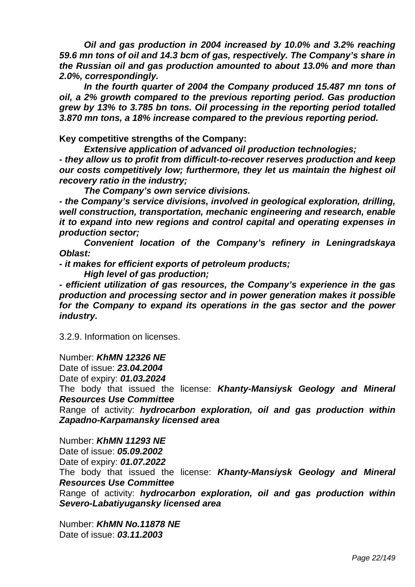*Oil and gas production in 2004 increased by 10.0% and 3.2% reaching 59.6 mn tons of oil and 14.3 bcm of gas, respectively. The Company's share in the Russian oil and gas production amounted to about 13.0% and more than 2.0%, correspondingly.* 

 *In the fourth quarter of 2004 the Company produced 15.487 mn tons of oil, a 2% growth compared to the previous reporting period. Gas production grew by 13% to 3.785 bn tons. Oil processing in the reporting period totalled 3.870 mn tons, a 18% increase compared to the previous reporting period.* 

**Key competitive strengths of the Company:** 

 *Extensive application of advanced oil production technologies; - they allow us to profit from difficult-to-recover reserves production and keep our costs competitively low; furthermore, they let us maintain the highest oil recovery ratio in the industry;* 

 *The Company's own service divisions.* 

*- the Company's service divisions, involved in geological exploration, drilling, well construction, transportation, mechanic engineering and research, enable it to expand into new regions and control capital and operating expenses in production sector;* 

 *Convenient location of the Company's refinery in Leningradskaya Oblast:* 

*- it makes for efficient exports of petroleum products;* 

 *High level of gas production;* 

*- efficient utilization of gas resources, the Company's experience in the gas production and processing sector and in power generation makes it possible for the Company to expand its operations in the gas sector and the power industry.* 

3.2.9. Information on licenses.

Number: *KhMN 12326 NE* 

Date of issue: *23.04.2004* 

Date of expiry: *01.03.2024*

 The body that issued the license: *Khanty-Mansiysk Geology and Mineral Resources Use Committee* 

Range of activity: *hydrocarbon exploration, oil and gas production within Zapadno-Karpamansky licensed area* 

Number: *KhMN 11293 NE*  Date of issue: *05.09.2002*  Date of expiry: *01.07.2022*  The body that issued the license: *Khanty-Mansiysk Geology and Mineral Resources Use Committee*  Range of activity: *hydrocarbon exploration, oil and gas production within Severo-Labatiyugansky licensed area* 

Number: *KhMN No.11878 NE*  Date of issue: *03.11.2003*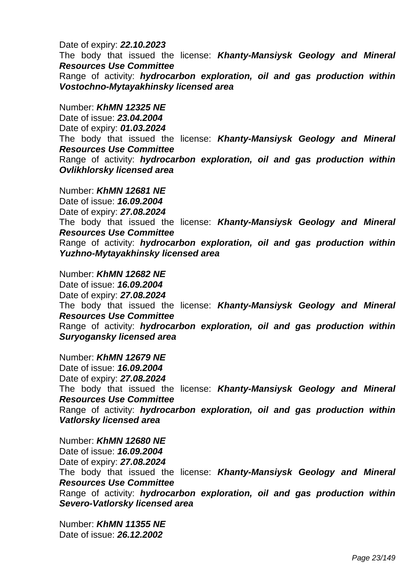#### Date of expiry: *22.10.2023*

The body that issued the license: *Khanty-Mansiysk Geology and Mineral Resources Use Committee* 

Range of activity: *hydrocarbon exploration, oil and gas production within Vostochno-Mytayakhinsky licensed area* 

Number: *KhMN 12325 NE* 

Date of issue: *23.04.2004*  Date of expiry: *01.03.2024* 

The body that issued the license: *Khanty-Mansiysk Geology and Mineral Resources Use Committee* 

Range of activity: *hydrocarbon exploration, oil and gas production within Ovlikhlorsky licensed area* 

Number: *KhMN 12681 NE*  Date of issue: *16.09.2004*  Date of expiry: *27.08.2024*  The body that issued the license: *Khanty-Mansiysk Geology and Mineral Resources Use Committee*  Range of activity: *hydrocarbon exploration, oil and gas production within Yuzhno-Mytayakhinsky licensed area* 

Number: *KhMN 12682 NE*  Date of issue: *16.09.2004*  Date of expiry: *27.08.2024*  The body that issued the license: *Khanty-Mansiysk Geology and Mineral Resources Use Committee*  Range of activity: *hydrocarbon exploration, oil and gas production within Suryogansky licensed area* 

Number: *KhMN 12679 NE*  Date of issue: *16.09.2004*  Date of expiry: *27.08.2024*  The body that issued the license: *Khanty-Mansiysk Geology and Mineral Resources Use Committee*  Range of activity: *hydrocarbon exploration, oil and gas production within Vatlorsky licensed area* 

Number: *KhMN 12680 NE*  Date of issue: *16.09.2004*  Date of expiry: *27.08.2024*  The body that issued the license: *Khanty-Mansiysk Geology and Mineral Resources Use Committee*  Range of activity: *hydrocarbon exploration, oil and gas production within Severo-Vatlorsky licensed area* 

Number: *KhMN 11355 NE*  Date of issue: *26.12.2002*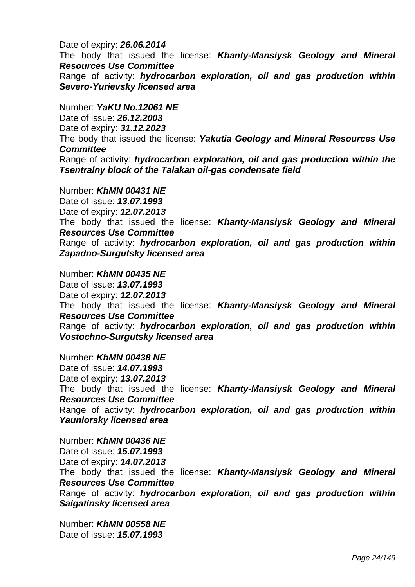### Date of expiry: *26.06.2014*

The body that issued the license: *Khanty-Mansiysk Geology and Mineral Resources Use Committee* 

Range of activity: *hydrocarbon exploration, oil and gas production within Severo-Yurievsky licensed area* 

Number: *YaKU No.12061 NE*  Date of issue: *26.12.2003*  Date of expiry: *31.12.2023*  The body that issued the license: *Yakutia Geology and Mineral Resources Use Committee*  Range of activity: *hydrocarbon exploration, oil and gas production within the Tsentralny block of the Talakan oil-gas condensate field* 

Number: *KhMN 00431 NE*  Date of issue: *13.07.1993*  Date of expiry: *12.07.2013* The body that issued the license: *Khanty-Mansiysk Geology and Mineral Resources Use Committee*  Range of activity: *hydrocarbon exploration, oil and gas production within Zapadno-Surgutsky licensed area* 

Number: *KhMN 00435 NE*  Date of issue: *13.07.1993*  Date of expiry: *12.07.2013* The body that issued the license: *Khanty-Mansiysk Geology and Mineral Resources Use Committee*  Range of activity: *hydrocarbon exploration, oil and gas production within Vostochno-Surgutsky licensed area* 

Number: *KhMN 00438 NE*  Date of issue: *14.07.1993*  Date of expiry: *13.07.2013* The body that issued the license: *Khanty-Mansiysk Geology and Mineral Resources Use Committee*  Range of activity: *hydrocarbon exploration, oil and gas production within Yaunlorsky licensed area* 

Number: *KhMN 00436 NE*  Date of issue: *15.07.1993*  Date of expiry: *14.07.2013* The body that issued the license: *Khanty-Mansiysk Geology and Mineral Resources Use Committee*  Range of activity: *hydrocarbon exploration, oil and gas production within Saigatinsky licensed area* 

Number: *KhMN 00558 NE*  Date of issue: *15.07.1993*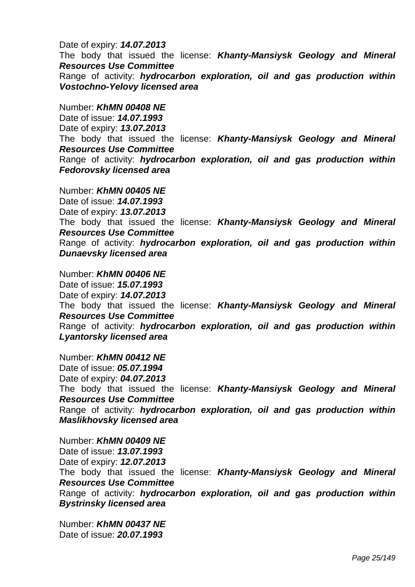Date of expiry: *14.07.2013* The body that issued the license: *Khanty-Mansiysk Geology and Mineral Resources Use Committee*  Range of activity: *hydrocarbon exploration, oil and gas production within Vostochno-Yelovy licensed area* 

Number: *KhMN 00408 NE*  Date of issue: *14.07.1993*  Date of expiry: *13.07.2013*  The body that issued the license: *Khanty-Mansiysk Geology and Mineral Resources Use Committee*  Range of activity: *hydrocarbon exploration, oil and gas production within Fedorovsky licensed area* 

Number: *KhMN 00405 NE*  Date of issue: *14.07.1993*  Date of expiry: *13.07.2013*  The body that issued the license: *Khanty-Mansiysk Geology and Mineral Resources Use Committee*  Range of activity: *hydrocarbon exploration, oil and gas production within Dunaevsky licensed area* 

Number: *KhMN 00406 NE*  Date of issue: *15.07.1993*  Date of expiry: *14.07.2013*  The body that issued the license: *Khanty-Mansiysk Geology and Mineral Resources Use Committee*  Range of activity: *hydrocarbon exploration, oil and gas production within Lyantorsky licensed area* 

Number: *KhMN 00412 NE*  Date of issue: *05.07.1994*  Date of expiry: *04.07.2013*  The body that issued the license: *Khanty-Mansiysk Geology and Mineral Resources Use Committee*  Range of activity: *hydrocarbon exploration, oil and gas production within Maslikhovsky licensed area*

Number: *KhMN 00409 NE*  Date of issue: *13.07.1993*  Date of expiry: *12.07.2013*  The body that issued the license: *Khanty-Mansiysk Geology and Mineral Resources Use Committee*  Range of activity: *hydrocarbon exploration, oil and gas production within Bystrinsky licensed area* 

Number: *KhMN 00437 NE*  Date of issue: *20.07.1993*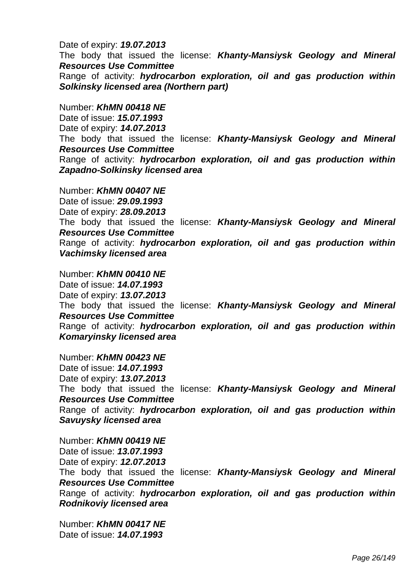Date of expiry: *19.07.2013* 

 The body that issued the license: *Khanty-Mansiysk Geology and Mineral Resources Use Committee* 

Range of activity: *hydrocarbon exploration, oil and gas production within Solkinsky licensed area (Northern part)* 

Number: *KhMN 00418 NE*  Date of issue: *15.07.1993*  Date of expiry: *14.07.2013*  The body that issued the license: *Khanty-Mansiysk Geology and Mineral Resources Use Committee*  Range of activity: *hydrocarbon exploration, oil and gas production within Zapadno-Solkinsky licensed area* 

Number: *KhMN 00407 NE*  Date of issue: *29.09.1993*  Date of expiry: *28.09.2013*  The body that issued the license: *Khanty-Mansiysk Geology and Mineral Resources Use Committee*  Range of activity: *hydrocarbon exploration, oil and gas production within Vachimsky licensed area* 

 Number: *KhMN 00410 NE*  Date of issue: *14.07.1993*  Date of expiry: *13.07.2013*  The body that issued the license: *Khanty-Mansiysk Geology and Mineral Resources Use Committee*  Range of activity: *hydrocarbon exploration, oil and gas production within Komaryinsky licensed area* 

Number: *KhMN 00423 NE*  Date of issue: *14.07.1993*  Date of expiry: *13.07.2013*  The body that issued the license: *Khanty-Mansiysk Geology and Mineral Resources Use Committee*  Range of activity: *hydrocarbon exploration, oil and gas production within Savuysky licensed area* 

Number: *KhMN 00419 NE*  Date of issue: *13.07.1993*  Date of expiry: *12.07.2013*  The body that issued the license: *Khanty-Mansiysk Geology and Mineral Resources Use Committee*  Range of activity: *hydrocarbon exploration, oil and gas production within Rodnikoviy licensed area* 

Number: *KhMN 00417 NE*  Date of issue: *14.07.1993*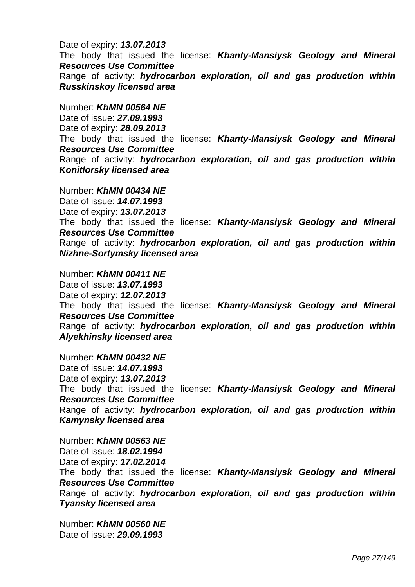Date of expiry: *13.07.2013*  The body that issued the license: *Khanty-Mansiysk Geology and Mineral Resources Use Committee*  Range of activity: *hydrocarbon exploration, oil and gas production within Russkinskoy licensed area* 

Number: *KhMN 00564 NE*  Date of issue: *27.09.1993*  Date of expiry: *28.09.2013* The body that issued the license: *Khanty-Mansiysk Geology and Mineral Resources Use Committee*  Range of activity: *hydrocarbon exploration, oil and gas production within Konitlorsky licensed area* 

Number: *KhMN 00434 NE*  Date of issue: *14.07.1993*  Date of expiry: *13.07.2013*  The body that issued the license: *Khanty-Mansiysk Geology and Mineral Resources Use Committee*  Range of activity: *hydrocarbon exploration, oil and gas production within Nizhne-Sortymsky licensed area* 

Number: *KhMN 00411 NE*  Date of issue: *13.07.1993*  Date of expiry: *12.07.2013*  The body that issued the license: *Khanty-Mansiysk Geology and Mineral Resources Use Committee*  Range of activity: *hydrocarbon exploration, oil and gas production within Alyekhinsky licensed area* 

Number: *KhMN 00432 NE*  Date of issue: *14.07.1993*  Date of expiry: *13.07.2013*  The body that issued the license: *Khanty-Mansiysk Geology and Mineral Resources Use Committee*  Range of activity: *hydrocarbon exploration, oil and gas production within Kamynsky licensed area* 

Number: *KhMN 00563 NE*  Date of issue: *18.02.1994*  Date of expiry: *17.02.2014*  The body that issued the license: *Khanty-Mansiysk Geology and Mineral Resources Use Committee*  Range of activity: *hydrocarbon exploration, oil and gas production within Tyansky licensed area* 

Number: *KhMN 00560 NE*  Date of issue: *29.09.1993*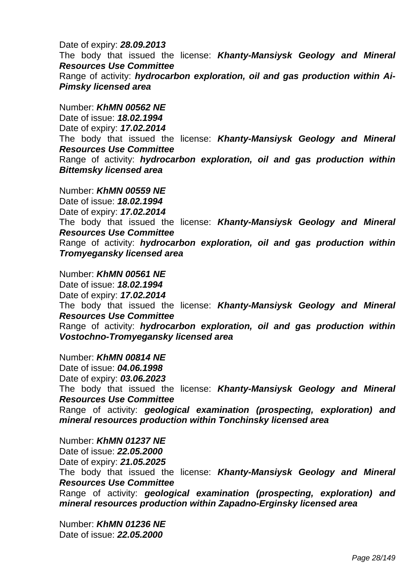Date of expiry: *28.09.2013*  The body that issued the license: *Khanty-Mansiysk Geology and Mineral Resources Use Committee*  Range of activity: *hydrocarbon exploration, oil and gas production within Ai-Pimsky licensed area* 

Number: *KhMN 00562 NE*  Date of issue: *18.02.1994*  Date of expiry: *17.02.2014* The body that issued the license: *Khanty-Mansiysk Geology and Mineral Resources Use Committee*  Range of activity: *hydrocarbon exploration, oil and gas production within Bittemsky licensed area* 

Number: *KhMN 00559 NE*  Date of issue: *18.02.1994*  Date of expiry: *17.02.2014*  The body that issued the license: *Khanty-Mansiysk Geology and Mineral Resources Use Committee*  Range of activity: *hydrocarbon exploration, oil and gas production within Tromyegansky licensed area* 

Number: *KhMN 00561 NE*  Date of issue: *18.02.1994*  Date of expiry: *17.02.2014*  The body that issued the license: *Khanty-Mansiysk Geology and Mineral Resources Use Committee*  Range of activity: *hydrocarbon exploration, oil and gas production within Vostochno-Tromyegansky licensed area* 

Number: *KhMN 00814 NE*  Date of issue: *04.06.1998*  Date of expiry: *03.06.2023* The body that issued the license: *Khanty-Mansiysk Geology and Mineral Resources Use Committee*  Range of activity: *geological examination (prospecting, exploration) and mineral resources production within Tonchinsky licensed area* 

Number: *KhMN 01237 NE*  Date of issue: *22.05.2000*  Date of expiry: *21.05.2025* The body that issued the license: *Khanty-Mansiysk Geology and Mineral Resources Use Committee* Range of activity: *geological examination (prospecting, exploration) and mineral resources production within Zapadno-Erginsky licensed area* 

Number: *KhMN 01236 NE*  Date of issue: *22.05.2000*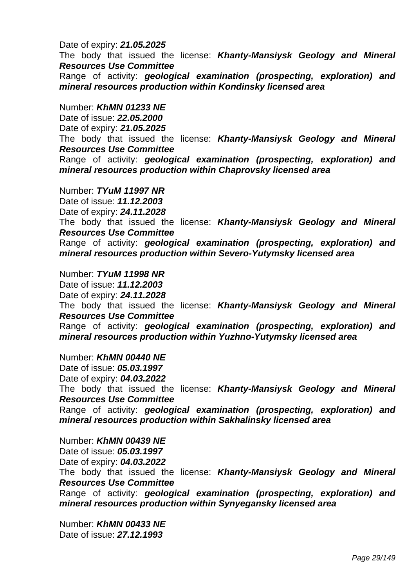#### Date of expiry: *21.05.2025*

 The body that issued the license: *Khanty-Mansiysk Geology and Mineral Resources Use Committee* 

Range of activity: *geological examination (prospecting, exploration) and mineral resources production within Kondinsky licensed area* 

Number: *KhMN 01233 NE* 

Date of issue: *22.05.2000* 

Date of expiry: *21.05.2025* 

 The body that issued the license: *Khanty-Mansiysk Geology and Mineral Resources Use Committee* 

 Range of activity: *geological examination (prospecting, exploration) and mineral resources production within Chaprovsky licensed area* 

Number: *TYuM 11997 NR*  Date of issue: *11.12.2003*  Date of expiry: *24.11.2028*  The body that issued the license: *Khanty-Mansiysk Geology and Mineral Resources Use Committee*  Range of activity: *geological examination (prospecting, exploration) and mineral resources production within Severo-Yutymsky licensed area* 

Number: *TYuM 11998 NR*  Date of issue: *11.12.2003*  Date of expiry: *24.11.2028*  The body that issued the license: *Khanty-Mansiysk Geology and Mineral Resources Use Committee*  Range of activity: *geological examination (prospecting, exploration) and mineral resources production within Yuzhno-Yutymsky licensed area* 

Number: *KhMN 00440 NE*  Date of issue: *05.03.1997*  Date of expiry: *04.03.2022*  The body that issued the license: *Khanty-Mansiysk Geology and Mineral Resources Use Committee*  Range of activity: *geological examination (prospecting, exploration) and mineral resources production within Sakhalinsky licensed area* 

Number: *KhMN 00439 NE*  Date of issue: *05.03.1997*  Date of expiry: *04.03.2022*  The body that issued the license: *Khanty-Mansiysk Geology and Mineral Resources Use Committee*  Range of activity: *geological examination (prospecting, exploration) and mineral resources production within Synyegansky licensed area* 

Number: *KhMN 00433 NE*  Date of issue: *27.12.1993*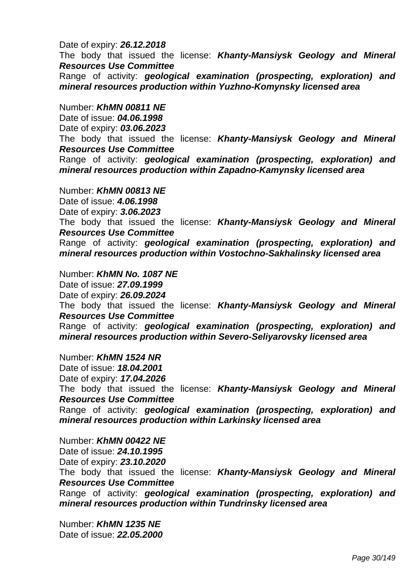#### Date of expiry: *26.12.2018*

 The body that issued the license: *Khanty-Mansiysk Geology and Mineral Resources Use Committee* 

Range of activity: *geological examination (prospecting, exploration) and mineral resources production within Yuzhno-Komynsky licensed area* 

Number: *KhMN 00811 NE*  Date of issue: *04.06.1998*  Date of expiry: *03.06.2023*  The body that issued the license: *Khanty-Mansiysk Geology and Mineral Resources Use Committee*  Range of activity: *geological examination (prospecting, exploration) and mineral resources production within Zapadno-Kamynsky licensed area*

Number: *KhMN 00813 NE*  Date of issue: *4.06.1998*  Date of expiry: *3.06.2023*  The body that issued the license: *Khanty-Mansiysk Geology and Mineral Resources Use Committee*  Range of activity: *geological examination (prospecting, exploration) and mineral resources production within Vostochno-Sakhalinsky licensed area* 

Number: *KhMN No. 1087 NE*  Date of issue: *27.09.1999*  Date of expiry: *26.09.2024* The body that issued the license: *Khanty-Mansiysk Geology and Mineral Resources Use Committee*  Range of activity: *geological examination (prospecting, exploration) and mineral resources production within Severo-Seliyarovsky licensed area* 

Number: *KhMN 1524 NR*  Date of issue: *18.04.2001*  Date of expiry: *17.04.2026*  The body that issued the license: *Khanty-Mansiysk Geology and Mineral Resources Use Committee*  Range of activity: *geological examination (prospecting, exploration) and mineral resources production within Larkinsky licensed area* 

Number: *KhMN 00422 NE*  Date of issue: *24.10.1995*  Date of expiry: *23.10.2020*  The body that issued the license: *Khanty-Mansiysk Geology and Mineral Resources Use Committee*  Range of activity: *geological examination (prospecting, exploration) and mineral resources production within Tundrinsky licensed area* 

Number: *KhMN 1235 NE*  Date of issue: *22.05.2000*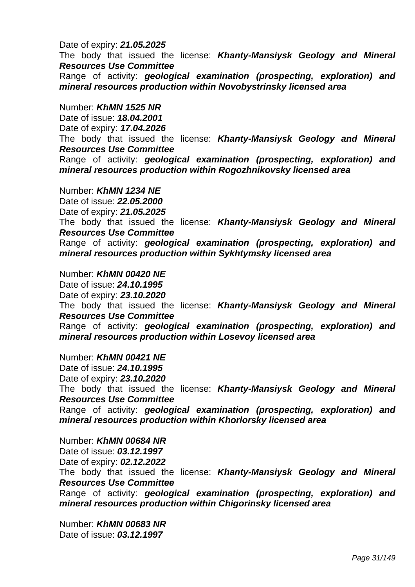#### Date of expiry: *21.05.2025*

 The body that issued the license: *Khanty-Mansiysk Geology and Mineral Resources Use Committee* 

 Range of activity: *geological examination (prospecting, exploration) and mineral resources production within Novobystrinsky licensed area* 

Number: *KhMN 1525 NR* 

Date of issue: *18.04.2001* 

Date of expiry: *17.04.2026*

 The body that issued the license: *Khanty-Mansiysk Geology and Mineral Resources Use Committee* 

Range of activity: *geological examination (prospecting, exploration) and mineral resources production within Rogozhnikovsky licensed area* 

Number: *KhMN 1234 NE*  Date of issue: *22.05.2000*  Date of expiry: *21.05.2025*  The body that issued the license: *Khanty-Mansiysk Geology and Mineral Resources Use Committee*  Range of activity: *geological examination (prospecting, exploration) and mineral resources production within Sykhtymsky licensed area* 

Number: *KhMN 00420 NE*  Date of issue: *24.10.1995*  Date of expiry: *23.10.2020*  The body that issued the license: *Khanty-Mansiysk Geology and Mineral Resources Use Committee*  Range of activity: *geological examination (prospecting, exploration) and mineral resources production within Losevoy licensed area*

 Number: *KhMN 00421 NE*  Date of issue: *24.10.1995*  Date of expiry: *23.10.2020*  The body that issued the license: *Khanty-Mansiysk Geology and Mineral Resources Use Committee*  Range of activity: *geological examination (prospecting, exploration) and mineral resources production within Khorlorsky licensed area* 

Number: *KhMN 00684 NR*  Date of issue: *03.12.1997*  Date of expiry: *02.12.2022*  The body that issued the license: *Khanty-Mansiysk Geology and Mineral Resources Use Committee*  Range of activity: *geological examination (prospecting, exploration) and mineral resources production within Chigorinsky licensed area* 

Number: *KhMN 00683 NR*  Date of issue: *03.12.1997*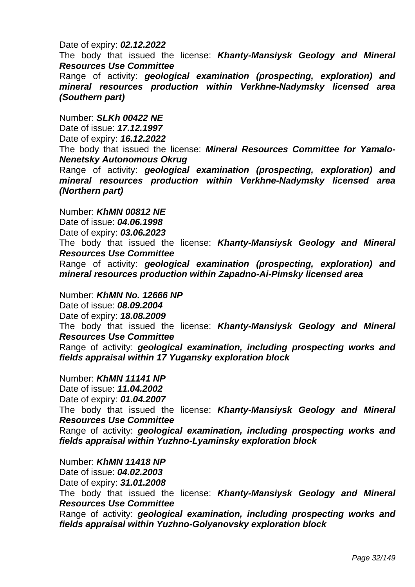#### Date of expiry: *02.12.2022*

 The body that issued the license: *Khanty-Mansiysk Geology and Mineral Resources Use Committee* 

 Range of activity: *geological examination (prospecting, exploration) and mineral resources production within Verkhne-Nadymsky licensed area (Southern part)* 

Number: *SLKh 00422 NE* 

Date of issue: *17.12.1997* 

Date of expiry: *16.12.2022* 

 The body that issued the license: *Mineral Resources Committee for Yamalo-Nenetsky Autonomous Okrug* 

 Range of activity: *geological examination (prospecting, exploration) and mineral resources production within Verkhne-Nadymsky licensed area (Northern part)* 

Number: *KhMN 00812 NE*  Date of issue: *04.06.1998*  Date of expiry: *03.06.2023* 

 The body that issued the license: *Khanty-Mansiysk Geology and Mineral Resources Use Committee* 

 Range of activity: *geological examination (prospecting, exploration) and mineral resources production within Zapadno-Ai-Pimsky licensed area* 

Number: *KhMN No. 12666 NP*  Date of issue: *08.09.2004*  Date of expiry: *18.08.2009*  The body that issued the license: *Khanty-Mansiysk Geology and Mineral Resources Use Committee*  Range of activity: *geological examination, including prospecting works and fields appraisal within 17 Yugansky exploration block* 

Number: *KhMN 11141 NP*  Date of issue: *11.04.2002*  Date of expiry: *01.04.2007*  The body that issued the license: *Khanty-Mansiysk Geology and Mineral Resources Use Committee*  Range of activity: *geological examination, including prospecting works and fields appraisal within Yuzhno-Lyaminsky exploration block* 

Number: *KhMN 11418 NP*  Date of issue: *04.02.2003*  Date of expiry: *31.01.2008*  The body that issued the license: *Khanty-Mansiysk Geology and Mineral Resources Use Committee*  Range of activity: *geological examination, including prospecting works and fields appraisal within Yuzhno-Golyanovsky exploration block*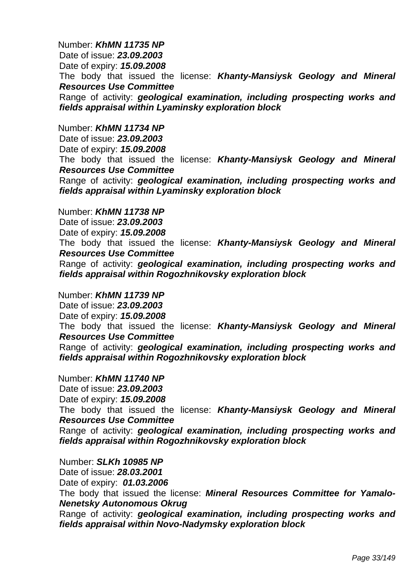Number: *KhMN 11735 NP*  Date of issue: *23.09.2003*  Date of expiry: *15.09.2008*  The body that issued the license: *Khanty-Mansiysk Geology and Mineral Resources Use Committee*  Range of activity: *geological examination, including prospecting works and fields appraisal within Lyaminsky exploration block* 

Number: *KhMN 11734 NP* 

Date of issue: *23.09.2003*  Date of expiry: *15.09.2008* The body that issued the license: *Khanty-Mansiysk Geology and Mineral Resources Use Committee*  Range of activity: *geological examination, including prospecting works and fields appraisal within Lyaminsky exploration block* 

Number: *KhMN 11738 NP*  Date of issue: *23.09.2003*  Date of expiry: *15.09.2008*  The body that issued the license: *Khanty-Mansiysk Geology and Mineral Resources Use Committee*  Range of activity: *geological examination, including prospecting works and fields appraisal within Rogozhnikovsky exploration block* 

Number: *KhMN 11739 NP*  Date of issue: *23.09.2003*  Date of expiry: *15.09.2008*  The body that issued the license: *Khanty-Mansiysk Geology and Mineral Resources Use Committee*  Range of activity: *geological examination, including prospecting works and fields appraisal within Rogozhnikovsky exploration block* 

Number: *KhMN 11740 NP*  Date of issue: *23.09.2003*  Date of expiry: *15.09.2008*  The body that issued the license: *Khanty-Mansiysk Geology and Mineral Resources Use Committee*  Range of activity: *geological examination, including prospecting works and fields appraisal within Rogozhnikovsky exploration block* 

Number: *SLKh 10985 NP*  Date of issue: *28.03.2001*  Date of expiry: *01.03.2006*  The body that issued the license: *Mineral Resources Committee for Yamalo-Nenetsky Autonomous Okrug*  Range of activity: *geological examination, including prospecting works and fields appraisal within Novo-Nadymsky exploration block*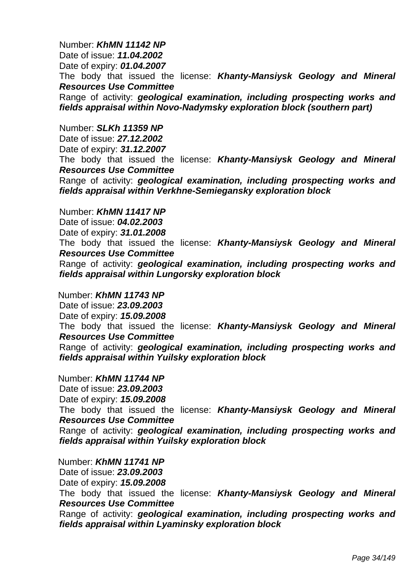Number: *KhMN 11142 NP*  Date of issue: *11.04.2002*  Date of expiry: *01.04.2007*  The body that issued the license: *Khanty-Mansiysk Geology and Mineral Resources Use Committee*  Range of activity: *geological examination, including prospecting works and fields appraisal within Novo-Nadymsky exploration block (southern part)* 

Number: *SLKh 11359 NP* 

Date of issue: *27.12.2002*  Date of expiry: *31.12.2007*  The body that issued the license: *Khanty-Mansiysk Geology and Mineral Resources Use Committee*  Range of activity: *geological examination, including prospecting works and fields appraisal within Verkhne-Semiegansky exploration block* 

Number: *KhMN 11417 NP*  Date of issue: *04.02.2003*  Date of expiry: *31.01.2008* The body that issued the license: *Khanty-Mansiysk Geology and Mineral Resources Use Committee*  Range of activity: *geological examination, including prospecting works and fields appraisal within Lungorsky exploration block* 

Number: *KhMN 11743 NP*  Date of issue: *23.09.2003*  Date of expiry: *15.09.2008*  The body that issued the license: *Khanty-Mansiysk Geology and Mineral Resources Use Committee*  Range of activity: *geological examination, including prospecting works and fields appraisal within Yuilsky exploration block* 

Number: *KhMN 11744 NP*  Date of issue: *23.09.2003*  Date of expiry: *15.09.2008*  The body that issued the license: *Khanty-Mansiysk Geology and Mineral Resources Use Committee*  Range of activity: *geological examination, including prospecting works and fields appraisal within Yuilsky exploration block* 

Number: *KhMN 11741 NP*  Date of issue: *23.09.2003*  Date of expiry: *15.09.2008*  The body that issued the license: *Khanty-Mansiysk Geology and Mineral Resources Use Committee*  Range of activity: *geological examination, including prospecting works and fields appraisal within Lyaminsky exploration block*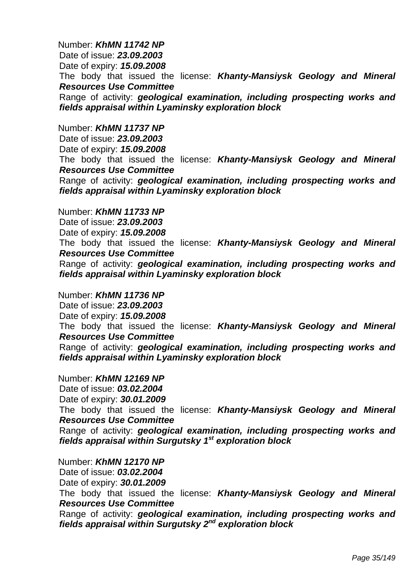Number: *KhMN 11742 NP*  Date of issue: *23.09.2003*  Date of expiry: *15.09.2008*  The body that issued the license: *Khanty-Mansiysk Geology and Mineral Resources Use Committee*  Range of activity: *geological examination, including prospecting works and fields appraisal within Lyaminsky exploration block* 

Number: *KhMN 11737 NP* 

Date of issue: *23.09.2003*  Date of expiry: *15.09.2008*  The body that issued the license: *Khanty-Mansiysk Geology and Mineral Resources Use Committee*  Range of activity: *geological examination, including prospecting works and fields appraisal within Lyaminsky exploration block* 

Number: *KhMN 11733 NP*  Date of issue: *23.09.2003*  Date of expiry: *15.09.2008*  The body that issued the license: *Khanty-Mansiysk Geology and Mineral Resources Use Committee*  Range of activity: *geological examination, including prospecting works and fields appraisal within Lyaminsky exploration block* 

Number: *KhMN 11736 NP*  Date of issue: *23.09.2003*  Date of expiry: *15.09.2008*  The body that issued the license: *Khanty-Mansiysk Geology and Mineral Resources Use Committee*  Range of activity: *geological examination, including prospecting works and fields appraisal within Lyaminsky exploration block* 

Number: *KhMN 12169 NP*  Date of issue: *03.02.2004*  Date of expiry: *30.01.2009*  The body that issued the license: *Khanty-Mansiysk Geology and Mineral Resources Use Committee*  Range of activity: *geological examination, including prospecting works and fields appraisal within Surgutsky 1st exploration block* 

Number: *KhMN 12170 NP*  Date of issue: *03.02.2004*  Date of expiry: *30.01.2009* The body that issued the license: *Khanty-Mansiysk Geology and Mineral Resources Use Committee*  Range of activity: *geological examination, including prospecting works and fields appraisal within Surgutsky 2nd exploration block*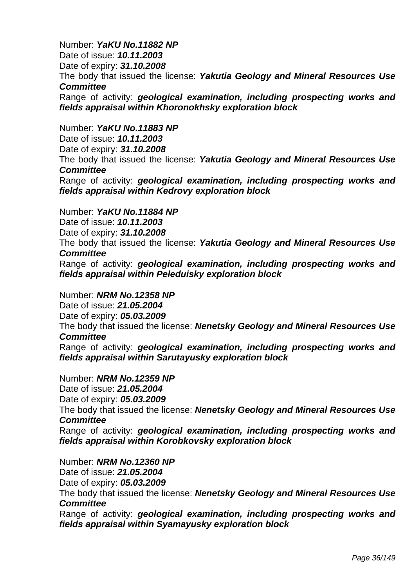# Number: *YaKU No.11882 NP*

Date of issue: *10.11.2003* 

Date of expiry: *31.10.2008* 

The body that issued the license: *Yakutia Geology and Mineral Resources Use Committee* 

Range of activity: *geological examination, including prospecting works and fields appraisal within Khoronokhsky exploration block* 

## Number: *YaKU No.11883 NP*

Date of issue: *10.11.2003*  Date of expiry: *31.10.2008*  The body that issued the license: *Yakutia Geology and Mineral Resources Use Committee* 

Range of activity: *geological examination, including prospecting works and fields appraisal within Kedrovy exploration block* 

Number: *YaKU No.11884 NP* 

Date of issue: *10.11.2003* 

Date of expiry: *31.10.2008* 

The body that issued the license: *Yakutia Geology and Mineral Resources Use Committee* 

Range of activity: *geological examination, including prospecting works and fields appraisal within Peleduisky exploration block* 

Number: *NRM No.12358 NP*  Date of issue: *21.05.2004*  Date of expiry: *05.03.2009*  The body that issued the license: *Nenetsky Geology and Mineral Resources Use Committee*  Range of activity: *geological examination, including prospecting works and fields appraisal within Sarutayusky exploration block* 

Number: *NRM No.12359 NP*  Date of issue: *21.05.2004*  Date of expiry: *05.03.2009*  The body that issued the license: *Nenetsky Geology and Mineral Resources Use Committee*  Range of activity: *geological examination, including prospecting works and fields appraisal within Korobkovsky exploration block* 

# Number: *NRM No.12360 NP*

Date of issue: *21.05.2004*  Date of expiry: *05.03.2009*  The body that issued the license: *Nenetsky Geology and Mineral Resources Use Committee* 

Range of activity: *geological examination, including prospecting works and fields appraisal within Syamayusky exploration block*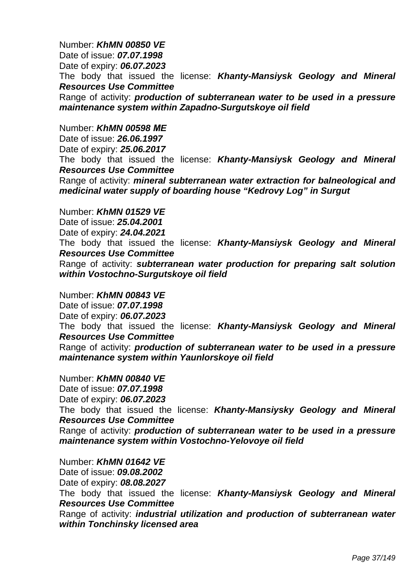Number: *KhMN 00850 VE*  Date of issue: *07.07.1998*  Date of expiry: *06.07.2023*  The body that issued the license: *Khanty-Mansiysk Geology and Mineral Resources Use Committee*  Range of activity: *production of subterranean water to be used in a pressure maintenance system within Zapadno-Surgutskoye oil field* 

#### Number: *KhMN 00598* М*E*

Date of issue: *26.06.1997* Date of expiry: *25.06.2017*  The body that issued the license: *Khanty-Mansiysk Geology and Mineral Resources Use Committee* Range of activity: *mineral subterranean water extraction for balneological and medicinal water supply of boarding house "Kedrovy Log" in Surgut*

Number: *KhMN 01529 VE* Date of issue: *25.04.2001* Date of expiry: *24.04.2021*  The body that issued the license: *Khanty-Mansiysk Geology and Mineral Resources Use Committee*  Range of activity: *subterranean water production for preparing salt solution within Vostochno-Surgutskoye oil field* 

Number: *KhMN 00843 VE*  Date of issue: *07.07.1998*  Date of expiry: *06.07.2023*  The body that issued the license: *Khanty-Mansiysk Geology and Mineral Resources Use Committee*  Range of activity: *production of subterranean water to be used in a pressure maintenance system within Yaunlorskoye oil field* 

Number: *KhMN 00840 VE*  Date of issue: *07.07.1998*  Date of expiry: *06.07.2023*  The body that issued the license: *Khanty-Mansiysky Geology and Mineral Resources Use Committee*  Range of activity: *production of subterranean water to be used in a pressure maintenance system within Vostochno-Yelovoye oil field* 

Number: *KhMN 01642 VE*  Date of issue: *09.08.2002*  Date of expiry: *08.08.2027*  The body that issued the license: *Khanty-Mansiysk Geology and Mineral Resources Use Committee*  Range of activity: *industrial utilization and production of subterranean water within Tonchinsky licensed area*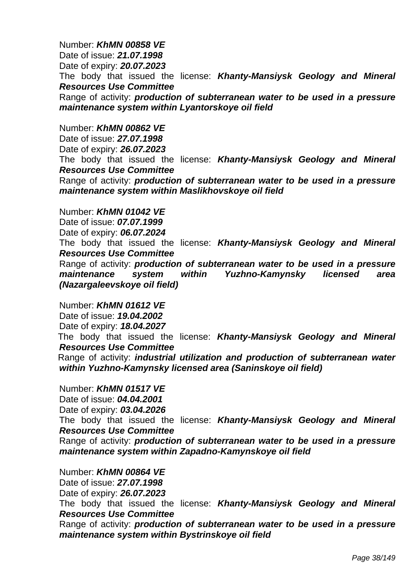Number: *KhMN 00858 VE*  Date of issue: *21.07.1998*  Date of expiry: *20.07.2023* The body that issued the license: *Khanty-Mansiysk Geology and Mineral Resources Use Committee*  Range of activity: *production of subterranean water to be used in a pressure maintenance system within Lyantorskoye oil field* 

Number: *KhMN 00862 VE* 

Date of issue: *27.07.1998*  Date of expiry: *26.07.2023*  The body that issued the license: *Khanty-Mansiysk Geology and Mineral Resources Use Committee*  Range of activity: *production of subterranean water to be used in a pressure maintenance system within Maslikhovskoye oil field* 

Number: *KhMN 01042 VE*  Date of issue: *07.07.1999*  Date of expiry: *06.07.2024*  The body that issued the license: *Khanty-Mansiysk Geology and Mineral Resources Use Committee*  Range of activity: *production of subterranean water to be used in a pressure maintenance system within Yuzhno-Kamynsky licensed area (Nazargaleevskoye oil field)* 

Number: *KhMN 01612 VE*  Date of issue: *19.04.2002*  Date of expiry: *18.04.2027*  The body that issued the license: *Khanty-Mansiysk Geology and Mineral Resources Use Committee*  Range of activity: *industrial utilization and production of subterranean water within Yuzhno-Kamynsky licensed area (Saninskoye oil field)* 

Number: *KhMN 01517 VE* Date of issue: *04.04.2001* Date of expiry: *03.04.2026*  The body that issued the license: *Khanty-Mansiysk Geology and Mineral Resources Use Committee*  Range of activity: *production of subterranean water to be used in a pressure maintenance system within Zapadno-Kamynskoye oil field* 

Number: *KhMN 00864 VE*  Date of issue: *27.07.1998*  Date of expiry: *26.07.2023*  The body that issued the license: *Khanty-Mansiysk Geology and Mineral Resources Use Committee*  Range of activity: *production of subterranean water to be used in a pressure maintenance system within Bystrinskoye oil field*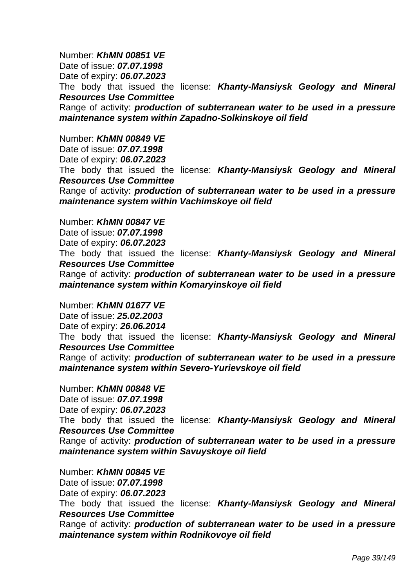Number: *KhMN 00851 VE*  Date of issue: *07.07.1998*  Date of expiry: *06.07.2023*  The body that issued the license: *Khanty-Mansiysk Geology and Mineral Resources Use Committee*  Range of activity: *production of subterranean water to be used in a pressure maintenance system within Zapadno-Solkinskoye oil field* 

Number: *KhMN 00849 VE*  Date of issue: *07.07.1998*  Date of expiry: *06.07.2023*  The body that issued the license: *Khanty-Mansiysk Geology and Mineral Resources Use Committee*  Range of activity: *production of subterranean water to be used in a pressure maintenance system within Vachimskoye oil field* 

Number: *KhMN 00847 VE* 

Date of issue: *07.07.1998*  Date of expiry: *06.07.2023*  The body that issued the license: *Khanty-Mansiysk Geology and Mineral Resources Use Committee*  Range of activity: *production of subterranean water to be used in a pressure maintenance system within Komaryinskoye oil field* 

Number: *KhMN 01677 VE*  Date of issue: *25.02.2003* 

Date of expiry: *26.06.2014* 

The body that issued the license: *Khanty-Mansiysk Geology and Mineral Resources Use Committee* 

Range of activity: *production of subterranean water to be used in a pressure maintenance system within Severo-Yurievskoye oil field* 

Number: *KhMN 00848 VE*  Date of issue: *07.07.1998*  Date of expiry: *06.07.2023*  The body that issued the license: *Khanty-Mansiysk Geology and Mineral Resources Use Committee*  Range of activity: *production of subterranean water to be used in a pressure maintenance system within Savuyskoye oil field* 

Number: *KhMN 00845 VE*  Date of issue: *07.07.1998*  Date of expiry: *06.07.2023*  The body that issued the license: *Khanty-Mansiysk Geology and Mineral Resources Use Committee*  Range of activity: *production of subterranean water to be used in a pressure maintenance system within Rodnikovoye oil field*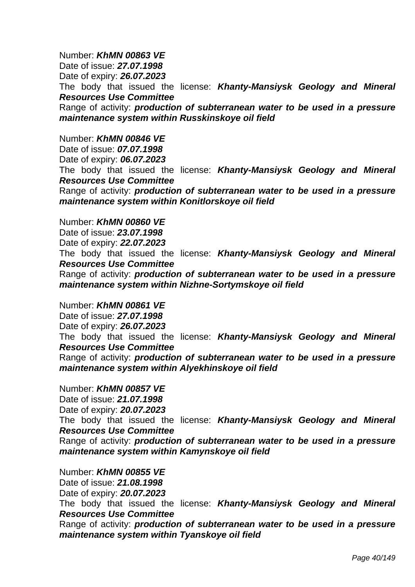Number: *KhMN 00863 VE*  Date of issue: *27.07.1998*  Date of expiry: *26.07.2023*  The body that issued the license: *Khanty-Mansiysk Geology and Mineral Resources Use Committee*  Range of activity: *production of subterranean water to be used in a pressure maintenance system within Russkinskoye oil field* 

Number: *KhMN 00846 VE*  Date of issue: *07.07.1998*  Date of expiry: *06.07.2023*  The body that issued the license: *Khanty-Mansiysk Geology and Mineral Resources Use Committee*  Range of activity: *production of subterranean water to be used in a pressure maintenance system within Konitlorskoye oil field* 

Number: *KhMN 00860 VE* 

Date of issue: *23.07.1998*  Date of expiry: *22.07.2023*  The body that issued the license: *Khanty-Mansiysk Geology and Mineral Resources Use Committee*  Range of activity: *production of subterranean water to be used in a pressure maintenance system within Nizhne-Sortymskoye oil field* 

Number: *KhMN 00861 VE*  Date of issue: *27.07.1998*  Date of expiry: *26.07.2023*  The body that issued the license: *Khanty-Mansiysk Geology and Mineral Resources Use Committee*  Range of activity: *production of subterranean water to be used in a pressure maintenance system within Alyekhinskoye oil field* 

Number: *KhMN 00857 VE*  Date of issue: *21.07.1998*  Date of expiry: *20.07.2023*  The body that issued the license: *Khanty-Mansiysk Geology and Mineral Resources Use Committee*  Range of activity: *production of subterranean water to be used in a pressure maintenance system within Kamynskoye oil field* 

Number: *KhMN 00855 VE*  Date of issue: *21.08.1998*  Date of expiry: *20.07.2023*  The body that issued the license: *Khanty-Mansiysk Geology and Mineral Resources Use Committee*  Range of activity: *production of subterranean water to be used in a pressure maintenance system within Tyanskoye oil field*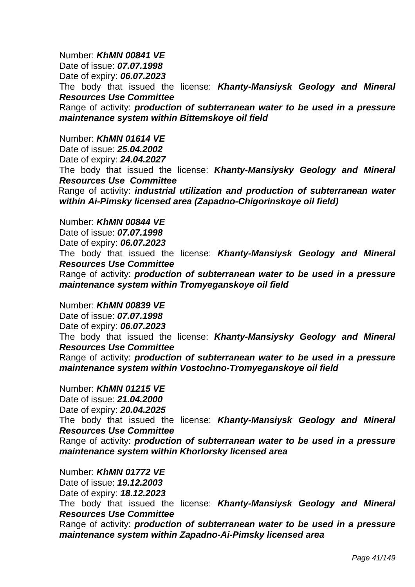Number: *KhMN 00841 VE*  Date of issue: *07.07.1998*  Date of expiry: *06.07.2023*  The body that issued the license: *Khanty-Mansiysk Geology and Mineral Resources Use Committee*  Range of activity: *production of subterranean water to be used in a pressure maintenance system within Bittemskoye oil field* 

Number: *KhMN 01614 VE*  Date of issue: *25.04.2002*  Date of expiry: *24.04.2027*  The body that issued the license: *Khanty-Mansiysky Geology and Mineral Resources Use Committee*  Range of activity: *industrial utilization and production of subterranean water within Ai-Pimsky licensed area (Zapadno-Chigorinskoye oil field)* 

Number: *KhMN 00844 VE* 

Date of issue: *07.07.1998*  Date of expiry: *06.07.2023* The body that issued the license: *Khanty-Mansiysk Geology and Mineral Resources Use Committee*  Range of activity: *production of subterranean water to be used in a pressure maintenance system within Tromyeganskoye oil field* 

Number: *KhMN 00839 VE*  Date of issue: *07.07.1998*  Date of expiry: *06.07.2023* The body that issued the license: *Khanty-Mansiysky Geology and Mineral Resources Use Committee*  Range of activity: *production of subterranean water to be used in a pressure maintenance system within Vostochno-Tromyeganskoye oil field* 

Number: *KhMN 01215 VE*  Date of issue: *21.04.2000*  Date of expiry: *20.04.2025*  The body that issued the license: *Khanty-Mansiysk Geology and Mineral Resources Use Committee*  Range of activity: *production of subterranean water to be used in a pressure maintenance system within Khorlorsky licensed area* 

Number: *KhMN 01772 VE*  Date of issue: *19.12.2003*  Date of expiry: *18.12.2023*  The body that issued the license: *Khanty-Mansiysk Geology and Mineral Resources Use Committee*  Range of activity: *production of subterranean water to be used in a pressure maintenance system within Zapadno-Ai-Pimsky licensed area*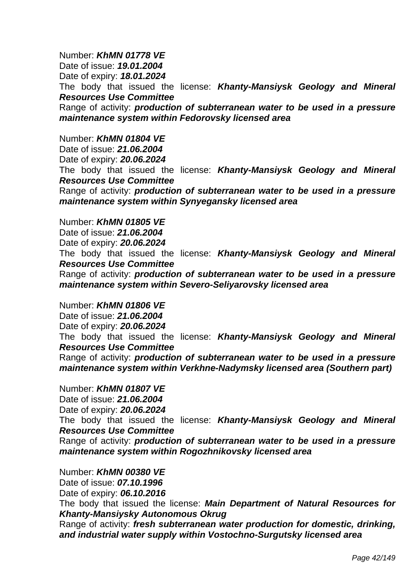Number: *KhMN 01778 VE*  Date of issue: *19.01.2004*  Date of expiry: *18.01.2024*  The body that issued the license: *Khanty-Mansiysk Geology and Mineral Resources Use Committee*  Range of activity: *production of subterranean water to be used in a pressure maintenance system within Fedorovsky licensed area* 

Number: *KhMN 01804 VE*  Date of issue: *21.06.2004*  Date of expiry: *20.06.2024*  The body that issued the license: *Khanty-Mansiysk Geology and Mineral Resources Use Committee*  Range of activity: *production of subterranean water to be used in a pressure maintenance system within Synyegansky licensed area* 

Number: *KhMN 01805 VE*  Date of issue: *21.06.2004*  Date of expiry: *20.06.2024*  The body that issued the license: *Khanty-Mansiysk Geology and Mineral Resources Use Committee*  Range of activity: *production of subterranean water to be used in a pressure maintenance system within Severo-Seliyarovsky licensed area* 

Number: *KhMN 01806 VE*  Date of issue: *21.06.2004*  Date of expiry: *20.06.2024*  The body that issued the license: *Khanty-Mansiysk Geology and Mineral Resources Use Committee*  Range of activity: *production of subterranean water to be used in a pressure maintenance system within Verkhne-Nadymsky licensed area (Southern part)* 

Number: *KhMN 01807 VE*  Date of issue: *21.06.2004*  Date of expiry: *20.06.2024*  The body that issued the license: *Khanty-Mansiysk Geology and Mineral Resources Use Committee*  Range of activity: *production of subterranean water to be used in a pressure maintenance system within Rogozhnikovsky licensed area* 

Number: *KhMN 00380 VE*  Date of issue: *07.10.1996*  Date of expiry: *06.10.2016*  The body that issued the license: *Main Department of Natural Resources for Khanty-Mansiysky Autonomous Okrug* 

 Range of activity: *fresh subterranean water production for domestic, drinking, and industrial water supply within Vostochno-Surgutsky licensed area*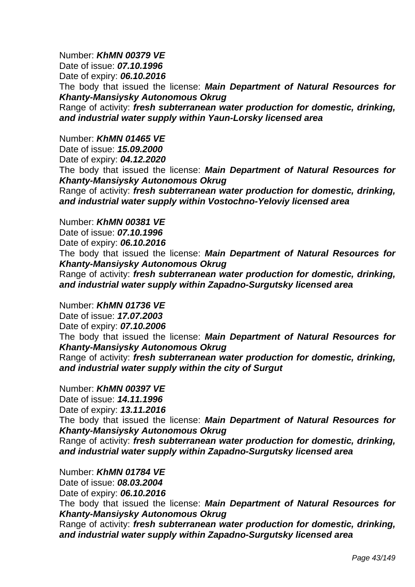Number: *KhMN 00379 VE*  Date of issue: *07.10.1996*  Date of expiry: *06.10.2016*  The body that issued the license: *Main Department of Natural Resources for Khanty-Mansiysky Autonomous Okrug*  Range of activity: *fresh subterranean water production for domestic, drinking, and industrial water supply within Yaun-Lorsky licensed area* 

Number: *KhMN 01465 VE* 

Date of issue: *15.09.2000* 

Date of expiry: *04.12.2020* 

 The body that issued the license: *Main Department of Natural Resources for Khanty-Mansiysky Autonomous Okrug*

 Range of activity: *fresh subterranean water production for domestic, drinking, and industrial water supply within Vostochno-Yeloviy licensed area* 

Number: *KhMN 00381 VE* 

Date of issue: *07.10.1996* 

Date of expiry: *06.10.2016* 

 The body that issued the license: *Main Department of Natural Resources for Khanty-Mansiysky Autonomous Okrug*

 Range of activity: *fresh subterranean water production for domestic, drinking, and industrial water supply within Zapadno-Surgutsky licensed area* 

Number: *KhMN 01736 VE* 

Date of issue: *17.07.2003* 

Date of expiry: *07.10.2006*

 The body that issued the license: *Main Department of Natural Resources for Khanty-Mansiysky Autonomous Okrug*

 Range of activity: *fresh subterranean water production for domestic, drinking, and industrial water supply within the city of Surgut* 

Number: *KhMN 00397 VE* 

Date of issue: *14.11.1996* 

Date of expiry: *13.11.2016*

 The body that issued the license: *Main Department of Natural Resources for Khanty-Mansiysky Autonomous Okrug*

 Range of activity: *fresh subterranean water production for domestic, drinking, and industrial water supply within Zapadno-Surgutsky licensed area* 

Number: *KhMN 01784 VE* 

Date of issue: *08.03.2004* 

Date of expiry: *06.10.2016*

 The body that issued the license: *Main Department of Natural Resources for Khanty-Mansiysky Autonomous Okrug*

 Range of activity: *fresh subterranean water production for domestic, drinking, and industrial water supply within Zapadno-Surgutsky licensed area*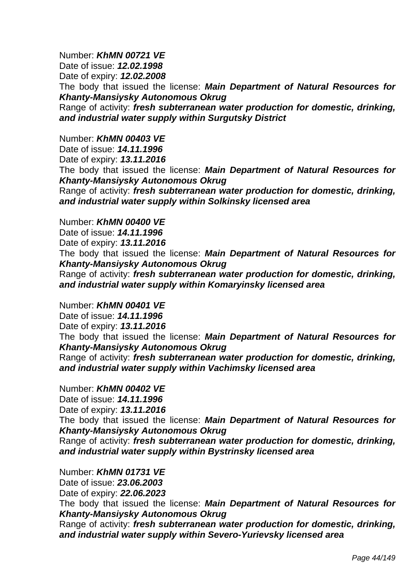Number: *KhMN 00721 VE*  Date of issue: *12.02.1998*  Date of expiry: *12.02.2008* The body that issued the license: *Main Department of Natural Resources for Khanty-Mansiysky Autonomous Okrug* Range of activity: *fresh subterranean water production for domestic, drinking, and industrial water supply within Surgutsky District* 

Number: *KhMN 00403 VE* 

Date of issue: *14.11.1996* 

Date of expiry: *13.11.2016*

 The body that issued the license: *Main Department of Natural Resources for Khanty-Mansiysky Autonomous Okrug*

Range of activity: *fresh subterranean water production for domestic, drinking, and industrial water supply within Solkinsky licensed area* 

Number: *KhMN 00400 VE* 

Date of issue: *14.11.1996* 

Date of expiry: *13.11.2016* 

 The body that issued the license: *Main Department of Natural Resources for Khanty-Mansiysky Autonomous Okrug*

Range of activity: *fresh subterranean water production for domestic, drinking, and industrial water supply within Komaryinsky licensed area* 

Number: *KhMN 00401 VE* 

Date of issue: *14.11.1996* 

Date of expiry: *13.11.2016* 

 The body that issued the license: *Main Department of Natural Resources for Khanty-Mansiysky Autonomous Okrug*

Range of activity: *fresh subterranean water production for domestic, drinking, and industrial water supply within Vachimsky licensed area* 

Number: *KhMN 00402 VE*  Date of issue: *14.11.1996* 

Date of expiry: *13.11.2016* 

 The body that issued the license: *Main Department of Natural Resources for Khanty-Mansiysky Autonomous Okrug*

Range of activity: *fresh subterranean water production for domestic, drinking, and industrial water supply within Bystrinsky licensed area* 

Number: *KhMN 01731 VE* 

Date of issue: *23.06.2003* 

Date of expiry: *22.06.2023* 

 The body that issued the license: *Main Department of Natural Resources for Khanty-Mansiysky Autonomous Okrug*

Range of activity: *fresh subterranean water production for domestic, drinking, and industrial water supply within Severo-Yurievsky licensed area*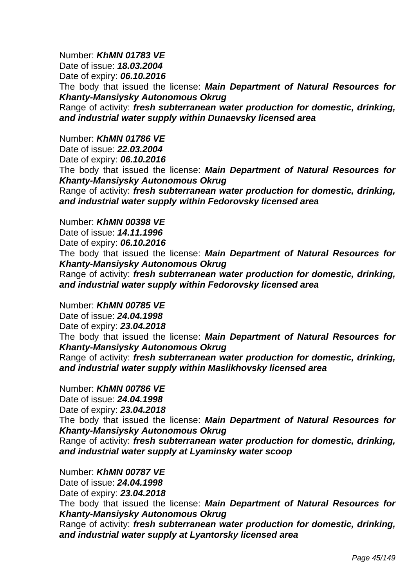Number: *KhMN 01783 VE*  Date of issue: *18.03.2004*  Date of expiry: *06.10.2016*  The body that issued the license: *Main Department of Natural Resources for Khanty-Mansiysky Autonomous Okrug* Range of activity: *fresh subterranean water production for domestic, drinking, and industrial water supply within Dunaevsky licensed area* 

Number: *KhMN 01786 VE* 

Date of issue: *22.03.2004* 

Date of expiry: *06.10.2016* 

 The body that issued the license: *Main Department of Natural Resources for Khanty-Mansiysky Autonomous Okrug*

Range of activity: *fresh subterranean water production for domestic, drinking, and industrial water supply within Fedorovsky licensed area* 

Number: *KhMN 00398 VE* 

Date of issue: *14.11.1996* 

Date of expiry: *06.10.2016* 

 The body that issued the license: *Main Department of Natural Resources for Khanty-Mansiysky Autonomous Okrug* 

 Range of activity: *fresh subterranean water production for domestic, drinking, and industrial water supply within Fedorovsky licensed area* 

Number: *KhMN 00785 VE* 

Date of issue: *24.04.1998* 

Date of expiry: *23.04.2018* 

 The body that issued the license: *Main Department of Natural Resources for Khanty-Mansiysky Autonomous Okrug* 

 Range of activity: *fresh subterranean water production for domestic, drinking, and industrial water supply within Maslikhovsky licensed area* 

Number: *KhMN 00786 VE*  Date of issue: *24.04.1998*  Date of expiry: *23.04.2018*

 The body that issued the license: *Main Department of Natural Resources for Khanty-Mansiysky Autonomous Okrug* 

 Range of activity: *fresh subterranean water production for domestic, drinking, and industrial water supply at Lyaminsky water scoop* 

Number: *KhMN 00787 VE* 

Date of issue: *24.04.1998* 

Date of expiry: *23.04.2018* 

 The body that issued the license: *Main Department of Natural Resources for Khanty-Mansiysky Autonomous Okrug* 

 Range of activity: *fresh subterranean water production for domestic, drinking, and industrial water supply at Lyantorsky licensed area*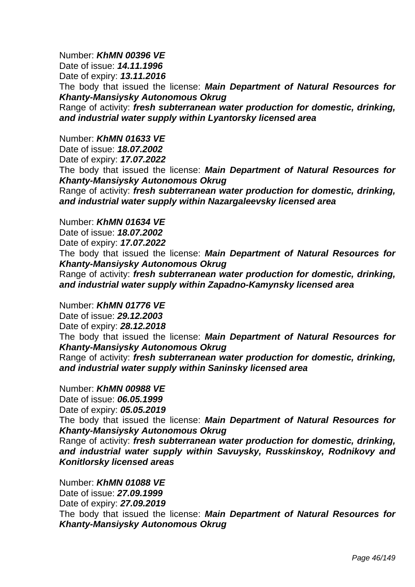Number: *KhMN 00396 VE* 

Date of issue: *14.11.1996* 

Date of expiry: *13.11.2016* 

 The body that issued the license: *Main Department of Natural Resources for Khanty-Mansiysky Autonomous Okrug* 

 Range of activity: *fresh subterranean water production for domestic, drinking, and industrial water supply within Lyantorsky licensed area* 

Number: *KhMN 01633 VE* 

Date of issue: *18.07.2002*  Date of expiry: *17.07.2022* 

The body that issued the license: *Main Department of Natural Resources for Khanty-Mansiysky Autonomous Okrug*

Range of activity: *fresh subterranean water production for domestic, drinking, and industrial water supply within Nazargaleevsky licensed area* 

Number: *KhMN 01634 VE* 

Date of issue: *18.07.2002* 

Date of expiry: *17.07.2022* 

The body that issued the license: *Main Department of Natural Resources for Khanty-Mansiysky Autonomous Okrug*

Range of activity: *fresh subterranean water production for domestic, drinking, and industrial water supply within Zapadno-Kamynsky licensed area* 

Number: *KhMN 01776 VE* 

Date of issue: *29.12.2003* 

Date of expiry: *28.12.2018* 

The body that issued the license: *Main Department of Natural Resources for Khanty-Mansiysky Autonomous Okrug*

Range of activity: *fresh subterranean water production for domestic, drinking, and industrial water supply within Saninsky licensed area* 

Number: *KhMN 00988 VE*  Date of issue: *06.05.1999*  Date of expiry: *05.05.2019* 

 The body that issued the license: *Main Department of Natural Resources for Khanty-Mansiysky Autonomous Okrug* 

 Range of activity: *fresh subterranean water production for domestic, drinking, and industrial water supply within Savuysky, Russkinskoy, Rodnikovy and Konitlorsky licensed areas* 

Number: *KhMN 01088 VE*  Date of issue: *27.09.1999*  Date of expiry: *27.09.2019*  The body that issued the license: *Main Department of Natural Resources for Khanty-Mansiysky Autonomous Okrug*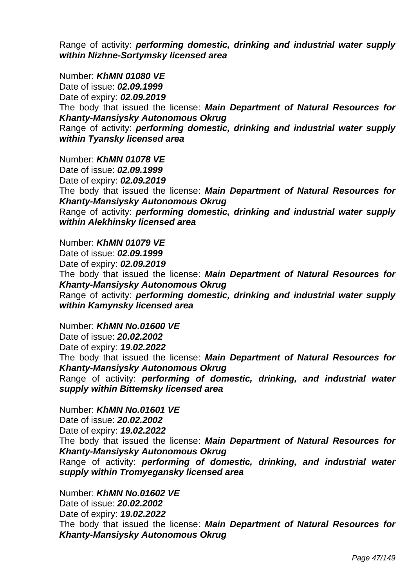Range of activity: *performing domestic, drinking and industrial water supply within Nizhne-Sortymsky licensed area* 

Number: *KhMN 01080 VE*  Date of issue: *02.09.1999*  Date of expiry: *02.09.2019*  The body that issued the license: *Main Department of Natural Resources for Khanty-Mansiysky Autonomous Okrug*  Range of activity: *performing domestic, drinking and industrial water supply within Tyansky licensed area* 

Number: *KhMN 01078 VE*  Date of issue: *02.09.1999* 

Date of expiry: *02.09.2019* 

 The body that issued the license: *Main Department of Natural Resources for Khanty-Mansiysky Autonomous Okrug* 

 Range of activity: *performing domestic, drinking and industrial water supply within Alekhinsky licensed area* 

Number: *KhMN 01079 VE* 

Date of issue: *02.09.1999* 

Date of expiry: *02.09.2019* 

 The body that issued the license: *Main Department of Natural Resources for Khanty-Mansiysky Autonomous Okrug* 

 Range of activity: *performing domestic, drinking and industrial water supply within Kamynsky licensed area* 

Number: *KhMN No.01600 VE* 

Date of issue: *20.02.2002* 

Date of expiry: *19.02.2022* 

The body that issued the license: *Main Department of Natural Resources for Khanty-Mansiysky Autonomous Okrug*

Range of activity: *performing of domestic, drinking, and industrial water supply within Bittemsky licensed area* 

Number: *KhMN No.01601 VE* 

Date of issue: *20.02.2002*  Date of expiry: *19.02.2022* 

The body that issued the license: *Main Department of Natural Resources for Khanty-Mansiysky Autonomous Okrug*

Range of activity: *performing of domestic, drinking, and industrial water supply within Tromyegansky licensed area* 

Number: *KhMN No.01602 VE*  Date of issue: *20.02.2002*  Date of expiry: *19.02.2022*  The body that issued the license: *Main Department of Natural Resources for Khanty-Mansiysky Autonomous Okrug*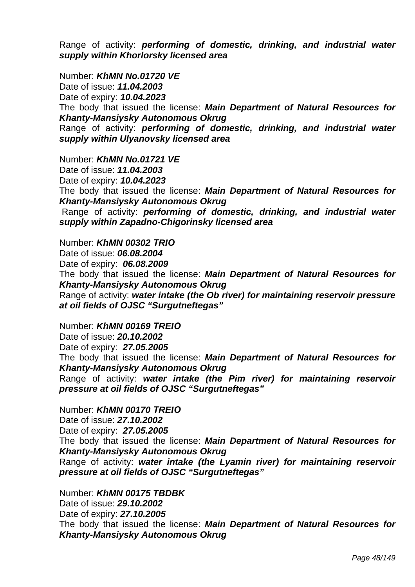Range of activity: *performing of domestic, drinking, and industrial water supply within Khorlorsky licensed area* 

Number: *KhMN No.01720 VE*  Date of issue: *11.04.2003*  Date of expiry: *10.04.2023*  The body that issued the license: *Main Department of Natural Resources for Khanty-Mansiysky Autonomous Okrug* Range of activity: *performing of domestic, drinking, and industrial water supply within Ulyanovsky licensed area* 

Number: *KhMN No.01721 VE* 

Date of issue: *11.04.2003*  Date of expiry: *10.04.2023* 

The body that issued the license: *Main Department of Natural Resources for Khanty-Mansiysky Autonomous Okrug* 

Range of activity: *performing of domestic, drinking, and industrial water supply within Zapadno-Chigorinsky licensed area* 

Number: *KhMN 00302* Т*RI*О Date of issue: *06.08.2004* Date of expiry: *06.08.2009*  The body that issued the license: *Main Department of Natural Resources for Khanty-Mansiysky Autonomous Okrug* Range of activity: *water intake (the Ob river) for maintaining reservoir pressure at oil fields of OJSC "Surgutneftegas"* 

Number: *KhMN 00169* Т*REI*О

Date of issue: *20.10.2002* Date of expiry: *27.05.2005*  The body that issued the license: *Main Department of Natural Resources for Khanty-Mansiysky Autonomous Okrug* Range of activity: *water intake (the Pim river) for maintaining reservoir pressure at oil fields of OJSC "Surgutneftegas"* 

Number: *KhMN 00170* Т*REI*О Date of issue: *27.10.2002* Date of expiry: *27.05.2005*  The body that issued the license: *Main Department of Natural Resources for Khanty-Mansiysky Autonomous Okrug* Range of activity: *water intake (the Lyamin river) for maintaining reservoir pressure at oil fields of OJSC "Surgutneftegas"* 

Number: *KhMN 00175 TBDBK*  Date of issue: *29.10.2002*  Date of expiry: *27.10.2005*  The body that issued the license: *Main Department of Natural Resources for Khanty-Mansiysky Autonomous Okrug*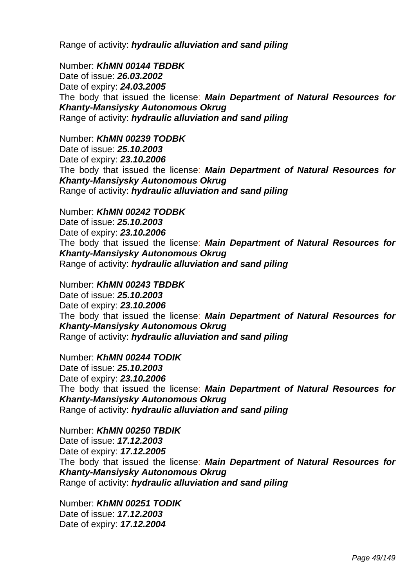Range of activity: *hydraulic alluviation and sand piling* 

Number: *KhMN 00144 TBDBK*  Date of issue: *26.03.2002*  Date of expiry: *24.03.2005*  The body that issued the license: *Main Department of Natural Resources for Khanty-Mansiysky Autonomous Okrug*  Range of activity: *hydraulic alluviation and sand piling* 

Number: *KhMN 00239 TODBK*  Date of issue: *25.10.2003*  Date of expiry: *23.10.2006*  The body that issued the license: *Main Department of Natural Resources for Khanty-Mansiysky Autonomous Okrug*  Range of activity: *hydraulic alluviation and sand piling* 

Number: *KhMN 00242 TODBK*  Date of issue: *25.10.2003*  Date of expiry: *23.10.2006*  The body that issued the license: *Main Department of Natural Resources for Khanty-Mansiysky Autonomous Okrug*  Range of activity: *hydraulic alluviation and sand piling* 

Number: *KhMN 00243 TBDBK*  Date of issue: *25.10.2003*  Date of expiry: *23.10.2006*  The body that issued the license: *Main Department of Natural Resources for Khanty-Mansiysky Autonomous Okrug*  Range of activity: *hydraulic alluviation and sand piling* 

Number: *KhMN 00244 TODIK*  Date of issue: *25.10.2003*  Date of expiry: *23.10.2006*  The body that issued the license: *Main Department of Natural Resources for Khanty-Mansiysky Autonomous Okrug*  Range of activity: *hydraulic alluviation and sand piling* 

Number: *KhMN 00250 TBDIK*  Date of issue: *17.12.2003*  Date of expiry: *17.12.2005*  The body that issued the license: *Main Department of Natural Resources for Khanty-Mansiysky Autonomous Okrug*  Range of activity: *hydraulic alluviation and sand piling* 

Number: *KhMN 00251 TODIK*  Date of issue: *17.12.2003*  Date of expiry: *17.12.2004*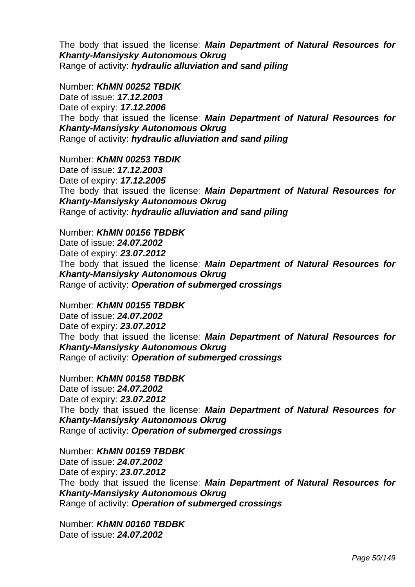The body that issued the license: *Main Department of Natural Resources for Khanty-Mansiysky Autonomous Okrug*  Range of activity: *hydraulic alluviation and sand piling* 

Number: *KhMN 00252 TBDIK*  Date of issue: *17.12.2003*  Date of expiry: *17.12.2006*  The body that issued the license: *Main Department of Natural Resources for Khanty-Mansiysky Autonomous Okrug*  Range of activity: *hydraulic alluviation and sand piling* 

Number: *KhMN 00253 TBDIK*  Date of issue: *17.12.2003*  Date of expiry: *17.12.2005*  The body that issued the license: *Main Department of Natural Resources for Khanty-Mansiysky Autonomous Okrug*  Range of activity: *hydraulic alluviation and sand piling* 

Number: *KhMN 00156 TBDBK*  Date of issue: *24.07.2002*  Date of expiry: *23.07.2012* The body that issued the license: *Main Department of Natural Resources for Khanty-Mansiysky Autonomous Okrug*  Range of activity: *Operation of submerged crossings* 

Number: *KhMN 00155 TBDBK*  Date of issue: *24.07.2002*  Date of expiry: *23.07.2012*  The body that issued the license: *Main Department of Natural Resources for Khanty-Mansiysky Autonomous Okrug*  Range of activity: *Operation of submerged crossings* 

Number: *KhMN 00158 TBDBK*  Date of issue: *24.07.2002*  Date of expiry: *23.07.2012*  The body that issued the license: *Main Department of Natural Resources for Khanty-Mansiysky Autonomous Okrug*  Range of activity: *Operation of submerged crossings* 

Number: *KhMN 00159 TBDBK*  Date of issue: *24.07.2002*  Date of expiry: *23.07.2012*  The body that issued the license: *Main Department of Natural Resources for Khanty-Mansiysky Autonomous Okrug*  Range of activity: *Operation of submerged crossings* 

Number: *KhMN 00160 TBDBK*  Date of issue: *24.07.2002*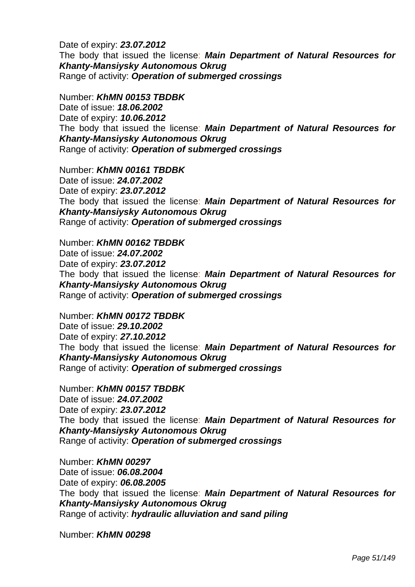Date of expiry: *23.07.2012*  The body that issued the license: *Main Department of Natural Resources for Khanty-Mansiysky Autonomous Okrug*  Range of activity: *Operation of submerged crossings* 

Number: *KhMN 00153 TBDBK*  Date of issue: *18.06.2002*  Date of expiry: *10.06.2012*  The body that issued the license: *Main Department of Natural Resources for Khanty-Mansiysky Autonomous Okrug*  Range of activity: *Operation of submerged crossings* 

Number: *KhMN 00161 TBDBK*  Date of issue: *24.07.2002*  Date of expiry: *23.07.2012*  The body that issued the license: *Main Department of Natural Resources for Khanty-Mansiysky Autonomous Okrug*  Range of activity: *Operation of submerged crossings* 

Number: *KhMN 00162 TBDBK*  Date of issue: *24.07.2002*  Date of expiry: *23.07.2012*  The body that issued the license: *Main Department of Natural Resources for Khanty-Mansiysky Autonomous Okrug*  Range of activity: *Operation of submerged crossings* 

Number: *KhMN 00172 TBDBK*  Date of issue: *29.10.2002*  Date of expiry: *27.10.2012*  The body that issued the license: *Main Department of Natural Resources for Khanty-Mansiysky Autonomous Okrug*  Range of activity: *Operation of submerged crossings* 

Number: *KhMN 00157 TBDBK*  Date of issue: *24.07.2002*  Date of expiry: *23.07.2012*  The body that issued the license: *Main Department of Natural Resources for Khanty-Mansiysky Autonomous Okrug*  Range of activity: *Operation of submerged crossings* 

Number: *KhMN 00297*  Date of issue: *06.08.2004*  Date of expiry: *06.08.2005*  The body that issued the license: *Main Department of Natural Resources for Khanty-Mansiysky Autonomous Okrug*  Range of activity: *hydraulic alluviation and sand piling* 

Number: *KhMN 00298*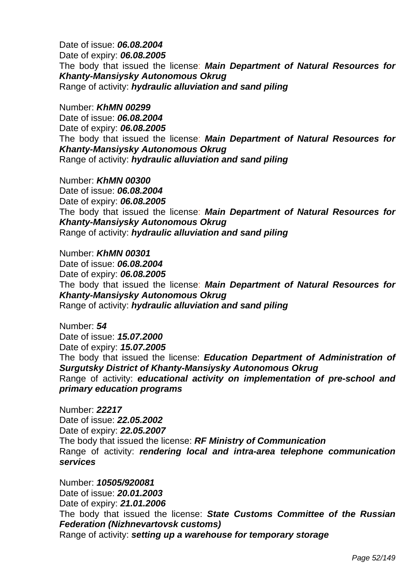Date of issue: *06.08.2004*  Date of expiry: *06.08.2005*  The body that issued the license: *Main Department of Natural Resources for Khanty-Mansiysky Autonomous Okrug*  Range of activity: *hydraulic alluviation and sand piling* 

Number: *KhMN 00299*  Date of issue: *06.08.2004*  Date of expiry: *06.08.2005*  The body that issued the license: *Main Department of Natural Resources for Khanty-Mansiysky Autonomous Okrug*  Range of activity: *hydraulic alluviation and sand piling* 

Number: *KhMN 00300*  Date of issue: *06.08.2004*  Date of expiry: *06.08.2005*  The body that issued the license: *Main Department of Natural Resources for Khanty-Mansiysky Autonomous Okrug*  Range of activity: *hydraulic alluviation and sand piling* 

Number: *KhMN 00301*  Date of issue: *06.08.2004*  Date of expiry: *06.08.2005*  The body that issued the license: *Main Department of Natural Resources for Khanty-Mansiysky Autonomous Okrug*  Range of activity: *hydraulic alluviation and sand piling* 

Number: *54*  Date of issue: *15.07.2000*  Date of expiry: *15.07.2005*  The body that issued the license: *Education Department of Administration of Surgutsky District of Khanty-Mansiysky Autonomous Okrug*  Range of activity: *educational activity on implementation of pre-school and primary education programs* 

Number: *22217*  Date of issue: *22.05.2002*  Date of expiry: *22.05.2007*  The body that issued the license: *RF Ministry of Communication*  Range of activity: *rendering local and intra-area telephone communication services* 

Number: *10505/920081*  Date of issue: *20.01.2003*  Date of expiry: *21.01.2006*  The body that issued the license: *State Customs Committee of the Russian Federation (Nizhnevartovsk customs)*  Range of activity: *setting up a warehouse for temporary storage*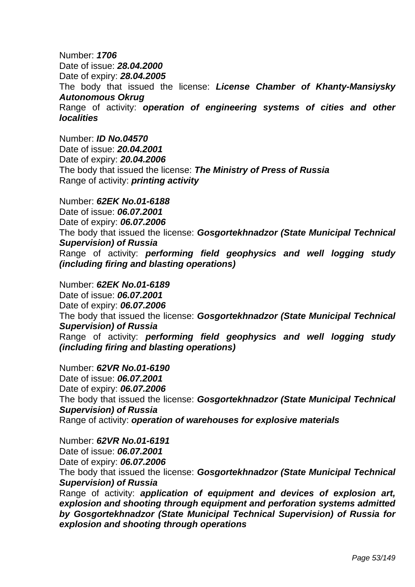Number: *1706*  Date of issue: *28.04.2000*  Date of expiry: *28.04.2005*  The body that issued the license: *License Chamber of Khanty-Mansiysky Autonomous Okrug*  Range of activity: *operation of engineering systems of cities and other localities* 

Number: *ID No.04570*  Date of issue: *20.04.2001*  Date of expiry: *20.04.2006*  The body that issued the license: *The Ministry of Press of Russia*  Range of activity: *printing activity* 

Number: *62EK No.01-6188*  Date of issue: *06.07.2001*  Date of expiry: *06.07.2006*  The body that issued the license: *Gosgortekhnadzor (State Municipal Technical Supervision) of Russia* Range of activity: *performing field geophysics and well logging study (including firing and blasting operations)* 

Number: *62EK No.01-6189*  Date of issue: *06.07.2001*  Date of expiry: *06.07.2006* The body that issued the license: *Gosgortekhnadzor (State Municipal Technical Supervision) of Russia* Range of activity: *performing field geophysics and well logging study (including firing and blasting operations)* 

Number: *62VR No.01-6190*  Date of issue: *06.07.2001*  Date of expiry: *06.07.2006*  The body that issued the license: *Gosgortekhnadzor (State Municipal Technical Supervision) of Russia*  Range of activity: *operation of warehouses for explosive materials* 

Number: *62VR No.01-6191* 

Date of issue: *06.07.2001* 

Date of expiry: *06.07.2006* 

 The body that issued the license: *Gosgortekhnadzor (State Municipal Technical Supervision) of Russia* 

Range of activity: *application of equipment and devices of explosion art, explosion and shooting through equipment and perforation systems admitted by Gosgortekhnadzor (State Municipal Technical Supervision) of Russia for explosion and shooting through operations*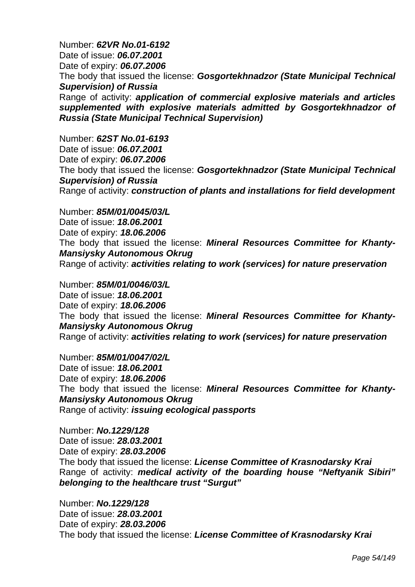Number: *62VR No.01-6192*  Date of issue: *06.07.2001*  Date of expiry: *06.07.2006*  The body that issued the license: *Gosgortekhnadzor (State Municipal Technical Supervision) of Russia*  Range of activity: *application of commercial explosive materials and articles supplemented with explosive materials admitted by Gosgortekhnadzor of Russia (State Municipal Technical Supervision)* 

Number: *62ST No.01-6193*  Date of issue: *06.07.2001*  Date of expiry: *06.07.2006*  The body that issued the license: *Gosgortekhnadzor (State Municipal Technical Supervision) of Russia*  Range of activity: *construction of plants and installations for field development* 

Number: *85M/01/0045/03/L*  Date of issue: *18.06.2001*  Date of expiry: *18.06.2006*  The body that issued the license: *Mineral Resources Committee for Khanty-Mansiysky Autonomous Okrug*  Range of activity: *activities relating to work (services) for nature preservation* 

Number: *85M/01/0046/03/L*  Date of issue: *18.06.2001*  Date of expiry: *18.06.2006*  The body that issued the license: *Mineral Resources Committee for Khanty-Mansiysky Autonomous Okrug*  Range of activity: *activities relating to work (services) for nature preservation* 

Number: *85M/01/0047/02/L*  Date of issue: *18.06.2001*  Date of expiry: *18.06.2006*  The body that issued the license: *Mineral Resources Committee for Khanty-Mansiysky Autonomous Okrug*  Range of activity: *issuing ecological passports* 

Number: *No.1229/128*  Date of issue: *28.03.2001*  Date of expiry: *28.03.2006*  The body that issued the license: *License Committee of Krasnodarsky Krai*  Range of activity: *medical activity of the boarding house "Neftyanik Sibiri" belonging to the healthcare trust "Surgut"* 

Number: *No.1229/128*  Date of issue: *28.03.2001*  Date of expiry: *28.03.2006*  The body that issued the license: *License Committee of Krasnodarsky Krai*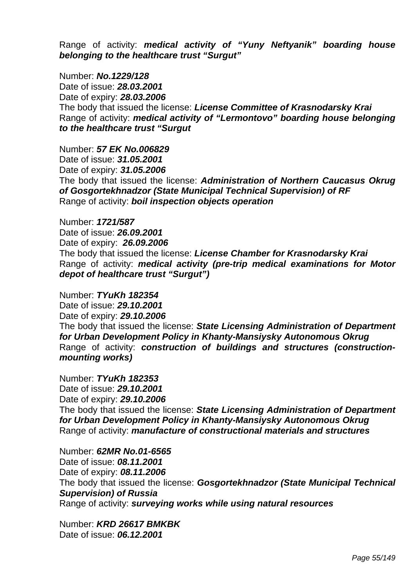Range of activity: *medical activity of "Yuny Neftyanik" boarding house belonging to the healthcare trust "Surgut"* 

Number: *No.1229/128*  Date of issue: *28.03.2001*  Date of expiry: *28.03.2006*  The body that issued the license: *License Committee of Krasnodarsky Krai*  Range of activity: *medical activity of "Lermontovo" boarding house belonging to the healthcare trust "Surgut*

Number: *57 EK No.006829*  Date of issue: *31.05.2001*  Date of expiry: *31.05.2006*  The body that issued the license: *Administration of Northern Caucasus Okrug of Gosgortekhnadzor (State Municipal Technical Supervision) of RF*  Range of activity: *boil inspection objects operation* 

Number: *1721/587*  Date of issue: *26.09.2001*  Date of expiry: *26.09.2006*  The body that issued the license: *License Chamber for Krasnodarsky Krai*  Range of activity: *medical activity (pre-trip medical examinations for Motor depot of healthcare trust "Surgut")* 

Number: *TYuKh 182354*  Date of issue: *29.10.2001*  Date of expiry: *29.10.2006*  The body that issued the license: *State Licensing Administration of Department for Urban Development Policy in Khanty-Mansiysky Autonomous Okrug*  Range of activity: *construction of buildings and structures (constructionmounting works)* 

Number: *TYuKh 182353*  Date of issue: *29.10.2001*  Date of expiry: *29.10.2006*  The body that issued the license: *State Licensing Administration of Department for Urban Development Policy in Khanty-Mansiysky Autonomous Okrug*  Range of activity: *manufacture of constructional materials and structures* 

Number: *62MR No.01-6565*  Date of issue: *08.11.2001*  Date of expiry: *08.11.2006*  The body that issued the license: *Gosgortekhnadzor (State Municipal Technical Supervision) of Russia*  Range of activity: *surveying works while using natural resources* 

Number: *KRD 26617 BMKBK*  Date of issue: *06.12.2001*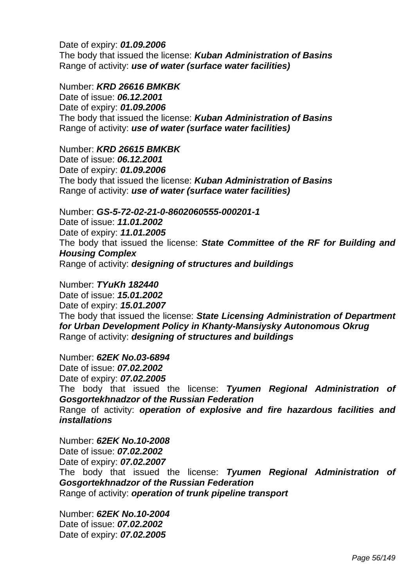Date of expiry: *01.09.2006*  The body that issued the license: *Kuban Administration of Basins*  Range of activity: *use of water (surface water facilities)* 

#### Number: *KRD 26616 BMKBK*

Date of issue: *06.12.2001*  Date of expiry: *01.09.2006*  The body that issued the license: *Kuban Administration of Basins*  Range of activity: *use of water (surface water facilities)* 

#### Number: *KRD 26615 BMKBK*

Date of issue: *06.12.2001*  Date of expiry: *01.09.2006*  The body that issued the license: *Kuban Administration of Basins*  Range of activity: *use of water (surface water facilities)* 

Number: *GS-5-72-02-21-0-8602060555-000201-1*  Date of issue: *11.01.2002*  Date of expiry: *11.01.2005* The body that issued the license: *State Committee of the RF for Building and Housing Complex*  Range of activity: *designing of structures and buildings* 

Number: *TYuKh 182440*  Date of issue: *15.01.2002*  Date of expiry: *15.01.2007* The body that issued the license: *State Licensing Administration of Department for Urban Development Policy in Khanty-Mansiysky Autonomous Okrug*  Range of activity: *designing of structures and buildings* 

Number: *62EK No.03-6894*  Date of issue: *07.02.2002*  Date of expiry: *07.02.2005*  The body that issued the license: *Tyumen Regional Administration of Gosgortekhnadzor of the Russian Federation*  Range of activity: *operation of explosive and fire hazardous facilities and installations* 

Number: *62EK No.10-2008*  Date of issue: *07.02.2002*  Date of expiry: *07.02.2007*  The body that issued the license: *Tyumen Regional Administration of Gosgortekhnadzor of the Russian Federation*  Range of activity: *operation of trunk pipeline transport* 

Number: *62EK No.10-2004*  Date of issue: *07.02.2002*  Date of expiry: *07.02.2005*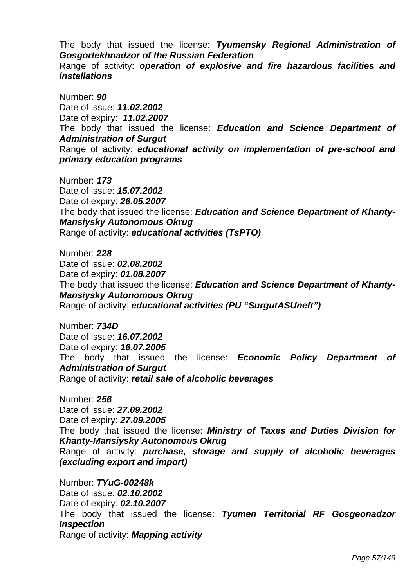The body that issued the license: *Tyumensky Regional Administration of Gosgortekhnadzor of the Russian Federation* 

Range of activity: *operation of explosive and fire hazardous facilities and installations* 

Number: *90*  Date of issue: *11.02.2002*  Date of expiry: *11.02.2007*  The body that issued the license: *Education and Science Department of Administration of Surgut*  Range of activity: *educational activity on implementation of pre-school and primary education programs* 

Number: *173*  Date of issue: *15.07.2002*  Date of expiry: *26.05.2007*  The body that issued the license: *Education and Science Department of Khanty-Mansiysky Autonomous Okrug*  Range of activity: *educational activities (TsPTO)* 

Number: *228*  Date of issue: *02.08.2002*  Date of expiry: *01.08.2007* The body that issued the license: *Education and Science Department of Khanty-Mansiysky Autonomous Okrug*  Range of activity: *educational activities (PU "SurgutASUneft")* 

Number: *734D*  Date of issue: *16.07.2002*  Date of expiry: *16.07.2005*  The body that issued the license: *Economic Policy Department of Administration of Surgut*  Range of activity: *retail sale of alcoholic beverages* 

Number: *256*  Date of issue: *27.09.2002*  Date of expiry: *27.09.2005* The body that issued the license: *Ministry of Taxes and Duties Division for Khanty-Mansiysky Autonomous Okrug*  Range of activity: *purchase, storage and supply of alcoholic beverages (excluding export and import)* 

Number: *TYuG-00248k*  Date of issue: *02.10.2002*  Date of expiry: *02.10.2007*  The body that issued the license: *Tyumen Territorial RF Gosgeonadzor Inspection*  Range of activity: *Mapping activity*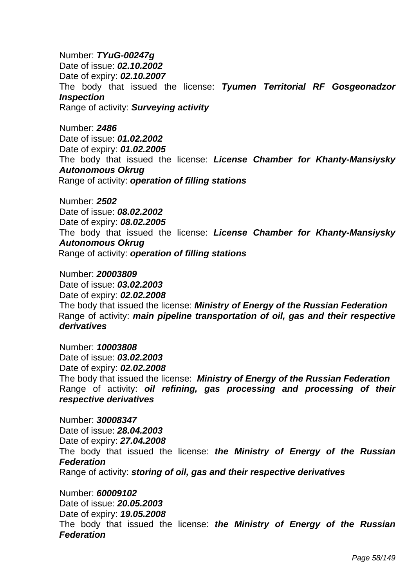Number: *TYuG-00247g*  Date of issue: *02.10.2002*  Date of expiry: *02.10.2007*  The body that issued the license: *Tyumen Territorial RF Gosgeonadzor Inspection*  Range of activity: *Surveying activity* 

Number: *2486*  Date of issue: *01.02.2002*  Date of expiry: *01.02.2005* The body that issued the license: *License Chamber for Khanty-Mansiysky Autonomous Okrug*  Range of activity: *operation of filling stations* 

Number: *2502*  Date of issue: *08.02.2002*  Date of expiry: *08.02.2005*  The body that issued the license: *License Chamber for Khanty-Mansiysky Autonomous Okrug*  Range of activity: *operation of filling stations* 

Number: *20003809*  Date of issue: *03.02.2003*  Date of expiry: *02.02.2008* The body that issued the license: *Ministry of Energy of the Russian Federation*  Range of activity: *main pipeline transportation of oil, gas and their respective derivatives* 

Number: *10003808*  Date of issue: *03.02.2003*  Date of expiry: *02.02.2008*  The body that issued the license: *Ministry of Energy of the Russian Federation*  Range of activity: *oil refining, gas processing and processing of their respective derivatives* 

Number: *30008347*  Date of issue: *28.04.2003*  Date of expiry: *27.04.2008*  The body that issued the license: *the Ministry of Energy of the Russian Federation*  Range of activity: *storing of oil, gas and their respective derivatives* 

Number: *60009102*  Date of issue: *20.05.2003*  Date of expiry: *19.05.2008*  The body that issued the license: *the Ministry of Energy of the Russian Federation*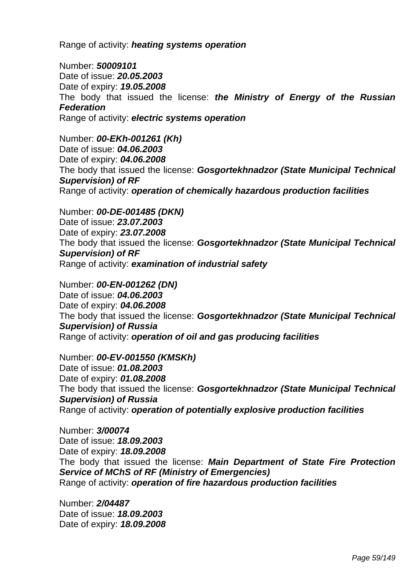Range of activity: *heating systems operation* 

Number: *50009101*  Date of issue: *20.05.2003*  Date of expiry: *19.05.2008*  The body that issued the license: *the Ministry of Energy of the Russian Federation*  Range of activity: *electric systems operation*

Number: *00-EKh-001261 (Kh)*  Date of issue: *04.06.2003*  Date of expiry: *04.06.2008*  The body that issued the license: *Gosgortekhnadzor (State Municipal Technical Supervision) of RF*  Range of activity: *operation of chemically hazardous production facilities* 

Number: *00-DE-001485 (DKN)*  Date of issue: *23.07.2003*  Date of expiry: *23.07.2008*  The body that issued the license: *Gosgortekhnadzor (State Municipal Technical Supervision) of RF*  Range of activity: *examination of industrial safety* 

Number: *00-EN-001262 (DN)*  Date of issue: *04.06.2003*  Date of expiry: *04.06.2008*  The body that issued the license: *Gosgortekhnadzor (State Municipal Technical Supervision) of Russia*  Range of activity: *operation of oil and gas producing facilities* 

Number: *00-EV-001550 (KMSKh)*  Date of issue: *01.08.2003*  Date of expiry: *01.08.2008*  The body that issued the license: *Gosgortekhnadzor (State Municipal Technical Supervision) of Russia*  Range of activity: *operation of potentially explosive production facilities* 

Number: *3/00074*  Date of issue: *18.09.2003*  Date of expiry: *18.09.2008*  The body that issued the license: *Main Department of State Fire Protection Service of MChS of RF (Ministry of Emergencies)*  Range of activity: *operation of fire hazardous production facilities* 

Number: *2/04487*  Date of issue: *18.09.2003*  Date of expiry: *18.09.2008*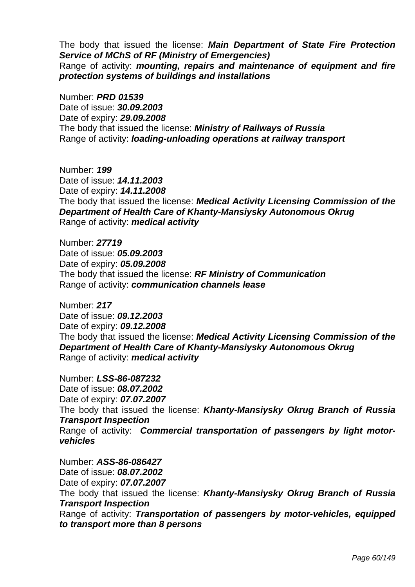The body that issued the license: *Main Department of State Fire Protection Service of MChS of RF (Ministry of Emergencies)*  Range of activity: *mounting, repairs and maintenance of equipment and fire protection systems of buildings and installations* 

Number: *PRD 01539*  Date of issue: *30.09.2003*  Date of expiry: *29.09.2008* The body that issued the license: *Ministry of Railways of Russia* Range of activity: *loading-unloading operations at railway transport* 

Number: *199*  Date of issue: *14.11.2003*  Date of expiry: *14.11.2008* The body that issued the license: *Medical Activity Licensing Commission of the Department of Health Care of Khanty-Mansiysky Autonomous Okrug*  Range of activity: *medical activity* 

Number: *27719*  Date of issue: *05.09.2003*  Date of expiry: *05.09.2008*  The body that issued the license: *RF Ministry of Communication*  Range of activity: *communication channels lease* 

Number: *217*  Date of issue: *09.12.2003*  Date of expiry: *09.12.2008* The body that issued the license: *Medical Activity Licensing Commission of the Department of Health Care of Khanty-Mansiysky Autonomous Okrug* Range of activity: *medical activity* 

Number: *LSS-86-087232*  Date of issue: *08.07.2002*  Date of expiry: *07.07.2007* The body that issued the license: *Khanty-Mansiysky Okrug Branch of Russia Transport Inspection* Range of activity: *Commercial transportation of passengers by light motorvehicles* 

Number: *ASS-86-086427*  Date of issue: *08.07.2002*  Date of expiry: *07.07.2007* The body that issued the license: *Khanty-Mansiysky Okrug Branch of Russia Transport Inspection* Range of activity: *Transportation of passengers by motor-vehicles, equipped to transport more than 8 persons*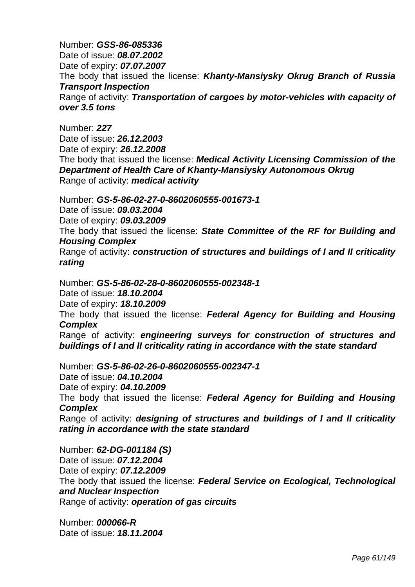Number: *GSS-86-085336*  Date of issue: *08.07.2002*  Date of expiry: *07.07.2007* The body that issued the license: *Khanty-Mansiysky Okrug Branch of Russia Transport Inspection* Range of activity: *Transportation of cargoes by motor-vehicles with capacity of over 3.5 tons* 

Number: *227*  Date of issue: *26.12.2003*  Date of expiry: *26.12.2008* The body that issued the license: *Medical Activity Licensing Commission of the Department of Health Care of Khanty-Mansiysky Autonomous Okrug* Range of activity: *medical activity* 

Number: *GS-5-86-02-27-0-8602060555-001673-1* 

Date of issue: *09.03.2004* 

Date of expiry: *09.03.2009*

The body that issued the license: *State Committee of the RF for Building and Housing Complex* 

Range of activity: *construction of structures and buildings of I and II criticality rating* 

Number: *GS-5-86-02-28-0-8602060555-002348-1*  Date of issue: *18.10.2004*  Date of expiry: *18.10.2009* The body that issued the license: *Federal Agency for Building and Housing Complex*  Range of activity: *engineering surveys for construction of structures and buildings of I and II criticality rating in accordance with the state standard* 

Number: *GS-5-86-02-26-0-8602060555-002347-1*  Date of issue: *04.10.2004*  Date of expiry: *04.10.2009* The body that issued the license: *Federal Agency for Building and Housing Complex*  Range of activity: *designing of structures and buildings of I and II criticality rating in accordance with the state standard* 

Number: *62-DG-001184 (S)*  Date of issue: *07.12.2004*  Date of expiry: *07.12.2009* The body that issued the license: *Federal Service on Ecological, Technological and Nuclear Inspection*  Range of activity: *operation of gas circuits* 

Number: *000066-R*  Date of issue: *18.11.2004*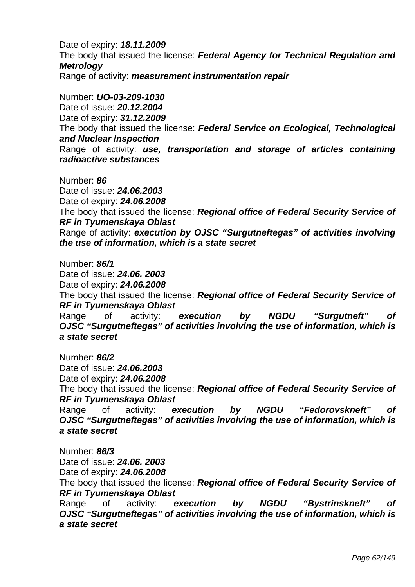Date of expiry: *18.11.2009* The body that issued the license: *Federal Agency for Technical Regulation and Metrology*  Range of activity: *measurement instrumentation repair* 

Number: *UO-03-209-1030*  Date of issue: *20.12.2004*  Date of expiry: *31.12.2009* The body that issued the license: *Federal Service on Ecological, Technological and Nuclear Inspection*  Range of activity: *use, transportation and storage of articles containing radioactive substances* 

Number: *86*  Date of issue: *24.06.2003*  Date of expiry: *24.06.2008*  The body that issued the license: *Regional office of Federal Security Service of RF in Tyumenskaya Oblast*  Range of activity: *execution by OJSC "Surgutneftegas" of activities involving the use of information, which is a state secret* 

Number: *86/1*  Date of issue: *24.06. 2003*  Date of expiry: *24.06.2008*  The body that issued the license: *Regional office of Federal Security Service of RF in Tyumenskaya Oblast*  Range of activity: *execution by NGDU "Surgutneft" of* 

*OJSC "Surgutneftegas" of activities involving the use of information, which is a state secret* 

Number: *86/2*  Date of issue: *24.06.2003* 

Date of expiry: *24.06.2008*

 The body that issued the license: *Regional office of Federal Security Service of RF in Tyumenskaya Oblast* 

Range of activity: *execution by NGDU "Fedorovskneft" of OJSC "Surgutneftegas" of activities involving the use of information, which is a state secret* 

Number: *86/3* 

Date of issue: *24.06. 2003* 

Date of expiry: *24.06.2008*

 The body that issued the license: *Regional office of Federal Security Service of RF in Tyumenskaya Oblast* 

Range of activity: *execution by NGDU "Bystrinskneft" of OJSC "Surgutneftegas" of activities involving the use of information, which is a state secret*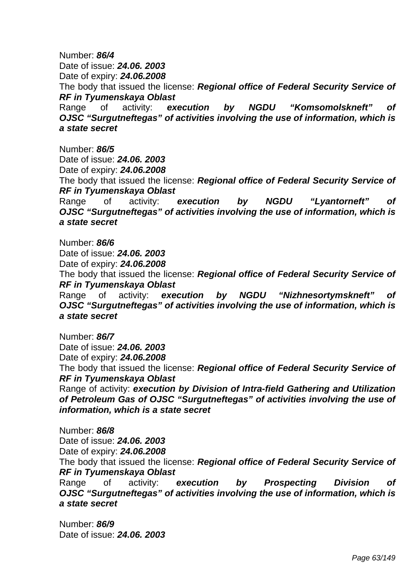Number: *86/4*  Date of issue: *24.06. 2003*  Date of expiry: *24.06.2008* The body that issued the license: *Regional office of Federal Security Service of RF in Tyumenskaya Oblast*  Range of activity: execution by NGDU "Komsomolskneft" *OJSC "Surgutneftegas" of activities involving the use of information, which is* 

*a state secret* 

Number: *86/5*  Date of issue: *24.06. 2003*  Date of expiry: *24.06.2008*

 The body that issued the license: *Regional office of Federal Security Service of RF in Tyumenskaya Oblast* 

Range of activity: *execution by NGDU "Lyantorneft" of OJSC "Surgutneftegas" of activities involving the use of information, which is a state secret* 

Number: *86/6* 

Date of issue: *24.06. 2003* 

Date of expiry: *24.06.2008*

 The body that issued the license: *Regional office of Federal Security Service of RF in Tyumenskaya Oblast* 

Range of activity: execution by NGDU "Nizhnesortymskneft" *OJSC "Surgutneftegas" of activities involving the use of information, which is a state secret* 

Number: *86/7* 

Date of issue: *24.06. 2003* 

Date of expiry: *24.06.2008*

 The body that issued the license: *Regional office of Federal Security Service of RF in Tyumenskaya Oblast* 

Range of activity: *execution by Division of Intra-field Gathering and Utilization of Petroleum Gas of OJSC "Surgutneftegas" of activities involving the use of information, which is a state secret* 

Number: *86/8*  Date of issue: *24.06. 2003*  Date of expiry: *24.06.2008* The body that issued the license: *Regional office of Federal Security Service of RF in Tyumenskaya Oblast* 

Range of activity: *execution by Prospecting Division of OJSC "Surgutneftegas" of activities involving the use of information, which is a state secret* 

Number: *86/9*  Date of issue: *24.06. 2003*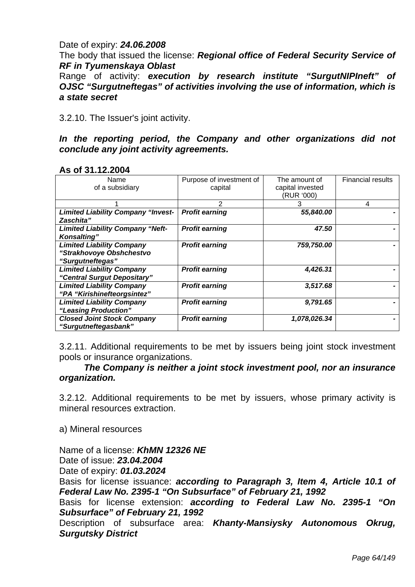### Date of expiry: *24.06.2008*

 The body that issued the license: *Regional office of Federal Security Service of RF in Tyumenskaya Oblast* 

Range of activity: *execution by research institute "SurgutNIPIneft" of OJSC "Surgutneftegas" of activities involving the use of information, which is a state secret* 

3.2.10. The Issuer's joint activity.

In the reporting period, the Company and other organizations did not *conclude any joint activity agreements.* 

| Name                                      | Purpose of investment of | The amount of    | <b>Financial results</b> |
|-------------------------------------------|--------------------------|------------------|--------------------------|
| of a subsidiary                           | capital                  | capital invested |                          |
|                                           |                          | (RUR '000)       |                          |
|                                           | 2                        |                  | 4                        |
| <b>Limited Liability Company "Invest-</b> | <b>Profit earning</b>    | 55,840.00        |                          |
| Zaschita"                                 |                          |                  |                          |
| <b>Limited Liability Company "Neft-</b>   | <b>Profit earning</b>    | 47.50            |                          |
| <b>Konsalting"</b>                        |                          |                  |                          |
| <b>Limited Liability Company</b>          | <b>Profit earning</b>    | 759,750.00       |                          |
| "Strakhovoye Obshchestvo                  |                          |                  |                          |
| "Surgutneftegas"                          |                          |                  |                          |
| <b>Limited Liability Company</b>          | <b>Profit earning</b>    | 4,426.31         |                          |
| "Central Surgut Depositary"               |                          |                  |                          |
| <b>Limited Liability Company</b>          | <b>Profit earning</b>    | 3,517.68         |                          |
| "PA "Kirishinefteorgsintez"               |                          |                  |                          |
| <b>Limited Liability Company</b>          | <b>Profit earning</b>    | 9,791.65         |                          |
| "Leasing Production"                      |                          |                  |                          |
| <b>Closed Joint Stock Company</b>         | <b>Profit earning</b>    | 1,078,026.34     |                          |
| "Surgutneftegasbank"                      |                          |                  |                          |
|                                           |                          |                  |                          |

#### **As of 31.12.2004**

3.2.11. Additional requirements to be met by issuers being joint stock investment pools or insurance organizations.

### *The Company is neither a joint stock investment pool, nor an insurance organization.*

3.2.12. Additional requirements to be met by issuers, whose primary activity is mineral resources extraction.

a) Mineral resources

Name of a license: *KhMN 12326 NE* Date of issue: *23.04.2004* 

Date of expiry: *01.03.2024* 

Basis for license issuance: *according to Paragraph 3, Item 4, Article 10.1 of Federal Law No. 2395-1 "On Subsurface" of February 21, 1992* 

Basis for license extension: *according to Federal Law No. 2395-1 "On Subsurface" of February 21, 1992* 

Description of subsurface area: *Khanty-Mansiysky Autonomous Okrug, Surgutsky District*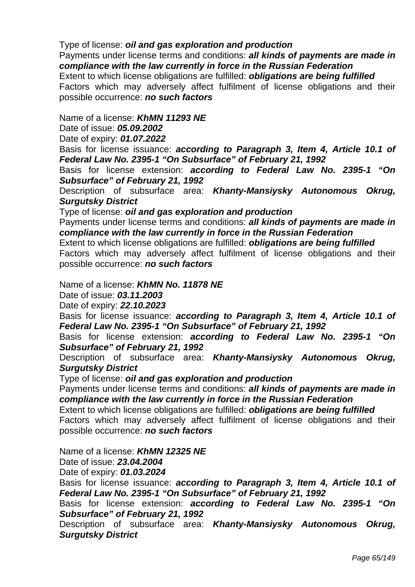## Type of license: *oil and gas exploration and production*

Payments under license terms and conditions: *all kinds of payments are made in compliance with the law currently in force in the Russian Federation* 

Extent to which license obligations are fulfilled: *obligations are being fulfilled*  Factors which may adversely affect fulfilment of license obligations and their possible occurrence: *no such factors* 

### Name of a license: *KhMN 11293 NE*

Date of issue: *05.09.2002* 

Date of expiry: *01.07.2022* 

Basis for license issuance: *according to Paragraph 3, Item 4, Article 10.1 of Federal Law No. 2395-1 "On Subsurface" of February 21, 1992* 

Basis for license extension: *according to Federal Law No. 2395-1 "On Subsurface" of February 21, 1992* 

Description of subsurface area: *Khanty-Mansiysky Autonomous Okrug, Surgutsky District* 

Type of license: *oil and gas exploration and production* 

Payments under license terms and conditions: *all kinds of payments are made in compliance with the law currently in force in the Russian Federation* 

Extent to which license obligations are fulfilled: *obligations are being fulfilled* 

 Factors which may adversely affect fulfilment of license obligations and their possible occurrence: *no such factors* 

Name of a license: *KhMN No. 11878 NE*

Date of issue: *03.11.2003* 

Date of expiry: *22.10.2023* 

Basis for license issuance: *according to Paragraph 3, Item 4, Article 10.1 of Federal Law No. 2395-1 "On Subsurface" of February 21, 1992* 

Basis for license extension: *according to Federal Law No. 2395-1 "On Subsurface" of February 21, 1992* 

Description of subsurface area: *Khanty-Mansiysky Autonomous Okrug, Surgutsky District* 

Type of license: *oil and gas exploration and production* 

Payments under license terms and conditions: *all kinds of payments are made in compliance with the law currently in force in the Russian Federation* 

Extent to which license obligations are fulfilled: *obligations are being fulfilled*  Factors which may adversely affect fulfilment of license obligations and their possible occurrence: *no such factors* 

Name of a license: *KhMN 12325 NE*

Date of issue: *23.04.2004* 

Date of expiry: *01.03.2024* 

Basis for license issuance: *according to Paragraph 3, Item 4, Article 10.1 of Federal Law No. 2395-1 "On Subsurface" of February 21, 1992* 

Basis for license extension: *according to Federal Law No. 2395-1 "On Subsurface" of February 21, 1992* 

Description of subsurface area: *Khanty-Mansiysky Autonomous Okrug, Surgutsky District*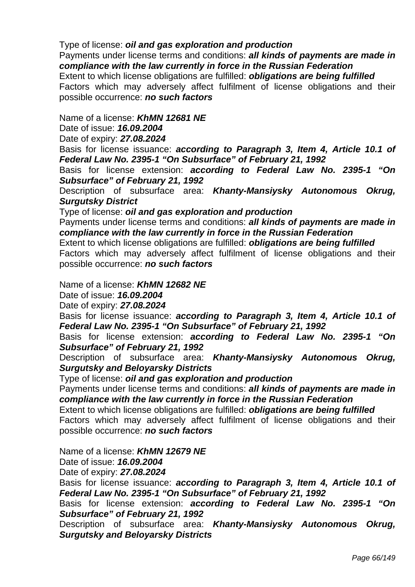## Type of license: *oil and gas exploration and production*

Payments under license terms and conditions: *all kinds of payments are made in compliance with the law currently in force in the Russian Federation* 

Extent to which license obligations are fulfilled: *obligations are being fulfilled*  Factors which may adversely affect fulfilment of license obligations and their possible occurrence: *no such factors* 

### Name of a license: *KhMN 12681 NE*

Date of issue: *16.09.2004* 

Date of expiry: *27.08.2024* 

Basis for license issuance: *according to Paragraph 3, Item 4, Article 10.1 of Federal Law No. 2395-1 "On Subsurface" of February 21, 1992* 

Basis for license extension: *according to Federal Law No. 2395-1 "On Subsurface" of February 21, 1992* 

Description of subsurface area: *Khanty-Mansiysky Autonomous Okrug, Surgutsky District* 

Type of license: *oil and gas exploration and production* 

Payments under license terms and conditions: *all kinds of payments are made in compliance with the law currently in force in the Russian Federation* 

Extent to which license obligations are fulfilled: *obligations are being fulfilled*  Factors which may adversely affect fulfilment of license obligations and their

possible occurrence: *no such factors* 

Name of a license: *KhMN 12682 NE*

Date of issue: *16.09.2004* 

Date of expiry: *27.08.2024* 

Basis for license issuance: *according to Paragraph 3, Item 4, Article 10.1 of Federal Law No. 2395-1 "On Subsurface" of February 21, 1992* 

Basis for license extension: *according to Federal Law No. 2395-1 "On Subsurface" of February 21, 1992* 

Description of subsurface area: *Khanty-Mansiysky Autonomous Okrug, Surgutsky and Beloyarsky Districts* 

Type of license: *oil and gas exploration and production* 

Payments under license terms and conditions: *all kinds of payments are made in compliance with the law currently in force in the Russian Federation* 

Extent to which license obligations are fulfilled: *obligations are being fulfilled*  Factors which may adversely affect fulfilment of license obligations and their possible occurrence: *no such factors* 

Name of a license: *KhMN 12679 NE*

Date of issue: *16.09.2004* 

Date of expiry: *27.08.2024* 

Basis for license issuance: *according to Paragraph 3, Item 4, Article 10.1 of Federal Law No. 2395-1 "On Subsurface" of February 21, 1992* 

Basis for license extension: *according to Federal Law No. 2395-1 "On Subsurface" of February 21, 1992* 

Description of subsurface area: *Khanty-Mansiysky Autonomous Okrug, Surgutsky and Beloyarsky Districts*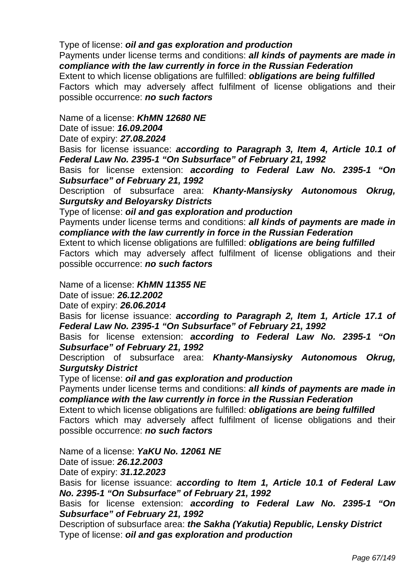## Type of license: *oil and gas exploration and production*

Payments under license terms and conditions: *all kinds of payments are made in compliance with the law currently in force in the Russian Federation* 

Extent to which license obligations are fulfilled: *obligations are being fulfilled*  Factors which may adversely affect fulfilment of license obligations and their possible occurrence: *no such factors* 

### Name of a license: *KhMN 12680 NE*

Date of issue: *16.09.2004* 

Date of expiry: *27.08.2024* 

Basis for license issuance: *according to Paragraph 3, Item 4, Article 10.1 of Federal Law No. 2395-1 "On Subsurface" of February 21, 1992* 

Basis for license extension: *according to Federal Law No. 2395-1 "On Subsurface" of February 21, 1992* 

Description of subsurface area: *Khanty-Mansiysky Autonomous Okrug, Surgutsky and Beloyarsky Districts* 

Type of license: *oil and gas exploration and production* 

Payments under license terms and conditions: *all kinds of payments are made in compliance with the law currently in force in the Russian Federation* 

Extent to which license obligations are fulfilled: *obligations are being fulfilled* 

 Factors which may adversely affect fulfilment of license obligations and their possible occurrence: *no such factors* 

Name of a license: *KhMN 11355 NE*

Date of issue: *26.12.2002* 

Date of expiry: *26.06.2014* 

Basis for license issuance: *according to Paragraph 2, Item 1, Article 17.1 of Federal Law No. 2395-1 "On Subsurface" of February 21, 1992* 

Basis for license extension: *according to Federal Law No. 2395-1 "On Subsurface" of February 21, 1992* 

Description of subsurface area: *Khanty-Mansiysky Autonomous Okrug, Surgutsky District* 

Type of license: *oil and gas exploration and production* 

Payments under license terms and conditions: *all kinds of payments are made in compliance with the law currently in force in the Russian Federation* 

Extent to which license obligations are fulfilled: *obligations are being fulfilled*  Factors which may adversely affect fulfilment of license obligations and their possible occurrence: *no such factors* 

Name of a license: *YaKU No. 12061 NE*

Date of issue: *26.12.2003* 

Date of expiry: *31.12.2023* 

Basis for license issuance: *according to Item 1, Article 10.1 of Federal Law No. 2395-1 "On Subsurface" of February 21, 1992* 

Basis for license extension: *according to Federal Law No. 2395-1 "On Subsurface" of February 21, 1992* 

Description of subsurface area: *the Sakha (Yakutia) Republic, Lensky District*  Type of license: *oil and gas exploration and production*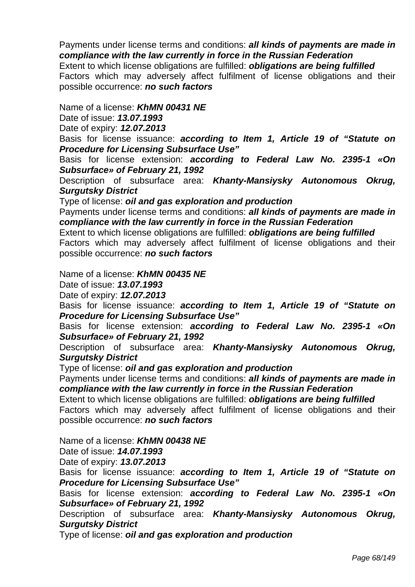Factors which may adversely affect fulfilment of license obligations and their possible occurrence: *no such factors* 

Name of a license: *KhMN 00431 NE*

Date of issue: *13.07.1993* 

Date of expiry: *12.07.2013* 

Basis for license issuance: *according to Item 1, Article 19 of "Statute on Procedure for Licensing Subsurface Use"* 

Basis for license extension: *according to Federal Law No. 2395-1 «On Subsurface» of February 21, 1992* 

Description of subsurface area: *Khanty-Mansiysky Autonomous Okrug, Surgutsky District* 

Type of license: *oil and gas exploration and production* 

Payments under license terms and conditions: *all kinds of payments are made in compliance with the law currently in force in the Russian Federation* 

Extent to which license obligations are fulfilled: *obligations are being fulfilled*  Factors which may adversely affect fulfilment of license obligations and their possible occurrence: *no such factors* 

Name of a license: *KhMN 00435 NE*

Date of issue: *13.07.1993* 

Date of expiry: *12.07.2013* 

Basis for license issuance: *according to Item 1, Article 19 of "Statute on Procedure for Licensing Subsurface Use"* 

Basis for license extension: *according to Federal Law No. 2395-1 «On Subsurface» of February 21, 1992* 

Description of subsurface area: *Khanty-Mansiysky Autonomous Okrug, Surgutsky District* 

Type of license: *oil and gas exploration and production* 

Payments under license terms and conditions: *all kinds of payments are made in compliance with the law currently in force in the Russian Federation* 

Extent to which license obligations are fulfilled: *obligations are being fulfilled*  Factors which may adversely affect fulfilment of license obligations and their

possible occurrence: *no such factors* 

Name of a license: *KhMN 00438 NE*

Date of issue: *14.07.1993* 

Date of expiry: *13.07.2013* 

Basis for license issuance: *according to Item 1, Article 19 of "Statute on Procedure for Licensing Subsurface Use"* 

Basis for license extension: *according to Federal Law No. 2395-1 «On Subsurface» of February 21, 1992* 

Description of subsurface area: *Khanty-Mansiysky Autonomous Okrug, Surgutsky District*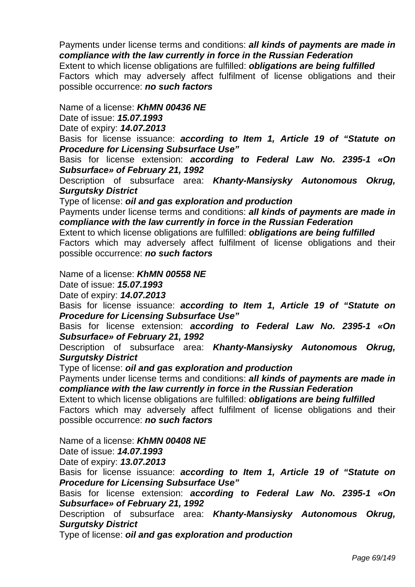Factors which may adversely affect fulfilment of license obligations and their possible occurrence: *no such factors* 

### Name of a license: *KhMN 00436 NE*

Date of issue: *15.07.1993* 

Date of expiry: *14.07.2013* 

Basis for license issuance: *according to Item 1, Article 19 of "Statute on Procedure for Licensing Subsurface Use"* 

Basis for license extension: *according to Federal Law No. 2395-1 «On Subsurface» of February 21, 1992* 

Description of subsurface area: *Khanty-Mansiysky Autonomous Okrug, Surgutsky District* 

Type of license: *oil and gas exploration and production* 

Payments under license terms and conditions: *all kinds of payments are made in compliance with the law currently in force in the Russian Federation* 

Extent to which license obligations are fulfilled: *obligations are being fulfilled*  Factors which may adversely affect fulfilment of license obligations and their possible occurrence: *no such factors* 

Name of a license: *KhMN 00558 NE*

Date of issue: *15.07.1993* 

Date of expiry: *14.07.2013* 

Basis for license issuance: *according to Item 1, Article 19 of "Statute on Procedure for Licensing Subsurface Use"* 

Basis for license extension: *according to Federal Law No. 2395-1 «On Subsurface» of February 21, 1992* 

Description of subsurface area: *Khanty-Mansiysky Autonomous Okrug, Surgutsky District* 

Type of license: *oil and gas exploration and production* 

Payments under license terms and conditions: *all kinds of payments are made in compliance with the law currently in force in the Russian Federation* 

Extent to which license obligations are fulfilled: *obligations are being fulfilled*  Factors which may adversely affect fulfilment of license obligations and their

possible occurrence: *no such factors* 

Name of a license: *KhMN 00408 NE*

Date of issue: *14.07.1993* 

Date of expiry: *13.07.2013* 

Basis for license issuance: *according to Item 1, Article 19 of "Statute on Procedure for Licensing Subsurface Use"* 

Basis for license extension: *according to Federal Law No. 2395-1 «On Subsurface» of February 21, 1992* 

Description of subsurface area: *Khanty-Mansiysky Autonomous Okrug, Surgutsky District*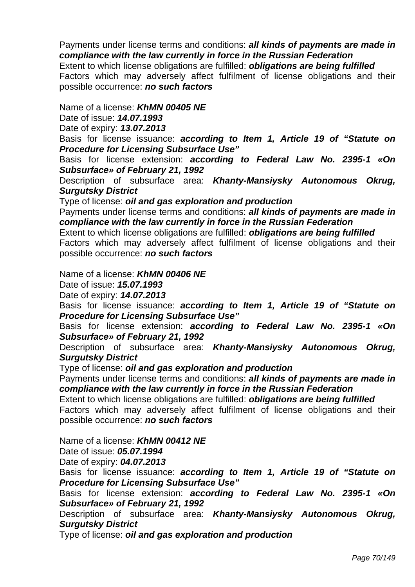Factors which may adversely affect fulfilment of license obligations and their possible occurrence: *no such factors* 

Name of a license: *KhMN 00405 NE*

Date of issue: *14.07.1993* 

Date of expiry: *13.07.2013* 

Basis for license issuance: *according to Item 1, Article 19 of "Statute on Procedure for Licensing Subsurface Use"* 

Basis for license extension: *according to Federal Law No. 2395-1 «On Subsurface» of February 21, 1992* 

Description of subsurface area: *Khanty-Mansiysky Autonomous Okrug, Surgutsky District* 

Type of license: *oil and gas exploration and production* 

Payments under license terms and conditions: *all kinds of payments are made in compliance with the law currently in force in the Russian Federation* 

Extent to which license obligations are fulfilled: *obligations are being fulfilled*  Factors which may adversely affect fulfilment of license obligations and their possible occurrence: *no such factors* 

Name of a license: *KhMN 00406 NE*

Date of issue: *15.07.1993* 

Date of expiry: *14.07.2013* 

Basis for license issuance: *according to Item 1, Article 19 of "Statute on Procedure for Licensing Subsurface Use"* 

Basis for license extension: *according to Federal Law No. 2395-1 «On Subsurface» of February 21, 1992* 

Description of subsurface area: *Khanty-Mansiysky Autonomous Okrug, Surgutsky District* 

Type of license: *oil and gas exploration and production* 

Payments under license terms and conditions: *all kinds of payments are made in compliance with the law currently in force in the Russian Federation* 

Extent to which license obligations are fulfilled: *obligations are being fulfilled*  Factors which may adversely affect fulfilment of license obligations and their

possible occurrence: *no such factors* 

Name of a license: *KhMN 00412 NE*

Date of issue: *05.07.1994* 

Date of expiry: *04.07.2013* 

Basis for license issuance: *according to Item 1, Article 19 of "Statute on Procedure for Licensing Subsurface Use"* 

Basis for license extension: *according to Federal Law No. 2395-1 «On Subsurface» of February 21, 1992* 

Description of subsurface area: *Khanty-Mansiysky Autonomous Okrug, Surgutsky District*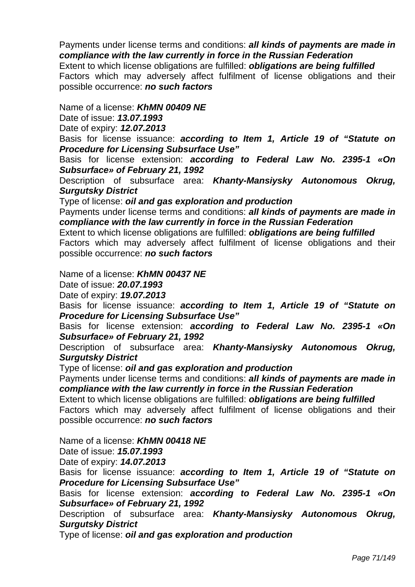Factors which may adversely affect fulfilment of license obligations and their possible occurrence: *no such factors* 

# Name of a license: *KhMN 00409 NE*

Date of issue: *13.07.1993* 

Date of expiry: *12.07.2013* 

Basis for license issuance: *according to Item 1, Article 19 of "Statute on Procedure for Licensing Subsurface Use"* 

Basis for license extension: *according to Federal Law No. 2395-1 «On Subsurface» of February 21, 1992* 

Description of subsurface area: *Khanty-Mansiysky Autonomous Okrug, Surgutsky District* 

Type of license: *oil and gas exploration and production* 

Payments under license terms and conditions: *all kinds of payments are made in compliance with the law currently in force in the Russian Federation* 

Extent to which license obligations are fulfilled: *obligations are being fulfilled*  Factors which may adversely affect fulfilment of license obligations and their possible occurrence: *no such factors* 

Name of a license: *KhMN 00437 NE*

Date of issue: *20.07.1993* 

Date of expiry: *19.07.2013* 

Basis for license issuance: *according to Item 1, Article 19 of "Statute on Procedure for Licensing Subsurface Use"* 

Basis for license extension: *according to Federal Law No. 2395-1 «On Subsurface» of February 21, 1992* 

Description of subsurface area: *Khanty-Mansiysky Autonomous Okrug, Surgutsky District* 

Type of license: *oil and gas exploration and production* 

Payments under license terms and conditions: *all kinds of payments are made in compliance with the law currently in force in the Russian Federation* 

Extent to which license obligations are fulfilled: *obligations are being fulfilled*  Factors which may adversely affect fulfilment of license obligations and their

possible occurrence: *no such factors* 

Name of a license: *KhMN 00418 NE*

Date of issue: *15.07.1993* 

Date of expiry: *14.07.2013* 

Basis for license issuance: *according to Item 1, Article 19 of "Statute on Procedure for Licensing Subsurface Use"* 

Basis for license extension: *according to Federal Law No. 2395-1 «On Subsurface» of February 21, 1992* 

Description of subsurface area: *Khanty-Mansiysky Autonomous Okrug, Surgutsky District*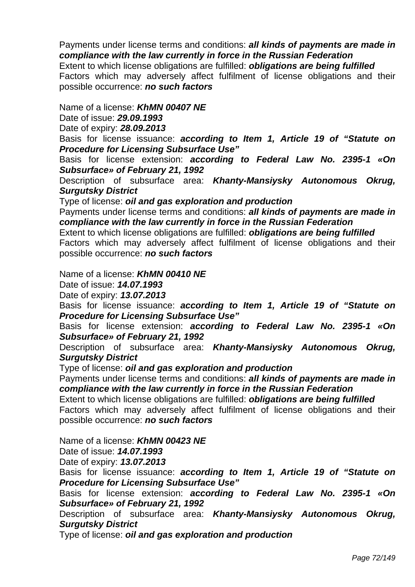Factors which may adversely affect fulfilment of license obligations and their possible occurrence: *no such factors* 

Name of a license: *KhMN 00407 NE*

Date of issue: *29.09.1993* 

Date of expiry: *28.09.2013* 

Basis for license issuance: *according to Item 1, Article 19 of "Statute on Procedure for Licensing Subsurface Use"* 

Basis for license extension: *according to Federal Law No. 2395-1 «On Subsurface» of February 21, 1992* 

Description of subsurface area: *Khanty-Mansiysky Autonomous Okrug, Surgutsky District* 

Type of license: *oil and gas exploration and production* 

Payments under license terms and conditions: *all kinds of payments are made in compliance with the law currently in force in the Russian Federation* 

Extent to which license obligations are fulfilled: *obligations are being fulfilled*  Factors which may adversely affect fulfilment of license obligations and their possible occurrence: *no such factors* 

Name of a license: *KhMN 00410 NE*

Date of issue: *14.07.1993* 

Date of expiry: *13.07.2013* 

Basis for license issuance: *according to Item 1, Article 19 of "Statute on Procedure for Licensing Subsurface Use"* 

Basis for license extension: *according to Federal Law No. 2395-1 «On Subsurface» of February 21, 1992* 

Description of subsurface area: *Khanty-Mansiysky Autonomous Okrug, Surgutsky District* 

Type of license: *oil and gas exploration and production* 

Payments under license terms and conditions: *all kinds of payments are made in compliance with the law currently in force in the Russian Federation* 

Extent to which license obligations are fulfilled: *obligations are being fulfilled*  Factors which may adversely affect fulfilment of license obligations and their

possible occurrence: *no such factors* 

Name of a license: *KhMN 00423 NE*

Date of issue: *14.07.1993* 

Date of expiry: *13.07.2013* 

Basis for license issuance: *according to Item 1, Article 19 of "Statute on Procedure for Licensing Subsurface Use"* 

Basis for license extension: *according to Federal Law No. 2395-1 «On Subsurface» of February 21, 1992* 

Description of subsurface area: *Khanty-Mansiysky Autonomous Okrug, Surgutsky District*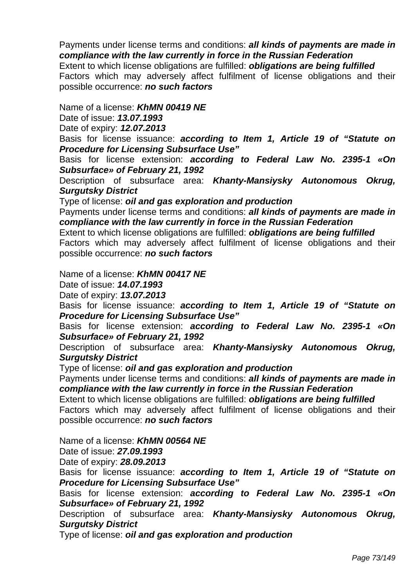Payments under license terms and conditions: *all kinds of payments are made in compliance with the law currently in force in the Russian Federation*  Extent to which license obligations are fulfilled: *obligations are being fulfilled* 

 Factors which may adversely affect fulfilment of license obligations and their possible occurrence: *no such factors* 

### Name of a license: *KhMN 00419 NE*

Date of issue: *13.07.1993* 

Date of expiry: *12.07.2013* 

Basis for license issuance: *according to Item 1, Article 19 of "Statute on Procedure for Licensing Subsurface Use"* 

Basis for license extension: *according to Federal Law No. 2395-1 «On Subsurface» of February 21, 1992* 

Description of subsurface area: *Khanty-Mansiysky Autonomous Okrug, Surgutsky District* 

Type of license: *oil and gas exploration and production* 

Payments under license terms and conditions: *all kinds of payments are made in compliance with the law currently in force in the Russian Federation* 

Extent to which license obligations are fulfilled: *obligations are being fulfilled*  Factors which may adversely affect fulfilment of license obligations and their possible occurrence: *no such factors* 

Name of a license: *KhMN 00417 NE*

Date of issue: *14.07.1993* 

Date of expiry: *13.07.2013* 

Basis for license issuance: *according to Item 1, Article 19 of "Statute on Procedure for Licensing Subsurface Use"* 

Basis for license extension: *according to Federal Law No. 2395-1 «On Subsurface» of February 21, 1992* 

Description of subsurface area: *Khanty-Mansiysky Autonomous Okrug, Surgutsky District* 

Type of license: *oil and gas exploration and production* 

Payments under license terms and conditions: *all kinds of payments are made in compliance with the law currently in force in the Russian Federation* 

Extent to which license obligations are fulfilled: *obligations are being fulfilled*  Factors which may adversely affect fulfilment of license obligations and their

possible occurrence: *no such factors* 

Name of a license: *KhMN 00564 NE*

Date of issue: *27.09.1993* 

Date of expiry: *28.09.2013* 

Basis for license issuance: *according to Item 1, Article 19 of "Statute on Procedure for Licensing Subsurface Use"* 

Basis for license extension: *according to Federal Law No. 2395-1 «On Subsurface» of February 21, 1992* 

Description of subsurface area: *Khanty-Mansiysky Autonomous Okrug, Surgutsky District* 

Type of license: *oil and gas exploration and production*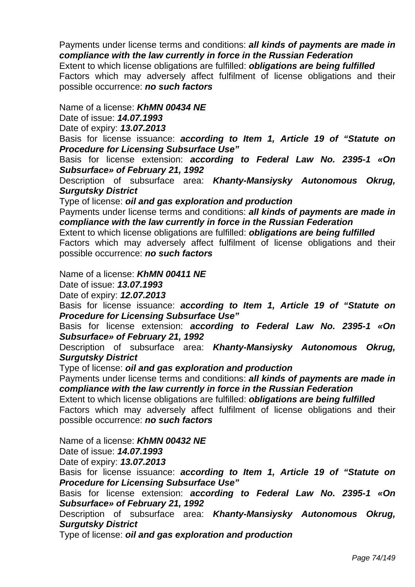Payments under license terms and conditions: *all kinds of payments are made in compliance with the law currently in force in the Russian Federation*  Extent to which license obligations are fulfilled: *obligations are being fulfilled*  Factors which may adversely affect fulfilment of license obligations and their

Name of a license: *KhMN 00434 NE*

possible occurrence: *no such factors* 

Date of issue: *14.07.1993* 

Date of expiry: *13.07.2013* 

Basis for license issuance: *according to Item 1, Article 19 of "Statute on Procedure for Licensing Subsurface Use"* 

Basis for license extension: *according to Federal Law No. 2395-1 «On Subsurface» of February 21, 1992* 

Description of subsurface area: *Khanty-Mansiysky Autonomous Okrug, Surgutsky District* 

Type of license: *oil and gas exploration and production* 

Payments under license terms and conditions: *all kinds of payments are made in compliance with the law currently in force in the Russian Federation* 

Extent to which license obligations are fulfilled: *obligations are being fulfilled*  Factors which may adversely affect fulfilment of license obligations and their possible occurrence: *no such factors* 

Name of a license: *KhMN 00411 NE*

Date of issue: *13.07.1993* 

Date of expiry: *12.07.2013* 

Basis for license issuance: *according to Item 1, Article 19 of "Statute on Procedure for Licensing Subsurface Use"* 

Basis for license extension: *according to Federal Law No. 2395-1 «On Subsurface» of February 21, 1992* 

Description of subsurface area: *Khanty-Mansiysky Autonomous Okrug, Surgutsky District* 

Type of license: *oil and gas exploration and production* 

Payments under license terms and conditions: *all kinds of payments are made in compliance with the law currently in force in the Russian Federation* 

Extent to which license obligations are fulfilled: *obligations are being fulfilled*  Factors which may adversely affect fulfilment of license obligations and their

possible occurrence: *no such factors* 

Name of a license: *KhMN 00432 NE*

Date of issue: *14.07.1993* 

Date of expiry: *13.07.2013* 

Basis for license issuance: *according to Item 1, Article 19 of "Statute on Procedure for Licensing Subsurface Use"* 

Basis for license extension: *according to Federal Law No. 2395-1 «On Subsurface» of February 21, 1992* 

Description of subsurface area: *Khanty-Mansiysky Autonomous Okrug, Surgutsky District* 

Type of license: *oil and gas exploration and production*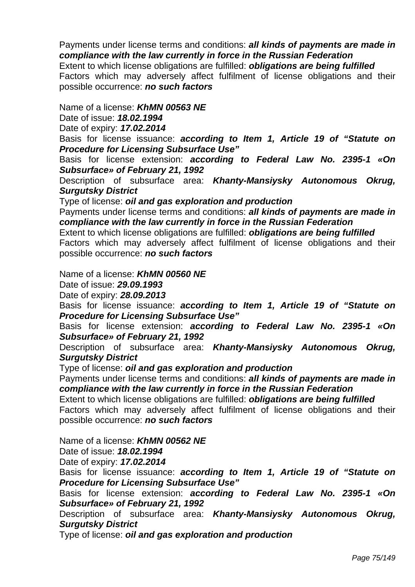Payments under license terms and conditions: *all kinds of payments are made in compliance with the law currently in force in the Russian Federation*  Extent to which license obligations are fulfilled: *obligations are being fulfilled*  Factors which may adversely affect fulfilment of license obligations and their

Name of a license: *KhMN 00563 NE*

possible occurrence: *no such factors* 

Date of issue: *18.02.1994* 

Date of expiry: *17.02.2014* 

Basis for license issuance: *according to Item 1, Article 19 of "Statute on Procedure for Licensing Subsurface Use"* 

Basis for license extension: *according to Federal Law No. 2395-1 «On Subsurface» of February 21, 1992* 

Description of subsurface area: *Khanty-Mansiysky Autonomous Okrug, Surgutsky District* 

Type of license: *oil and gas exploration and production* 

Payments under license terms and conditions: *all kinds of payments are made in compliance with the law currently in force in the Russian Federation* 

Extent to which license obligations are fulfilled: *obligations are being fulfilled*  Factors which may adversely affect fulfilment of license obligations and their possible occurrence: *no such factors* 

Name of a license: *KhMN 00560 NE*

Date of issue: *29.09.1993* 

Date of expiry: *28.09.2013* 

Basis for license issuance: *according to Item 1, Article 19 of "Statute on Procedure for Licensing Subsurface Use"* 

Basis for license extension: *according to Federal Law No. 2395-1 «On Subsurface» of February 21, 1992* 

Description of subsurface area: *Khanty-Mansiysky Autonomous Okrug, Surgutsky District* 

Type of license: *oil and gas exploration and production* 

Payments under license terms and conditions: *all kinds of payments are made in compliance with the law currently in force in the Russian Federation* 

Extent to which license obligations are fulfilled: *obligations are being fulfilled*  Factors which may adversely affect fulfilment of license obligations and their

possible occurrence: *no such factors* 

Name of a license: *KhMN 00562 NE*

Date of issue: *18.02.1994* 

Date of expiry: *17.02.2014* 

Basis for license issuance: *according to Item 1, Article 19 of "Statute on Procedure for Licensing Subsurface Use"* 

Basis for license extension: *according to Federal Law No. 2395-1 «On Subsurface» of February 21, 1992* 

Description of subsurface area: *Khanty-Mansiysky Autonomous Okrug, Surgutsky District* 

Type of license: *oil and gas exploration and production*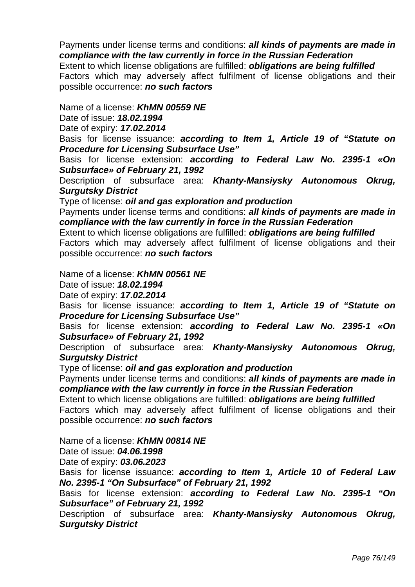Payments under license terms and conditions: *all kinds of payments are made in compliance with the law currently in force in the Russian Federation*  Extent to which license obligations are fulfilled: *obligations are being fulfilled*  Factors which may adversely affect fulfilment of license obligations and their

Name of a license: *KhMN 00559 NE*

possible occurrence: *no such factors* 

Date of issue: *18.02.1994* 

Date of expiry: *17.02.2014* 

Basis for license issuance: *according to Item 1, Article 19 of "Statute on Procedure for Licensing Subsurface Use"* 

Basis for license extension: *according to Federal Law No. 2395-1 «On Subsurface» of February 21, 1992* 

Description of subsurface area: *Khanty-Mansiysky Autonomous Okrug, Surgutsky District* 

Type of license: *oil and gas exploration and production* 

Payments under license terms and conditions: *all kinds of payments are made in compliance with the law currently in force in the Russian Federation* 

Extent to which license obligations are fulfilled: *obligations are being fulfilled*  Factors which may adversely affect fulfilment of license obligations and their possible occurrence: *no such factors* 

Name of a license: *KhMN 00561 NE*

Date of issue: *18.02.1994* 

Date of expiry: *17.02.2014* 

Basis for license issuance: *according to Item 1, Article 19 of "Statute on Procedure for Licensing Subsurface Use"* 

Basis for license extension: *according to Federal Law No. 2395-1 «On Subsurface» of February 21, 1992* 

Description of subsurface area: *Khanty-Mansiysky Autonomous Okrug, Surgutsky District* 

Type of license: *oil and gas exploration and production* 

Payments under license terms and conditions: *all kinds of payments are made in compliance with the law currently in force in the Russian Federation* 

Extent to which license obligations are fulfilled: *obligations are being fulfilled*  Factors which may adversely affect fulfilment of license obligations and their

possible occurrence: *no such factors* 

Name of a license: *KhMN 00814 NE*

Date of issue: *04.06.1998* 

Date of expiry: *03.06.2023* 

Basis for license issuance: *according to Item 1, Article 10 of Federal Law No. 2395-1 "On Subsurface" of February 21, 1992* 

Basis for license extension: *according to Federal Law No. 2395-1 "On Subsurface" of February 21, 1992* 

Description of subsurface area: *Khanty-Mansiysky Autonomous Okrug, Surgutsky District*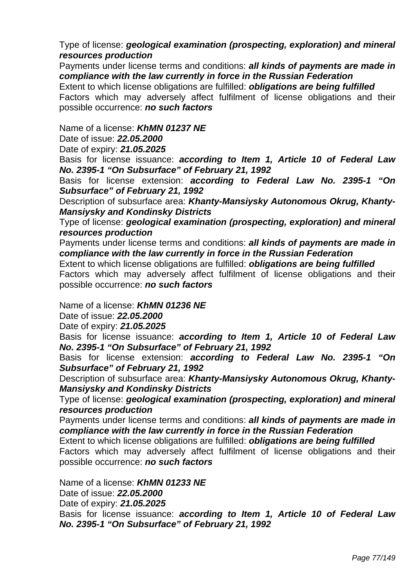## Type of license: *geological examination (prospecting, exploration) and mineral resources production*

Payments under license terms and conditions: *all kinds of payments are made in compliance with the law currently in force in the Russian Federation* 

Extent to which license obligations are fulfilled: *obligations are being fulfilled*  Factors which may adversely affect fulfilment of license obligations and their possible occurrence: *no such factors* 

### Name of a license: *KhMN 01237 NE*

Date of issue: *22.05.2000* 

Date of expiry: *21.05.2025* 

Basis for license issuance: *according to Item 1, Article 10 of Federal Law No. 2395-1 "On Subsurface" of February 21, 1992* 

Basis for license extension: *according to Federal Law No. 2395-1 "On Subsurface" of February 21, 1992* 

Description of subsurface area: *Khanty-Mansiysky Autonomous Okrug, Khanty-Mansiysky and Kondinsky Districts* 

Type of license: *geological examination (prospecting, exploration) and mineral resources production* 

Payments under license terms and conditions: *all kinds of payments are made in compliance with the law currently in force in the Russian Federation* 

Extent to which license obligations are fulfilled: *obligations are being fulfilled* 

 Factors which may adversely affect fulfilment of license obligations and their possible occurrence: *no such factors* 

Name of a license: *KhMN 01236 NE*

Date of issue: *22.05.2000* 

Date of expiry: *21.05.2025* 

Basis for license issuance: *according to Item 1, Article 10 of Federal Law No. 2395-1 "On Subsurface" of February 21, 1992* 

Basis for license extension: *according to Federal Law No. 2395-1 "On Subsurface" of February 21, 1992* 

Description of subsurface area: *Khanty-Mansiysky Autonomous Okrug, Khanty-Mansiysky and Kondinsky Districts* 

Type of license: *geological examination (prospecting, exploration) and mineral resources production*

Payments under license terms and conditions: *all kinds of payments are made in compliance with the law currently in force in the Russian Federation* 

Extent to which license obligations are fulfilled: *obligations are being fulfilled* 

 Factors which may adversely affect fulfilment of license obligations and their possible occurrence: *no such factors* 

Name of a license: *KhMN 01233 NE* Date of issue: *22.05.2000*  Date of expiry: *21.05.2025* 

Basis for license issuance: *according to Item 1, Article 10 of Federal Law No. 2395-1 "On Subsurface" of February 21, 1992*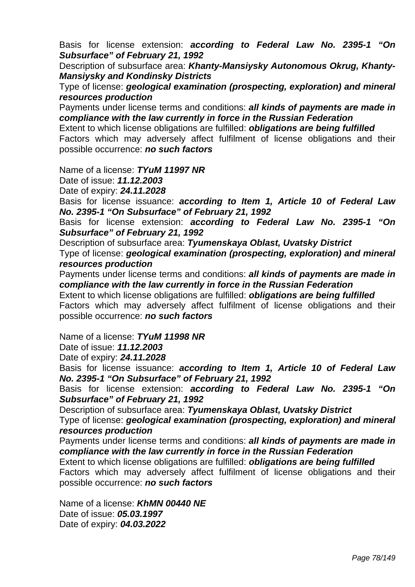Basis for license extension: *according to Federal Law No. 2395-1 "On Subsurface" of February 21, 1992* 

Description of subsurface area: *Khanty-Mansiysky Autonomous Okrug, Khanty-Mansiysky and Kondinsky Districts* 

Type of license: *geological examination (prospecting, exploration) and mineral resources production* 

Payments under license terms and conditions: *all kinds of payments are made in compliance with the law currently in force in the Russian Federation* 

Extent to which license obligations are fulfilled: *obligations are being fulfilled*  Factors which may adversely affect fulfilment of license obligations and their possible occurrence: *no such factors* 

Name of a license: *TYuM 11997 NR*

Date of issue: *11.12.2003* 

Date of expiry: *24.11.2028* 

Basis for license issuance: *according to Item 1, Article 10 of Federal Law No. 2395-1 "On Subsurface" of February 21, 1992* 

Basis for license extension: *according to Federal Law No. 2395-1 "On Subsurface" of February 21, 1992* 

Description of subsurface area: *Tyumenskaya Oblast, Uvatsky District* 

Type of license: *geological examination (prospecting, exploration) and mineral resources production*

Payments under license terms and conditions: *all kinds of payments are made in compliance with the law currently in force in the Russian Federation* 

Extent to which license obligations are fulfilled: *obligations are being fulfilled*  Factors which may adversely affect fulfilment of license obligations and their possible occurrence: *no such factors* 

Name of a license: *TYuM 11998 NR*

Date of issue: *11.12.2003* 

Date of expiry: *24.11.2028* 

Basis for license issuance: *according to Item 1, Article 10 of Federal Law No. 2395-1 "On Subsurface" of February 21, 1992* 

Basis for license extension: *according to Federal Law No. 2395-1 "On Subsurface" of February 21, 1992* 

Description of subsurface area: *Tyumenskaya Oblast, Uvatsky District* 

Type of license: *geological examination (prospecting, exploration) and mineral resources production* 

Payments under license terms and conditions: *all kinds of payments are made in compliance with the law currently in force in the Russian Federation* 

Extent to which license obligations are fulfilled: *obligations are being fulfilled*  Factors which may adversely affect fulfilment of license obligations and their

possible occurrence: *no such factors* 

Name of a license: *KhMN 00440 NE* Date of issue: *05.03.1997*  Date of expiry: *04.03.2022*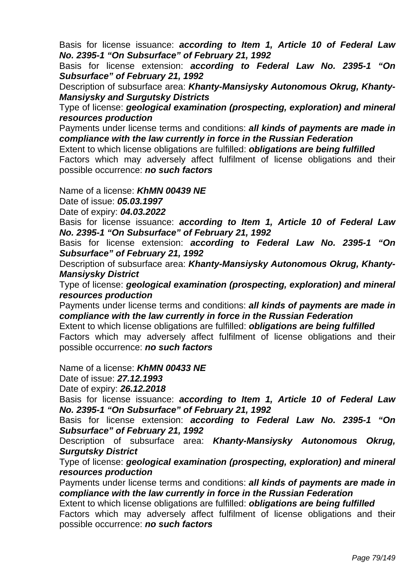Basis for license issuance: *according to Item 1, Article 10 of Federal Law No. 2395-1 "On Subsurface" of February 21, 1992* 

Basis for license extension: *according to Federal Law No. 2395-1 "On Subsurface" of February 21, 1992* 

Description of subsurface area: *Khanty-Mansiysky Autonomous Okrug, Khanty-Mansiysky and Surgutsky Districts* 

Type of license: *geological examination (prospecting, exploration) and mineral resources production*

Payments under license terms and conditions: *all kinds of payments are made in compliance with the law currently in force in the Russian Federation* 

Extent to which license obligations are fulfilled: *obligations are being fulfilled*  Factors which may adversely affect fulfilment of license obligations and their possible occurrence: *no such factors* 

Name of a license: *KhMN 00439 NE*

Date of issue: *05.03.1997* 

Date of expiry: *04.03.2022* 

Basis for license issuance: *according to Item 1, Article 10 of Federal Law No. 2395-1 "On Subsurface" of February 21, 1992* 

Basis for license extension: *according to Federal Law No. 2395-1 "On Subsurface" of February 21, 1992* 

Description of subsurface area: *Khanty-Mansiysky Autonomous Okrug, Khanty-Mansiysky District* 

Type of license: *geological examination (prospecting, exploration) and mineral resources production*

Payments under license terms and conditions: *all kinds of payments are made in compliance with the law currently in force in the Russian Federation* 

Extent to which license obligations are fulfilled: *obligations are being fulfilled*  Factors which may adversely affect fulfilment of license obligations and their possible occurrence: *no such factors* 

Name of a license: *KhMN 00433 NE*

Date of issue: *27.12.1993* 

Date of expiry: *26.12.2018* 

Basis for license issuance: *according to Item 1, Article 10 of Federal Law No. 2395-1 "On Subsurface" of February 21, 1992* 

Basis for license extension: *according to Federal Law No. 2395-1 "On Subsurface" of February 21, 1992* 

Description of subsurface area: *Khanty-Mansiysky Autonomous Okrug, Surgutsky District* 

Type of license: *geological examination (prospecting, exploration) and mineral resources production*

Payments under license terms and conditions: *all kinds of payments are made in compliance with the law currently in force in the Russian Federation* 

Extent to which license obligations are fulfilled: *obligations are being fulfilled*  Factors which may adversely affect fulfilment of license obligations and their possible occurrence: *no such factors*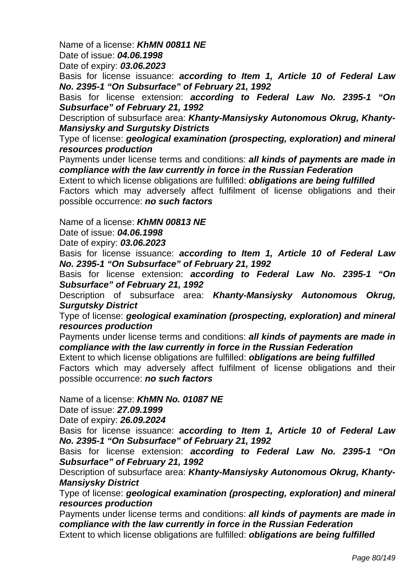Name of a license: *KhMN 00811 NE*

Date of issue: *04.06.1998* 

Date of expiry: *03.06.2023* 

Basis for license issuance: *according to Item 1, Article 10 of Federal Law No. 2395-1 "On Subsurface" of February 21, 1992* 

Basis for license extension: *according to Federal Law No. 2395-1 "On Subsurface" of February 21, 1992* 

Description of subsurface area: *Khanty-Mansiysky Autonomous Okrug, Khanty-Mansiysky and Surgutsky Districts* 

Type of license: *geological examination (prospecting, exploration) and mineral resources production*

Payments under license terms and conditions: *all kinds of payments are made in compliance with the law currently in force in the Russian Federation* 

Extent to which license obligations are fulfilled: *obligations are being fulfilled*  Factors which may adversely affect fulfilment of license obligations and their possible occurrence: *no such factors* 

Name of a license: *KhMN 00813 NE*

Date of issue: *04.06.1998* 

Date of expiry: *03.06.2023* 

Basis for license issuance: *according to Item 1, Article 10 of Federal Law No. 2395-1 "On Subsurface" of February 21, 1992* 

Basis for license extension: *according to Federal Law No. 2395-1 "On Subsurface" of February 21, 1992* 

Description of subsurface area: *Khanty-Mansiysky Autonomous Okrug, Surgutsky District* 

Type of license: *geological examination (prospecting, exploration) and mineral resources production* 

Payments under license terms and conditions: *all kinds of payments are made in compliance with the law currently in force in the Russian Federation* 

Extent to which license obligations are fulfilled: *obligations are being fulfilled*  Factors which may adversely affect fulfilment of license obligations and their possible occurrence: *no such factors* 

Name of a license: *KhMN No. 01087 NE*

Date of issue: *27.09.1999* 

Date of expiry: *26.09.2024* 

Basis for license issuance: *according to Item 1, Article 10 of Federal Law No. 2395-1 "On Subsurface" of February 21, 1992* 

Basis for license extension: *according to Federal Law No. 2395-1 "On Subsurface" of February 21, 1992* 

Description of subsurface area: *Khanty-Mansiysky Autonomous Okrug, Khanty-Mansiysky District* 

Type of license: *geological examination (prospecting, exploration) and mineral resources production* 

Payments under license terms and conditions: *all kinds of payments are made in compliance with the law currently in force in the Russian Federation*  Extent to which license obligations are fulfilled: *obligations are being fulfilled*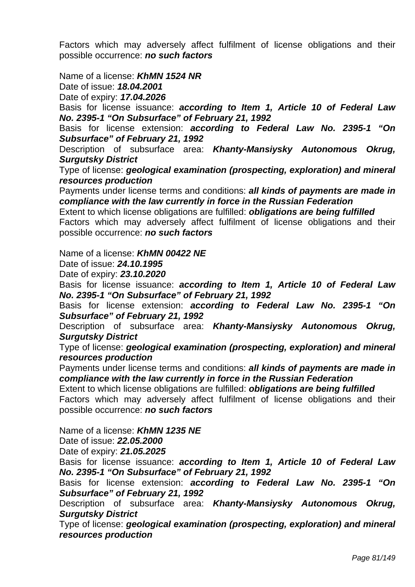Factors which may adversely affect fulfilment of license obligations and their possible occurrence: *no such factors* 

Name of a license: *KhMN 1524 NR*

Date of issue: *18.04.2001* 

Date of expiry: *17.04.2026* 

Basis for license issuance: *according to Item 1, Article 10 of Federal Law No. 2395-1 "On Subsurface" of February 21, 1992* 

Basis for license extension: *according to Federal Law No. 2395-1 "On Subsurface" of February 21, 1992* 

Description of subsurface area: *Khanty-Mansiysky Autonomous Okrug, Surgutsky District* 

Type of license: *geological examination (prospecting, exploration) and mineral resources production* 

Payments under license terms and conditions: *all kinds of payments are made in compliance with the law currently in force in the Russian Federation* 

Extent to which license obligations are fulfilled: *obligations are being fulfilled*  Factors which may adversely affect fulfilment of license obligations and their possible occurrence: *no such factors* 

Name of a license: *KhMN 00422 NE*

Date of issue: *24.10.1995* 

Date of expiry: *23.10.2020* 

Basis for license issuance: *according to Item 1, Article 10 of Federal Law No. 2395-1 "On Subsurface" of February 21, 1992* 

Basis for license extension: *according to Federal Law No. 2395-1 "On Subsurface" of February 21, 1992* 

Description of subsurface area: *Khanty-Mansiysky Autonomous Okrug, Surgutsky District* 

Type of license: *geological examination (prospecting, exploration) and mineral resources production* 

Payments under license terms and conditions: *all kinds of payments are made in compliance with the law currently in force in the Russian Federation* 

Extent to which license obligations are fulfilled: *obligations are being fulfilled* 

Factors which may adversely affect fulfilment of license obligations and their possible occurrence: *no such factors* 

Name of a license: *KhMN 1235 NE*

Date of issue: *22.05.2000* 

Date of expiry: *21.05.2025* 

Basis for license issuance: *according to Item 1, Article 10 of Federal Law No. 2395-1 "On Subsurface" of February 21, 1992* 

Basis for license extension: *according to Federal Law No. 2395-1 "On Subsurface" of February 21, 1992* 

Description of subsurface area: *Khanty-Mansiysky Autonomous Okrug, Surgutsky District* 

Type of license: *geological examination (prospecting, exploration) and mineral resources production*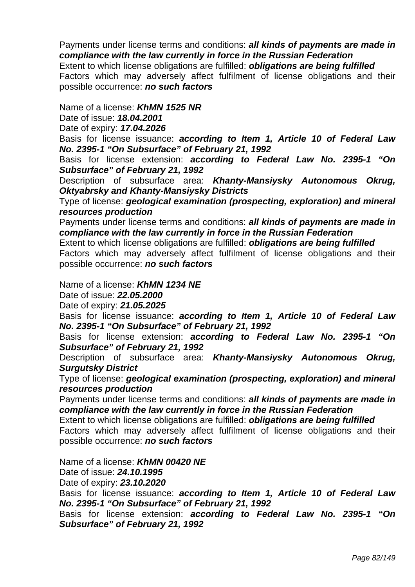Payments under license terms and conditions: *all kinds of payments are made in compliance with the law currently in force in the Russian Federation* 

Extent to which license obligations are fulfilled: *obligations are being fulfilled*  Factors which may adversely affect fulfilment of license obligations and their possible occurrence: *no such factors* 

Name of a license: *KhMN 1525 NR*

Date of issue: *18.04.2001* 

Date of expiry: *17.04.2026* 

Basis for license issuance: *according to Item 1, Article 10 of Federal Law No. 2395-1 "On Subsurface" of February 21, 1992* 

Basis for license extension: *according to Federal Law No. 2395-1 "On Subsurface" of February 21, 1992* 

Description of subsurface area: *Khanty-Mansiysky Autonomous Okrug, Oktyabrsky and Khanty-Mansiysky Districts* 

Type of license: *geological examination (prospecting, exploration) and mineral resources production* 

Payments under license terms and conditions: *all kinds of payments are made in compliance with the law currently in force in the Russian Federation* 

Extent to which license obligations are fulfilled: *obligations are being fulfilled*  Factors which may adversely affect fulfilment of license obligations and their

possible occurrence: *no such factors* 

Name of a license: *KhMN 1234 NE*

Date of issue: *22.05.2000* 

Date of expiry: *21.05.2025* 

Basis for license issuance: *according to Item 1, Article 10 of Federal Law No. 2395-1 "On Subsurface" of February 21, 1992* 

Basis for license extension: *according to Federal Law No. 2395-1 "On Subsurface" of February 21, 1992* 

Description of subsurface area: *Khanty-Mansiysky Autonomous Okrug, Surgutsky District* 

Type of license: *geological examination (prospecting, exploration) and mineral resources production* 

Payments under license terms and conditions: *all kinds of payments are made in compliance with the law currently in force in the Russian Federation* 

Extent to which license obligations are fulfilled: *obligations are being fulfilled*  Factors which may adversely affect fulfilment of license obligations and their possible occurrence: *no such factors* 

Name of a license: *KhMN 00420 NE*

Date of issue: *24.10.1995* 

Date of expiry: *23.10.2020* 

Basis for license issuance: *according to Item 1, Article 10 of Federal Law No. 2395-1 "On Subsurface" of February 21, 1992* 

Basis for license extension: *according to Federal Law No. 2395-1 "On Subsurface" of February 21, 1992*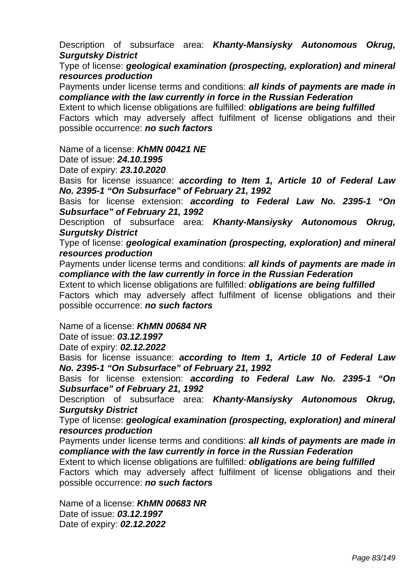Description of subsurface area: *Khanty-Mansiysky Autonomous Okrug, Surgutsky District* 

Type of license: *geological examination (prospecting, exploration) and mineral resources production* 

Payments under license terms and conditions: *all kinds of payments are made in compliance with the law currently in force in the Russian Federation* 

Extent to which license obligations are fulfilled: *obligations are being fulfilled*  Factors which may adversely affect fulfilment of license obligations and their possible occurrence: *no such factors* 

Name of a license: *KhMN 00421 NE*

Date of issue: *24.10.1995* 

Date of expiry: *23.10.2020* 

Basis for license issuance: *according to Item 1, Article 10 of Federal Law No. 2395-1 "On Subsurface" of February 21, 1992* 

Basis for license extension: *according to Federal Law No. 2395-1 "On Subsurface" of February 21, 1992* 

Description of subsurface area: *Khanty-Mansiysky Autonomous Okrug, Surgutsky District* 

Type of license: *geological examination (prospecting, exploration) and mineral resources production* 

Payments under license terms and conditions: *all kinds of payments are made in compliance with the law currently in force in the Russian Federation* 

Extent to which license obligations are fulfilled: *obligations are being fulfilled*  Factors which may adversely affect fulfilment of license obligations and their possible occurrence: *no such factors* 

Name of a license: *KhMN 00684 NR*

Date of issue: *03.12.1997* 

Date of expiry: *02.12.2022* 

Basis for license issuance: *according to Item 1, Article 10 of Federal Law No. 2395-1 "On Subsurface" of February 21, 1992* 

Basis for license extension: *according to Federal Law No. 2395-1 "On Subsurface" of February 21, 1992* 

Description of subsurface area: *Khanty-Mansiysky Autonomous Okrug, Surgutsky District* 

Type of license: *geological examination (prospecting, exploration) and mineral resources production* 

Payments under license terms and conditions: *all kinds of payments are made in compliance with the law currently in force in the Russian Federation* 

Extent to which license obligations are fulfilled: *obligations are being fulfilled*  Factors which may adversely affect fulfilment of license obligations and their

possible occurrence: *no such factors* 

Name of a license: *KhMN 00683 NR* Date of issue: *03.12.1997*  Date of expiry: *02.12.2022*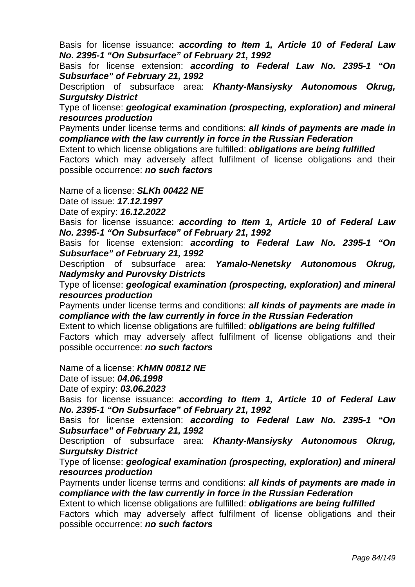Basis for license issuance: *according to Item 1, Article 10 of Federal Law No. 2395-1 "On Subsurface" of February 21, 1992* 

Basis for license extension: *according to Federal Law No. 2395-1 "On Subsurface" of February 21, 1992* 

Description of subsurface area: *Khanty-Mansiysky Autonomous Okrug, Surgutsky District* 

Type of license: *geological examination (prospecting, exploration) and mineral resources production* 

Payments under license terms and conditions: *all kinds of payments are made in compliance with the law currently in force in the Russian Federation* 

Extent to which license obligations are fulfilled: *obligations are being fulfilled*  Factors which may adversely affect fulfilment of license obligations and their possible occurrence: *no such factors* 

Name of a license: *SLKh 00422 NE*

Date of issue: *17.12.1997* 

Date of expiry: *16.12.2022* 

Basis for license issuance: *according to Item 1, Article 10 of Federal Law No. 2395-1 "On Subsurface" of February 21, 1992* 

Basis for license extension: *according to Federal Law No. 2395-1 "On Subsurface" of February 21, 1992* 

Description of subsurface area: *Yamalo-Nenetsky Autonomous Okrug, Nadymsky and Purovsky Districts* 

Type of license: *geological examination (prospecting, exploration) and mineral resources production* 

Payments under license terms and conditions: *all kinds of payments are made in compliance with the law currently in force in the Russian Federation* 

Extent to which license obligations are fulfilled: *obligations are being fulfilled*  Factors which may adversely affect fulfilment of license obligations and their possible occurrence: *no such factors* 

Name of a license: *KhMN 00812 NE*

Date of issue: *04.06.1998* 

Date of expiry: *03.06.2023* 

Basis for license issuance: *according to Item 1, Article 10 of Federal Law No. 2395-1 "On Subsurface" of February 21, 1992* 

Basis for license extension: *according to Federal Law No. 2395-1 "On Subsurface" of February 21, 1992* 

Description of subsurface area: *Khanty-Mansiysky Autonomous Okrug, Surgutsky District* 

Type of license: *geological examination (prospecting, exploration) and mineral resources production* 

Payments under license terms and conditions: *all kinds of payments are made in compliance with the law currently in force in the Russian Federation* 

Extent to which license obligations are fulfilled: *obligations are being fulfilled*  Factors which may adversely affect fulfilment of license obligations and their possible occurrence: *no such factors*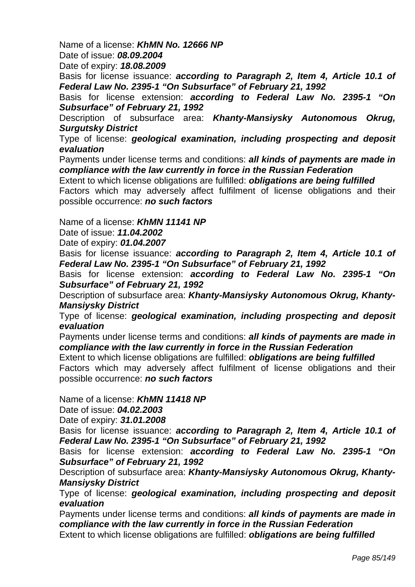Name of a license: *KhMN No. 12666 NP*

Date of issue: *08.09.2004* 

Date of expiry: *18.08.2009* 

Basis for license issuance: *according to Paragraph 2, Item 4, Article 10.1 of Federal Law No. 2395-1 "On Subsurface" of February 21, 1992* 

Basis for license extension: *according to Federal Law No. 2395-1 "On Subsurface" of February 21, 1992* 

Description of subsurface area: *Khanty-Mansiysky Autonomous Okrug, Surgutsky District* 

Type of license: *geological examination, including prospecting and deposit evaluation* 

Payments under license terms and conditions: *all kinds of payments are made in compliance with the law currently in force in the Russian Federation* 

Extent to which license obligations are fulfilled: *obligations are being fulfilled*  Factors which may adversely affect fulfilment of license obligations and their possible occurrence: *no such factors* 

Name of a license: *KhMN 11141 NP*

Date of issue: *11.04.2002* 

Date of expiry: *01.04.2007* 

Basis for license issuance: *according to Paragraph 2, Item 4, Article 10.1 of Federal Law No. 2395-1 "On Subsurface" of February 21, 1992* 

Basis for license extension: *according to Federal Law No. 2395-1 "On Subsurface" of February 21, 1992* 

Description of subsurface area: *Khanty-Mansiysky Autonomous Okrug, Khanty-Mansiysky District* 

Type of license: *geological examination, including prospecting and deposit evaluation* 

Payments under license terms and conditions: *all kinds of payments are made in compliance with the law currently in force in the Russian Federation* 

Extent to which license obligations are fulfilled: *obligations are being fulfilled*  Factors which may adversely affect fulfilment of license obligations and their

Name of a license: *KhMN 11418 NP*

possible occurrence: *no such factors* 

Date of issue: *04.02.2003* 

Date of expiry: *31.01.2008* 

Basis for license issuance: *according to Paragraph 2, Item 4, Article 10.1 of Federal Law No. 2395-1 "On Subsurface" of February 21, 1992* 

Basis for license extension: *according to Federal Law No. 2395-1 "On Subsurface" of February 21, 1992* 

Description of subsurface area: *Khanty-Mansiysky Autonomous Okrug, Khanty-Mansiysky District* 

Type of license: *geological examination, including prospecting and deposit evaluation* 

Payments under license terms and conditions: *all kinds of payments are made in compliance with the law currently in force in the Russian Federation*  Extent to which license obligations are fulfilled: *obligations are being fulfilled*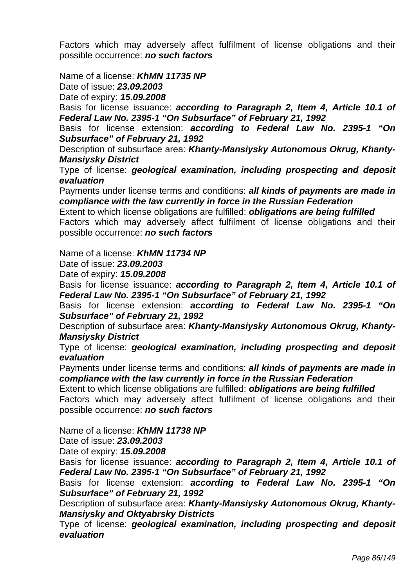Factors which may adversely affect fulfilment of license obligations and their possible occurrence: *no such factors* 

Name of a license: *KhMN 11735 NP*

Date of issue: *23.09.2003* 

Date of expiry: *15.09.2008* 

Basis for license issuance: *according to Paragraph 2, Item 4, Article 10.1 of Federal Law No. 2395-1 "On Subsurface" of February 21, 1992* 

Basis for license extension: *according to Federal Law No. 2395-1 "On Subsurface" of February 21, 1992* 

Description of subsurface area: *Khanty-Mansiysky Autonomous Okrug, Khanty-Mansiysky District* 

Type of license: *geological examination, including prospecting and deposit evaluation* 

Payments under license terms and conditions: *all kinds of payments are made in compliance with the law currently in force in the Russian Federation* 

Extent to which license obligations are fulfilled: *obligations are being fulfilled*  Factors which may adversely affect fulfilment of license obligations and their possible occurrence: *no such factors* 

Name of a license: *KhMN 11734 NP*

Date of issue: *23.09.2003* 

Date of expiry: *15.09.2008* 

Basis for license issuance: *according to Paragraph 2, Item 4, Article 10.1 of Federal Law No. 2395-1 "On Subsurface" of February 21, 1992* 

Basis for license extension: *according to Federal Law No. 2395-1 "On Subsurface" of February 21, 1992* 

Description of subsurface area: *Khanty-Mansiysky Autonomous Okrug, Khanty-Mansiysky District* 

Type of license: *geological examination, including prospecting and deposit evaluation* 

Payments under license terms and conditions: *all kinds of payments are made in compliance with the law currently in force in the Russian Federation* 

Extent to which license obligations are fulfilled: *obligations are being fulfilled* 

Factors which may adversely affect fulfilment of license obligations and their possible occurrence: *no such factors* 

Name of a license: *KhMN 11738 NP*

Date of issue: *23.09.2003* 

Date of expiry: *15.09.2008* 

Basis for license issuance: *according to Paragraph 2, Item 4, Article 10.1 of Federal Law No. 2395-1 "On Subsurface" of February 21, 1992* 

Basis for license extension: *according to Federal Law No. 2395-1 "On Subsurface" of February 21, 1992* 

Description of subsurface area: *Khanty-Mansiysky Autonomous Okrug, Khanty-Mansiysky and Oktyabrsky Districts* 

Type of license: *geological examination, including prospecting and deposit evaluation*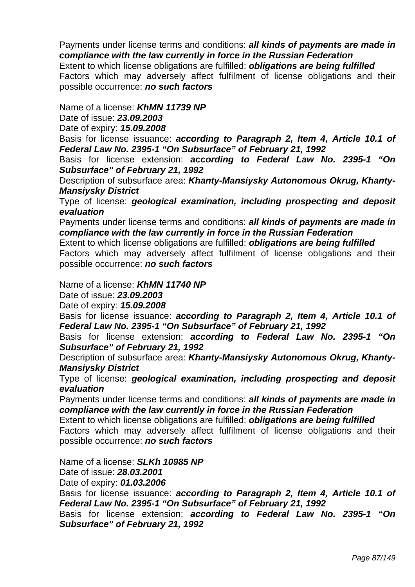Payments under license terms and conditions: *all kinds of payments are made in compliance with the law currently in force in the Russian Federation*  Extent to which license obligations are fulfilled: *obligations are being fulfilled* 

Factors which may adversely affect fulfilment of license obligations and their possible occurrence: *no such factors* 

Name of a license: *KhMN 11739 NP*

Date of issue: *23.09.2003* 

Date of expiry: *15.09.2008* 

Basis for license issuance: *according to Paragraph 2, Item 4, Article 10.1 of Federal Law No. 2395-1 "On Subsurface" of February 21, 1992* 

Basis for license extension: *according to Federal Law No. 2395-1 "On Subsurface" of February 21, 1992* 

Description of subsurface area: *Khanty-Mansiysky Autonomous Okrug, Khanty-Mansiysky District* 

Type of license: *geological examination, including prospecting and deposit evaluation* 

Payments under license terms and conditions: *all kinds of payments are made in compliance with the law currently in force in the Russian Federation* 

Extent to which license obligations are fulfilled: *obligations are being fulfilled* 

Factors which may adversely affect fulfilment of license obligations and their possible occurrence: *no such factors* 

Name of a license: *KhMN 11740 NP*

Date of issue: *23.09.2003* 

Date of expiry: *15.09.2008* 

Basis for license issuance: *according to Paragraph 2, Item 4, Article 10.1 of Federal Law No. 2395-1 "On Subsurface" of February 21, 1992* 

Basis for license extension: *according to Federal Law No. 2395-1 "On Subsurface" of February 21, 1992* 

Description of subsurface area: *Khanty-Mansiysky Autonomous Okrug, Khanty-Mansiysky District* 

Type of license: *geological examination, including prospecting and deposit evaluation* 

Payments under license terms and conditions: *all kinds of payments are made in compliance with the law currently in force in the Russian Federation* 

Extent to which license obligations are fulfilled: *obligations are being fulfilled*  Factors which may adversely affect fulfilment of license obligations and their possible occurrence: *no such factors* 

Name of a license: *SLKh 10985 NP*

Date of issue: *28.03.2001* 

Date of expiry: *01.03.2006* 

Basis for license issuance: *according to Paragraph 2, Item 4, Article 10.1 of Federal Law No. 2395-1 "On Subsurface" of February 21, 1992* 

Basis for license extension: *according to Federal Law No. 2395-1 "On Subsurface" of February 21, 1992*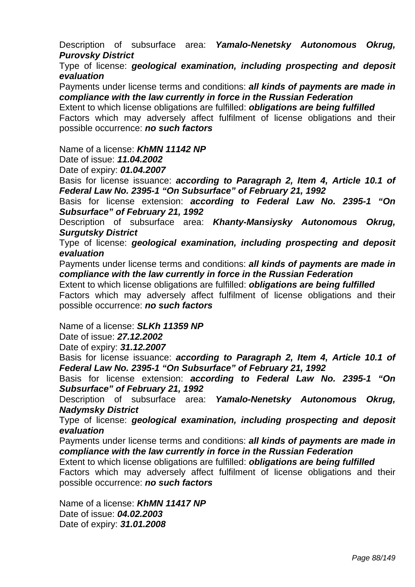Description of subsurface area: *Yamalo-Nenetsky Autonomous Okrug, Purovsky District* 

Type of license: *geological examination, including prospecting and deposit evaluation* 

Payments under license terms and conditions: *all kinds of payments are made in compliance with the law currently in force in the Russian Federation* 

Extent to which license obligations are fulfilled: *obligations are being fulfilled*  Factors which may adversely affect fulfilment of license obligations and their possible occurrence: *no such factors* 

Name of a license: *KhMN 11142 NP*

Date of issue: *11.04.2002* 

Date of expiry: *01.04.2007* 

Basis for license issuance: *according to Paragraph 2, Item 4, Article 10.1 of Federal Law No. 2395-1 "On Subsurface" of February 21, 1992* 

Basis for license extension: *according to Federal Law No. 2395-1 "On Subsurface" of February 21, 1992* 

Description of subsurface area: *Khanty-Mansiysky Autonomous Okrug, Surgutsky District* 

Type of license: *geological examination, including prospecting and deposit evaluation* 

Payments under license terms and conditions: *all kinds of payments are made in compliance with the law currently in force in the Russian Federation* 

Extent to which license obligations are fulfilled: *obligations are being fulfilled*  Factors which may adversely affect fulfilment of license obligations and their possible occurrence: *no such factors* 

Name of a license: *SLKh 11359 NP*

Date of issue: *27.12.2002* 

Date of expiry: *31.12.2007* 

Basis for license issuance: *according to Paragraph 2, Item 4, Article 10.1 of Federal Law No. 2395-1 "On Subsurface" of February 21, 1992* 

Basis for license extension: *according to Federal Law No. 2395-1 "On Subsurface" of February 21, 1992* 

Description of subsurface area: *Yamalo-Nenetsky Autonomous Okrug, Nadymsky District* 

Type of license: *geological examination, including prospecting and deposit evaluation* 

Payments under license terms and conditions: *all kinds of payments are made in compliance with the law currently in force in the Russian Federation* 

Extent to which license obligations are fulfilled: *obligations are being fulfilled* 

Factors which may adversely affect fulfilment of license obligations and their possible occurrence: *no such factors* 

Name of a license: *KhMN 11417 NP* Date of issue: *04.02.2003*  Date of expiry: *31.01.2008*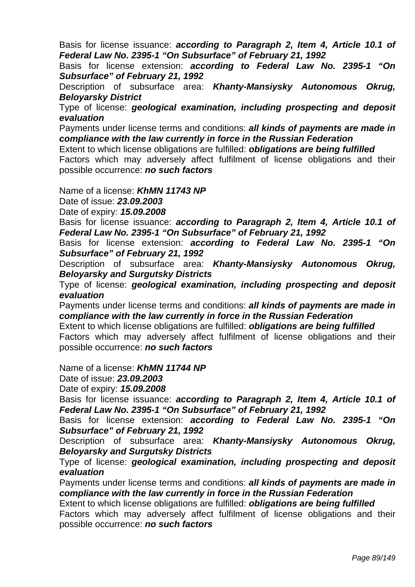Basis for license issuance: *according to Paragraph 2, Item 4, Article 10.1 of Federal Law No. 2395-1 "On Subsurface" of February 21, 1992* 

Basis for license extension: *according to Federal Law No. 2395-1 "On Subsurface" of February 21, 1992* 

Description of subsurface area: *Khanty-Mansiysky Autonomous Okrug, Beloyarsky District* 

Type of license: *geological examination, including prospecting and deposit evaluation* 

Payments under license terms and conditions: *all kinds of payments are made in compliance with the law currently in force in the Russian Federation* 

Extent to which license obligations are fulfilled: *obligations are being fulfilled*  Factors which may adversely affect fulfilment of license obligations and their possible occurrence: *no such factors* 

Name of a license: *KhMN 11743 NP*

Date of issue: *23.09.2003* 

Date of expiry: *15.09.2008* 

Basis for license issuance: *according to Paragraph 2, Item 4, Article 10.1 of Federal Law No. 2395-1 "On Subsurface" of February 21, 1992* 

Basis for license extension: *according to Federal Law No. 2395-1 "On Subsurface" of February 21, 1992* 

Description of subsurface area: *Khanty-Mansiysky Autonomous Okrug, Beloyarsky and Surgutsky Districts* 

Type of license: *geological examination, including prospecting and deposit evaluation* 

Payments under license terms and conditions: *all kinds of payments are made in compliance with the law currently in force in the Russian Federation* 

Extent to which license obligations are fulfilled: *obligations are being fulfilled*  Factors which may adversely affect fulfilment of license obligations and their possible occurrence: *no such factors* 

Name of a license: *KhMN 11744 NP*

Date of issue: *23.09.2003* 

Date of expiry: *15.09.2008* 

Basis for license issuance: *according to Paragraph 2, Item 4, Article 10.1 of Federal Law No. 2395-1 "On Subsurface" of February 21, 1992* 

Basis for license extension: *according to Federal Law No. 2395-1 "On Subsurface" of February 21, 1992* 

Description of subsurface area: *Khanty-Mansiysky Autonomous Okrug, Beloyarsky and Surgutsky Districts* 

Type of license: *geological examination, including prospecting and deposit evaluation* 

Payments under license terms and conditions: *all kinds of payments are made in compliance with the law currently in force in the Russian Federation* 

Extent to which license obligations are fulfilled: *obligations are being fulfilled*  Factors which may adversely affect fulfilment of license obligations and their possible occurrence: *no such factors*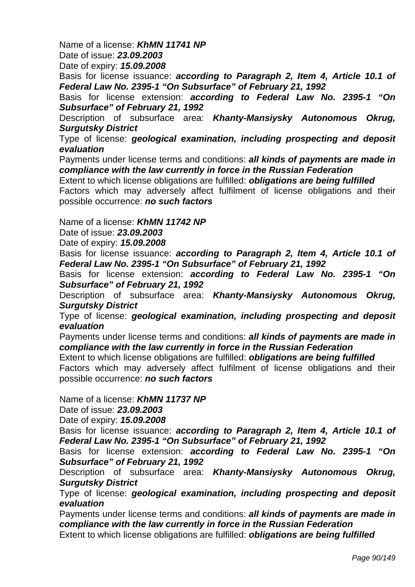Name of a license: *KhMN 11741 NP*

Date of issue: *23.09.2003* 

Date of expiry: *15.09.2008* 

Basis for license issuance: *according to Paragraph 2, Item 4, Article 10.1 of Federal Law No. 2395-1 "On Subsurface" of February 21, 1992* 

Basis for license extension: *according to Federal Law No. 2395-1 "On Subsurface" of February 21, 1992* 

Description of subsurface area: *Khanty-Mansiysky Autonomous Okrug, Surgutsky District* 

Type of license: *geological examination, including prospecting and deposit evaluation* 

Payments under license terms and conditions: *all kinds of payments are made in compliance with the law currently in force in the Russian Federation* 

Extent to which license obligations are fulfilled: *obligations are being fulfilled*  Factors which may adversely affect fulfilment of license obligations and their possible occurrence: *no such factors* 

Name of a license: *KhMN 11742 NP*

Date of issue: *23.09.2003* 

Date of expiry: *15.09.2008* 

Basis for license issuance: *according to Paragraph 2, Item 4, Article 10.1 of Federal Law No. 2395-1 "On Subsurface" of February 21, 1992* 

Basis for license extension: *according to Federal Law No. 2395-1 "On Subsurface" of February 21, 1992* 

Description of subsurface area: *Khanty-Mansiysky Autonomous Okrug, Surgutsky District* 

Type of license: *geological examination, including prospecting and deposit evaluation* 

Payments under license terms and conditions: *all kinds of payments are made in compliance with the law currently in force in the Russian Federation* 

Extent to which license obligations are fulfilled: *obligations are being fulfilled* 

Factors which may adversely affect fulfilment of license obligations and their possible occurrence: *no such factors* 

Name of a license: *KhMN 11737 NP*

Date of issue: *23.09.2003* 

Date of expiry: *15.09.2008* 

Basis for license issuance: *according to Paragraph 2, Item 4, Article 10.1 of Federal Law No. 2395-1 "On Subsurface" of February 21, 1992* 

Basis for license extension: *according to Federal Law No. 2395-1 "On Subsurface" of February 21, 1992* 

Description of subsurface area: *Khanty-Mansiysky Autonomous Okrug, Surgutsky District* 

Type of license: *geological examination, including prospecting and deposit evaluation* 

Payments under license terms and conditions: *all kinds of payments are made in compliance with the law currently in force in the Russian Federation*  Extent to which license obligations are fulfilled: *obligations are being fulfilled*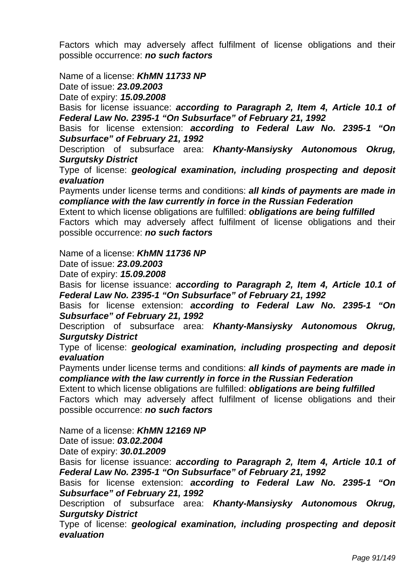Factors which may adversely affect fulfilment of license obligations and their possible occurrence: *no such factors* 

Name of a license: *KhMN 11733 NP*

Date of issue: *23.09.2003* 

Date of expiry: *15.09.2008* 

Basis for license issuance: *according to Paragraph 2, Item 4, Article 10.1 of Federal Law No. 2395-1 "On Subsurface" of February 21, 1992* 

Basis for license extension: *according to Federal Law No. 2395-1 "On Subsurface" of February 21, 1992* 

Description of subsurface area: *Khanty-Mansiysky Autonomous Okrug, Surgutsky District* 

Type of license: *geological examination, including prospecting and deposit evaluation* 

Payments under license terms and conditions: *all kinds of payments are made in compliance with the law currently in force in the Russian Federation* 

Extent to which license obligations are fulfilled: *obligations are being fulfilled*  Factors which may adversely affect fulfilment of license obligations and their possible occurrence: *no such factors* 

Name of a license: *KhMN 11736 NP*

Date of issue: *23.09.2003* 

Date of expiry: *15.09.2008* 

Basis for license issuance: *according to Paragraph 2, Item 4, Article 10.1 of Federal Law No. 2395-1 "On Subsurface" of February 21, 1992* 

Basis for license extension: *according to Federal Law No. 2395-1 "On Subsurface" of February 21, 1992* 

Description of subsurface area: *Khanty-Mansiysky Autonomous Okrug, Surgutsky District* 

Type of license: *geological examination, including prospecting and deposit evaluation* 

Payments under license terms and conditions: *all kinds of payments are made in compliance with the law currently in force in the Russian Federation* 

Extent to which license obligations are fulfilled: *obligations are being fulfilled* 

Factors which may adversely affect fulfilment of license obligations and their possible occurrence: *no such factors* 

Name of a license: *KhMN 12169 NP*

Date of issue: *03.02.2004* 

Date of expiry: *30.01.2009* 

Basis for license issuance: *according to Paragraph 2, Item 4, Article 10.1 of Federal Law No. 2395-1 "On Subsurface" of February 21, 1992* 

Basis for license extension: *according to Federal Law No. 2395-1 "On Subsurface" of February 21, 1992* 

Description of subsurface area: *Khanty-Mansiysky Autonomous Okrug, Surgutsky District* 

Type of license: *geological examination, including prospecting and deposit evaluation*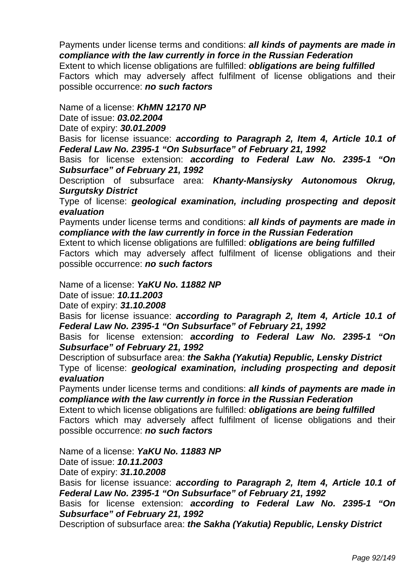Payments under license terms and conditions: *all kinds of payments are made in compliance with the law currently in force in the Russian Federation*  Extent to which license obligations are fulfilled: *obligations are being fulfilled* 

Factors which may adversely affect fulfilment of license obligations and their possible occurrence: *no such factors* 

Name of a license: *KhMN 12170 NP*

Date of issue: *03.02.2004* 

Date of expiry: *30.01.2009* 

Basis for license issuance: *according to Paragraph 2, Item 4, Article 10.1 of Federal Law No. 2395-1 "On Subsurface" of February 21, 1992* 

Basis for license extension: *according to Federal Law No. 2395-1 "On Subsurface" of February 21, 1992* 

Description of subsurface area: *Khanty-Mansiysky Autonomous Okrug, Surgutsky District* 

Type of license: *geological examination, including prospecting and deposit evaluation* 

Payments under license terms and conditions: *all kinds of payments are made in compliance with the law currently in force in the Russian Federation* 

Extent to which license obligations are fulfilled: *obligations are being fulfilled* 

Factors which may adversely affect fulfilment of license obligations and their possible occurrence: *no such factors* 

Name of a license: *YaKU No. 11882 NP*

Date of issue: *10.11.2003* 

Date of expiry: *31.10.2008* 

Basis for license issuance: *according to Paragraph 2, Item 4, Article 10.1 of Federal Law No. 2395-1 "On Subsurface" of February 21, 1992* 

Basis for license extension: *according to Federal Law No. 2395-1 "On Subsurface" of February 21, 1992* 

Description of subsurface area: *the Sakha (Yakutia) Republic, Lensky District* Type of license: *geological examination, including prospecting and deposit evaluation* 

Payments under license terms and conditions: *all kinds of payments are made in compliance with the law currently in force in the Russian Federation* 

Extent to which license obligations are fulfilled: *obligations are being fulfilled*  Factors which may adversely affect fulfilment of license obligations and their possible occurrence: *no such factors* 

Name of a license: *YaKU No. 11883 NP*

Date of issue: *10.11.2003* 

Date of expiry: *31.10.2008* 

Basis for license issuance: *according to Paragraph 2, Item 4, Article 10.1 of Federal Law No. 2395-1 "On Subsurface" of February 21, 1992* 

Basis for license extension: *according to Federal Law No. 2395-1 "On Subsurface" of February 21, 1992* 

Description of subsurface area: *the Sakha (Yakutia) Republic, Lensky District*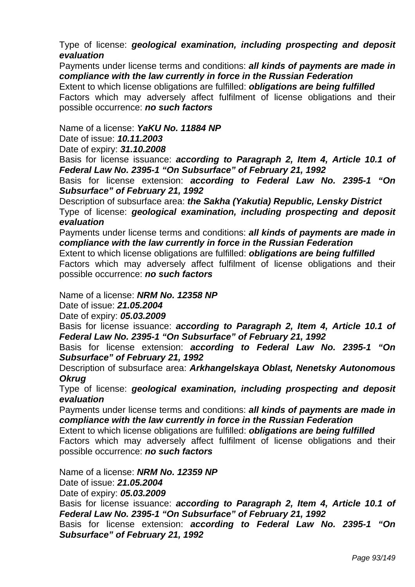Type of license: *geological examination, including prospecting and deposit evaluation* 

Payments under license terms and conditions: *all kinds of payments are made in compliance with the law currently in force in the Russian Federation* 

Extent to which license obligations are fulfilled: *obligations are being fulfilled*  Factors which may adversely affect fulfilment of license obligations and their possible occurrence: *no such factors* 

Name of a license: *YaKU No. 11884 NP*

Date of issue: *10.11.2003* 

Date of expiry: *31.10.2008* 

Basis for license issuance: *according to Paragraph 2, Item 4, Article 10.1 of Federal Law No. 2395-1 "On Subsurface" of February 21, 1992* 

Basis for license extension: *according to Federal Law No. 2395-1 "On Subsurface" of February 21, 1992* 

Description of subsurface area: *the Sakha (Yakutia) Republic, Lensky District* Type of license: *geological examination, including prospecting and deposit evaluation* 

Payments under license terms and conditions: *all kinds of payments are made in compliance with the law currently in force in the Russian Federation* 

Extent to which license obligations are fulfilled: *obligations are being fulfilled* 

Factors which may adversely affect fulfilment of license obligations and their possible occurrence: *no such factors* 

Name of a license: *NRM No. 12358 NP*

Date of issue: *21.05.2004* 

Date of expiry: *05.03.2009* 

Basis for license issuance: *according to Paragraph 2, Item 4, Article 10.1 of Federal Law No. 2395-1 "On Subsurface" of February 21, 1992* 

Basis for license extension: *according to Federal Law No. 2395-1 "On Subsurface" of February 21, 1992* 

Description of subsurface area: *Arkhangelskaya Oblast, Nenetsky Autonomous Okrug*

Type of license: *geological examination, including prospecting and deposit evaluation* 

Payments under license terms and conditions: *all kinds of payments are made in compliance with the law currently in force in the Russian Federation* 

Extent to which license obligations are fulfilled: *obligations are being fulfilled*  Factors which may adversely affect fulfilment of license obligations and their possible occurrence: *no such factors* 

Name of a license: *NRM No. 12359 NP*

Date of issue: *21.05.2004* 

Date of expiry: *05.03.2009* 

Basis for license issuance: *according to Paragraph 2, Item 4, Article 10.1 of Federal Law No. 2395-1 "On Subsurface" of February 21, 1992* 

Basis for license extension: *according to Federal Law No. 2395-1 "On Subsurface" of February 21, 1992*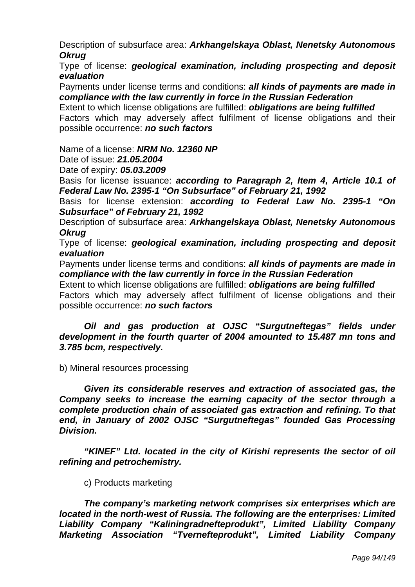Description of subsurface area: *Arkhangelskaya Oblast, Nenetsky Autonomous Okrug*

Type of license: *geological examination, including prospecting and deposit evaluation* 

Payments under license terms and conditions: *all kinds of payments are made in compliance with the law currently in force in the Russian Federation* 

Extent to which license obligations are fulfilled: *obligations are being fulfilled*  Factors which may adversely affect fulfilment of license obligations and their possible occurrence: *no such factors* 

Name of a license: *NRM No. 12360 NP*

Date of issue: *21.05.2004* 

Date of expiry: *05.03.2009* 

Basis for license issuance: *according to Paragraph 2, Item 4, Article 10.1 of Federal Law No. 2395-1 "On Subsurface" of February 21, 1992* 

Basis for license extension: *according to Federal Law No. 2395-1 "On Subsurface" of February 21, 1992* 

Description of subsurface area: *Arkhangelskaya Oblast, Nenetsky Autonomous Okrug*

Type of license: *geological examination, including prospecting and deposit evaluation* 

Payments under license terms and conditions: *all kinds of payments are made in compliance with the law currently in force in the Russian Federation* 

Extent to which license obligations are fulfilled: *obligations are being fulfilled*  Factors which may adversely affect fulfilment of license obligations and their possible occurrence: *no such factors* 

### *Oil and gas production at OJSC "Surgutneftegas" fields under development in the fourth quarter of 2004 amounted to 15.487 mn tons and 3.785 bcm, respectively.*

b) Mineral resources processing

*Given its considerable reserves and extraction of associated gas, the Company seeks to increase the earning capacity of the sector through a complete production chain of associated gas extraction and refining. To that end, in January of 2002 OJSC "Surgutneftegas" founded Gas Processing Division.* 

*"KINEF" Ltd. located in the city of Kirishi represents the sector of oil refining and petrochemistry.* 

c) Products marketing

*The company's marketing network comprises six enterprises which are located in the north-west of Russia. The following are the enterprises: Limited Liability Company "Kaliningradnefteprodukt", Limited Liability Company Marketing Association "Tvernefteprodukt", Limited Liability Company*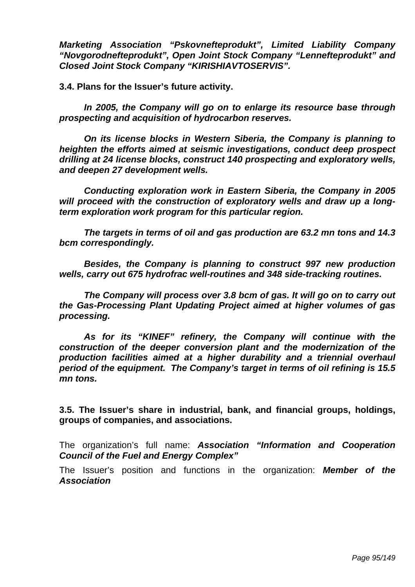*Marketing Association "Pskovnefteprodukt", Limited Liability Company "Novgorodnefteprodukt", Open Joint Stock Company "Lennefteprodukt" and Closed Joint Stock Company "KIRISHIAVTOSERVIS".* 

**3.4. Plans for the Issuer's future activity.** 

 *In 2005, the Company will go on to enlarge its resource base through prospecting and acquisition of hydrocarbon reserves.* 

 *On its license blocks in Western Siberia, the Company is planning to heighten the efforts aimed at seismic investigations, conduct deep prospect drilling at 24 license blocks, construct 140 prospecting and exploratory wells, and deepen 27 development wells.* 

 *Conducting exploration work in Eastern Siberia, the Company in 2005 will proceed with the construction of exploratory wells and draw up a longterm exploration work program for this particular region.* 

 *The targets in terms of oil and gas production are 63.2 mn tons and 14.3 bcm correspondingly.* 

 *Besides, the Company is planning to construct 997 new production wells, carry out 675 hydrofrac well-routines and 348 side-tracking routines.* 

 *The Company will process over 3.8 bcm of gas. It will go on to carry out the Gas-Processing Plant Updating Project aimed at higher volumes of gas processing.* 

 *As for its "KINEF" refinery, the Company will continue with the construction of the deeper conversion plant and the modernization of the production facilities aimed at a higher durability and a triennial overhaul period of the equipment. The Company's target in terms of oil refining is 15.5 mn tons.* 

**3.5. The Issuer's share in industrial, bank, and financial groups, holdings, groups of companies, and associations.** 

The organization's full name: *Association "Information and Cooperation Council of the Fuel and Energy Complex"* 

The Issuer's position and functions in the organization: *Member of the Association*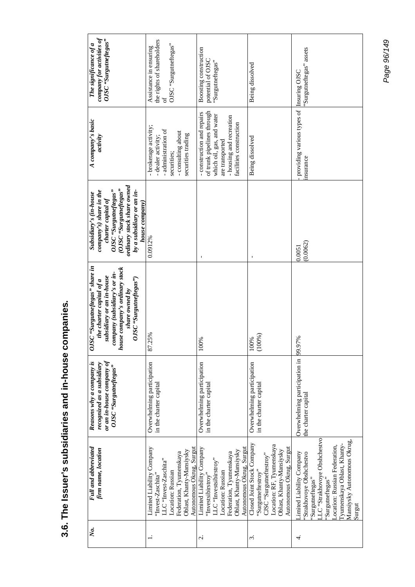| company for activities of<br>OJSC "Surguineftegas"<br>The significance of a                                                                                                                             | the rights of shareholders<br>OJSC "Surgutneftegas"<br>Assistance in ensuring<br>of                                                                                             | Boosting construction<br>potential of OJSC<br>"Surgutneftegas"                                                                                                                    | Being dissolved                                                                                                                                                  | Surgutneftegas" assets<br>Insuring OJSC                                                                                                                                                                                             |
|---------------------------------------------------------------------------------------------------------------------------------------------------------------------------------------------------------|---------------------------------------------------------------------------------------------------------------------------------------------------------------------------------|-----------------------------------------------------------------------------------------------------------------------------------------------------------------------------------|------------------------------------------------------------------------------------------------------------------------------------------------------------------|-------------------------------------------------------------------------------------------------------------------------------------------------------------------------------------------------------------------------------------|
| A company's basic<br>activity                                                                                                                                                                           | - brokerage activity;<br>- administration of<br>- consulting about<br>securities trading<br>- dealer activity;<br>securities;                                                   | of trunk pipelines through<br>- construction and repairs<br>which oil, gas, and water<br>- housing and recreation<br>facilities construction<br>are transported                   | Being dissolved                                                                                                                                                  | providing various types of<br>nsurance                                                                                                                                                                                              |
| ordinary stock share owned<br>(OJSC "Surgutneftegas"<br>OJSC "Surgutneftegas"<br>company's) share in the<br>by a subsidiary or an in-<br>Subsidiary's (in-house<br>charter capital of<br>house company) | 0.0912%                                                                                                                                                                         |                                                                                                                                                                                   |                                                                                                                                                                  | (0.0062)<br>0.0051                                                                                                                                                                                                                  |
| OJSC "Surgutneftegas" share in<br>house company's ordinary stock<br>company (subsidiary's or in-<br>subsidiary or an in-house<br>OJSC "Surgutneftegas")<br>the charter capital of a<br>share owned by   | 87.25%                                                                                                                                                                          | 100%                                                                                                                                                                              | (100%)<br>00%                                                                                                                                                    |                                                                                                                                                                                                                                     |
| Reasons why a company is<br>or an in-house company of<br>recognized as a subsidiary<br>OJSC "Surgutneftegas"                                                                                            | Overwhelming participation<br>in the charter capital                                                                                                                            | Overwhelming participation<br>in the charter capital                                                                                                                              | Overwhelming participation<br>in the charter capital                                                                                                             | Overwhelming participation in 99.97%<br>the charter capital                                                                                                                                                                         |
| Full and abbreviated<br>firm name, location                                                                                                                                                             | Autonomous Okrug, Surgut<br>Limited Liability Company<br>Oblast, Khanty-Mansiysky<br>Federation, Tyumenskaya<br>LLC "Invest-Zaschita"<br>Location: Russian<br>'Invest-Zaschita" | Autonomous Okrug, Surgut<br>Limited Liability Company<br>Oblast, Khanty-Mansiysky<br>Federation, Tyumenskaya<br>LLC "Investsibirstroy"<br>Location: Russian<br>"Investsibirstroy" | Closed Joint Stock Company<br>Location: RF, Tyumenskaya<br>Autonomous Okrug, Surgut<br>Oblast, Khanty-Mansiysky<br>CJSC "Surgutneftestroy"<br>"Surgutneftestroy" | .LC "Strakhovoye Obshchestvo<br>Mansiysky Autonomous Okrug,<br>Tyumenskaya Oblast, Khanty-<br>Location: Russian Federation,<br>imited Liability Company<br>Strakhovoye Obshchestvo<br>'Surgutneftegas"<br>Surgutneftegas"<br>Surgut |
| Ňо.                                                                                                                                                                                                     |                                                                                                                                                                                 | $\dot{\sim}$                                                                                                                                                                      | S.                                                                                                                                                               | 4                                                                                                                                                                                                                                   |

3.6. The Issuer's subsidiaries and in-house companies. **3.6. The Issuer's subsidiaries and in-house companies.**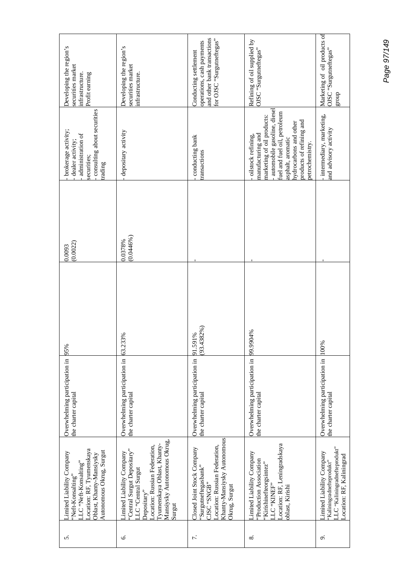| Developing the region's<br>securities market<br>Profit earning<br>infrastructure                                                                            | Developing the region's<br>securities market<br>infrastructure.                                                                                                                                         | and other bank transactions<br>for OJSC "Surgutneftegas"<br>operations, cash payments<br>Conducting settlement                                    | Refining of oil supplied by<br>OJSC "Surgutneftegas"                                                                                                                                                                               | Marketing of oil products of<br>OJSC "Surgutneftegas"<br>dno.fa                                                      |
|-------------------------------------------------------------------------------------------------------------------------------------------------------------|---------------------------------------------------------------------------------------------------------------------------------------------------------------------------------------------------------|---------------------------------------------------------------------------------------------------------------------------------------------------|------------------------------------------------------------------------------------------------------------------------------------------------------------------------------------------------------------------------------------|----------------------------------------------------------------------------------------------------------------------|
| consulting about securities<br>brokerage activity;<br>administration of<br>dealer activity;<br>securities;<br>trading                                       | depositary activity                                                                                                                                                                                     | conducting bank<br>ransactions                                                                                                                    | automobile gasoline, diesel<br>fuel and fuel oil, petroleum<br>narketing of oil products:<br>products of refining and<br>nydrocarbons and other<br>manufacturing and<br>oilstock refining,<br>asphalt, aromatic<br>betrochemistry. | intermediary, marketing,<br>and advisory activity                                                                    |
| (0.0022)<br>0.0093                                                                                                                                          | $(0.0446\%)$<br>0.0378%                                                                                                                                                                                 |                                                                                                                                                   |                                                                                                                                                                                                                                    |                                                                                                                      |
|                                                                                                                                                             | 63.233%                                                                                                                                                                                                 | $(93.4382\%)$<br>91.591%                                                                                                                          | 99.9904%                                                                                                                                                                                                                           | 100%                                                                                                                 |
| Overwhelming participation in 95%<br>the charter capital                                                                                                    | Overwhelming participation in<br>the charter capital                                                                                                                                                    | Overwhelming participation in<br>the charter capital                                                                                              | Overwhelming participation in<br>the charter capital                                                                                                                                                                               | Overwhelming participation in<br>the charter capital                                                                 |
| Location: RF, Tyumenskaya<br>Autonomous Okrug, Surgut<br>imited Liability Company<br>Oblast, Khanty-Mansiysky<br>.LC "Neft-Konsalting"<br>'Neft-Konsalting' | Mansiysky Autonomous Okrug,<br>Tyumenskaya Oblast, Khanty-<br>ocation: Russian Federation,<br>'Central Surgut Depositary"<br>imited Liability Company<br><b>Central Surgut</b><br>Depositary"<br>Surgut | Khanty-Mansiysky Autonomous<br>ocation: Russian Federation,<br>Closed Joint Stock Company<br>'Surgutneftegasbank"<br>"SENS" OSIC<br>Okrug, Surgut | ocation: RF, Leningradskaya<br>imited Liability Company<br>Production Association<br>'Kirishinefteorgsintez"<br>"TC "KINEF"<br>oblast, Kirishi                                                                                     | .I.C "Kaliningradnefteprodukt"<br>imited Liability Company<br>-ocation: RF, Kaliningrad<br>'Kaliningradnefteprodukt" |
| n                                                                                                                                                           | نۍ.                                                                                                                                                                                                     | J.                                                                                                                                                | ∞ं                                                                                                                                                                                                                                 | ö                                                                                                                    |

Page 97/149 *Page 97/149*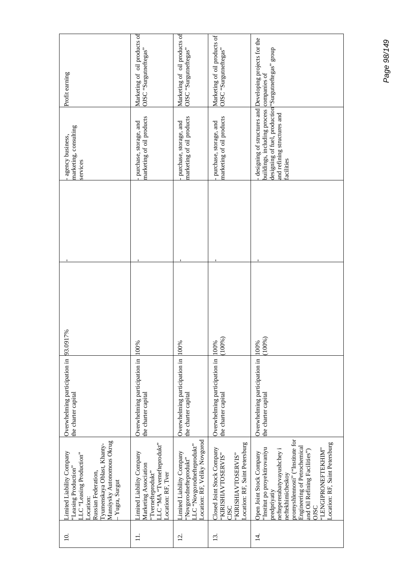| Profit earning                                                                                                                                                                                 | Marketing of oil products of<br>OJSC "Surgutneftegas"                                                                      | Marketing of oil products of<br>OJSC "Surgutneftegas"                                                                 | Marketing of oil products of<br>OJSC "Surgutneftegas"                                                            |                                                                                                                                                                                                                                                                                                    |
|------------------------------------------------------------------------------------------------------------------------------------------------------------------------------------------------|----------------------------------------------------------------------------------------------------------------------------|-----------------------------------------------------------------------------------------------------------------------|------------------------------------------------------------------------------------------------------------------|----------------------------------------------------------------------------------------------------------------------------------------------------------------------------------------------------------------------------------------------------------------------------------------------------|
| marketing, consulting<br>agency business,<br>services                                                                                                                                          | marketing of oil products<br>purchase, storage, and                                                                        | marketing of oil products<br>purchase, storage, and                                                                   | narketing of oil products<br>purchase, storage, and                                                              | designing of structures and Developing projects for the<br>designing of fuel, production <sup>t</sup> Surgutneftegas" group<br>puildings, including process companies of<br>and refining structures and<br>acilities                                                                               |
|                                                                                                                                                                                                |                                                                                                                            |                                                                                                                       |                                                                                                                  |                                                                                                                                                                                                                                                                                                    |
| 917%                                                                                                                                                                                           | 100%                                                                                                                       | 100%                                                                                                                  | (100%<br>100%                                                                                                    | (100%)<br>100%                                                                                                                                                                                                                                                                                     |
| Overwhelming participation in 93.0<br>the charter capital                                                                                                                                      | Overwhelming participation in<br>the charter capital                                                                       | Overwhelming participation in<br>the charter capital                                                                  | Overwhelming participation in<br>the charter capital                                                             | Overwhelming participation in<br>the charter capital                                                                                                                                                                                                                                               |
| Mansiysky Autonomous Okrug<br>Tyumenskaya Oblast, Khantv-<br>imited Liability Company<br>LC "Leasing Production"<br>'Leasing Production"<br>Russian Federation,<br>- Yugra, Surgut<br>ocation: | LC "MA "Tvernefteprodukt"<br>imited Liability Company<br>Marketing Association<br>'Tvernefteprodukt"<br>Location: RF, Tver | Location: RF, Veliky Novgorod<br>'Novgorodnefteprodukt''<br>'.LC ''Novgorodnefteprodukt''<br>imited Liability Company | Location: RF, Saint Petersburg<br>Closed Joint Stock Company<br>'KIRISHIAVTOSERVIS"<br>KIRISHIAVTOSERVIS"<br>CSC | promyshlennosti" ("Institute for<br>Cocation: RF, Saint Petersburg<br>Engineering of Petrochemical<br>Institut po proyektirovaniyu<br>'LENGIPRONEFTEKHIM'<br>neftepererabatyvayushchey i<br>and Oil Refining Facilities")<br>Open Joint Stock Company<br>neftekhimicheskoy<br>predpriyatiy<br>OJSC |
| $\overline{10}$ .                                                                                                                                                                              | ∃                                                                                                                          | $\overline{5}$                                                                                                        | $\overline{13}$ .                                                                                                | $\vec{4}$                                                                                                                                                                                                                                                                                          |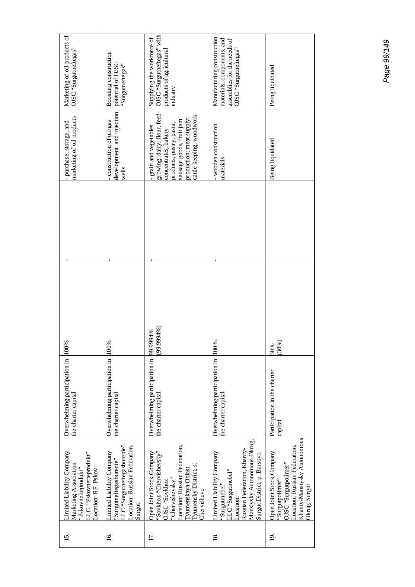| Marketing of oil products of<br>OJSC "Surgutneftegas"                                                                      | Boosting construction<br>potential of OJSC<br>Surgutneftegas"                                                                  | OJSC "Surgutneftegas" with<br>Supplying the workforce of<br>products of agricultural<br>industry                                                                                                  | Manufacturing construction<br>materials, components, and<br>assemblies for the needs of<br>OJSC "Surgutneftegas"                                                         | Being liquidated                                                                                                                                      |
|----------------------------------------------------------------------------------------------------------------------------|--------------------------------------------------------------------------------------------------------------------------------|---------------------------------------------------------------------------------------------------------------------------------------------------------------------------------------------------|--------------------------------------------------------------------------------------------------------------------------------------------------------------------------|-------------------------------------------------------------------------------------------------------------------------------------------------------|
| marketing of oil products<br>purchase, storage, and                                                                        | development and injection<br>construction of oil/gas<br>wells                                                                  | growing; dairy, flour, feed-<br>cattle keeping; woodwork<br>production; meat supply;<br>sausage goods, fruit jam<br>products, pastry, pasta,<br>grain and vegetables<br>concentrates, bakery      | wooden construction<br>naterials                                                                                                                                         | Being liquidated                                                                                                                                      |
|                                                                                                                            |                                                                                                                                |                                                                                                                                                                                                   |                                                                                                                                                                          |                                                                                                                                                       |
| 100%                                                                                                                       | 100%                                                                                                                           | (%6666666<br>9949%                                                                                                                                                                                | 100%                                                                                                                                                                     | (30%)<br>30%                                                                                                                                          |
| Overwhelming participation in<br>the charter capital                                                                       | Overwhelming participation in<br>the charter capital                                                                           | Overwhelming participation in<br>the charter capital                                                                                                                                              | Overwhelming participation in<br>the charter capital                                                                                                                     | Participation in the charter<br>capital                                                                                                               |
| Limited Liability Company<br>LC "Pskovnefteprodukt"<br>Marketing Association<br>'Pskovnefteprodukt"<br>Location: RF, Pskov | LLC "Surgutneftegasburenie"<br>Location: Russian Federation,<br>imited Liability Company<br>'Surgutneftegasburenie''<br>Surgut | Location: Russian Federation,<br>'Sovkhoz "Chervishevsky"<br>Open Joint Stock Company<br>Tyumensky District, s.<br>l'yumenskaya Oblast,<br>"Chervishevsky"<br>OJSC "Sovkhoz<br><b>Chervishevo</b> | Mansiysky Autonomous Okrug,<br>Russian Federation, Khanty-<br>imited Liability Company<br>Surgut District, p. Barsovo<br>.LC "Surgutmebel"<br>'Surgutmebel"<br>.ocation: | Khanty-Mansiysky Autonomous<br>Location: Russian Federation,<br>Open Joint Stock Company<br>OJSC "Surgutpolimer"<br>'Surgutpolimer''<br>Okrug, Surgut |
| 15.                                                                                                                        | <u>16</u> .                                                                                                                    | 17.                                                                                                                                                                                               | $\overline{18}$ .                                                                                                                                                        | $\overline{5}$                                                                                                                                        |

Page 99/149 *Page 99/149*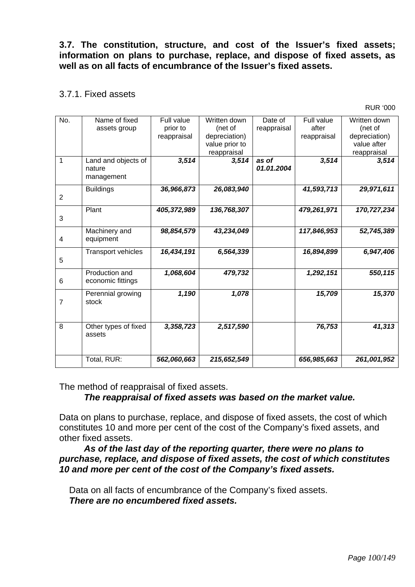**3.7. The constitution, structure, and cost of the Issuer's fixed assets; information on plans to purchase, replace, and dispose of fixed assets, as well as on all facts of encumbrance of the Issuer's fixed assets.** 

### 3.7.1. Fixed assets

RUR '000

| No.            | Name of fixed             | Full value  | Written down   | Date of     | Full value  | Written down  |
|----------------|---------------------------|-------------|----------------|-------------|-------------|---------------|
|                |                           | prior to    | (net of        |             | after       | (net of       |
|                | assets group              |             | depreciation)  | reappraisal |             | depreciation) |
|                |                           | reappraisal |                |             | reappraisal |               |
|                |                           |             | value prior to |             |             | value after   |
|                |                           |             | reappraisal    |             |             | reappraisal   |
| 1              | Land and objects of       | 3,514       | 3,514          | as of       | 3,514       | 3,514         |
|                | nature                    |             |                | 01.01.2004  |             |               |
|                | management                |             |                |             |             |               |
|                | <b>Buildings</b>          | 36,966,873  | 26,083,940     |             | 41,593,713  | 29,971,611    |
| 2              |                           |             |                |             |             |               |
|                |                           |             |                |             |             |               |
|                | Plant                     | 405,372,989 | 136,768,307    |             | 479,261,971 | 170,727,234   |
| 3              |                           |             |                |             |             |               |
|                | Machinery and             | 98,854,579  | 43,234,049     |             | 117,846,953 | 52,745,389    |
|                |                           |             |                |             |             |               |
| 4              | equipment                 |             |                |             |             |               |
|                | <b>Transport vehicles</b> | 16,434,191  | 6,564,339      |             | 16,894,899  | 6,947,406     |
| 5              |                           |             |                |             |             |               |
|                |                           |             |                |             |             |               |
|                | Production and            | 1,068,604   | 479,732        |             | 1,292,151   | 550,115       |
| 6              | economic fittings         |             |                |             |             |               |
|                | Perennial growing         | 1,190       | 1,078          |             | 15,709      | 15,370        |
| 7              | stock                     |             |                |             |             |               |
|                |                           |             |                |             |             |               |
|                |                           |             |                |             |             |               |
| $\overline{8}$ | Other types of fixed      | 3,358,723   | 2,517,590      |             | 76,753      | 41,313        |
|                | assets                    |             |                |             |             |               |
|                |                           |             |                |             |             |               |
|                |                           |             |                |             |             |               |
|                | Total, RUR:               | 562,060,663 | 215,652,549    |             | 656,985,663 | 261,001,952   |
|                |                           |             |                |             |             |               |

The method of reappraisal of fixed assets.

# *The reappraisal of fixed assets was based on the market value.*

Data on plans to purchase, replace, and dispose of fixed assets, the cost of which constitutes 10 and more per cent of the cost of the Company's fixed assets, and other fixed assets.

*As of the last day of the reporting quarter, there were no plans to purchase, replace, and dispose of fixed assets, the cost of which constitutes 10 and more per cent of the cost of the Company's fixed assets.* 

Data on all facts of encumbrance of the Company's fixed assets. *There are no encumbered fixed assets.*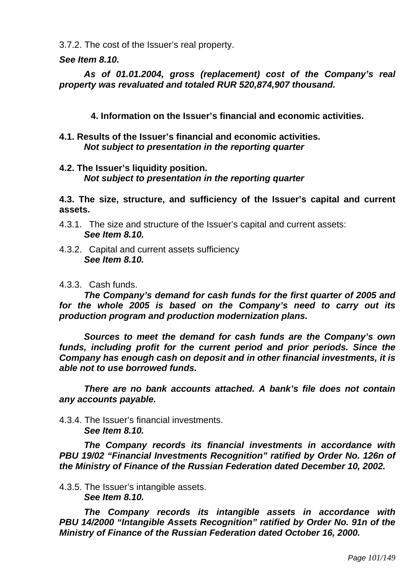3.7.2. The cost of the Issuer's real property.

*See Item 8.10.* 

*As of 01.01.2004, gross (replacement) cost of the Company's real property was revaluated and totaled RUR 520,874,907 thousand.* 

**4. Information on the Issuer's financial and economic activities.** 

**4.1. Results of the Issuer's financial and economic activities.**  *Not subject to presentation in the reporting quarter* 

### **4.2. The Issuer's liquidity position.**  *Not subject to presentation in the reporting quarter*

**4.3. The size, structure, and sufficiency of the Issuer's capital and current assets.** 

- 4.3.1. The size and structure of the Issuer's capital and current assets:  *See Item 8.10.*
- 4.3.2. Capital and current assets sufficiency  *See Item 8.10.*

## 4.3.3. Cash funds.

*The Company's demand for cash funds for the first quarter of 2005 and for the whole 2005 is based on the Company's need to carry out its production program and production modernization plans.* 

*Sources to meet the demand for cash funds are the Company's own funds, including profit for the current period and prior periods. Since the Company has enough cash on deposit and in other financial investments, it is able not to use borrowed funds.* 

*There are no bank accounts attached. A bank's file does not contain any accounts payable.* 

#### 4.3.4. The Issuer's financial investments.  *See Item 8.10.*

*The Company records its financial investments in accordance with PBU 19/02 "Financial Investments Recognition" ratified by Order No. 126n of the Ministry of Finance of the Russian Federation dated December 10, 2002.* 

4.3.5. The Issuer's intangible assets.  *See Item 8.10.* 

*The Company records its intangible assets in accordance with PBU 14/2000 "Intangible Assets Recognition" ratified by Order No. 91n of the Ministry of Finance of the Russian Federation dated October 16, 2000.*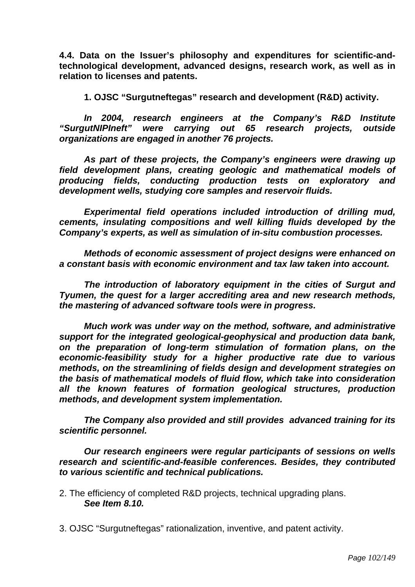**4.4. Data on the Issuer's philosophy and expenditures for scientific-andtechnological development, advanced designs, research work, as well as in relation to licenses and patents.** 

**1. OJSC "Surgutneftegas" research and development (R&D) activity.** 

*In 2004, research engineers at the Company's R&D Institute "SurgutNIPIneft" were carrying out 65 research projects, outside organizations are engaged in another 76 projects.* 

*As part of these projects, the Company's engineers were drawing up field development plans, creating geologic and mathematical models of producing fields, conducting production tests on exploratory and development wells, studying core samples and reservoir fluids.* 

*Experimental field operations included introduction of drilling mud, cements, insulating compositions and well killing fluids developed by the Company's experts, as well as simulation of in-situ combustion processes.* 

*Methods of economic assessment of project designs were enhanced on a constant basis with economic environment and tax law taken into account.* 

*The introduction of laboratory equipment in the cities of Surgut and Tyumen, the quest for a larger accrediting area and new research methods, the mastering of advanced software tools were in progress.* 

*Much work was under way on the method, software, and administrative support for the integrated geological-geophysical and production data bank, on the preparation of long-term stimulation of formation plans, on the economic-feasibility study for a higher productive rate due to various methods, on the streamlining of fields design and development strategies on the basis of mathematical models of fluid flow, which take into consideration all the known features of formation geological structures, production methods, and development system implementation.* 

*The Company also provided and still provides advanced training for its scientific personnel.* 

*Our research engineers were regular participants of sessions on wells research and scientific-and-feasible conferences. Besides, they contributed to various scientific and technical publications.* 

2. The efficiency of completed R&D projects, technical upgrading plans.  *See Item 8.10.* 

3. OJSC "Surgutneftegas" rationalization, inventive, and patent activity.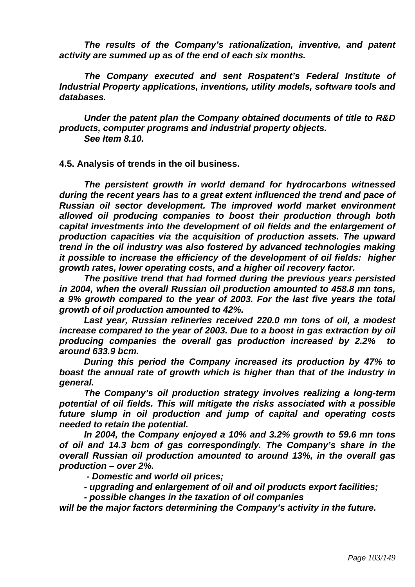*The results of the Company's rationalization, inventive, and patent activity are summed up as of the end of each six months.* 

*The Company executed and sent Rospatent's Federal Institute of Industrial Property applications, inventions, utility models, software tools and databases.* 

*Under the patent plan the Company obtained documents of title to R&D products, computer programs and industrial property objects. See Item 8.10.* 

**4.5. Analysis of trends in the oil business.** 

*The persistent growth in world demand for hydrocarbons witnessed during the recent years has to a great extent influenced the trend and pace of Russian oil sector development. The improved world market environment allowed oil producing companies to boost their production through both capital investments into the development of oil fields and the enlargement of production capacities via the acquisition of production assets. The upward trend in the oil industry was also fostered by advanced technologies making it possible to increase the efficiency of the development of oil fields: higher growth rates, lower operating costs, and a higher oil recovery factor.* 

*The positive trend that had formed during the previous years persisted in 2004, when the overall Russian oil production amounted to 458.8 mn tons, a 9% growth compared to the year of 2003. For the last five years the total growth of oil production amounted to 42%.* 

*Last year, Russian refineries received 220.0 mn tons of oil, a modest increase compared to the year of 2003. Due to a boost in gas extraction by oil producing companies the overall gas production increased by 2.2% to around 633.9 bcm.* 

*During this period the Company increased its production by 47% to boast the annual rate of growth which is higher than that of the industry in general.* 

*The Company's oil production strategy involves realizing a long-term potential of oil fields. This will mitigate the risks associated with a possible future slump in oil production and jump of capital and operating costs needed to retain the potential.* 

*In 2004, the Company enjoyed a 10% and 3.2% growth to 59.6 mn tons of oil and 14.3 bcm of gas correspondingly. The Company's share in the overall Russian oil production amounted to around 13%, in the overall gas production – over 2%.* 

 *- Domestic and world oil prices;* 

*- upgrading and enlargement of oil and oil products export facilities;* 

*- possible changes in the taxation of oil companies* 

*will be the major factors determining the Company's activity in the future.*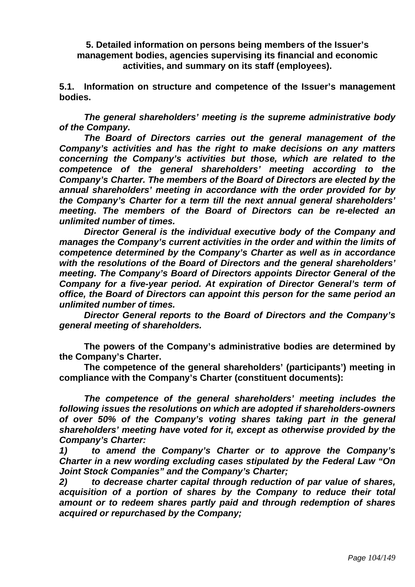**5. Detailed information on persons being members of the Issuer's management bodies, agencies supervising its financial and economic activities, and summary on its staff (employees).** 

**5.1. Information on structure and competence of the Issuer's management bodies.** 

 *The general shareholders' meeting is the supreme administrative body of the Company.* 

 *The Board of Directors carries out the general management of the Company's activities and has the right to make decisions on any matters concerning the Company's activities but those, which are related to the competence of the general shareholders' meeting according to the Company's Charter. The members of the Board of Directors are elected by the annual shareholders' meeting in accordance with the order provided for by the Company's Charter for a term till the next annual general shareholders' meeting. The members of the Board of Directors can be re-elected an unlimited number of times.* 

 *Director General is the individual executive body of the Company and manages the Company's current activities in the order and within the limits of competence determined by the Company's Charter as well as in accordance with the resolutions of the Board of Directors and the general shareholders' meeting. The Company's Board of Directors appoints Director General of the Company for a five-year period. At expiration of Director General's term of office, the Board of Directors can appoint this person for the same period an unlimited number of times.* 

 *Director General reports to the Board of Directors and the Company's general meeting of shareholders.* 

 **The powers of the Company's administrative bodies are determined by the Company's Charter.**

 **The competence of the general shareholders' (participants') meeting in compliance with the Company's Charter (constituent documents):** 

 *The competence of the general shareholders' meeting includes the following issues the resolutions on which are adopted if shareholders-owners of over 50% of the Company's voting shares taking part in the general shareholders' meeting have voted for it, except as otherwise provided by the Company's Charter:* 

*1) to amend the Company's Charter or to approve the Company's Charter in a new wording excluding cases stipulated by the Federal Law "On Joint Stock Companies" and the Company's Charter;* 

*2) to decrease charter capital through reduction of par value of shares, acquisition of a portion of shares by the Company to reduce their total amount or to redeem shares partly paid and through redemption of shares acquired or repurchased by the Company;*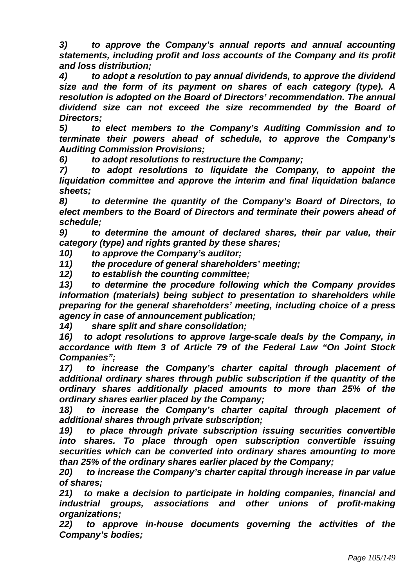*3) to approve the Company's annual reports and annual accounting statements, including profit and loss accounts of the Company and its profit and loss distribution;* 

*4) to adopt a resolution to pay annual dividends, to approve the dividend size and the form of its payment on shares of each category (type). A resolution is adopted on the Board of Directors' recommendation. The annual dividend size can not exceed the size recommended by the Board of Directors;* 

*5) to elect members to the Company's Auditing Commission and to terminate their powers ahead of schedule, to approve the Company's Auditing Commission Provisions;* 

*6) to adopt resolutions to restructure the Company;* 

*7) to adopt resolutions to liquidate the Company, to appoint the liquidation committee and approve the interim and final liquidation balance sheets;* 

*8) to determine the quantity of the Company's Board of Directors, to elect members to the Board of Directors and terminate their powers ahead of schedule;* 

*9) to determine the amount of declared shares, their par value, their category (type) and rights granted by these shares;* 

*10) to approve the Company's auditor;* 

*11) the procedure of general shareholders' meeting;* 

*12) to establish the counting committee;* 

*13) to determine the procedure following which the Company provides information (materials) being subject to presentation to shareholders while preparing for the general shareholders' meeting, including choice of a press agency in case of announcement publication;* 

*14) share split and share consolidation;* 

*16) to adopt resolutions to approve large-scale deals by the Company, in accordance with Item 3 of Article 79 of the Federal Law "On Joint Stock Companies";* 

*17) to increase the Company's charter capital through placement of additional ordinary shares through public subscription if the quantity of the ordinary shares additionally placed amounts to more than 25% of the ordinary shares earlier placed by the Company;* 

*18) to increase the Company's charter capital through placement of additional shares through private subscription;* 

*19) to place through private subscription issuing securities convertible into shares. To place through open subscription convertible issuing securities which can be converted into ordinary shares amounting to more than 25% of the ordinary shares earlier placed by the Company;* 

*20) to increase the Company's charter capital through increase in par value of shares;* 

*21) to make a decision to participate in holding companies, financial and industrial groups, associations and other unions of profit-making organizations;* 

*22) to approve in-house documents governing the activities of the Company's bodies;*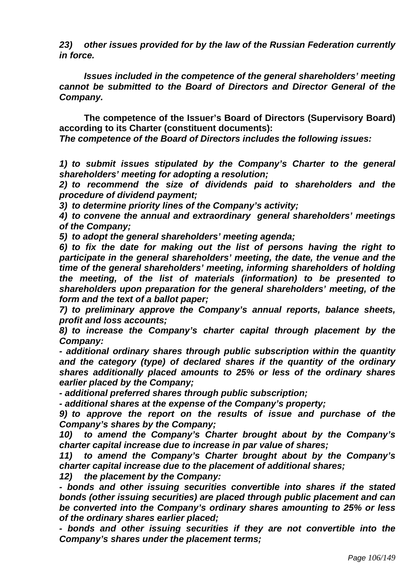*23) other issues provided for by the law of the Russian Federation currently in force.* 

*Issues included in the competence of the general shareholders' meeting cannot be submitted to the Board of Directors and Director General of the Company.* 

 **The competence of the Issuer's Board of Directors (Supervisory Board) according to its Charter (constituent documents):** 

*The competence of the Board of Directors includes the following issues:* 

*1) to submit issues stipulated by the Company's Charter to the general shareholders' meeting for adopting a resolution;* 

*2) to recommend the size of dividends paid to shareholders and the procedure of dividend payment;* 

*3) to determine priority lines of the Company's activity;* 

*4) to convene the annual and extraordinary general shareholders' meetings of the Company;* 

*5) to adopt the general shareholders' meeting agenda;* 

*6) to fix the date for making out the list of persons having the right to participate in the general shareholders' meeting, the date, the venue and the time of the general shareholders' meeting, informing shareholders of holding the meeting, of the list of materials (information) to be presented to shareholders upon preparation for the general shareholders' meeting, of the form and the text of a ballot paper;* 

*7) to preliminary approve the Company's annual reports, balance sheets, profit and loss accounts;* 

*8) to increase the Company's charter capital through placement by the Company:* 

*- additional ordinary shares through public subscription within the quantity and the category (type) of declared shares if the quantity of the ordinary shares additionally placed amounts to 25% or less of the ordinary shares earlier placed by the Company;* 

*- additional preferred shares through public subscription;* 

*- additional shares at the expense of the Company's property;* 

*9) to approve the report on the results of issue and purchase of the Company's shares by the Company;* 

*10) to amend the Company's Charter brought about by the Company's charter capital increase due to increase in par value of shares;* 

*11) to amend the Company's Charter brought about by the Company's charter capital increase due to the placement of additional shares;* 

*12) the placement by the Company:* 

*- bonds and other issuing securities convertible into shares if the stated bonds (other issuing securities) are placed through public placement and can be converted into the Company's ordinary shares amounting to 25% or less of the ordinary shares earlier placed;* 

*- bonds and other issuing securities if they are not convertible into the Company's shares under the placement terms;*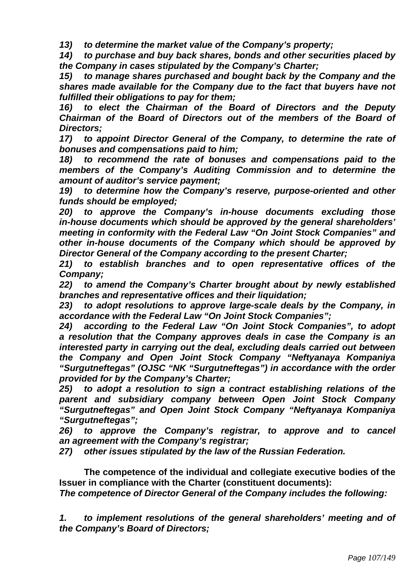*13) to determine the market value of the Company's property;* 

*14) to purchase and buy back shares, bonds and other securities placed by the Company in cases stipulated by the Company's Charter;* 

*15) to manage shares purchased and bought back by the Company and the shares made available for the Company due to the fact that buyers have not fulfilled their obligations to pay for them;* 

*16) to elect the Chairman of the Board of Directors and the Deputy Chairman of the Board of Directors out of the members of the Board of Directors;* 

*17) to appoint Director General of the Company, to determine the rate of bonuses and compensations paid to him;* 

*18) to recommend the rate of bonuses and compensations paid to the members of the Company's Auditing Commission and to determine the amount of auditor's service payment;* 

*19) to determine how the Company's reserve, purpose-oriented and other funds should be employed;* 

*20) to approve the Company's in-house documents excluding those in-house documents which should be approved by the general shareholders' meeting in conformity with the Federal Law "On Joint Stock Companies" and other in-house documents of the Company which should be approved by Director General of the Company according to the present Charter;* 

*21) to establish branches and to open representative offices of the Company;* 

*22) to amend the Company's Charter brought about by newly established branches and representative offices and their liquidation;* 

*23) to adopt resolutions to approve large-scale deals by the Company, in accordance with the Federal Law "On Joint Stock Companies";* 

*24) according to the Federal Law "On Joint Stock Companies", to adopt a resolution that the Company approves deals in case the Company is an interested party in carrying out the deal, excluding deals carried out between the Company and Open Joint Stock Company "Neftyanaya Kompaniya "Surgutneftegas" (OJSC "NK "Surgutneftegas") in accordance with the order provided for by the Company's Charter;* 

*25) to adopt a resolution to sign a contract establishing relations of the parent and subsidiary company between Open Joint Stock Company "Surgutneftegas" and Open Joint Stock Company "Neftyanaya Kompaniya "Surgutneftegas";* 

*26) to approve the Company's registrar, to approve and to cancel an agreement with the Company's registrar;* 

*27) other issues stipulated by the law of the Russian Federation.* 

 **The competence of the individual and collegiate executive bodies of the Issuer in compliance with the Charter (constituent documents):** 

*The competence of Director General of the Company includes the following:* 

*1. to implement resolutions of the general shareholders' meeting and of the Company's Board of Directors;*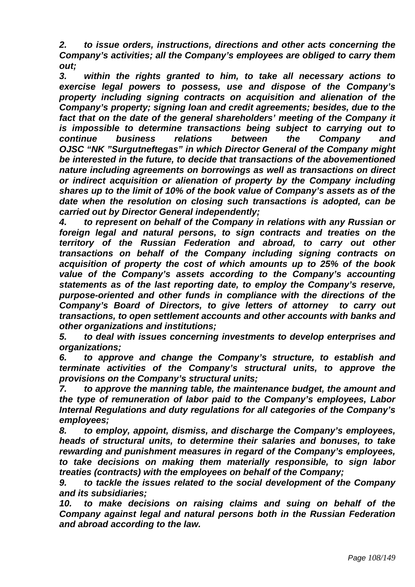*2. to issue orders, instructions, directions and other acts concerning the Company's activities; all the Company's employees are obliged to carry them out;* 

*3. within the rights granted to him, to take all necessary actions to exercise legal powers to possess, use and dispose of the Company's property including signing contracts on acquisition and alienation of the Company's property; signing loan and credit agreements; besides, due to the*  fact that on the date of the general shareholders' meeting of the Company it *is impossible to determine transactions being subject to carrying out to continue business relations between the Company and OJSC "NK "Surgutneftegas" in which Director General of the Company might be interested in the future, to decide that transactions of the abovementioned nature including agreements on borrowings as well as transactions on direct or indirect acquisition or alienation of property by the Company including shares up to the limit of 10% of the book value of Company's assets as of the date when the resolution on closing such transactions is adopted, can be carried out by Director General independently;* 

*4. to represent on behalf of the Company in relations with any Russian or foreign legal and natural persons, to sign contracts and treaties on the territory of the Russian Federation and abroad, to carry out other transactions on behalf of the Company including signing contracts on acquisition of property the cost of which amounts up to 25% of the book value of the Company's assets according to the Company's accounting statements as of the last reporting date, to employ the Company's reserve, purpose-oriented and other funds in compliance with the directions of the Company's Board of Directors, to give letters of attorney to carry out transactions, to open settlement accounts and other accounts with banks and other organizations and institutions;* 

*5. to deal with issues concerning investments to develop enterprises and organizations;* 

*6. to approve and change the Company's structure, to establish and terminate activities of the Company's structural units, to approve the provisions on the Company's structural units;* 

*7. to approve the manning table, the maintenance budget, the amount and the type of remuneration of labor paid to the Company's employees, Labor Internal Regulations and duty regulations for all categories of the Company's employees;* 

*8. to employ, appoint, dismiss, and discharge the Company's employees, heads of structural units, to determine their salaries and bonuses, to take rewarding and punishment measures in regard of the Company's employees, to take decisions on making them materially responsible, to sign labor treaties (contracts) with the employees on behalf of the Company;* 

*9. to tackle the issues related to the social development of the Company and its subsidiaries;* 

*10. to make decisions on raising claims and suing on behalf of the Company against legal and natural persons both in the Russian Federation and abroad according to the law.*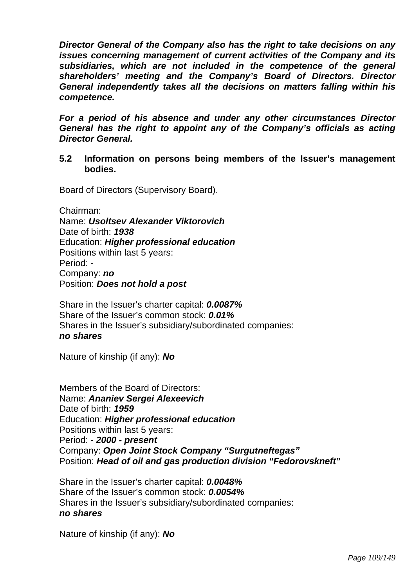*Director General of the Company also has the right to take decisions on any issues concerning management of current activities of the Company and its subsidiaries, which are not included in the competence of the general shareholders' meeting and the Company's Board of Directors. Director General independently takes all the decisions on matters falling within his competence.* 

*For a period of his absence and under any other circumstances Director General has the right to appoint any of the Company's officials as acting Director General.* 

**5.2 Information on persons being members of the Issuer's management bodies.** 

Board of Directors (Supervisory Board).

Chairman:

Name: *Usoltsev Alexander Viktorovich*  Date of birth: *1938*  Education: *Higher professional education*  Positions within last 5 years: Period: - Company: *no*  Position: *Does not hold a post* 

Share in the Issuer's charter capital: *0.0087%*  Share of the Issuer's common stock: *0.01%*  Shares in the Issuer's subsidiary/subordinated companies: *no shares* 

Nature of kinship (if any): *No* 

Members of the Board of Directors: Name: *Ananiev Sergei Alexeevich*  Date of birth: *1959*  Education: *Higher professional education*  Positions within last 5 years: Period: - *2000 - present*  Company: *Open Joint Stock Company "Surgutneftegas"*  Position: *Head of oil and gas production division "Fedorovskneft"* 

Share in the Issuer's charter capital: *0.0048%*  Share of the Issuer's common stock: *0.0054%*  Shares in the Issuer's subsidiary/subordinated companies: *no shares* 

Nature of kinship (if any): *No*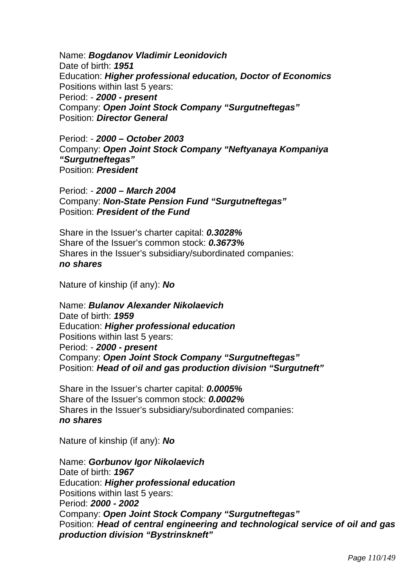Name: *Bogdanov Vladimir Leonidovich*  Date of birth: *1951*  Education: *Higher professional education, Doctor of Economics*  Positions within last 5 years: Period: - *2000 - present*  Company: *Open Joint Stock Company "Surgutneftegas"*  Position: *Director General* 

Period: - *2000 – October 2003*  Company: *Open Joint Stock Company "Neftyanaya Kompaniya "Surgutneftegas"*  Position: *President* 

Period: - *2000 – March 2004*  Company: *Non-State Pension Fund "Surgutneftegas"*  Position: *President of the Fund* 

Share in the Issuer's charter capital: *0.3028%*  Share of the Issuer's common stock: *0.3673%*  Shares in the Issuer's subsidiary/subordinated companies: *no shares* 

Nature of kinship (if any): *No* 

Name: *Bulanov Alexander Nikolaevich*  Date of birth: *1959*  Education: *Higher professional education*  Positions within last 5 years: Period: - *2000 - present*  Company: *Open Joint Stock Company "Surgutneftegas"*  Position: *Head of oil and gas production division "Surgutneft"* 

Share in the Issuer's charter capital: *0.0005%*  Share of the Issuer's common stock: *0.0002%*  Shares in the Issuer's subsidiary/subordinated companies: *no shares* 

Nature of kinship (if any): *No* 

Name: *Gorbunov Igor Nikolaevich*  Date of birth: *1967*  Education: *Higher professional education*  Positions within last 5 years: Period: *2000 - 2002*  Company: *Open Joint Stock Company "Surgutneftegas"*  Position: *Head of central engineering and technological service of oil and gas production division "Bystrinskneft"*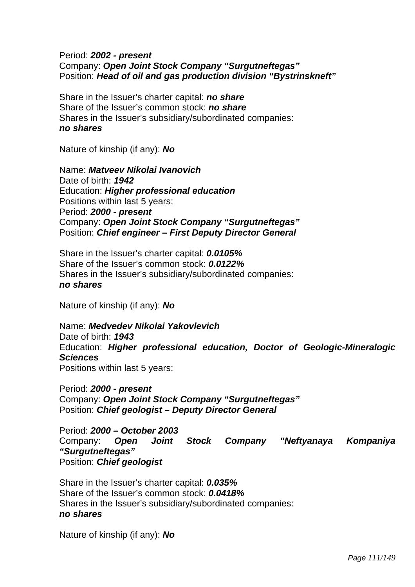# Period: *2002 - present*  Company: *Open Joint Stock Company "Surgutneftegas"*  Position: *Head of oil and gas production division "Bystrinskneft"*

Share in the Issuer's charter capital: *no share*  Share of the Issuer's common stock: *no share*  Shares in the Issuer's subsidiary/subordinated companies: *no shares* 

Nature of kinship (if any): *No* 

Name: *Matveev Nikolai Ivanovich*  Date of birth: *1942*  Education: *Higher professional education*  Positions within last 5 years: Period: *2000 - present*  Company: *Open Joint Stock Company "Surgutneftegas"*  Position: *Chief engineer – First Deputy Director General* 

Share in the Issuer's charter capital: *0.0105%*  Share of the Issuer's common stock: *0.0122%*  Shares in the Issuer's subsidiary/subordinated companies: *no shares* 

Nature of kinship (if any): *No* 

Name: *Medvedev Nikolai Yakovlevich*  Date of birth: *1943*  Education: *Higher professional education, Doctor of Geologic-Mineralogic Sciences*  Positions within last 5 years:

Period: *2000 - present*  Company: *Open Joint Stock Company "Surgutneftegas"*  Position: *Chief geologist – Deputy Director General* 

Period: *2000 – October 2003*  Company: *Open Joint Stock Company "Neftyanaya Kompaniya "Surgutneftegas"*  Position: *Chief geologist* 

Share in the Issuer's charter capital: *0.035%*  Share of the Issuer's common stock: *0.0418%*  Shares in the Issuer's subsidiary/subordinated companies: *no shares* 

Nature of kinship (if any): *No*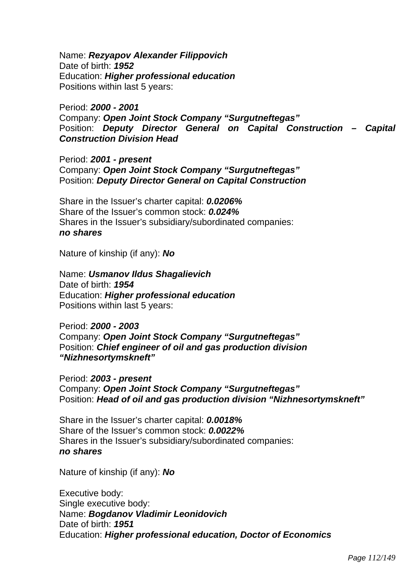Name: *Rezyapov Alexander Filippovich*  Date of birth: *1952*  Education: *Higher professional education*  Positions within last 5 years:

Period: *2000 - 2001*  Company: *Open Joint Stock Company "Surgutneftegas"*  Position: *Deputy Director General on Capital Construction – Capital Construction Division Head* 

Period: *2001 - present*  Company: *Open Joint Stock Company "Surgutneftegas"*  Position: *Deputy Director General on Capital Construction* 

Share in the Issuer's charter capital: *0.0206%*  Share of the Issuer's common stock: *0.024%*  Shares in the Issuer's subsidiary/subordinated companies: *no shares* 

Nature of kinship (if any): *No* 

Name: *Usmanov Ildus Shagalievich*  Date of birth: *1954*  Education: *Higher professional education*  Positions within last 5 years:

Period: *2000 - 2003*  Company: *Open Joint Stock Company "Surgutneftegas"*  Position: *Chief engineer of oil and gas production division "Nizhnesortymskneft"* 

Period: *2003 - present*  Company: *Open Joint Stock Company "Surgutneftegas"*  Position: *Head of oil and gas production division "Nizhnesortymskneft"* 

Share in the Issuer's charter capital: *0.0018%*  Share of the Issuer's common stock: *0.0022%*  Shares in the Issuer's subsidiary/subordinated companies: *no shares* 

Nature of kinship (if any): *No* 

Executive body: Single executive body: Name: *Bogdanov Vladimir Leonidovich*  Date of birth: *1951*  Education: *Higher professional education, Doctor of Economics*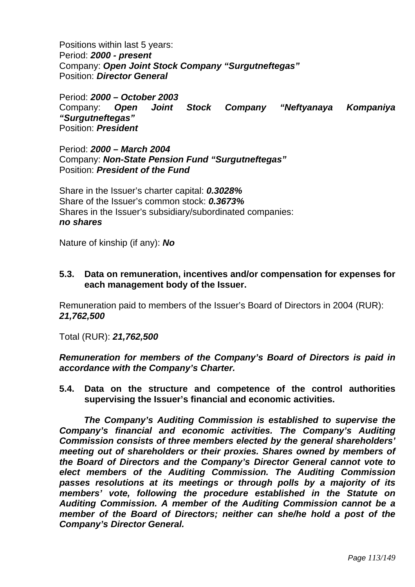Positions within last 5 years: Period: *2000 - present*  Company: *Open Joint Stock Company "Surgutneftegas"*  Position: *Director General* 

Period: *2000 – October 2003*  Company: *Open Joint Stock Company "Neftyanaya Kompaniya "Surgutneftegas"*  Position: *President* 

Period: *2000 – March 2004*  Company: *Non-State Pension Fund "Surgutneftegas"*  Position: *President of the Fund* 

Share in the Issuer's charter capital: *0.3028%*  Share of the Issuer's common stock: *0.3673%*  Shares in the Issuer's subsidiary/subordinated companies: *no shares* 

Nature of kinship (if any): *No* 

# **5.3. Data on remuneration, incentives and/or compensation for expenses for each management body of the Issuer.**

Remuneration paid to members of the Issuer's Board of Directors in 2004 (RUR): *21,762,500* 

Total (RUR): *21,762,500* 

*Remuneration for members of the Company's Board of Directors is paid in accordance with the Company's Charter.* 

**5.4. Data on the structure and competence of the control authorities supervising the Issuer's financial and economic activities.** 

*The Company's Auditing Commission is established to supervise the Company's financial and economic activities. The Company's Auditing Commission consists of three members elected by the general shareholders' meeting out of shareholders or their proxies. Shares owned by members of the Board of Directors and the Company's Director General cannot vote to elect members of the Auditing Commission. The Auditing Commission passes resolutions at its meetings or through polls by a majority of its members' vote, following the procedure established in the Statute on Auditing Commission. A member of the Auditing Commission cannot be a member of the Board of Directors; neither can she/he hold a post of the Company's Director General.*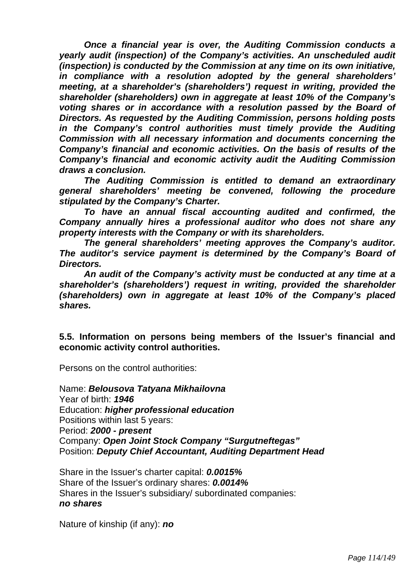*Once a financial year is over, the Auditing Commission conducts a yearly audit (inspection) of the Company's activities. An unscheduled audit (inspection) is conducted by the Commission at any time on its own initiative, in compliance with a resolution adopted by the general shareholders' meeting, at a shareholder's (shareholders') request in writing, provided the shareholder (shareholders) own in aggregate at least 10% of the Company's voting shares or in accordance with a resolution passed by the Board of Directors. As requested by the Auditing Commission, persons holding posts in the Company's control authorities must timely provide the Auditing Commission with all necessary information and documents concerning the Company's financial and economic activities. On the basis of results of the Company's financial and economic activity audit the Auditing Commission draws a conclusion.* 

*The Auditing Commission is entitled to demand an extraordinary general shareholders' meeting be convened, following the procedure stipulated by the Company's Charter.* 

*To have an annual fiscal accounting audited and confirmed, the Company annually hires a professional auditor who does not share any property interests with the Company or with its shareholders.* 

*The general shareholders' meeting approves the Company's auditor. The auditor's service payment is determined by the Company's Board of Directors.* 

*An audit of the Company's activity must be conducted at any time at a shareholder's (shareholders') request in writing, provided the shareholder (shareholders) own in aggregate at least 10% of the Company's placed shares.* 

**5.5. Information on persons being members of the Issuer's financial and economic activity control authorities.** 

Persons on the control authorities:

Name: *Belousova Tatyana Mikhailovna*  Year of birth: *1946*  Education: *higher professional education*  Positions within last 5 years: Period: *2000 - present*  Company: *Open Joint Stock Company "Surgutneftegas"* Position: *Deputy Chief Accountant, Auditing Department Head* 

Share in the Issuer's charter capital: *0.0015%*  Share of the Issuer's ordinary shares: *0.0014%* Shares in the Issuer's subsidiary/ subordinated companies: *no shares* 

Nature of kinship (if any): *no*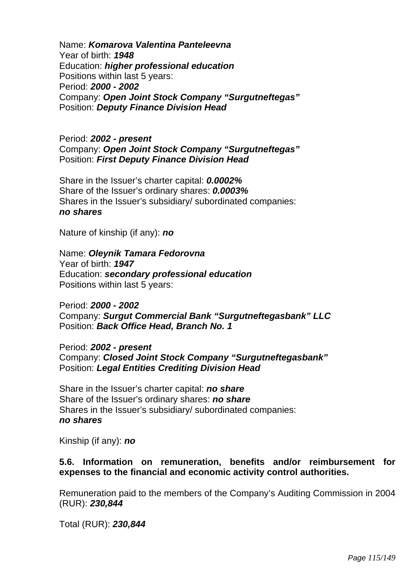Name: *Komarova Valentina Panteleevna* Year of birth: *1948* Education: *higher professional education*  Positions within last 5 years: Period: *2000 - 2002* Company: *Open Joint Stock Company "Surgutneftegas"* Position: *Deputy Finance Division Head*

#### Period: *2002 - present* Company: *Open Joint Stock Company "Surgutneftegas"* Position: *First Deputy Finance Division Head*

Share in the Issuer's charter capital: *0.0002%* Share of the Issuer's ordinary shares: *0.0003%* Shares in the Issuer's subsidiary/ subordinated companies: *no shares* 

Nature of kinship (if any): *no* 

Name: *Oleynik Tamara Fedorovna* Year of birth: *1947*  Education: *secondary professional education*  Positions within last 5 years:

Period: *2000 - 2002* Company: *Surgut Commercial Bank "Surgutneftegasbank" LLC*  Position: *Back Office Head, Branch No. 1*

Period: *2002 - present* Company: *Closed Joint Stock Company "Surgutneftegasbank"*  Position: *Legal Entities Crediting Division Head* 

Share in the Issuer's charter capital: *no share*  Share of the Issuer's ordinary shares: *no share*  Shares in the Issuer's subsidiary/ subordinated companies: *no shares* 

Kinship (if any): *no* 

#### **5.6. Information on remuneration, benefits and/or reimbursement for expenses to the financial and economic activity control authorities.**

Remuneration paid to the members of the Company's Auditing Commission in 2004 (RUR): *230,844* 

Total (RUR): *230,844*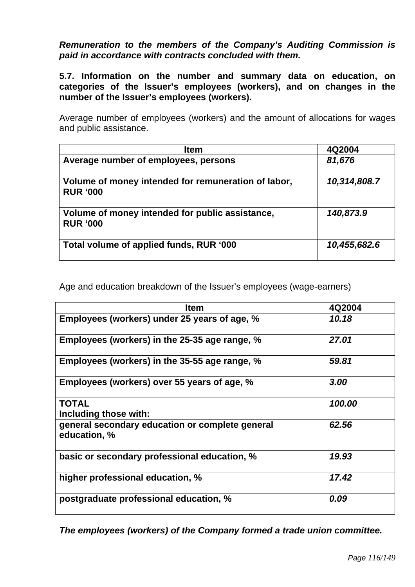# *Remuneration to the members of the Company's Auditing Commission is paid in accordance with contracts concluded with them.*

**5.7. Information on the number and summary data on education, on categories of the Issuer's employees (workers), and on changes in the number of the Issuer's employees (workers).** 

Average number of employees (workers) and the amount of allocations for wages and public assistance.

| <b>Item</b>                                                            | 4Q2004       |
|------------------------------------------------------------------------|--------------|
| Average number of employees, persons                                   | 81,676       |
| Volume of money intended for remuneration of labor,<br><b>RUR '000</b> | 10,314,808.7 |
| Volume of money intended for public assistance,<br><b>RUR '000</b>     | 140,873.9    |
| Total volume of applied funds, RUR '000                                | 10,455,682.6 |

Age and education breakdown of the Issuer's employees (wage-earners)

| <b>Item</b>                                                     | 4Q2004 |
|-----------------------------------------------------------------|--------|
| Employees (workers) under 25 years of age, %                    | 10.18  |
| Employees (workers) in the 25-35 age range, %                   | 27.01  |
| Employees (workers) in the 35-55 age range, %                   | 59.81  |
| Employees (workers) over 55 years of age, %                     | 3.00   |
| <b>TOTAL</b>                                                    | 100.00 |
| Including those with:                                           |        |
| general secondary education or complete general<br>education, % | 62.56  |
| basic or secondary professional education, %                    | 19.93  |
| higher professional education, %                                | 17.42  |
| postgraduate professional education, %                          | 0.09   |

*The employees (workers) of the Company formed a trade union committee.*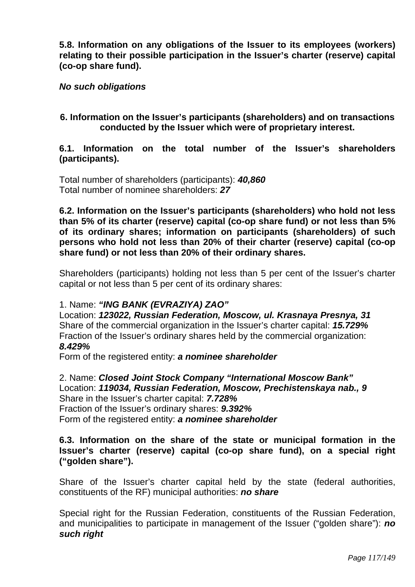**5.8. Information on any obligations of the Issuer to its employees (workers) relating to their possible participation in the Issuer's charter (reserve) capital (co-op share fund).** 

# *No such obligations*

# **6. Information on the Issuer's participants (shareholders) and on transactions conducted by the Issuer which were of proprietary interest.**

# **6.1. Information on the total number of the Issuer's shareholders (participants).**

Total number of shareholders (participants): *40,860*  Total number of nominee shareholders: *27*

**6.2. Information on the Issuer's participants (shareholders) who hold not less than 5% of its charter (reserve) capital (co-op share fund) or not less than 5% of its ordinary shares; information on participants (shareholders) of such persons who hold not less than 20% of their charter (reserve) capital (co-op share fund) or not less than 20% of their ordinary shares.** 

Shareholders (participants) holding not less than 5 per cent of the Issuer's charter capital or not less than 5 per cent of its ordinary shares:

# 1. Name: *"ING BANK (EVRAZIYA) ZAO"*

Location: *123022, Russian Federation, Moscow, ul. Krasnaya Presnya, 31*  Share of the commercial organization in the Issuer's charter capital: *15.729%*  Fraction of the Issuer's ordinary shares held by the commercial organization: *8.429%* 

Form of the registered entity: *a nominee shareholder*

2. Name: *Closed Joint Stock Company "International Moscow Bank"*  Location: *119034, Russian Federation, Moscow, Prechistenskaya nab., 9*  Share in the Issuer's charter capital: *7.728%*  Fraction of the Issuer's ordinary shares: *9.392%*  Form of the registered entity: *a nominee shareholder* 

# **6.3. Information on the share of the state or municipal formation in the Issuer's charter (reserve) capital (co-op share fund), on a special right ("golden share").**

Share of the Issuer's charter capital held by the state (federal authorities, constituents of the RF) municipal authorities: *no share*

Special right for the Russian Federation, constituents of the Russian Federation, and municipalities to participate in management of the Issuer ("golden share"): *no such right*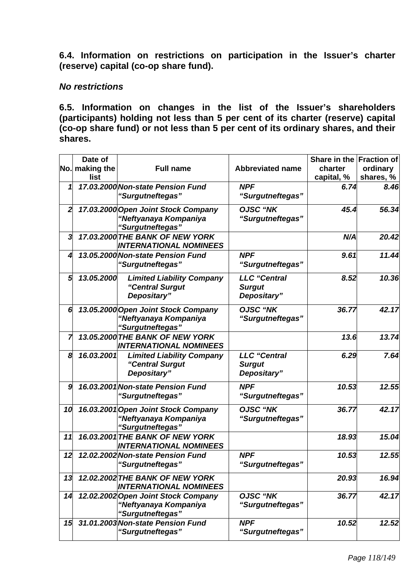**6.4. Information on restrictions on participation in the Issuer's charter (reserve) capital (co-op share fund).** 

# *No restrictions*

**6.5. Information on changes in the list of the Issuer's shareholders (participants) holding not less than 5 per cent of its charter (reserve) capital (co-op share fund) or not less than 5 per cent of its ordinary shares, and their shares.** 

|                | Date of<br>No. making the<br>list | <b>Full name</b>                                                                 | <b>Abbreviated name</b>                             | Share in the Fraction of<br>charter<br>capital, % | ordinary<br>shares, % |
|----------------|-----------------------------------|----------------------------------------------------------------------------------|-----------------------------------------------------|---------------------------------------------------|-----------------------|
| 1              |                                   | 17.03.2000 Non-state Pension Fund<br>"Surgutneftegas"                            | <b>NPF</b><br>"Surgutneftegas"                      | 6.74                                              | 8.46                  |
| $\overline{2}$ |                                   | 17.03.2000 Open Joint Stock Company<br>"Neftyanaya Kompaniya<br>"Surgutneftegas" | <b>OJSC "NK</b><br>"Surgutneftegas"                 | 45.4                                              | 56.34                 |
| 3              |                                   | 17.03.2000 THE BANK OF NEW YORK<br><b>INTERNATIONAL NOMINEES</b>                 |                                                     | N/A                                               | 20.42                 |
| 4              |                                   | 13.05.2000 Non-state Pension Fund<br>"Surgutneftegas"                            | <b>NPF</b><br>"Surgutneftegas"                      | 9.61                                              | 11.44                 |
| 5              | 13.05.2000                        | <b>Limited Liability Company</b><br>"Central Surgut<br>Depositary"               | <b>LLC</b> "Central<br><b>Surgut</b><br>Depositary" | 8.52                                              | 10.36                 |
| 6              |                                   | 13.05.2000 Open Joint Stock Company<br>"Neftyanaya Kompaniya<br>"Surgutneftegas" | <b>OJSC "NK</b><br>"Surgutneftegas"                 | 36.77                                             | 42.17                 |
| 7              |                                   | 13.05.2000 THE BANK OF NEW YORK<br><b>INTERNATIONAL NOMINEES</b>                 |                                                     | 13.6                                              | 13.74                 |
| 8              | 16.03.2001                        | <b>Limited Liability Company</b><br>"Central Surgut<br>Depositary"               | <b>LLC</b> "Central<br><b>Surgut</b><br>Depositary" | 6.29                                              | 7.64                  |
| 9              |                                   | 16.03.2001 Non-state Pension Fund<br>"Surgutneftegas"                            | <b>NPF</b><br>"Surgutneftegas"                      | 10.53                                             | 12.55                 |
| 10             |                                   | 16.03.2001 Open Joint Stock Company<br>"Neftyanaya Kompaniya<br>"Surgutneftegas" | <b>OJSC "NK</b><br>"Surgutneftegas"                 | 36.77                                             | 42.17                 |
| 11             |                                   | 16.03.2001 THE BANK OF NEW YORK<br><b>INTERNATIONAL NOMINEES</b>                 |                                                     | 18.93                                             | 15.04                 |
| 12             |                                   | 12.02.2002 Non-state Pension Fund<br>"Surgutneftegas"                            | <b>NPF</b><br>"Surgutneftegas"                      | 10.53                                             | 12.55                 |
| 13             |                                   | 12.02.2002 THE BANK OF NEW YORK<br><b>INTERNATIONAL NOMINEES</b>                 |                                                     | 20.93                                             | 16.94                 |
| 14             |                                   | 12.02.2002 Open Joint Stock Company<br>"Neftyanaya Kompaniya<br>"Surgutneftegas" | <b>OJSC "NK</b><br>"Surgutneftegas"                 | 36.77                                             | 42.17                 |
| 15             |                                   | 31.01.2003 Non-state Pension Fund<br>"Surgutneftegas"                            | <b>NPF</b><br>"Surgutneftegas"                      | 10.52                                             | 12.52                 |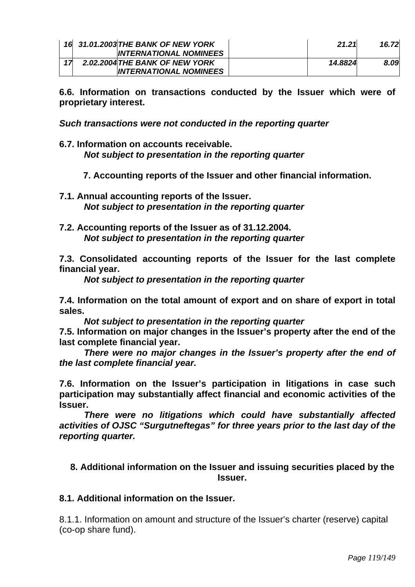| 16 31.01.2003 THE BANK OF NEW YORK | 21.21   | 16.72 |
|------------------------------------|---------|-------|
| <b>INTERNATIONAL NOMINEES</b>      |         |       |
| 2.02.2004 THE BANK OF NEW YORK     | 14.8824 | 8.09  |
| <b>INTERNATIONAL NOMINEES</b>      |         |       |

**6.6. Information on transactions conducted by the Issuer which were of proprietary interest.** 

*Such transactions were not conducted in the reporting quarter* 

- **6.7. Information on accounts receivable.**  *Not subject to presentation in the reporting quarter* 
	- **7. Accounting reports of the Issuer and other financial information.**
- **7.1. Annual accounting reports of the Issuer.**  *Not subject to presentation in the reporting quarter*
- **7.2. Accounting reports of the Issuer as of 31.12.2004.**  *Not subject to presentation in the reporting quarter*

**7.3. Consolidated accounting reports of the Issuer for the last complete financial year.** 

 *Not subject to presentation in the reporting quarter* 

**7.4. Information on the total amount of export and on share of export in total sales.** 

*Not subject to presentation in the reporting quarter* 

**7.5. Information on major changes in the Issuer's property after the end of the last complete financial year.** 

*There were no major changes in the Issuer's property after the end of the last complete financial year.* 

**7.6. Information on the Issuer's participation in litigations in case such participation may substantially affect financial and economic activities of the Issuer.** 

*There were no litigations which could have substantially affected activities of OJSC "Surgutneftegas" for three years prior to the last day of the reporting quarter.* 

# **8. Additional information on the Issuer and issuing securities placed by the Issuer.**

# **8.1. Additional information on the Issuer.**

8.1.1. Information on amount and structure of the Issuer's charter (reserve) capital (co-op share fund).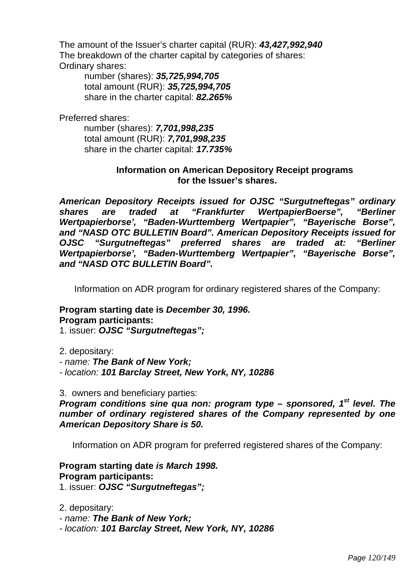The amount of the Issuer's charter capital (RUR): *43,427,992,940*  The breakdown of the charter capital by categories of shares: Ordinary shares:

number (shares): *35,725,994,705*  total amount (RUR): *35,725,994,705*  share in the charter capital: *82.265%* 

Preferred shares:

 number (shares): *7,701,998,235*  total amount (RUR): *7,701,998,235*  share in the charter capital: *17.735%*

# **Information on American Depository Receipt programs for the Issuer's shares.**

*American Depository Receipts issued for OJSC "Surgutneftegas" ordinary shares are traded at "Frankfurter WertpapierBoerse", "Berliner Wertpapierborse', "Baden-Wurttemberg Wertpapier", "Bayerische Borse", and "NASD OTC BULLETIN Board". American Depository Receipts issued for OJSC "Surgutneftegas" preferred shares are traded at: "Berliner Wertpapierborse', "Baden-Wurttemberg Wertpapier", "Bayerische Borse", and "NASD OTC BULLETIN Board".*

Information on ADR program for ordinary registered shares of the Company:

# **Program starting date is** *December 30, 1996.*  **Program participants:**

1. issuer: *OJSC "Surgutneftegas";* 

2. depositary:

*- name: The Bank of New York;* 

*- location: 101 Barclay Street, New York, NY, 10286*

3. owners and beneficiary parties:

*Program conditions sine qua non: program type – sponsored, 1<sup>st</sup> level. The number of ordinary registered shares of the Company represented by one American Depository Share is 50.* 

Information on ADR program for preferred registered shares of the Company:

# **Program starting date** *is March 1998.*  **Program participants:**

1. issuer: *OJSC "Surgutneftegas";* 

2. depositary:

*- name: The Bank of New York;* 

*- location: 101 Barclay Street, New York, NY, 10286*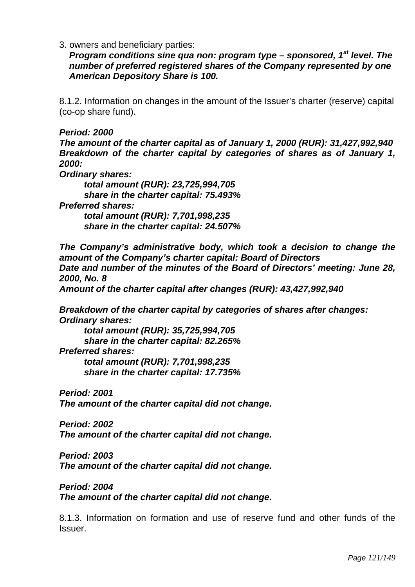3. owners and beneficiary parties:

*Program conditions sine qua non: program type – sponsored, 1<sup>st</sup> level. The number of preferred registered shares of the Company represented by one American Depository Share is 100.* 

8.1.2. Information on changes in the amount of the Issuer's charter (reserve) capital (co-op share fund).

*Period: 2000 The amount of the charter capital as of January 1, 2000 (RUR): 31,427,992,940 Breakdown of the charter capital by categories of shares as of January 1, 2000:* 

*Ordinary shares:* 

*total amount (RUR): 23,725,994,705 share in the charter capital: 75.493% Preferred shares: total amount (RUR): 7,701,998,235 share in the charter capital: 24.507%* 

*The Company's administrative body, which took a decision to change the amount of the Company's charter capital: Board of Directors Date and number of the minutes of the Board of Directors' meeting: June 28, 2000, No. 8* 

*Amount of the charter capital after changes (RUR): 43,427,992,940* 

*Breakdown of the charter capital by categories of shares after changes: Ordinary shares:* 

 *total amount (RUR): 35,725,994,705 share in the charter capital: 82.265% Preferred shares: total amount (RUR): 7,701,998,235 share in the charter capital: 17.735%* 

*Period: 2001 The amount of the charter capital did not change.* 

*Period: 2002 The amount of the charter capital did not change.* 

*Period: 2003 The amount of the charter capital did not change.* 

*Period: 2004 The amount of the charter capital did not change.* 

8.1.3. Information on formation and use of reserve fund and other funds of the Issuer.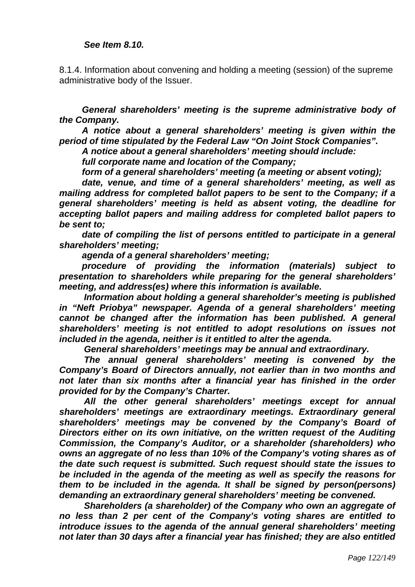8.1.4. Information about convening and holding a meeting (session) of the supreme administrative body of the Issuer.

*General shareholders' meeting is the supreme administrative body of the Company.* 

*A notice about a general shareholders' meeting is given within the period of time stipulated by the Federal Law "On Joint Stock Companies".* 

*A notice about a general shareholders' meeting should include:* 

*full corporate name and location of the Company;* 

*form of a general shareholders' meeting (a meeting or absent voting);* 

*date, venue, and time of a general shareholders' meeting, as well as mailing address for completed ballot papers to be sent to the Company; if a general shareholders' meeting is held as absent voting, the deadline for accepting ballot papers and mailing address for completed ballot papers to be sent to;* 

date of compiling the list of persons entitled to participate in a general *shareholders' meeting;* 

*agenda of a general shareholders' meeting;* 

*procedure of providing the information (materials) subject to presentation to shareholders while preparing for the general shareholders' meeting, and address(es) where this information is available.* 

*Information about holding a general shareholder's meeting is published in "Neft Priobya" newspaper. Agenda of a general shareholders' meeting cannot be changed after the information has been published. A general shareholders' meeting is not entitled to adopt resolutions on issues not included in the agenda, neither is it entitled to alter the agenda.* 

*General shareholders' meetings may be annual and extraordinary.* 

*The annual general shareholders' meeting is convened by the Company's Board of Directors annually, not earlier than in two months and*  not later than six months after a financial year has finished in the order *provided for by the Company's Charter.* 

*All the other general shareholders' meetings except for annual shareholders' meetings are extraordinary meetings. Extraordinary general shareholders' meetings may be convened by the Company's Board of Directors either on its own initiative, on the written request of the Auditing Commission, the Company's Auditor, or a shareholder (shareholders) who owns an aggregate of no less than 10% of the Company's voting shares as of the date such request is submitted. Such request should state the issues to be included in the agenda of the meeting as well as specify the reasons for them to be included in the agenda. It shall be signed by person(persons) demanding an extraordinary general shareholders' meeting be convened.* 

*Shareholders (a shareholder) of the Company who own an aggregate of no less than 2 per cent of the Company's voting shares are entitled to introduce issues to the agenda of the annual general shareholders' meeting not later than 30 days after a financial year has finished; they are also entitled*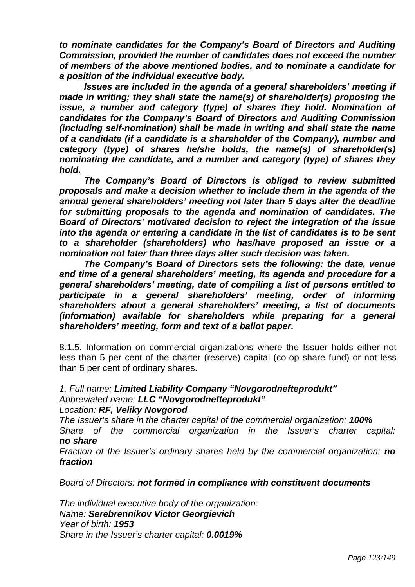*to nominate candidates for the Company's Board of Directors and Auditing Commission, provided the number of candidates does not exceed the number of members of the above mentioned bodies, and to nominate a candidate for a position of the individual executive body.* 

*Issues are included in the agenda of a general shareholders' meeting if made in writing; they shall state the name(s) of shareholder(s) proposing the issue, a number and category (type) of shares they hold. Nomination of candidates for the Company's Board of Directors and Auditing Commission (including self-nomination) shall be made in writing and shall state the name of a candidate (if a candidate is a shareholder of the Company), number and category (type) of shares he/she holds, the name(s) of shareholder(s) nominating the candidate, and a number and category (type) of shares they hold.* 

*The Company's Board of Directors is obliged to review submitted proposals and make a decision whether to include them in the agenda of the annual general shareholders' meeting not later than 5 days after the deadline for submitting proposals to the agenda and nomination of candidates. The Board of Directors' motivated decision to reject the integration of the issue into the agenda or entering a candidate in the list of candidates is to be sent to a shareholder (shareholders) who has/have proposed an issue or a nomination not later than three days after such decision was taken.* 

*The Company's Board of Directors sets the following: the date, venue and time of a general shareholders' meeting, its agenda and procedure for a general shareholders' meeting, date of compiling a list of persons entitled to participate in a general shareholders' meeting, order of informing shareholders about a general shareholders' meeting, a list of documents (information) available for shareholders while preparing for a general shareholders' meeting, form and text of a ballot paper.* 

8.1.5. Information on commercial organizations where the Issuer holds either not less than 5 per cent of the charter (reserve) capital (co-op share fund) or not less than 5 per cent of ordinary shares.

#### *1. Full name: Limited Liability Company "Novgorodnefteprodukt" Abbreviated name: LLC "Novgorodnefteprodukt" Location: RF, Veliky Novgorod*

*The Issuer's share in the charter capital of the commercial organization: 100%* 

*Share of the commercial organization in the Issuer's charter capital: no share* 

*Fraction of the Issuer's ordinary shares held by the commercial organization: no fraction* 

*Board of Directors: not formed in compliance with constituent documents*

*The individual executive body of the organization: Name: Serebrennikov Victor Georgievich Year of birth: 1953 Share in the Issuer's charter capital: 0.0019%*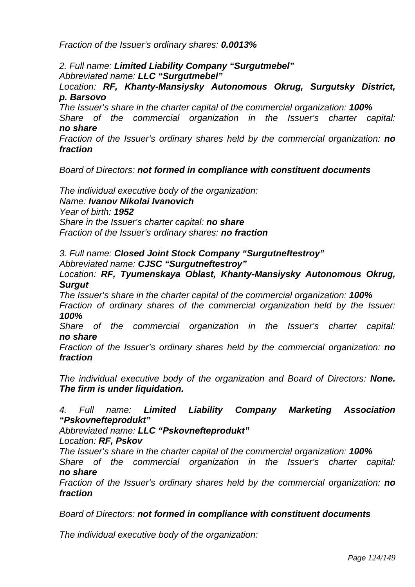*Fraction of the Issuer's ordinary shares: 0.0013%* 

*2. Full name: Limited Liability Company "Surgutmebel" Abbreviated name: LLC "Surgutmebel"*

*Location: RF, Khanty-Mansiysky Autonomous Okrug, Surgutsky District, p. Barsovo* 

*The Issuer's share in the charter capital of the commercial organization: 100% Share of the commercial organization in the Issuer's charter capital:* 

# *no share*

*Fraction of the Issuer's ordinary shares held by the commercial organization: no fraction* 

*Board of Directors: not formed in compliance with constituent documents* 

*The individual executive body of the organization: Name: Ivanov Nikolai Ivanovich Year of birth: 1952 Share in the Issuer's charter capital: no share Fraction of the Issuer's ordinary shares: no fraction* 

*3. Full name: Closed Joint Stock Company "Surgutneftestroy" Abbreviated name: CJSC "Surgutneftestroy"* 

*Location: RF, Tyumenskaya Oblast, Khanty-Mansiysky Autonomous Okrug, Surgut* 

*The Issuer's share in the charter capital of the commercial organization: 100% Fraction of ordinary shares of the commercial organization held by the Issuer: 100%* 

*Share of the commercial organization in the Issuer's charter capital: no share* 

*Fraction of the Issuer's ordinary shares held by the commercial organization: no fraction* 

*The individual executive body of the organization and Board of Directors: None. The firm is under liquidation.* 

# *4. Full name: Limited Liability Company Marketing Association "Pskovnefteprodukt"*

*Abbreviated name: LLC "Pskovnefteprodukt"*

*Location: RF, Pskov* 

*The Issuer's share in the charter capital of the commercial organization: 100%* 

*Share of the commercial organization in the Issuer's charter capital: no share* 

*Fraction of the Issuer's ordinary shares held by the commercial organization: no fraction* 

*Board of Directors: not formed in compliance with constituent documents* 

*The individual executive body of the organization:*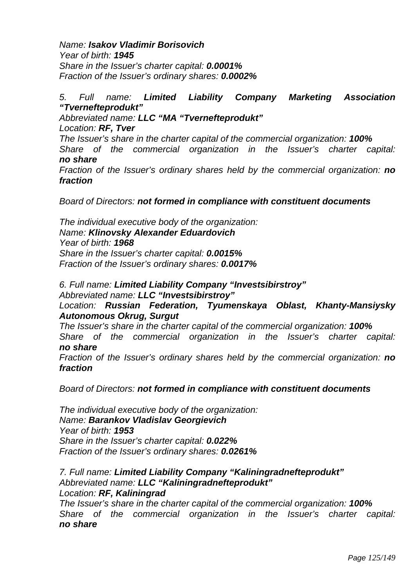*Name: Isakov Vladimir Borisovich Year of birth: 1945 Share in the Issuer's charter capital: 0.0001% Fraction of the Issuer's ordinary shares: 0.0002%* 

# *5. Full name: Limited Liability Company Marketing Association "Tvernefteprodukt"*

*Abbreviated name: LLC "MA "Tvernefteprodukt"* 

*Location: RF, Tver* 

*The Issuer's share in the charter capital of the commercial organization: 100% Share of the commercial organization in the Issuer's charter capital: no share* 

*Fraction of the Issuer's ordinary shares held by the commercial organization: no fraction* 

*Board of Directors: not formed in compliance with constituent documents* 

*The individual executive body of the organization: Name: Klinovsky Alexander Eduardovich Year of birth: 1968 Share in the Issuer's charter capital: 0.0015% Fraction of the Issuer's ordinary shares: 0.0017%* 

#### *6. Full name: Limited Liability Company "Investsibirstroy" Abbreviated name: LLC "Investsibirstroy"*

*Location: Russian Federation, Tyumenskaya Oblast, Khanty-Mansiysky Autonomous Okrug, Surgut* 

*The Issuer's share in the charter capital of the commercial organization: 100% Share of the commercial organization in the Issuer's charter capital: no share* 

*Fraction of the Issuer's ordinary shares held by the commercial organization: no fraction* 

*Board of Directors: not formed in compliance with constituent documents* 

*The individual executive body of the organization: Name: Barankov Vladislav Georgievich Year of birth: 1953 Share in the Issuer's charter capital: 0.022% Fraction of the Issuer's ordinary shares: 0.0261%* 

*7. Full name: Limited Liability Company "Kaliningradnefteprodukt" Abbreviated name: LLC "Kaliningradnefteprodukt" Location: RF, Kaliningrad* 

*The Issuer's share in the charter capital of the commercial organization: 100% Share of the commercial organization in the Issuer's charter capital: no share*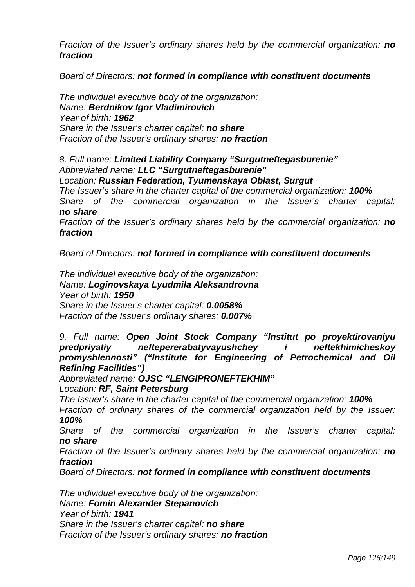*Fraction of the Issuer's ordinary shares held by the commercial organization: no fraction* 

*Board of Directors: not formed in compliance with constituent documents* 

*The individual executive body of the organization: Name: Berdnikov Igor Vladimirovich Year of birth: 1962 Share in the Issuer's charter capital: no share Fraction of the Issuer's ordinary shares: no fraction*

*8. Full name: Limited Liability Company "Surgutneftegasburenie" Abbreviated name: LLC "Surgutneftegasburenie"* 

*Location: Russian Federation, Tyumenskaya Oblast, Surgut* 

*The Issuer's share in the charter capital of the commercial organization: 100% Share of the commercial organization in the Issuer's charter capital: no share* 

*Fraction of the Issuer's ordinary shares held by the commercial organization: no fraction* 

*Board of Directors: not formed in compliance with constituent documents* 

*The individual executive body of the organization: Name: Loginovskaya Lyudmila Aleksandrovna Year of birth: 1950 Share in the Issuer's charter capital: 0.0058% Fraction of the Issuer's ordinary shares: 0.007%* 

*9. Full name: Open Joint Stock Company "Institut po proyektirovaniyu predpriyatiy neftepererabatyvayushchey i neftekhimicheskoy promyshlennosti" ("Institute for Engineering of Petrochemical and Oil Refining Facilities")* 

*Abbreviated name: OJSC "LENGIPRONEFTEKHIM"* 

*Location: RF, Saint Petersburg* 

*The Issuer's share in the charter capital of the commercial organization: 100%* 

*Fraction of ordinary shares of the commercial organization held by the Issuer: 100%* 

*Share of the commercial organization in the Issuer's charter capital: no share* 

*Fraction of the Issuer's ordinary shares held by the commercial organization: no fraction* 

*Board of Directors: not formed in compliance with constituent documents* 

*The individual executive body of the organization: Name: Fomin Alexander Stepanovich Year of birth: 1941 Share in the Issuer's charter capital: no share Fraction of the Issuer's ordinary shares: no fraction*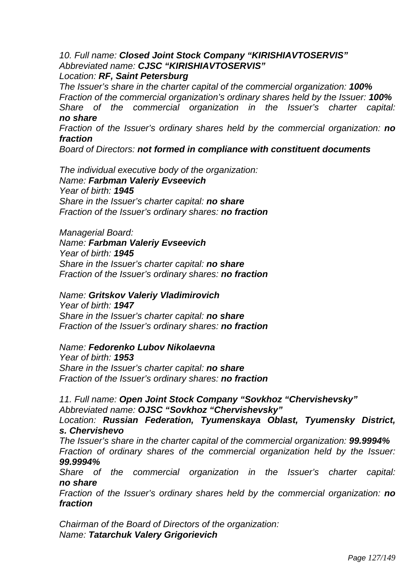*10. Full name: Closed Joint Stock Company "KIRISHIAVTOSERVIS" Abbreviated name: CJSC "KIRISHIAVTOSERVIS" Location: RF, Saint Petersburg* 

*The Issuer's share in the charter capital of the commercial organization: 100% Fraction of the commercial organization's ordinary shares held by the Issuer: 100% Share of the commercial organization in the Issuer's charter capital: no share* 

*Fraction of the Issuer's ordinary shares held by the commercial organization: no fraction* 

*Board of Directors: not formed in compliance with constituent documents* 

*The individual executive body of the organization: Name: Farbman Valeriy Evseevich Year of birth: 1945 Share in the Issuer's charter capital: no share Fraction of the Issuer's ordinary shares: no fraction* 

*Managerial Board: Name: Farbman Valeriy Evseevich Year of birth: 1945 Share in the Issuer's charter capital: no share Fraction of the Issuer's ordinary shares: no fraction*

*Name: Gritskov Valeriy Vladimirovich Year of birth: 1947 Share in the Issuer's charter capital: no share Fraction of the Issuer's ordinary shares: no fraction* 

#### *Name: Fedorenko Lubov Nikolaevna*

*Year of birth: 1953 Share in the Issuer's charter capital: no share Fraction of the Issuer's ordinary shares: no fraction* 

*11. Full name: Open Joint Stock Company "Sovkhoz "Chervishevsky" Abbreviated name: OJSC "Sovkhoz "Chervishevsky"* 

*Location: Russian Federation, Tyumenskaya Oblast, Tyumensky District, s. Chervishevo* 

*The Issuer's share in the charter capital of the commercial organization: 99.9994% Fraction of ordinary shares of the commercial organization held by the Issuer:* 

*99.9994%* 

*Share of the commercial organization in the Issuer's charter capital: no share* 

*Fraction of the Issuer's ordinary shares held by the commercial organization: no fraction* 

*Chairman of the Board of Directors of the organization: Name: Tatarchuk Valery Grigorievich*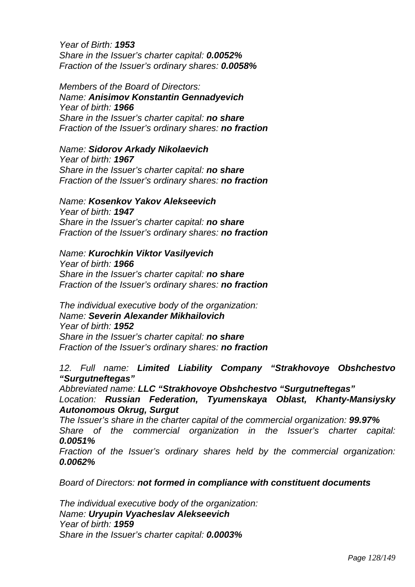*Year of Birth: 1953 Share in the Issuer's charter capital: 0.0052% Fraction of the Issuer's ordinary shares: 0.0058%* 

*Members of the Board of Directors: Name: Anisimov Konstantin Gennadyevich Year of birth: 1966 Share in the Issuer's charter capital: no share Fraction of the Issuer's ordinary shares: no fraction* 

*Name: Sidorov Arkady Nikolaevich Year of birth: 1967 Share in the Issuer's charter capital: no share Fraction of the Issuer's ordinary shares: no fraction* 

#### *Name: Kosenkov Yakov Alekseevich*

*Year of birth: 1947 Share in the Issuer's charter capital: no share Fraction of the Issuer's ordinary shares: no fraction* 

#### *Name: Kurochkin Viktor Vasilyevich*

*Year of birth: 1966 Share in the Issuer's charter capital: no share Fraction of the Issuer's ordinary shares: no fraction* 

*The individual executive body of the organization: Name: Severin Alexander Mikhailovich Year of birth: 1952 Share in the Issuer's charter capital: no share Fraction of the Issuer's ordinary shares: no fraction* 

*12. Full name: Limited Liability Company "Strakhovoye Obshchestvo "Surgutneftegas"* 

*Abbreviated name: LLC "Strakhovoye Obshchestvo "Surgutneftegas" Location: Russian Federation, Tyumenskaya Oblast, Khanty-Mansiysky Autonomous Okrug, Surgut* 

*The Issuer's share in the charter capital of the commercial organization: 99.97% Share of the commercial organization in the Issuer's charter capital: 0.0051%* 

*Fraction of the Issuer's ordinary shares held by the commercial organization: 0.0062%* 

*Board of Directors: not formed in compliance with constituent documents* 

*The individual executive body of the organization: Name: Uryupin Vyacheslav Alekseevich Year of birth: 1959 Share in the Issuer's charter capital: 0.0003%*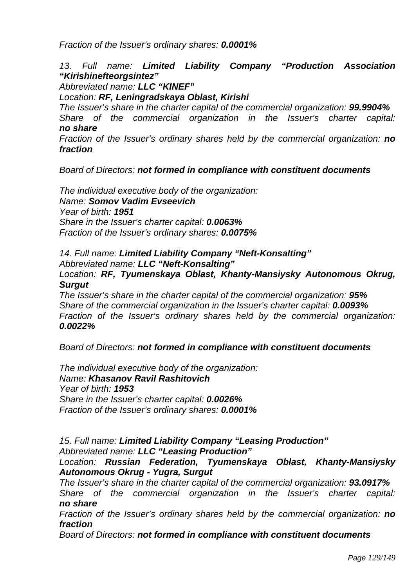*Fraction of the Issuer's ordinary shares: 0.0001%* 

# *13. Full name: Limited Liability Company "Production Association "Kirishinefteorgsintez"*

*Abbreviated name: LLC "KINEF"* 

# *Location: RF, Leningradskaya Oblast, Kirishi*

*The Issuer's share in the charter capital of the commercial organization: 99.9904% Share of the commercial organization in the Issuer's charter capital: no share* 

*Fraction of the Issuer's ordinary shares held by the commercial organization: no fraction* 

*Board of Directors: not formed in compliance with constituent documents* 

*The individual executive body of the organization: Name: Somov Vadim Evseevich Year of birth: 1951 Share in the Issuer's charter capital: 0.0063% Fraction of the Issuer's ordinary shares: 0.0075%* 

*14. Full name: Limited Liability Company "Neft-Konsalting" Abbreviated name: LLC "Neft-Konsalting"* 

*Location: RF, Tyumenskaya Oblast, Khanty-Mansiysky Autonomous Okrug, Surgut* 

*The Issuer's share in the charter capital of the commercial organization: 95% Share of the commercial organization in the Issuer's charter capital: 0.0093% Fraction of the Issuer's ordinary shares held by the commercial organization: 0.0022%* 

*Board of Directors: not formed in compliance with constituent documents* 

*The individual executive body of the organization: Name: Khasanov Ravil Rashitovich Year of birth: 1953 Share in the Issuer's charter capital: 0.0026% Fraction of the Issuer's ordinary shares: 0.0001%* 

*15. Full name: Limited Liability Company "Leasing Production" Abbreviated name: LLC "Leasing Production"* 

*Location: Russian Federation, Tyumenskaya Oblast, Khanty-Mansiysky Autonomous Okrug - Yugra, Surgut* 

*The Issuer's share in the charter capital of the commercial organization: 93.0917% Share of the commercial organization in the Issuer's charter capital: no share* 

*Fraction of the Issuer's ordinary shares held by the commercial organization: no fraction* 

*Board of Directors: not formed in compliance with constituent documents*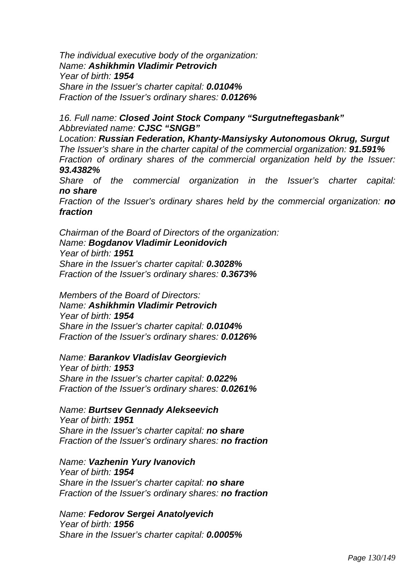*The individual executive body of the organization: Name: Ashikhmin Vladimir Petrovich Year of birth: 1954 Share in the Issuer's charter capital: 0.0104% Fraction of the Issuer's ordinary shares: 0.0126%* 

#### *16. Full name: Closed Joint Stock Company "Surgutneftegasbank" Abbreviated name: CJSC "SNGB"*

*Location: Russian Federation, Khanty-Mansiysky Autonomous Okrug, Surgut The Issuer's share in the charter capital of the commercial organization: 91.591% Fraction of ordinary shares of the commercial organization held by the Issuer: 93.4382%* 

*Share of the commercial organization in the Issuer's charter capital: no share* 

*Fraction of the Issuer's ordinary shares held by the commercial organization: no fraction* 

*Chairman of the Board of Directors of the organization: Name: Bogdanov Vladimir Leonidovich Year of birth: 1951 Share in the Issuer's charter capital: 0.3028% Fraction of the Issuer's ordinary shares: 0.3673%* 

*Members of the Board of Directors: Name: Ashikhmin Vladimir Petrovich Year of birth: 1954 Share in the Issuer's charter capital: 0.0104% Fraction of the Issuer's ordinary shares: 0.0126%* 

*Name: Barankov Vladislav Georgievich Year of birth: 1953 Share in the Issuer's charter capital: 0.022% Fraction of the Issuer's ordinary shares: 0.0261%* 

*Name: Burtsev Gennady Alekseevich Year of birth: 1951 Share in the Issuer's charter capital: no share Fraction of the Issuer's ordinary shares: no fraction* 

*Name: Vazhenin Yury Ivanovich Year of birth: 1954 Share in the Issuer's charter capital: no share Fraction of the Issuer's ordinary shares: no fraction*

*Name: Fedorov Sergei Anatolyevich Year of birth: 1956 Share in the Issuer's charter capital: 0.0005%*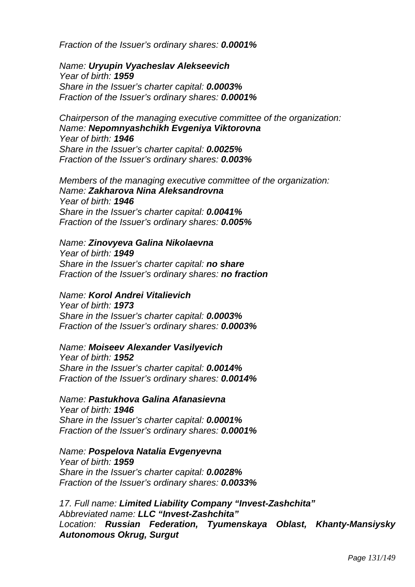*Fraction of the Issuer's ordinary shares: 0.0001%* 

*Name: Uryupin Vyacheslav Alekseevich Year of birth: 1959 Share in the Issuer's charter capital: 0.0003% Fraction of the Issuer's ordinary shares: 0.0001%* 

*Chairperson of the managing executive committee of the organization: Name: Nepomnyashchikh Evgeniya Viktorovna Year of birth: 1946 Share in the Issuer's charter capital: 0.0025% Fraction of the Issuer's ordinary shares: 0.003%* 

*Members of the managing executive committee of the organization: Name: Zakharova Nina Aleksandrovna Year of birth: 1946 Share in the Issuer's charter capital: 0.0041% Fraction of the Issuer's ordinary shares: 0.005%* 

# *Name: Zinovyeva Galina Nikolaevna*

*Year of birth: 1949 Share in the Issuer's charter capital: no share Fraction of the Issuer's ordinary shares: no fraction* 

*Name: Korol Andrei Vitalievich Year of birth: 1973 Share in the Issuer's charter capital: 0.0003%* 

*Fraction of the Issuer's ordinary shares: 0.0003%* 

#### *Name: Moiseev Alexander Vasilyevich*

*Year of birth: 1952 Share in the Issuer's charter capital: 0.0014% Fraction of the Issuer's ordinary shares: 0.0014%* 

*Name: Pastukhova Galina Afanasievna Year of birth: 1946 Share in the Issuer's charter capital: 0.0001% Fraction of the Issuer's ordinary shares: 0.0001%* 

*Name: Pospelova Natalia Evgenyevna Year of birth: 1959 Share in the Issuer's charter capital: 0.0028% Fraction of the Issuer's ordinary shares: 0.0033%* 

*17. Full name: Limited Liability Company "Invest-Zashchita" Abbreviated name: LLC "Invest-Zashchita" Location: Russian Federation, Tyumenskaya Oblast, Khanty-Mansiysky Autonomous Okrug, Surgut*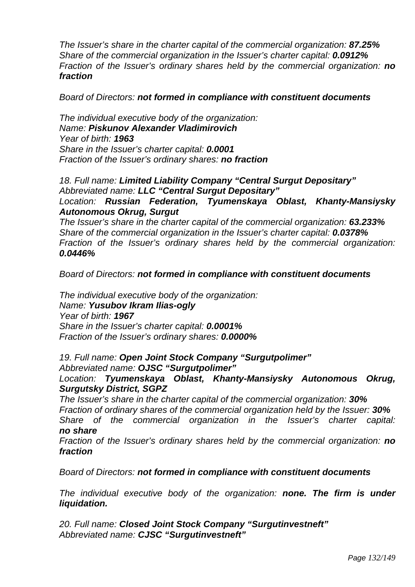*The Issuer's share in the charter capital of the commercial organization: 87.25% Share of the commercial organization in the Issuer's charter capital: 0.0912% Fraction of the Issuer's ordinary shares held by the commercial organization: no fraction* 

*Board of Directors: not formed in compliance with constituent documents*

*The individual executive body of the organization: Name: Piskunov Alexander Vladimirovich Year of birth: 1963 Share in the Issuer's charter capital: 0.0001 Fraction of the Issuer's ordinary shares: no fraction* 

*18. Full name: Limited Liability Company "Central Surgut Depositary" Abbreviated name: LLC "Central Surgut Depositary" Location: Russian Federation, Tyumenskaya Oblast, Khanty-Mansiysky Autonomous Okrug, Surgut* 

*The Issuer's share in the charter capital of the commercial organization: 63.233% Share of the commercial organization in the Issuer's charter capital: 0.0378% Fraction of the Issuer's ordinary shares held by the commercial organization: 0.0446%* 

*Board of Directors: not formed in compliance with constituent documents* 

*The individual executive body of the organization: Name: Yusubov Ikram Ilias-ogly Year of birth: 1967 Share in the Issuer's charter capital: 0.0001% Fraction of the Issuer's ordinary shares: 0.0000%* 

*19. Full name: Open Joint Stock Company "Surgutpolimer" Abbreviated name: OJSC "Surgutpolimer"* 

*Location: Tyumenskaya Oblast, Khanty-Mansiysky Autonomous Okrug, Surgutsky District, SGPZ* 

*The Issuer's share in the charter capital of the commercial organization: 30% Fraction of ordinary shares of the commercial organization held by the Issuer: 30% Share of the commercial organization in the Issuer's charter capital: no share* 

*Fraction of the Issuer's ordinary shares held by the commercial organization: no fraction* 

*Board of Directors: not formed in compliance with constituent documents* 

*The individual executive body of the organization: none. The firm is under liquidation.* 

*20. Full name: Closed Joint Stock Company "Surgutinvestneft" Abbreviated name: CJSC "Surgutinvestneft"*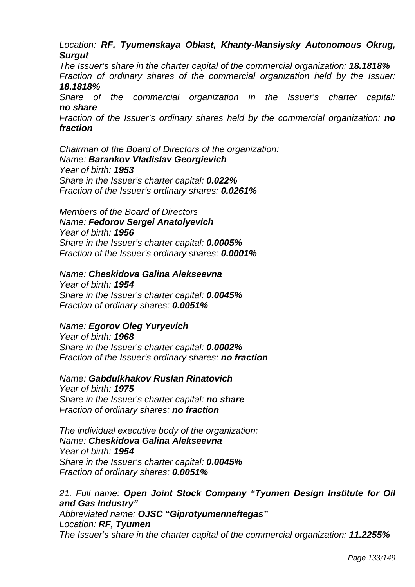# *Location: RF, Tyumenskaya Oblast, Khanty-Mansiysky Autonomous Okrug, Surgut*

*The Issuer's share in the charter capital of the commercial organization: 18.1818% Fraction of ordinary shares of the commercial organization held by the Issuer: 18.1818%* 

*Share of the commercial organization in the Issuer's charter capital: no share* 

*Fraction of the Issuer's ordinary shares held by the commercial organization: no fraction* 

*Chairman of the Board of Directors of the organization: Name: Barankov Vladislav Georgievich Year of birth: 1953 Share in the Issuer's charter capital: 0.022% Fraction of the Issuer's ordinary shares: 0.0261%* 

*Members of the Board of Directors Name: Fedorov Sergei Anatolyevich Year of birth: 1956 Share in the Issuer's charter capital: 0.0005% Fraction of the Issuer's ordinary shares: 0.0001%* 

*Name: Cheskidova Galina Alekseevna* 

*Year of birth: 1954 Share in the Issuer's charter capital: 0.0045% Fraction of ordinary shares: 0.0051%* 

# *Name: Egorov Oleg Yuryevich*

*Year of birth: 1968 Share in the Issuer's charter capital: 0.0002% Fraction of the Issuer's ordinary shares: no fraction* 

*Name: Gabdulkhakov Ruslan Rinatovich* 

*Year of birth: 1975 Share in the Issuer's charter capital: no share Fraction of ordinary shares: no fraction* 

*The individual executive body of the organization: Name: Cheskidova Galina Alekseevna Year of birth: 1954 Share in the Issuer's charter capital: 0.0045% Fraction of ordinary shares: 0.0051%* 

*21. Full name: Open Joint Stock Company "Tyumen Design Institute for Oil and Gas Industry"* 

*Abbreviated name: OJSC "Giprotyumenneftegas" Location: RF, Tyumen The Issuer's share in the charter capital of the commercial organization: 11.2255%*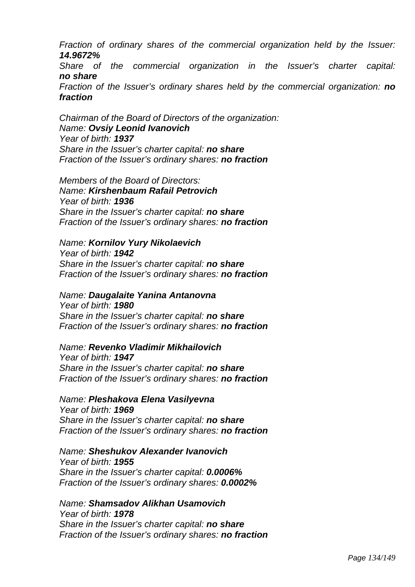*Fraction of ordinary shares of the commercial organization held by the Issuer: 14.9672%* 

*Share of the commercial organization in the Issuer's charter capital: no share* 

*Fraction of the Issuer's ordinary shares held by the commercial organization: no fraction* 

*Chairman of the Board of Directors of the organization: Name: Ovsiy Leonid Ivanovich Year of birth: 1937 Share in the Issuer's charter capital: no share Fraction of the Issuer's ordinary shares: no fraction* 

*Members of the Board of Directors: Name: Kirshenbaum Rafail Petrovich Year of birth: 1936 Share in the Issuer's charter capital: no share Fraction of the Issuer's ordinary shares: no fraction* 

#### *Name: Kornilov Yury Nikolaevich*

*Year of birth: 1942 Share in the Issuer's charter capital: no share Fraction of the Issuer's ordinary shares: no fraction* 

*Name: Daugalaite Yanina Antanovna* 

*Year of birth: 1980 Share in the Issuer's charter capital: no share Fraction of the Issuer's ordinary shares: no fraction* 

#### *Name: Revenko Vladimir Mikhailovich*

*Year of birth: 1947 Share in the Issuer's charter capital: no share Fraction of the Issuer's ordinary shares: no fraction* 

# *Name: Pleshakova Elena Vasilyevna*

*Year of birth: 1969 Share in the Issuer's charter capital: no share Fraction of the Issuer's ordinary shares: no fraction* 

*Name: Sheshukov Alexander Ivanovich Year of birth: 1955 Share in the Issuer's charter capital: 0.0006%* 

*Fraction of the Issuer's ordinary shares: 0.0002%* 

*Name: Shamsadov Alikhan Usamovich Year of birth: 1978 Share in the Issuer's charter capital: no share Fraction of the Issuer's ordinary shares: no fraction*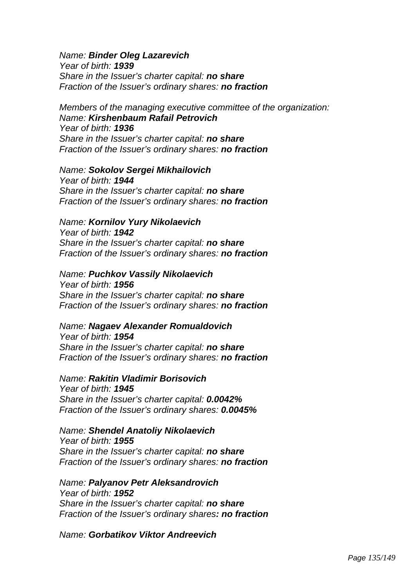*Name: Binder Oleg Lazarevich* 

*Year of birth: 1939 Share in the Issuer's charter capital: no share Fraction of the Issuer's ordinary shares: no fraction* 

*Members of the managing executive committee of the organization: Name: Kirshenbaum Rafail Petrovich Year of birth: 1936 Share in the Issuer's charter capital: no share Fraction of the Issuer's ordinary shares: no fraction* 

#### *Name: Sokolov Sergei Mikhailovich*

*Year of birth: 1944 Share in the Issuer's charter capital: no share Fraction of the Issuer's ordinary shares: no fraction*

*Name: Kornilov Yury Nikolaevich Year of birth: 1942* 

*Share in the Issuer's charter capital: no share Fraction of the Issuer's ordinary shares: no fraction* 

#### *Name: Puchkov Vassily Nikolaevich*

*Year of birth: 1956 Share in the Issuer's charter capital: no share Fraction of the Issuer's ordinary shares: no fraction* 

# *Name: Nagaev Alexander Romualdovich*

*Year of birth: 1954 Share in the Issuer's charter capital: no share Fraction of the Issuer's ordinary shares: no fraction* 

*Name: Rakitin Vladimir Borisovich Year of birth: 1945 Share in the Issuer's charter capital: 0.0042% Fraction of the Issuer's ordinary shares: 0.0045%* 

*Name: Shendel Anatoliy Nikolaevich Year of birth: 1955 Share in the Issuer's charter capital: no share Fraction of the Issuer's ordinary shares: no fraction* 

*Name: Palyanov Petr Aleksandrovich Year of birth: 1952 Share in the Issuer's charter capital: no share Fraction of the Issuer's ordinary shares: no fraction* 

*Name: Gorbatikov Viktor Andreevich*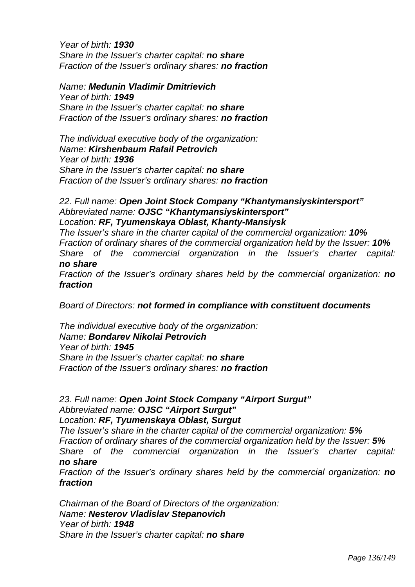*Year of birth: 1930 Share in the Issuer's charter capital: no share Fraction of the Issuer's ordinary shares: no fraction* 

*Name: Medunin Vladimir Dmitrievich Year of birth: 1949 Share in the Issuer's charter capital: no share Fraction of the Issuer's ordinary shares: no fraction* 

*The individual executive body of the organization: Name: Kirshenbaum Rafail Petrovich Year of birth: 1936 Share in the Issuer's charter capital: no share Fraction of the Issuer's ordinary shares: no fraction* 

#### *22. Full name: Open Joint Stock Company "Khantymansiyskintersport" Abbreviated name: OJSC "Khantymansiyskintersport" Location: RF, Tyumenskaya Oblast, Khanty-Mansiysk*

*The Issuer's share in the charter capital of the commercial organization: 10% Fraction of ordinary shares of the commercial organization held by the Issuer: 10% Share of the commercial organization in the Issuer's charter capital: no share* 

*Fraction of the Issuer's ordinary shares held by the commercial organization: no fraction* 

*Board of Directors: not formed in compliance with constituent documents* 

*The individual executive body of the organization: Name: Bondarev Nikolai Petrovich Year of birth: 1945 Share in the Issuer's charter capital: no share Fraction of the Issuer's ordinary shares: no fraction* 

*23. Full name: Open Joint Stock Company "Airport Surgut" Abbreviated name: OJSC "Airport Surgut" Location: RF, Tyumenskaya Oblast, Surgut* 

*The Issuer's share in the charter capital of the commercial organization: 5% Fraction of ordinary shares of the commercial organization held by the Issuer:* 5% *Share of the commercial organization in the Issuer's charter capital: no share* 

*Fraction of the Issuer's ordinary shares held by the commercial organization: no fraction* 

*Chairman of the Board of Directors of the organization: Name: Nesterov Vladislav Stepanovich Year of birth: 1948 Share in the Issuer's charter capital: no share*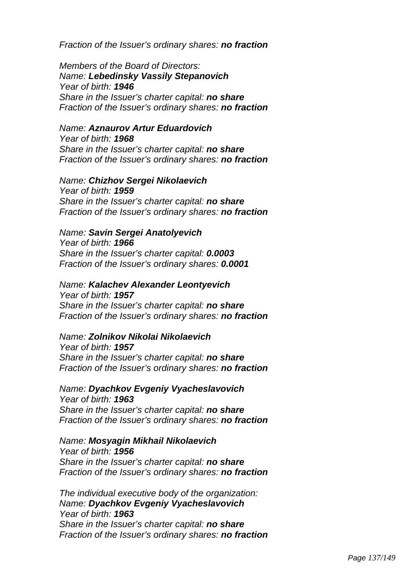*Fraction of the Issuer's ordinary shares: no fraction* 

*Members of the Board of Directors: Name: Lebedinsky Vassily Stepanovich Year of birth: 1946 Share in the Issuer's charter capital: no share Fraction of the Issuer's ordinary shares: no fraction* 

#### *Name: Aznaurov Artur Eduardovich*

*Year of birth: 1968 Share in the Issuer's charter capital: no share Fraction of the Issuer's ordinary shares: no fraction*

#### *Name: Chizhov Sergei Nikolaevich*

*Year of birth: 1959 Share in the Issuer's charter capital: no share Fraction of the Issuer's ordinary shares: no fraction* 

#### *Name: Savin Sergei Anatolyevich*

*Year of birth: 1966 Share in the Issuer's charter capital: 0.0003 Fraction of the Issuer's ordinary shares: 0.0001* 

# *Name: Kalachev Alexander Leontyevich*

*Year of birth: 1957 Share in the Issuer's charter capital: no share Fraction of the Issuer's ordinary shares: no fraction* 

# *Name: Zolnikov Nikolai Nikolaevich*

*Year of birth: 1957 Share in the Issuer's charter capital: no share Fraction of the Issuer's ordinary shares: no fraction* 

*Name: Dyachkov Evgeniy Vyacheslavovich Year of birth: 1963 Share in the Issuer's charter capital: no share Fraction of the Issuer's ordinary shares: no fraction* 

#### *Name: Mosyagin Mikhail Nikolaevich Year of birth: 1956 Share in the Issuer's charter capital: no share Fraction of the Issuer's ordinary shares: no fraction*

*The individual executive body of the organization: Name: Dyachkov Evgeniy Vyacheslavovich Year of birth: 1963 Share in the Issuer's charter capital: no share Fraction of the Issuer's ordinary shares: no fraction*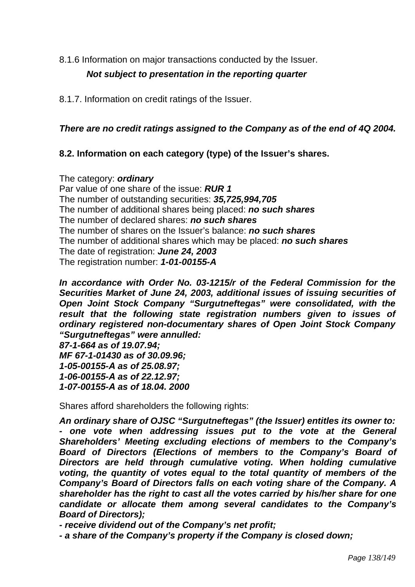8.1.6 Information on major transactions conducted by the Issuer.

# *Not subject to presentation in the reporting quarter*

8.1.7. Information on credit ratings of the Issuer.

# *There are no credit ratings assigned to the Company as of the end of 4Q 2004.*

# **8.2. Information on each category (type) of the Issuer's shares.**

The category: *ordinary*  Par value of one share of the issue: *RUR 1*  The number of outstanding securities: *35,725,994,705* 

The number of additional shares being placed: *no such shares* 

The number of declared shares: *no such shares* 

The number of shares on the Issuer's balance: *no such shares* 

The number of additional shares which may be placed: *no such shares* 

The date of registration: *June 24, 2003* 

The registration number: *1-01-00155-A* 

*In accordance with Order No. 03-1215/r of the Federal Commission for the Securities Market of June 24, 2003, additional issues of issuing securities of Open Joint Stock Company "Surgutneftegas" were consolidated, with the result that the following state registration numbers given to issues of ordinary registered non-documentary shares of Open Joint Stock Company "Surgutneftegas" were annulled:* 

*87-1-664 as of 19.07.94; MF 67-1-01430 as of 30.09.96; 1-05-00155-*А *as of 25.08.97; 1-06-00155-*А *as of 22.12.97; 1-07-00155-*А *as of 18.04. 2000* 

Shares afford shareholders the following rights:

*An ordinary share of OJSC "Surgutneftegas" (the Issuer) entitles its owner to: - one vote when addressing issues put to the vote at the General Shareholders' Meeting excluding elections of members to the Company's Board of Directors (Elections of members to the Company's Board of Directors are held through cumulative voting. When holding cumulative voting, the quantity of votes equal to the total quantity of members of the Company's Board of Directors falls on each voting share of the Company. A shareholder has the right to cast all the votes carried by his/her share for one candidate or allocate them among several candidates to the Company's Board of Directors);* 

*- receive dividend out of the Company's net profit;* 

*- a share of the Company's property if the Company is closed down;*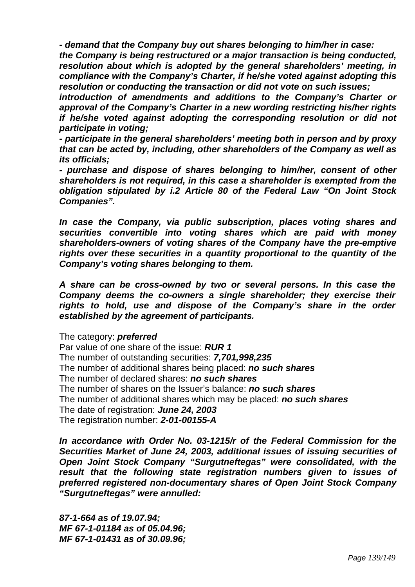*- demand that the Company buy out shares belonging to him/her in case:* 

*the Company is being restructured or a major transaction is being conducted, resolution about which is adopted by the general shareholders' meeting, in compliance with the Company's Charter, if he/she voted against adopting this resolution or conducting the transaction or did not vote on such issues;* 

*introduction of amendments and additions to the Company's Charter or approval of the Company's Charter in a new wording restricting his/her rights if he/she voted against adopting the corresponding resolution or did not participate in voting;* 

*- participate in the general shareholders' meeting both in person and by proxy that can be acted by, including, other shareholders of the Company as well as its officials;* 

*- purchase and dispose of shares belonging to him/her, consent of other shareholders is not required, in this case a shareholder is exempted from the obligation stipulated by i.2 Article 80 of the Federal Law "On Joint Stock Companies".* 

*In case the Company, via public subscription, places voting shares and securities convertible into voting shares which are paid with money shareholders-owners of voting shares of the Company have the pre-emptive rights over these securities in a quantity proportional to the quantity of the Company's voting shares belonging to them.* 

*A share can be cross-owned by two or several persons. In this case the Company deems the co-owners a single shareholder; they exercise their*  rights to hold, use and dispose of the Company's share in the order *established by the agreement of participants.* 

The category: *preferred* 

Par value of one share of the issue: *RUR 1*  The number of outstanding securities: *7,701,998,235*  The number of additional shares being placed: *no such shares*  The number of declared shares: *no such shares*  The number of shares on the Issuer's balance: *no such shares* The number of additional shares which may be placed: *no such shares*  The date of registration: *June 24, 2003* The registration number: *2-01-00155-A* 

*In accordance with Order No. 03-1215/r of the Federal Commission for the Securities Market of June 24, 2003, additional issues of issuing securities of Open Joint Stock Company "Surgutneftegas" were consolidated, with the result that the following state registration numbers given to issues of preferred registered non-documentary shares of Open Joint Stock Company "Surgutneftegas" were annulled:* 

*87-1-664 as of 19.07.94; MF 67-1-01184 as of 05.04.96; MF 67-1-01431 as of 30.09.96;*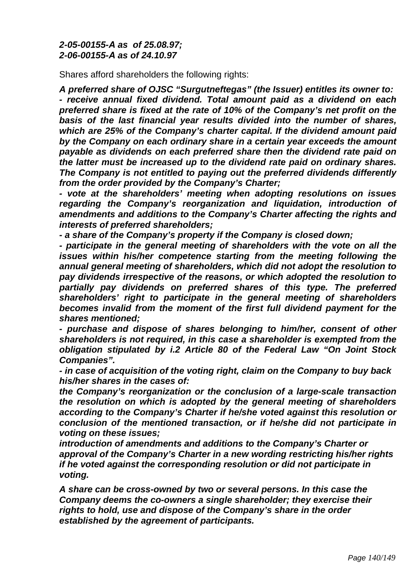# *2-05-00155-*А *as of 25.08.97; 2-06-00155-*А *as of 24.10.97*

Shares afford shareholders the following rights:

*A preferred share of OJSC "Surgutneftegas" (the Issuer) entitles its owner to: - receive annual fixed dividend. Total amount paid as a dividend on each preferred share is fixed at the rate of 10% of the Company's net profit on the basis of the last financial year results divided into the number of shares, which are 25% of the Company's charter capital. If the dividend amount paid by the Company on each ordinary share in a certain year exceeds the amount payable as dividends on each preferred share then the dividend rate paid on the latter must be increased up to the dividend rate paid on ordinary shares. The Company is not entitled to paying out the preferred dividends differently from the order provided by the Company's Charter;* 

*- vote at the shareholders' meeting when adopting resolutions on issues regarding the Company's reorganization and liquidation, introduction of amendments and additions to the Company's Charter affecting the rights and interests of preferred shareholders;* 

*- a share of the Company's property if the Company is closed down;* 

*- participate in the general meeting of shareholders with the vote on all the issues within his/her competence starting from the meeting following the annual general meeting of shareholders, which did not adopt the resolution to pay dividends irrespective of the reasons, or which adopted the resolution to partially pay dividends on preferred shares of this type. The preferred shareholders' right to participate in the general meeting of shareholders becomes invalid from the moment of the first full dividend payment for the shares mentioned;* 

*- purchase and dispose of shares belonging to him/her, consent of other shareholders is not required, in this case a shareholder is exempted from the obligation stipulated by i.2 Article 80 of the Federal Law "On Joint Stock Companies".* 

*- in case of acquisition of the voting right, claim on the Company to buy back his/her shares in the cases of:* 

*the Company's reorganization or the conclusion of a large-scale transaction the resolution on which is adopted by the general meeting of shareholders according to the Company's Charter if he/she voted against this resolution or conclusion of the mentioned transaction, or if he/she did not participate in voting on these issues;* 

*introduction of amendments and additions to the Company's Charter or approval of the Company's Charter in a new wording restricting his/her rights if he voted against the corresponding resolution or did not participate in voting.* 

*A share can be cross-owned by two or several persons. In this case the Company deems the co-owners a single shareholder; they exercise their rights to hold, use and dispose of the Company's share in the order established by the agreement of participants.*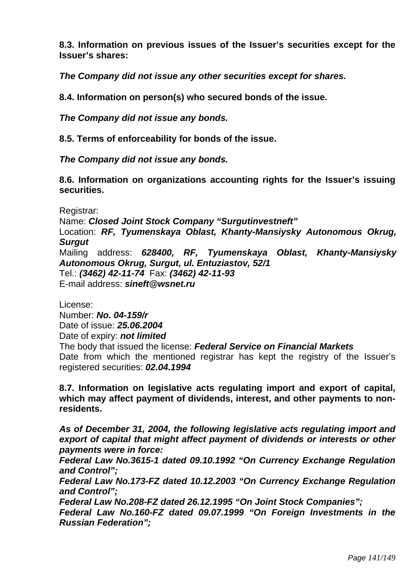**8.3. Information on previous issues of the Issuer's securities except for the Issuer's shares:** 

*The Company did not issue any other securities except for shares.* 

**8.4. Information on person(s) who secured bonds of the issue.** 

*The Company did not issue any bonds.* 

**8.5. Terms of enforceability for bonds of the issue.** 

*The Company did not issue any bonds.* 

**8.6. Information on organizations accounting rights for the Issuer's issuing securities.** 

Registrar:

Name: *Closed Joint Stock Company "Surgutinvestneft"* Location: *RF, Tyumenskaya Oblast, Khanty-Mansiysky Autonomous Okrug, Surgut*  Mailing address: *628400, RF, Tyumenskaya Oblast, Khanty-Mansiysky Autonomous Okrug, Surgut, ul. Entuziastov, 52/1*  Tel.: *(3462) 42-11-74* Fax: *(3462) 42-11-93*  E-mail address: *sineft@wsnet.ru* 

License:

Number: *No. 04-159/r*  Date of issue: *25.06.2004*  Date of expiry: *not limited* 

The body that issued the license: *Federal Service on Financial Markets* 

Date from which the mentioned registrar has kept the registry of the Issuer's registered securities: *02.04.1994* 

**8.7. Information on legislative acts regulating import and export of capital, which may affect payment of dividends, interest, and other payments to nonresidents.** 

*As of December 31, 2004, the following legislative acts regulating import and export of capital that might affect payment of dividends or interests or other payments were in force:* 

*Federal Law No.3615-1 dated 09.10.1992 "On Currency Exchange Regulation and Control";* 

*Federal Law No.173-FZ dated 10.12.2003 "On Currency Exchange Regulation and Control";* 

*Federal Law No.208-FZ dated 26.12.1995 "On Joint Stock Companies";* 

*Federal Law No.160-FZ dated 09.07.1999 "On Foreign Investments in the Russian Federation";*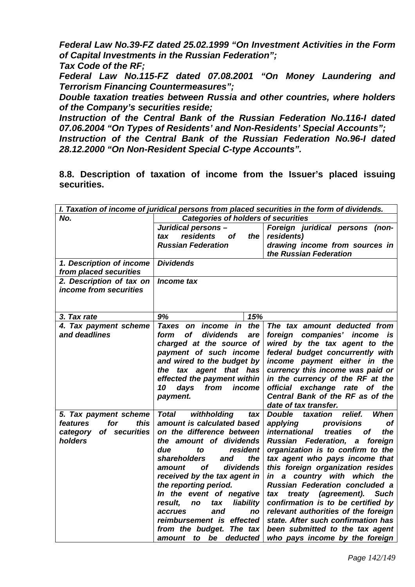*Federal Law No.39-FZ dated 25.02.1999 "On Investment Activities in the Form of Capital Investments in the Russian Federation"; Tax Code of the RF;* 

*Federal Law No.115-FZ dated 07.08.2001 "On Money Laundering and Terrorism Financing Countermeasures";* 

*Double taxation treaties between Russia and other countries, where holders of the Company's securities reside;* 

*Instruction of the Central Bank of the Russian Federation No.116-I dated 07.06.2004 "On Types of Residents' and Non-Residents' Special Accounts";* 

*Instruction of the Central Bank of the Russian Federation No.96-I dated 28.12.2000 "On Non-Resident Special C-type Accounts".* 

**8.8. Description of taxation of income from the Issuer's placed issuing securities.** 

| I. Taxation of income of juridical persons from placed securities in the form of dividends. |                                            |                                               |  |
|---------------------------------------------------------------------------------------------|--------------------------------------------|-----------------------------------------------|--|
| No.                                                                                         | <b>Categories of holders of securities</b> |                                               |  |
|                                                                                             | Juridical persons-                         | Foreign juridical persons (non-               |  |
|                                                                                             | residents<br><b>of</b><br>tax<br>the       | residents)                                    |  |
|                                                                                             | <b>Russian Federation</b>                  | drawing income from sources in                |  |
|                                                                                             |                                            | the Russian Federation                        |  |
| 1. Description of income                                                                    | <b>Dividends</b>                           |                                               |  |
| from placed securities                                                                      |                                            |                                               |  |
| 2. Description of tax on                                                                    | Income tax                                 |                                               |  |
| income from securities                                                                      |                                            |                                               |  |
|                                                                                             |                                            |                                               |  |
| 3. Tax rate                                                                                 | 9%<br>15%                                  |                                               |  |
| 4. Tax payment scheme                                                                       | the<br>Taxes on<br><i>income</i> in        | The tax amount deducted from                  |  |
| and deadlines                                                                               | dividends<br>form<br><b>of</b><br>are      | foreign companies' income is                  |  |
|                                                                                             | charged at the source of                   | wired by the tax agent to the                 |  |
|                                                                                             | payment of such income                     | federal budget concurrently with              |  |
|                                                                                             | and wired to the budget by                 | income payment either in the                  |  |
|                                                                                             | tax agent that has<br>the                  | currency this income was paid or              |  |
|                                                                                             | effected the payment within                | in the currency of the RF at the              |  |
|                                                                                             | days<br>10<br>from<br>income               | official exchange rate of the                 |  |
|                                                                                             | payment.                                   | Central Bank of the RF as of the              |  |
|                                                                                             |                                            | date of tax transfer.                         |  |
| 5. Tax payment scheme                                                                       | withholding<br>Total<br>tax                | relief.<br><b>Double</b><br>taxation<br>When  |  |
| for<br>this<br>features                                                                     | amount is calculated based                 | applying<br>provisions<br>оf                  |  |
| of securities<br>category                                                                   | on the difference between                  | <i>international</i><br>treaties<br>the<br>οf |  |
| holders                                                                                     | the amount of dividends                    | Russian Federation, a foreign                 |  |
|                                                                                             | due<br>resident<br>to                      | organization is to confirm to the             |  |
|                                                                                             | the<br>shareholders<br>and                 | tax agent who pays income that                |  |
|                                                                                             | οf<br>dividends<br>amount                  | this foreign organization resides             |  |
|                                                                                             | received by the tax agent in               | in a country with which the                   |  |
|                                                                                             | the reporting period.                      | <b>Russian Federation concluded a</b>         |  |
|                                                                                             | In the event of negative                   | treaty (agreement).<br><b>Such</b><br>tax     |  |
|                                                                                             | liability<br>result,<br>no<br>tax          | confirmation is to be certified by            |  |
|                                                                                             | accrues<br>and<br>no                       | relevant authorities of the foreign           |  |
|                                                                                             | reimbursement is effected                  | state. After such confirmation has            |  |
|                                                                                             | from the budget. The tax                   | been submitted to the tax agent               |  |
|                                                                                             | amount to be deducted                      | who pays income by the foreign                |  |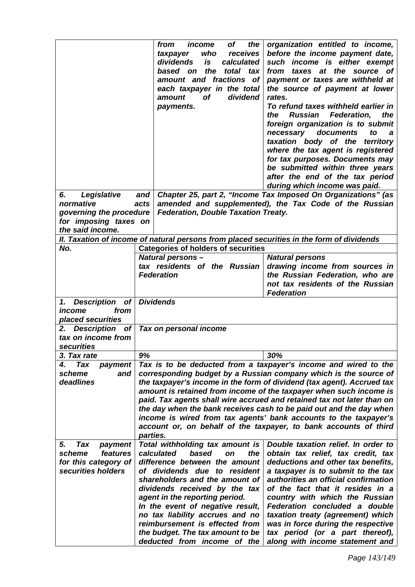|                                     |                                                                     | of<br>from<br>income<br>the<br>receives<br>taxpayer<br>who<br>dividends<br>is<br>calculated<br>the<br>based on<br>total<br>tax<br>amount and fractions of<br>each taxpayer in the total<br>dividend<br><b>of</b><br>amount<br>payments. | organization entitled to income,<br>before the income payment date,<br>such income is either exempt<br>taxes at the source<br>from<br>of<br>payment or taxes are withheld at<br>the source of payment at lower<br>rates.<br>To refund taxes withheld earlier in<br><b>Russian</b><br>Federation,<br>the<br>the<br>foreign organization is to submit<br>necessary<br>documents<br>to<br>a<br>taxation body of the<br>territory<br>where the tax agent is registered<br>for tax purposes. Documents may<br>be submitted within three years<br>after the end of the tax period<br>during which income was paid. |
|-------------------------------------|---------------------------------------------------------------------|-----------------------------------------------------------------------------------------------------------------------------------------------------------------------------------------------------------------------------------------|--------------------------------------------------------------------------------------------------------------------------------------------------------------------------------------------------------------------------------------------------------------------------------------------------------------------------------------------------------------------------------------------------------------------------------------------------------------------------------------------------------------------------------------------------------------------------------------------------------------|
| Legislative<br>6.                   | and                                                                 |                                                                                                                                                                                                                                         | Chapter 25, part 2, "Income Tax Imposed On Organizations" (as                                                                                                                                                                                                                                                                                                                                                                                                                                                                                                                                                |
| normative                           | acts                                                                |                                                                                                                                                                                                                                         | amended and supplemented), the Tax Code of the Russian                                                                                                                                                                                                                                                                                                                                                                                                                                                                                                                                                       |
| governing the procedure             |                                                                     | <b>Federation, Double Taxation Treaty.</b>                                                                                                                                                                                              |                                                                                                                                                                                                                                                                                                                                                                                                                                                                                                                                                                                                              |
| for imposing taxes on               |                                                                     |                                                                                                                                                                                                                                         |                                                                                                                                                                                                                                                                                                                                                                                                                                                                                                                                                                                                              |
| the said income.                    |                                                                     |                                                                                                                                                                                                                                         |                                                                                                                                                                                                                                                                                                                                                                                                                                                                                                                                                                                                              |
|                                     |                                                                     |                                                                                                                                                                                                                                         | II. Taxation of income of natural persons from placed securities in the form of dividends                                                                                                                                                                                                                                                                                                                                                                                                                                                                                                                    |
| No.                                 |                                                                     | <b>Categories of holders of securities</b>                                                                                                                                                                                              |                                                                                                                                                                                                                                                                                                                                                                                                                                                                                                                                                                                                              |
|                                     |                                                                     | <b>Natural persons -</b>                                                                                                                                                                                                                | <b>Natural persons</b>                                                                                                                                                                                                                                                                                                                                                                                                                                                                                                                                                                                       |
|                                     |                                                                     | tax residents of the Russian                                                                                                                                                                                                            | drawing income from sources in                                                                                                                                                                                                                                                                                                                                                                                                                                                                                                                                                                               |
|                                     |                                                                     | <b>Federation</b>                                                                                                                                                                                                                       | the Russian Federation, who are                                                                                                                                                                                                                                                                                                                                                                                                                                                                                                                                                                              |
|                                     |                                                                     |                                                                                                                                                                                                                                         | not tax residents of the Russian                                                                                                                                                                                                                                                                                                                                                                                                                                                                                                                                                                             |
|                                     |                                                                     |                                                                                                                                                                                                                                         | <b>Federation</b>                                                                                                                                                                                                                                                                                                                                                                                                                                                                                                                                                                                            |
| Description of<br>1.                |                                                                     | <b>Dividends</b>                                                                                                                                                                                                                        |                                                                                                                                                                                                                                                                                                                                                                                                                                                                                                                                                                                                              |
| income<br>from<br>placed securities |                                                                     |                                                                                                                                                                                                                                         |                                                                                                                                                                                                                                                                                                                                                                                                                                                                                                                                                                                                              |
| 2. Description of                   |                                                                     | Tax on personal income                                                                                                                                                                                                                  |                                                                                                                                                                                                                                                                                                                                                                                                                                                                                                                                                                                                              |
| tax on income from                  |                                                                     |                                                                                                                                                                                                                                         |                                                                                                                                                                                                                                                                                                                                                                                                                                                                                                                                                                                                              |
| securities                          |                                                                     |                                                                                                                                                                                                                                         |                                                                                                                                                                                                                                                                                                                                                                                                                                                                                                                                                                                                              |
| 3. Tax rate                         | 9%                                                                  |                                                                                                                                                                                                                                         | 30%                                                                                                                                                                                                                                                                                                                                                                                                                                                                                                                                                                                                          |
| Tax<br>4.<br>payment                |                                                                     | Tax is to be deducted from a taxpayer's income and wired to the                                                                                                                                                                         |                                                                                                                                                                                                                                                                                                                                                                                                                                                                                                                                                                                                              |
| scheme<br>and                       |                                                                     |                                                                                                                                                                                                                                         | corresponding budget by a Russian company which is the source of                                                                                                                                                                                                                                                                                                                                                                                                                                                                                                                                             |
| deadlines                           |                                                                     |                                                                                                                                                                                                                                         | the taxpayer's income in the form of dividend (tax agent). Accrued tax                                                                                                                                                                                                                                                                                                                                                                                                                                                                                                                                       |
|                                     | amount is retained from income of the taxpayer when such income is  |                                                                                                                                                                                                                                         |                                                                                                                                                                                                                                                                                                                                                                                                                                                                                                                                                                                                              |
|                                     |                                                                     |                                                                                                                                                                                                                                         | paid. Tax agents shall wire accrued and retained tax not later than on                                                                                                                                                                                                                                                                                                                                                                                                                                                                                                                                       |
|                                     | the day when the bank receives cash to be paid out and the day when |                                                                                                                                                                                                                                         |                                                                                                                                                                                                                                                                                                                                                                                                                                                                                                                                                                                                              |
|                                     |                                                                     |                                                                                                                                                                                                                                         | income is wired from tax agents' bank accounts to the taxpayer's                                                                                                                                                                                                                                                                                                                                                                                                                                                                                                                                             |
|                                     |                                                                     | account or, on behalf of the taxpayer, to bank accounts of third<br>parties.                                                                                                                                                            |                                                                                                                                                                                                                                                                                                                                                                                                                                                                                                                                                                                                              |
| Tax<br>5.<br>payment                |                                                                     | Total withholding tax amount is                                                                                                                                                                                                         | Double taxation relief. In order to                                                                                                                                                                                                                                                                                                                                                                                                                                                                                                                                                                          |
| features<br>scheme                  |                                                                     | calculated<br>based<br>the<br>on                                                                                                                                                                                                        | obtain tax relief, tax credit, tax                                                                                                                                                                                                                                                                                                                                                                                                                                                                                                                                                                           |
| for this category of                |                                                                     | difference between the amount                                                                                                                                                                                                           | deductions and other tax benefits,                                                                                                                                                                                                                                                                                                                                                                                                                                                                                                                                                                           |
| securities holders                  |                                                                     | of dividends due to resident                                                                                                                                                                                                            | a taxpayer is to submit to the tax                                                                                                                                                                                                                                                                                                                                                                                                                                                                                                                                                                           |
|                                     |                                                                     | shareholders and the amount of<br>dividends received by the tax                                                                                                                                                                         | authorities an official confirmation<br>of the fact that it resides in a                                                                                                                                                                                                                                                                                                                                                                                                                                                                                                                                     |
|                                     |                                                                     | agent in the reporting period.                                                                                                                                                                                                          | country with which the Russian                                                                                                                                                                                                                                                                                                                                                                                                                                                                                                                                                                               |
|                                     |                                                                     | In the event of negative result,                                                                                                                                                                                                        | Federation concluded a double                                                                                                                                                                                                                                                                                                                                                                                                                                                                                                                                                                                |
|                                     |                                                                     | no tax liability accrues and no                                                                                                                                                                                                         | taxation treaty (agreement) which                                                                                                                                                                                                                                                                                                                                                                                                                                                                                                                                                                            |
|                                     |                                                                     | reimbursement is effected from                                                                                                                                                                                                          | was in force during the respective                                                                                                                                                                                                                                                                                                                                                                                                                                                                                                                                                                           |
|                                     |                                                                     | the budget. The tax amount to be                                                                                                                                                                                                        | tax period (or a part thereof),                                                                                                                                                                                                                                                                                                                                                                                                                                                                                                                                                                              |
|                                     |                                                                     | deducted from income of the                                                                                                                                                                                                             | along with income statement and                                                                                                                                                                                                                                                                                                                                                                                                                                                                                                                                                                              |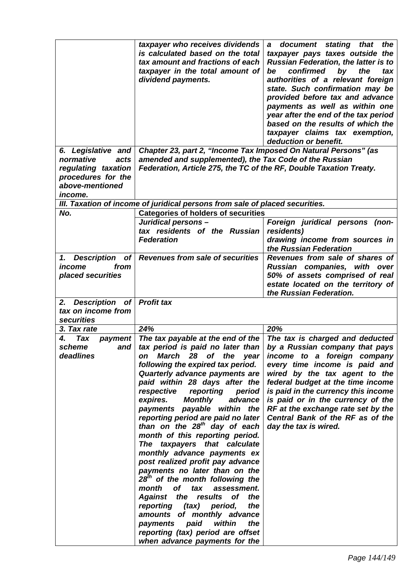|                                                                                              | taxpayer who receives dividends<br>is calculated based on the total<br>tax amount and fractions of each<br>taxpayer in the total amount of<br>dividend payments.                                                                                                                                                                                                                                                                                                                                                                                                                                                                                                                                                                                                                                                                                                     | a document stating that the<br>taxpayer pays taxes outside the<br><b>Russian Federation, the latter is to</b><br>confirmed<br>by<br>the<br>be<br>tax<br>authorities of a relevant foreign<br>state. Such confirmation may be<br>provided before tax and advance<br>payments as well as within one<br>year after the end of the tax period<br>based on the results of which the<br>taxpayer claims tax exemption,<br>deduction or benefit. |
|----------------------------------------------------------------------------------------------|----------------------------------------------------------------------------------------------------------------------------------------------------------------------------------------------------------------------------------------------------------------------------------------------------------------------------------------------------------------------------------------------------------------------------------------------------------------------------------------------------------------------------------------------------------------------------------------------------------------------------------------------------------------------------------------------------------------------------------------------------------------------------------------------------------------------------------------------------------------------|-------------------------------------------------------------------------------------------------------------------------------------------------------------------------------------------------------------------------------------------------------------------------------------------------------------------------------------------------------------------------------------------------------------------------------------------|
| 6. Legislative and                                                                           | Chapter 23, part 2, "Income Tax Imposed On Natural Persons" (as                                                                                                                                                                                                                                                                                                                                                                                                                                                                                                                                                                                                                                                                                                                                                                                                      |                                                                                                                                                                                                                                                                                                                                                                                                                                           |
| normative<br>acts<br>regulating taxation<br>procedures for the<br>above-mentioned<br>income. | amended and supplemented), the Tax Code of the Russian<br>Federation, Article 275, the TC of the RF, Double Taxation Treaty.                                                                                                                                                                                                                                                                                                                                                                                                                                                                                                                                                                                                                                                                                                                                         |                                                                                                                                                                                                                                                                                                                                                                                                                                           |
|                                                                                              | III. Taxation of income of juridical persons from sale of placed securities.                                                                                                                                                                                                                                                                                                                                                                                                                                                                                                                                                                                                                                                                                                                                                                                         |                                                                                                                                                                                                                                                                                                                                                                                                                                           |
| No.                                                                                          | <b>Categories of holders of securities</b>                                                                                                                                                                                                                                                                                                                                                                                                                                                                                                                                                                                                                                                                                                                                                                                                                           |                                                                                                                                                                                                                                                                                                                                                                                                                                           |
|                                                                                              | Juridical persons -<br>tax residents of the Russian<br><b>Federation</b>                                                                                                                                                                                                                                                                                                                                                                                                                                                                                                                                                                                                                                                                                                                                                                                             | Foreign juridical persons<br>(non-<br>residents)<br>drawing income from sources in<br>the Russian Federation                                                                                                                                                                                                                                                                                                                              |
| 1. Description<br>from<br>income<br>placed securities                                        | of Revenues from sale of securities                                                                                                                                                                                                                                                                                                                                                                                                                                                                                                                                                                                                                                                                                                                                                                                                                                  | Revenues from sale of shares of<br>Russian companies, with over<br>50% of assets comprised of real<br>estate located on the territory of<br>the Russian Federation.                                                                                                                                                                                                                                                                       |
| Description of<br>2.                                                                         | <b>Profit tax</b>                                                                                                                                                                                                                                                                                                                                                                                                                                                                                                                                                                                                                                                                                                                                                                                                                                                    |                                                                                                                                                                                                                                                                                                                                                                                                                                           |
| tax on income from                                                                           |                                                                                                                                                                                                                                                                                                                                                                                                                                                                                                                                                                                                                                                                                                                                                                                                                                                                      |                                                                                                                                                                                                                                                                                                                                                                                                                                           |
| securities                                                                                   |                                                                                                                                                                                                                                                                                                                                                                                                                                                                                                                                                                                                                                                                                                                                                                                                                                                                      |                                                                                                                                                                                                                                                                                                                                                                                                                                           |
| 3. Tax rate                                                                                  | 24%                                                                                                                                                                                                                                                                                                                                                                                                                                                                                                                                                                                                                                                                                                                                                                                                                                                                  | 20%                                                                                                                                                                                                                                                                                                                                                                                                                                       |
| <b>Tax</b><br>4.<br>payment<br>scheme<br>and<br>deadlines                                    | The tax payable at the end of the<br>tax period is paid no later than<br>on March 28 of the<br>year<br>following the expired tax period.<br>Quarterly advance payments are<br>paid within 28 days after the<br>respective<br>reporting<br>period<br>expires.<br><b>Monthly</b><br>advance<br>payments payable within the<br>reporting period are paid no later<br>than on the $28th$ day of each<br>month of this reporting period.<br>The taxpayers that calculate<br>monthly advance payments ex<br>post realized profit pay advance<br>payments no later than on the<br>28 <sup>th</sup> of the month following the<br>month of tax<br>assessment.<br>Against the results of<br>the<br>the<br>reporting (tax)<br>period,<br>amounts of monthly advance<br>paid<br>within<br>the<br>payments<br>reporting (tax) period are offset<br>when advance payments for the | The tax is charged and deducted<br>by a Russian company that pays<br>income to a foreign company<br>every time income is paid and<br>wired by the tax agent to the<br>federal budget at the time income<br>is paid in the currency this income<br>is paid or in the currency of the<br>RF at the exchange rate set by the<br>Central Bank of the RF as of the<br>day the tax is wired.                                                    |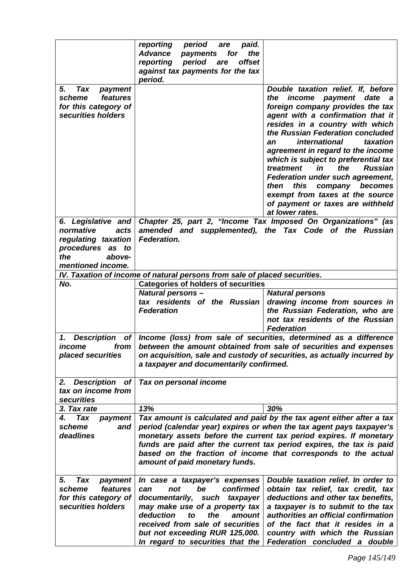|                                                                                                        | reporting<br>period<br>paid.<br>are<br><b>Advance</b><br>the<br>payments<br>for<br>offset<br>reporting<br>period<br>are<br>against tax payments for the tax<br>period.                                                                                                                                                                                                                          |                                                                                                                                                                                                                                                                                                                                                                                                                                                                                                                                                                 |  |
|--------------------------------------------------------------------------------------------------------|-------------------------------------------------------------------------------------------------------------------------------------------------------------------------------------------------------------------------------------------------------------------------------------------------------------------------------------------------------------------------------------------------|-----------------------------------------------------------------------------------------------------------------------------------------------------------------------------------------------------------------------------------------------------------------------------------------------------------------------------------------------------------------------------------------------------------------------------------------------------------------------------------------------------------------------------------------------------------------|--|
| 5.<br>Tax<br>payment<br>features<br>scheme<br>for this category of<br>securities holders               |                                                                                                                                                                                                                                                                                                                                                                                                 | Double taxation relief. If, before<br>income<br>payment date<br>the<br>a<br>foreign company provides the tax<br>agent with a confirmation that it<br>resides in a country with which<br>the Russian Federation concluded<br><i>international</i><br>taxation<br>an<br>agreement in regard to the income<br>which is subject to preferential tax<br>the<br>treatment<br>in<br><b>Russian</b><br>Federation under such agreement,<br>this<br>company<br>becomes<br>then<br>exempt from taxes at the source<br>of payment or taxes are withheld<br>at lower rates. |  |
| 6. Legislative and<br>normative<br>acts<br>regulating taxation<br>procedures<br>as to<br>the<br>above- | Chapter 25, part 2, "Income Tax Imposed On Organizations" (as<br>amended and supplemented), the Tax Code of the Russian<br><b>Federation.</b>                                                                                                                                                                                                                                                   |                                                                                                                                                                                                                                                                                                                                                                                                                                                                                                                                                                 |  |
| mentioned income.                                                                                      |                                                                                                                                                                                                                                                                                                                                                                                                 |                                                                                                                                                                                                                                                                                                                                                                                                                                                                                                                                                                 |  |
| No.                                                                                                    | IV. Taxation of income of natural persons from sale of placed securities.                                                                                                                                                                                                                                                                                                                       |                                                                                                                                                                                                                                                                                                                                                                                                                                                                                                                                                                 |  |
|                                                                                                        | <b>Categories of holders of securities</b><br><b>Natural persons -</b><br>tax residents of the Russian<br><b>Federation</b>                                                                                                                                                                                                                                                                     | <b>Natural persons</b><br>drawing income from sources in<br>the Russian Federation, who are<br>not tax residents of the Russian<br><b>Federation</b>                                                                                                                                                                                                                                                                                                                                                                                                            |  |
| 1. Description of<br>income<br>from<br>placed securities                                               | Income (loss) from sale of securities, determined as a difference<br>between the amount obtained from sale of securities and expenses<br>on acquisition, sale and custody of securities, as actually incurred by<br>a taxpayer and documentarily confirmed.                                                                                                                                     |                                                                                                                                                                                                                                                                                                                                                                                                                                                                                                                                                                 |  |
| <b>Description</b><br><b>of</b><br>2.<br>tax on income from<br><b>securities</b>                       | Tax on personal income                                                                                                                                                                                                                                                                                                                                                                          |                                                                                                                                                                                                                                                                                                                                                                                                                                                                                                                                                                 |  |
| 3. Tax rate                                                                                            | 13%                                                                                                                                                                                                                                                                                                                                                                                             | 30%                                                                                                                                                                                                                                                                                                                                                                                                                                                                                                                                                             |  |
| Tax<br>payment<br>4.<br>scheme<br>and<br>deadlines                                                     | Tax amount is calculated and paid by the tax agent either after a tax<br>period (calendar year) expires or when the tax agent pays taxpayer's<br>monetary assets before the current tax period expires. If monetary<br>funds are paid after the current tax period expires, the tax is paid<br>based on the fraction of income that corresponds to the actual<br>amount of paid monetary funds. |                                                                                                                                                                                                                                                                                                                                                                                                                                                                                                                                                                 |  |
| 5.<br>Tax<br>payment<br>scheme<br>features<br>for this category of<br>securities holders               | In case a taxpayer's expenses<br>confirmed<br>not<br>be<br>can<br>documentarily,<br>such<br>taxpayer<br>may make use of a property tax<br>deduction<br>the<br>amount<br>to<br>received from sale of securities<br>but not exceeding RUR 125,000.<br>In regard to securities that the                                                                                                            | Double taxation relief. In order to<br>obtain tax relief, tax credit, tax<br>deductions and other tax benefits,<br>a taxpayer is to submit to the tax<br>authorities an official confirmation<br>of the fact that it resides in a<br>country with which the Russian<br>Federation concluded a double                                                                                                                                                                                                                                                            |  |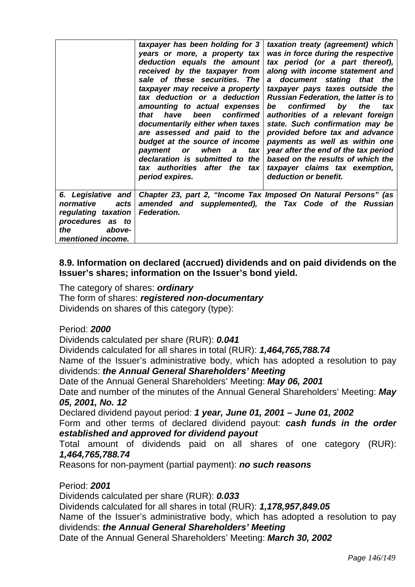|                                                                                                                          | taxpayer has been holding for 3<br>years or more, a property tax<br>deduction equals the amount<br>received by the taxpayer from<br>sale of these securities. The<br>taxpayer may receive a property<br>tax deduction or a deduction<br>amounting to actual expenses<br>been confirmed<br>have<br>that<br>documentarily either when taxes<br>are assessed and paid to the<br>budget at the source of income<br>payment or<br>when<br>tax<br>a<br>declaration is submitted to the<br>tax authorities after the tax | taxation treaty (agreement) which<br>was in force during the respective<br>tax period (or a part thereof),<br>along with income statement and<br>a document stating that the<br>taxpayer pays taxes outside the<br><b>Russian Federation, the latter is to</b><br>confirmed by the<br>be<br>tax<br>authorities of a relevant foreign<br>state. Such confirmation may be<br>provided before tax and advance<br>payments as well as within one<br>year after the end of the tax period<br>based on the results of which the<br>taxpayer claims tax exemption, |
|--------------------------------------------------------------------------------------------------------------------------|-------------------------------------------------------------------------------------------------------------------------------------------------------------------------------------------------------------------------------------------------------------------------------------------------------------------------------------------------------------------------------------------------------------------------------------------------------------------------------------------------------------------|-------------------------------------------------------------------------------------------------------------------------------------------------------------------------------------------------------------------------------------------------------------------------------------------------------------------------------------------------------------------------------------------------------------------------------------------------------------------------------------------------------------------------------------------------------------|
|                                                                                                                          | period expires.                                                                                                                                                                                                                                                                                                                                                                                                                                                                                                   | deduction or benefit.                                                                                                                                                                                                                                                                                                                                                                                                                                                                                                                                       |
| 6. Legislative and<br>normative<br>acts<br>regulating taxation<br>procedures as to<br>above-<br>the<br>mentioned income. | <b>Federation.</b>                                                                                                                                                                                                                                                                                                                                                                                                                                                                                                | Chapter 23, part 2, "Income Tax Imposed On Natural Persons" (as<br>amended and supplemented), the Tax Code of the Russian                                                                                                                                                                                                                                                                                                                                                                                                                                   |

# **8.9. Information on declared (accrued) dividends and on paid dividends on the Issuer's shares; information on the Issuer's bond yield.**

The category of shares: *ordinary*  The form of shares: *registered non-documentary*  Dividends on shares of this category (type):

# Period: *2000*

Dividends calculated per share (RUR): *0.041* 

Dividends calculated for all shares in total (RUR): *1,464,765,788.74* 

Name of the Issuer's administrative body, which has adopted a resolution to pay dividends: *the Annual General Shareholders' Meeting* 

Date of the Annual General Shareholders' Meeting: *May 06, 2001* 

Date and number of the minutes of the Annual General Shareholders' Meeting: *May 05, 2001, No. 12* 

Declared dividend payout period: *1 year, June 01, 2001 – June 01, 2002* 

Form and other terms of declared dividend payout: *cash funds in the order established and approved for dividend payout* 

Total amount of dividends paid on all shares of one category (RUR): *1,464,765,788.74* 

Reasons for non-payment (partial payment): *no such reasons* 

Period: *2001* 

Dividends calculated per share (RUR): *0.033* 

Dividends calculated for all shares in total (RUR): *1,178,957,849.05* 

Name of the Issuer's administrative body, which has adopted a resolution to pay dividends: *the Annual General Shareholders' Meeting* 

Date of the Annual General Shareholders' Meeting: *March 30, 2002*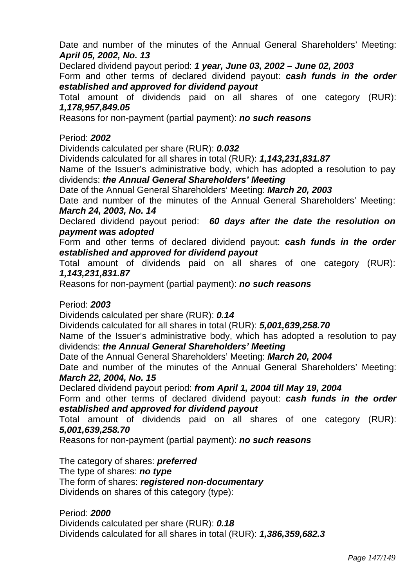Date and number of the minutes of the Annual General Shareholders' Meeting: *April 05, 2002, No. 13* 

Declared dividend payout period: *1 year, June 03, 2002 – June 02, 2003* 

Form and other terms of declared dividend payout: *cash funds in the order established and approved for dividend payout* 

Total amount of dividends paid on all shares of one category (RUR): *1,178,957,849.05* 

Reasons for non-payment (partial payment): *no such reasons* 

Period: *2002* 

Dividends calculated per share (RUR): *0.032* 

Dividends calculated for all shares in total (RUR): *1,143,231,831.87* 

Name of the Issuer's administrative body, which has adopted a resolution to pay dividends: *the Annual General Shareholders' Meeting* 

Date of the Annual General Shareholders' Meeting: *March 20, 2003* 

Date and number of the minutes of the Annual General Shareholders' Meeting: *March 24, 2003, No. 14* 

Declared dividend payout period: *60 days after the date the resolution on payment was adopted* 

Form and other terms of declared dividend payout: *cash funds in the order established and approved for dividend payout* 

Total amount of dividends paid on all shares of one category (RUR): *1,143,231,831.87* 

Reasons for non-payment (partial payment): *no such reasons* 

# Period: *2003*

Dividends calculated per share (RUR): *0.14* 

Dividends calculated for all shares in total (RUR): *5,001,639,258.70* 

Name of the Issuer's administrative body, which has adopted a resolution to pay dividends: *the Annual General Shareholders' Meeting* 

Date of the Annual General Shareholders' Meeting: *March 20, 2004* 

Date and number of the minutes of the Annual General Shareholders' Meeting: *March 22, 2004, No. 15* 

Declared dividend payout period: *from April 1, 2004 till May 19, 2004* 

Form and other terms of declared dividend payout: *cash funds in the order established and approved for dividend payout* 

Total amount of dividends paid on all shares of one category (RUR): *5,001,639,258.70* 

Reasons for non-payment (partial payment): *no such reasons* 

The category of shares: *preferred*  The type of shares: *no type*  The form of shares: *registered non-documentary*  Dividends on shares of this category (type):

Period: *2000*  Dividends calculated per share (RUR): *0.18*  Dividends calculated for all shares in total (RUR): *1,386,359,682.3*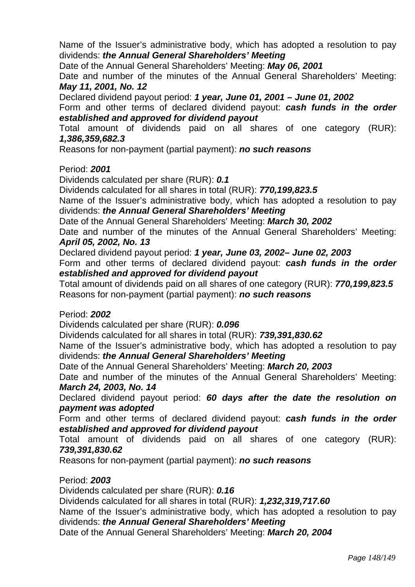Name of the Issuer's administrative body, which has adopted a resolution to pay dividends: *the Annual General Shareholders' Meeting* 

Date of the Annual General Shareholders' Meeting: *May 06, 2001* 

Date and number of the minutes of the Annual General Shareholders' Meeting: *May 11, 2001, No. 12* 

Declared dividend payout period: *1 year, June 01, 2001 – June 01, 2002* 

Form and other terms of declared dividend payout: *cash funds in the order established and approved for dividend payout* 

Total amount of dividends paid on all shares of one category (RUR): *1,386,359,682.3* 

Reasons for non-payment (partial payment): *no such reasons* 

# Period: *2001*

Dividends calculated per share (RUR): *0.1* 

Dividends calculated for all shares in total (RUR): *770,199,823.5* 

Name of the Issuer's administrative body, which has adopted a resolution to pay dividends: *the Annual General Shareholders' Meeting* 

Date of the Annual General Shareholders' Meeting: *March 30, 2002* 

Date and number of the minutes of the Annual General Shareholders' Meeting: *April 05, 2002, No. 13* 

Declared dividend payout period: *1 year, June 03, 2002– June 02, 2003* 

Form and other terms of declared dividend payout: *cash funds in the order established and approved for dividend payout* 

Total amount of dividends paid on all shares of one category (RUR): *770,199,823.5*  Reasons for non-payment (partial payment): *no such reasons* 

# Period: *2002*

Dividends calculated per share (RUR): *0.096* 

Dividends calculated for all shares in total (RUR): *739,391,830.62* 

Name of the Issuer's administrative body, which has adopted a resolution to pay dividends: *the Annual General Shareholders' Meeting* 

Date of the Annual General Shareholders' Meeting: *March 20, 2003* 

Date and number of the minutes of the Annual General Shareholders' Meeting: *March 24, 2003, No. 14* 

Declared dividend payout period: *60 days after the date the resolution on payment was adopted* 

Form and other terms of declared dividend payout: *cash funds in the order established and approved for dividend payout* 

Total amount of dividends paid on all shares of one category (RUR): *739,391,830.62* 

Reasons for non-payment (partial payment): *no such reasons* 

Period: *2003* 

Dividends calculated per share (RUR): *0.16* 

Dividends calculated for all shares in total (RUR): *1,232,319,717.60* 

Name of the Issuer's administrative body, which has adopted a resolution to pay dividends: *the Annual General Shareholders' Meeting* 

Date of the Annual General Shareholders' Meeting: *March 20, 2004*